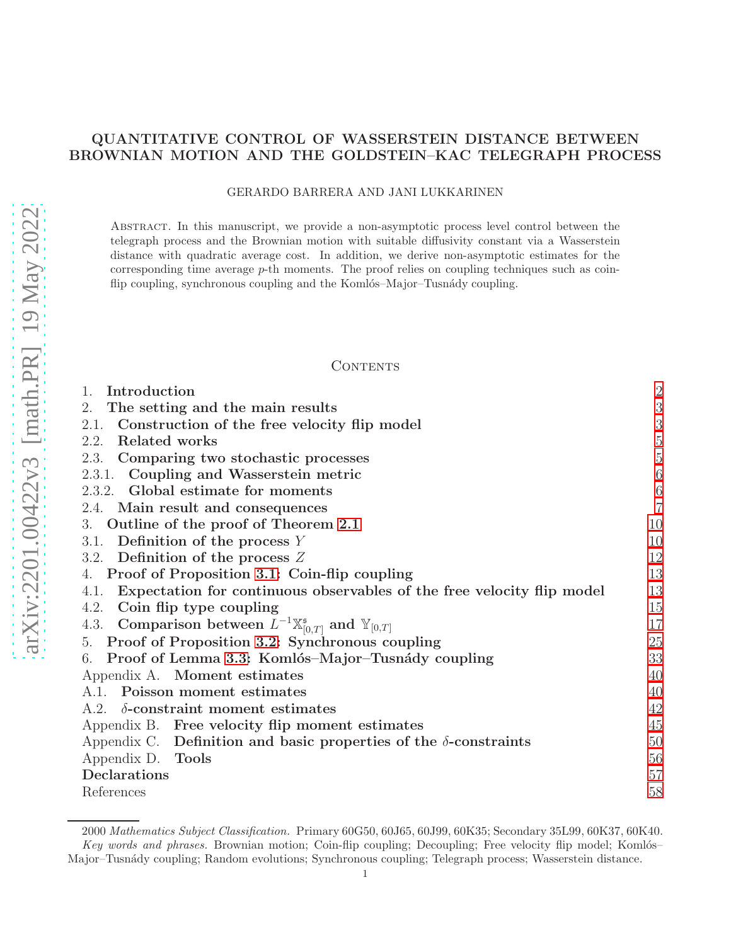# QUANTITATIVE CONTROL OF WASSERSTEIN DISTANCE BETWEEN BROWNIAN MOTION AND THE GOLDSTEIN–KAC TELEGRAPH PROCESS

#### GERARDO BARRERA AND JANI LUKKARINEN

Abstract. In this manuscript, we provide a non-asymptotic process level control between the telegraph process and the Brownian motion with suitable diffusivity constant via a Wasserstein distance with quadratic average cost. In addition, we derive non-asymptotic estimates for the corresponding time average  $p$ -th moments. The proof relies on coupling techniques such as coinflip coupling, synchronous coupling and the Komlós–Major–Tusnády coupling.

#### CONTENTS

| $\overline{c}$   |
|------------------|
| 3                |
| 3                |
| $\overline{5}$   |
| $\overline{5}$   |
| $\boldsymbol{6}$ |
|                  |
| $\frac{6}{7}$    |
| 10               |
| 10               |
| 12               |
| 13               |
| 13               |
| 15               |
| 17               |
| 25               |
| 33               |
| 40               |
| 40               |
| 42               |
| 45               |
| 50               |
| 56               |
| 57               |
| 58               |
|                  |

<sup>2000</sup> *Mathematics Subject Classification.* Primary 60G50, 60J65, 60J99, 60K35; Secondary 35L99, 60K37, 60K40. Key words and phrases. Brownian motion; Coin-flip coupling; Decoupling; Free velocity flip model; Komlós– Major–Tusn´ady coupling; Random evolutions; Synchronous coupling; Telegraph process; Wasserstein distance.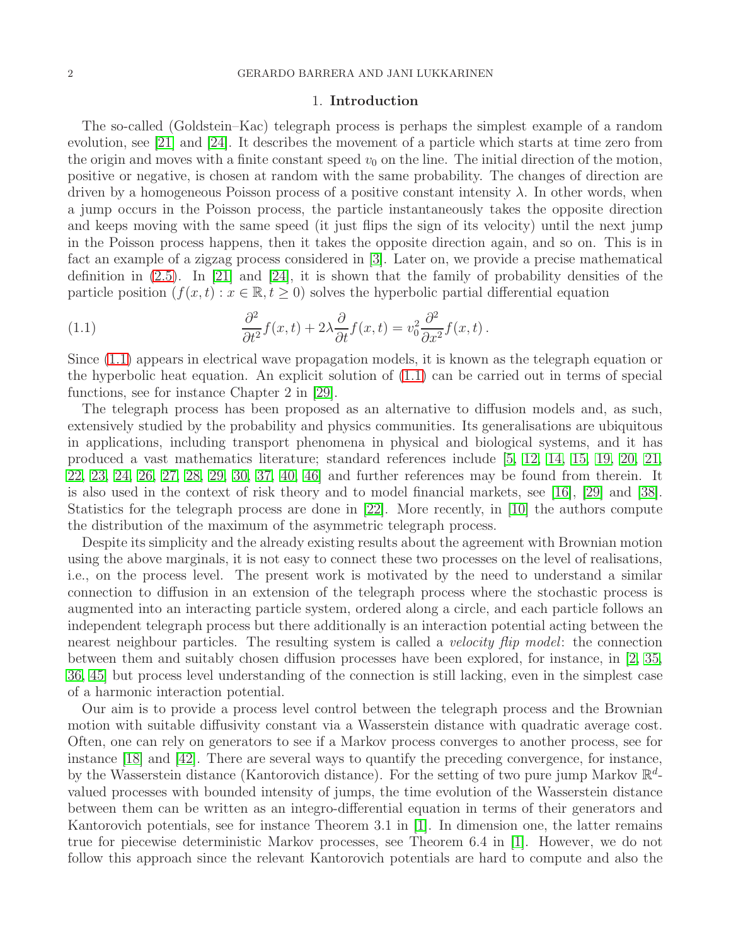### 1. Introduction

<span id="page-1-0"></span>The so-called (Goldstein–Kac) telegraph process is perhaps the simplest example of a random evolution, see [\[21\]](#page-57-1) and [\[24\]](#page-58-0). It describes the movement of a particle which starts at time zero from the origin and moves with a finite constant speed  $v_0$  on the line. The initial direction of the motion, positive or negative, is chosen at random with the same probability. The changes of direction are driven by a homogeneous Poisson process of a positive constant intensity  $\lambda$ . In other words, when a jump occurs in the Poisson process, the particle instantaneously takes the opposite direction and keeps moving with the same speed (it just flips the sign of its velocity) until the next jump in the Poisson process happens, then it takes the opposite direction again, and so on. This is in fact an example of a zigzag process considered in [\[3\]](#page-57-2). Later on, we provide a precise mathematical definition in [\(2.5\)](#page-3-0). In [\[21\]](#page-57-1) and [\[24\]](#page-58-0), it is shown that the family of probability densities of the particle position  $(f(x, t) : x \in \mathbb{R}, t \ge 0)$  solves the hyperbolic partial differential equation

<span id="page-1-1"></span>(1.1) 
$$
\frac{\partial^2}{\partial t^2} f(x,t) + 2\lambda \frac{\partial}{\partial t} f(x,t) = v_0^2 \frac{\partial^2}{\partial x^2} f(x,t).
$$

Since [\(1.1\)](#page-1-1) appears in electrical wave propagation models, it is known as the telegraph equation or the hyperbolic heat equation. An explicit solution of [\(1.1\)](#page-1-1) can be carried out in terms of special functions, see for instance Chapter 2 in [\[29\]](#page-58-1).

The telegraph process has been proposed as an alternative to diffusion models and, as such, extensively studied by the probability and physics communities. Its generalisations are ubiquitous in applications, including transport phenomena in physical and biological systems, and it has produced a vast mathematics literature; standard references include [\[5,](#page-57-3) [12,](#page-57-4) [14,](#page-57-5) [15,](#page-57-6) [19,](#page-57-7) [20,](#page-57-8) [21,](#page-57-1) [22,](#page-57-9) [23,](#page-58-2) [24,](#page-58-0) [26,](#page-58-3) [27,](#page-58-4) [28,](#page-58-5) [29,](#page-58-1) [30,](#page-58-6) [37,](#page-58-7) [40,](#page-58-8) [46\]](#page-59-0) and further references may be found from therein. It is also used in the context of risk theory and to model financial markets, see [\[16\]](#page-57-10), [\[29\]](#page-58-1) and [\[38\]](#page-58-9). Statistics for the telegraph process are done in [\[22\]](#page-57-9). More recently, in [\[10\]](#page-57-11) the authors compute the distribution of the maximum of the asymmetric telegraph process.

Despite its simplicity and the already existing results about the agreement with Brownian motion using the above marginals, it is not easy to connect these two processes on the level of realisations, i.e., on the process level. The present work is motivated by the need to understand a similar connection to diffusion in an extension of the telegraph process where the stochastic process is augmented into an interacting particle system, ordered along a circle, and each particle follows an independent telegraph process but there additionally is an interaction potential acting between the nearest neighbour particles. The resulting system is called a *velocity flip model*: the connection between them and suitably chosen diffusion processes have been explored, for instance, in [\[2,](#page-57-12) [35,](#page-58-10) [36,](#page-58-11) [45\]](#page-58-12) but process level understanding of the connection is still lacking, even in the simplest case of a harmonic interaction potential.

Our aim is to provide a process level control between the telegraph process and the Brownian motion with suitable diffusivity constant via a Wasserstein distance with quadratic average cost. Often, one can rely on generators to see if a Markov process converges to another process, see for instance  $|18|$  and  $|42|$ . There are several ways to quantify the preceding convergence, for instance, by the Wasserstein distance (Kantorovich distance). For the setting of two pure jump Markov  $\mathbb{R}^d$ valued processes with bounded intensity of jumps, the time evolution of the Wasserstein distance between them can be written as an integro-differential equation in terms of their generators and Kantorovich potentials, see for instance Theorem 3.1 in [\[1\]](#page-57-14). In dimension one, the latter remains true for piecewise deterministic Markov processes, see Theorem 6.4 in [\[1\]](#page-57-14). However, we do not follow this approach since the relevant Kantorovich potentials are hard to compute and also the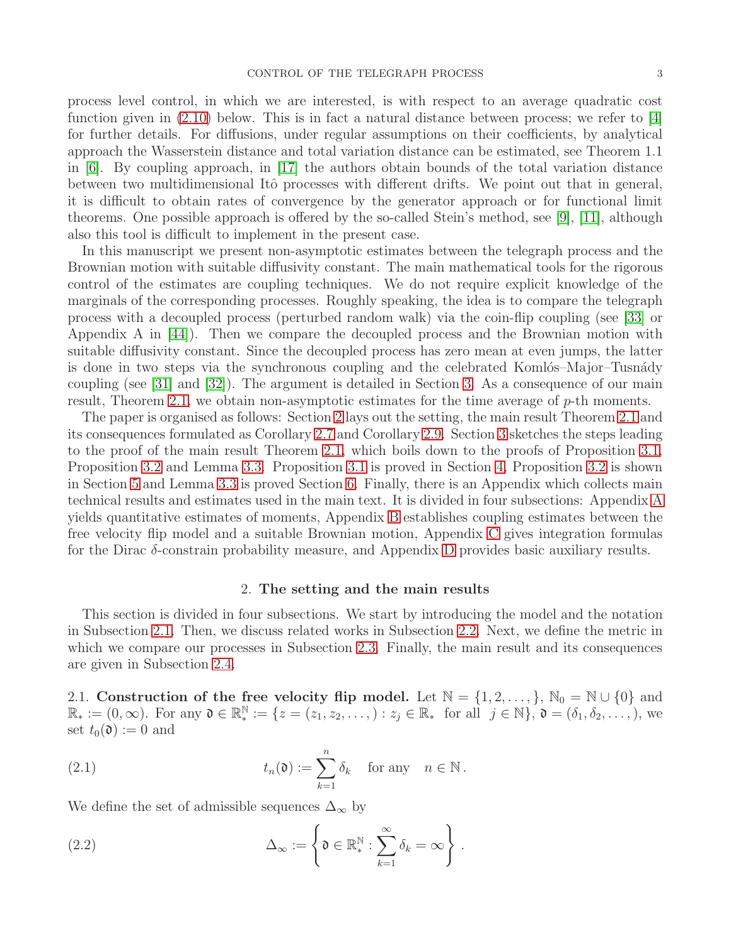process level control, in which we are interested, is with respect to an average quadratic cost function given in  $(2.10)$  below. This is in fact a natural distance between process; we refer to [\[4\]](#page-57-15) for further details. For diffusions, under regular assumptions on their coefficients, by analytical approach the Wasserstein distance and total variation distance can be estimated, see Theorem 1.1 in [\[6\]](#page-57-16). By coupling approach, in [\[17\]](#page-57-17) the authors obtain bounds of the total variation distance between two multidimensional Itô processes with different drifts. We point out that in general, it is difficult to obtain rates of convergence by the generator approach or for functional limit theorems. One possible approach is offered by the so-called Stein's method, see [\[9\]](#page-57-18), [\[11\]](#page-57-19), although also this tool is difficult to implement in the present case.

In this manuscript we present non-asymptotic estimates between the telegraph process and the Brownian motion with suitable diffusivity constant. The main mathematical tools for the rigorous control of the estimates are coupling techniques. We do not require explicit knowledge of the marginals of the corresponding processes. Roughly speaking, the idea is to compare the telegraph process with a decoupled process (perturbed random walk) via the coin-flip coupling (see [\[33\]](#page-58-14) or Appendix A in [\[44\]](#page-58-15)). Then we compare the decoupled process and the Brownian motion with suitable diffusivity constant. Since the decoupled process has zero mean at even jumps, the latter is done in two steps via the synchronous coupling and the celebrated Komlós–Major–Tusnády coupling (see [\[31\]](#page-58-16) and [\[32\]](#page-58-17)). The argument is detailed in Section [3.](#page-9-0) As a consequence of our main result, Theorem [2.1,](#page-7-0) we obtain non-asymptotic estimates for the time average of p-th moments.

The paper is organised as follows: Section [2](#page-2-0) lays out the setting, the main result Theorem [2.1](#page-7-0) and its consequences formulated as Corollary [2.7](#page-8-0) and Corollary [2.9.](#page-8-1) Section [3](#page-9-0) sketches the steps leading to the proof of the main result Theorem [2.1,](#page-7-0) which boils down to the proofs of Proposition [3.1,](#page-11-1) Proposition [3.2](#page-11-2) and Lemma [3.3.](#page-12-2) Proposition [3.1](#page-11-1) is proved in Section [4,](#page-12-0) Proposition [3.2](#page-11-2) is shown in Section [5](#page-24-0) and Lemma [3.3](#page-12-2) is proved Section [6.](#page-32-0) Finally, there is an Appendix which collects main technical results and estimates used in the main text. It is divided in four subsections: Appendix [A](#page-39-0) yields quantitative estimates of moments, Appendix [B](#page-44-0) establishes coupling estimates between the free velocity flip model and a suitable Brownian motion, Appendix [C](#page-49-0) gives integration formulas for the Dirac δ-constrain probability measure, and Appendix [D](#page-55-0) provides basic auxiliary results.

## 2. The setting and the main results

<span id="page-2-0"></span>This section is divided in four subsections. We start by introducing the model and the notation in Subsection [2.1.](#page-2-1) Then, we discuss related works in Subsection [2.2.](#page-4-0) Next, we define the metric in which we compare our processes in Subsection [2.3.](#page-4-1) Finally, the main result and its consequences are given in Subsection [2.4.](#page-6-0)

<span id="page-2-1"></span>2.1. Construction of the free velocity flip model. Let  $\mathbb{N} = \{1, 2, ..., \}$ ,  $\mathbb{N}_0 = \mathbb{N} \cup \{0\}$  and  $\mathbb{R}_* := (0, \infty)$ . For any  $\mathfrak{d} \in \mathbb{R}_*^{\mathbb{N}} := \{z = (z_1, z_2, \ldots, ) : z_j \in \mathbb{R}_* \text{ for all } j \in \mathbb{N}\}, \mathfrak{d} = (\delta_1, \delta_2, \ldots, )$ , we set  $t_0(\mathfrak{d}) := 0$  and

<span id="page-2-3"></span>(2.1) 
$$
t_n(\mathfrak{d}) := \sum_{k=1}^n \delta_k \quad \text{for any} \quad n \in \mathbb{N}.
$$

We define the set of admissible sequences  $\Delta_{\infty}$  by

<span id="page-2-2"></span>(2.2) 
$$
\Delta_{\infty} := \left\{ \mathfrak{d} \in \mathbb{R}_{*}^{\mathbb{N}} : \sum_{k=1}^{\infty} \delta_{k} = \infty \right\}.
$$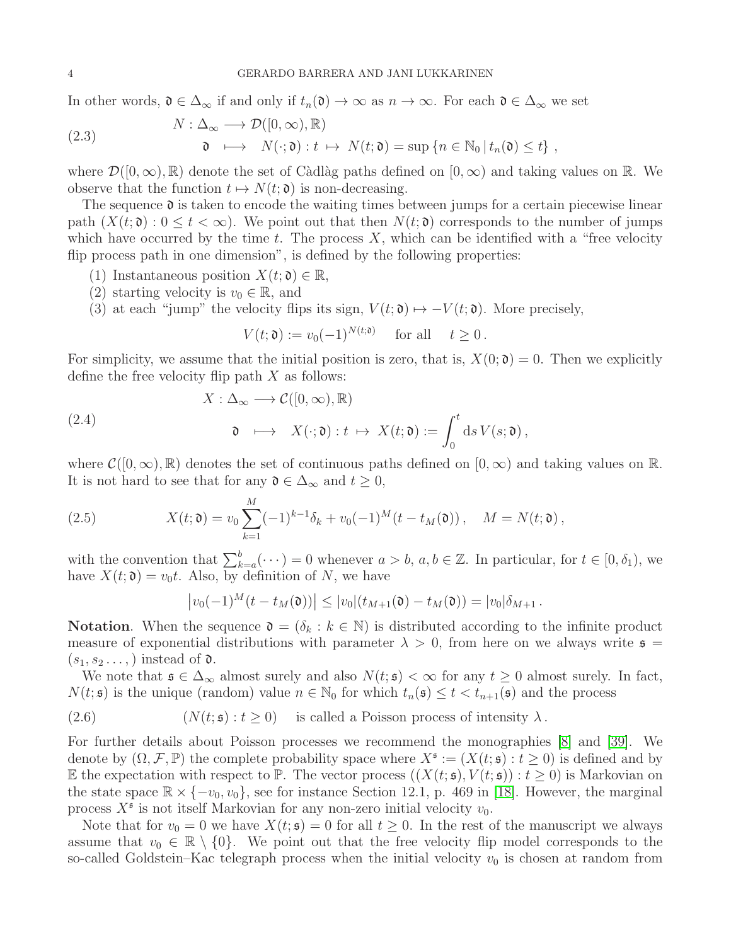In other words,  $\mathfrak{d} \in \Delta_{\infty}$  if and only if  $t_n(\mathfrak{d}) \to \infty$  as  $n \to \infty$ . For each  $\mathfrak{d} \in \Delta_{\infty}$  we set

<span id="page-3-2"></span>(2.3) 
$$
N: \Delta_{\infty} \longrightarrow \mathcal{D}([0, \infty), \mathbb{R})
$$

$$
\mathfrak{d} \longmapsto N(\cdot; \mathfrak{d}): t \mapsto N(t; \mathfrak{d}) = \sup \{n \in \mathbb{N}_0 \, | \, t_n(\mathfrak{d}) \le t\},
$$

where  $\mathcal{D}([0,\infty),\mathbb{R})$  denote the set of Càdlàg paths defined on  $[0,\infty)$  and taking values on R. We observe that the function  $t \mapsto N(t; \mathfrak{d})$  is non-decreasing.

The sequence  $\mathfrak d$  is taken to encode the waiting times between jumps for a certain piecewise linear path  $(X(t; \mathfrak{d}) : 0 \leq t < \infty)$ . We point out that then  $N(t; \mathfrak{d})$  corresponds to the number of jumps which have occurred by the time t. The process  $X$ , which can be identified with a "free velocity" flip process path in one dimension", is defined by the following properties:

- (1) Instantaneous position  $X(t; \mathfrak{d}) \in \mathbb{R}$ ,
- (2) starting velocity is  $v_0 \in \mathbb{R}$ , and
- (3) at each "jump" the velocity flips its sign,  $V(t; \mathfrak{d}) \mapsto -V(t; \mathfrak{d})$ . More precisely,

 $V(t; \mathfrak{d}) := v_0(-1)^{N(t; \mathfrak{d})}$  for all  $t \geq 0$ .

For simplicity, we assume that the initial position is zero, that is,  $X(0; \mathfrak{d}) = 0$ . Then we explicitly define the free velocity flip path  $X$  as follows:

<span id="page-3-3"></span>(2.4)  
\n
$$
X : \Delta_{\infty} \longrightarrow C([0, \infty), \mathbb{R})
$$
\n
$$
\mathfrak{d} \longrightarrow X(\cdot; \mathfrak{d}) : t \mapsto X(t; \mathfrak{d}) := \int_0^t ds \, V(s; \mathfrak{d}),
$$

where  $\mathcal{C}([0,\infty),\mathbb{R})$  denotes the set of continuous paths defined on  $[0,\infty)$  and taking values on  $\mathbb{R}$ . It is not hard to see that for any  $\mathfrak{d} \in \Delta_{\infty}$  and  $t \geq 0$ ,

<span id="page-3-0"></span>(2.5) 
$$
X(t; \mathfrak{d}) = v_0 \sum_{k=1}^{M} (-1)^{k-1} \delta_k + v_0 (-1)^M (t - t_M(\mathfrak{d})), \quad M = N(t; \mathfrak{d}),
$$

with the convention that  $\sum_{k=a}^{b}(\cdots) = 0$  whenever  $a > b$ ,  $a, b \in \mathbb{Z}$ . In particular, for  $t \in [0, \delta_1)$ , we have  $X(t; \mathfrak{d}) = v_0 t$ . Also, by definition of N, we have

$$
|v_0(-1)^M(t-t_M(\mathfrak{d}))| \leq |v_0|(t_{M+1}(\mathfrak{d})-t_M(\mathfrak{d})) = |v_0|\delta_{M+1}.
$$

**Notation.** When the sequence  $\mathfrak{d} = (\delta_k : k \in \mathbb{N})$  is distributed according to the infinite product measure of exponential distributions with parameter  $\lambda > 0$ , from here on we always write  $\epsilon =$  $(s_1, s_2 \ldots)$  instead of  $\mathfrak{d}$ .

We note that  $\mathfrak{s} \in \Delta_{\infty}$  almost surely and also  $N(t; \mathfrak{s}) < \infty$  for any  $t \geq 0$  almost surely. In fact,  $N(t; \mathfrak{s})$  is the unique (random) value  $n \in \mathbb{N}_0$  for which  $t_n(\mathfrak{s}) \leq t < t_{n+1}(\mathfrak{s})$  and the process

<span id="page-3-1"></span>(2.6) 
$$
(N(t; \mathfrak{s}) : t \ge 0)
$$
 is called a Poisson process of intensity  $\lambda$ .

For further details about Poisson processes we recommend the monographies [\[8\]](#page-57-20) and [\[39\]](#page-58-18). We denote by  $(\Omega, \mathcal{F}, \mathbb{P})$  the complete probability space where  $X^{\mathfrak{s}} := (X(t; \mathfrak{s}) : t \ge 0)$  is defined and by E the expectation with respect to P. The vector process  $((X(t; \mathfrak{s}), V(t; \mathfrak{s})): t > 0)$  is Markovian on the state space  $\mathbb{R} \times \{-v_0, v_0\}$ , see for instance Section 12.1, p. 469 in [\[18\]](#page-57-13). However, the marginal process  $X^{\mathfrak{s}}$  is not itself Markovian for any non-zero initial velocity  $v_0$ .

Note that for  $v_0 = 0$  we have  $X(t; \mathfrak{s}) = 0$  for all  $t \geq 0$ . In the rest of the manuscript we always assume that  $v_0 \in \mathbb{R} \setminus \{0\}$ . We point out that the free velocity flip model corresponds to the so-called Goldstein–Kac telegraph process when the initial velocity  $v_0$  is chosen at random from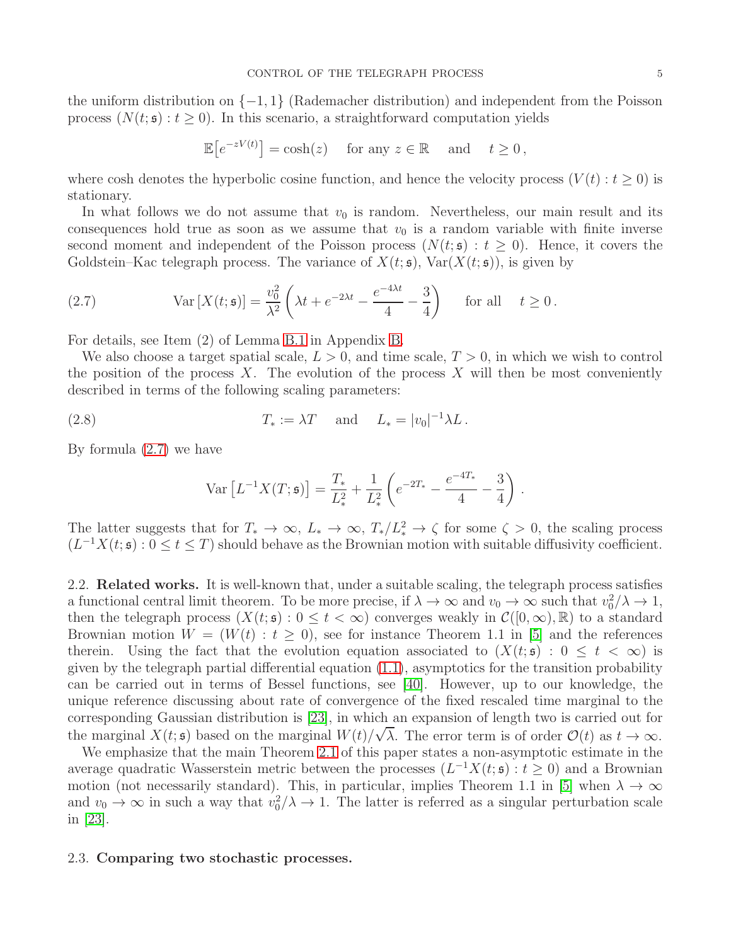the uniform distribution on {−1, 1} (Rademacher distribution) and independent from the Poisson process  $(N(t; \mathfrak{s}) : t \geq 0)$ . In this scenario, a straightforward computation yields

$$
\mathbb{E}\big[e^{-zV(t)}\big] = \cosh(z) \quad \text{ for any } z \in \mathbb{R} \quad \text{ and } \quad t \ge 0,
$$

where cosh denotes the hyperbolic cosine function, and hence the velocity process  $(V(t): t \geq 0)$  is stationary.

In what follows we do not assume that  $v_0$  is random. Nevertheless, our main result and its consequences hold true as soon as we assume that  $v_0$  is a random variable with finite inverse second moment and independent of the Poisson process  $(N(t; \mathfrak{s}) : t \geq 0)$ . Hence, it covers the Goldstein–Kac telegraph process. The variance of  $X(t; \mathfrak{s})$ ,  $Var(X(t; \mathfrak{s}))$ , is given by

<span id="page-4-2"></span>(2.7) 
$$
\operatorname{Var}\left[X(t;\mathfrak{s})\right] = \frac{v_0^2}{\lambda^2} \left(\lambda t + e^{-2\lambda t} - \frac{e^{-4\lambda t}}{4} - \frac{3}{4}\right) \quad \text{for all} \quad t \ge 0.
$$

For details, see Item (2) of Lemma [B.1](#page-44-1) in Appendix [B.](#page-44-0)

We also choose a target spatial scale,  $L > 0$ , and time scale,  $T > 0$ , in which we wish to control the position of the process X. The evolution of the process  $X$  will then be most conveniently described in terms of the following scaling parameters:

<span id="page-4-3"></span>(2.8) 
$$
T_* := \lambda T
$$
 and  $L_* = |v_0|^{-1} \lambda L$ .

By formula [\(2.7\)](#page-4-2) we have

$$
\text{Var}\left[L^{-1}X(T;\mathfrak{s})\right] = \frac{T_*}{L_*^2} + \frac{1}{L_*^2} \left(e^{-2T_*} - \frac{e^{-4T_*}}{4} - \frac{3}{4}\right) \,.
$$

The latter suggests that for  $T_* \to \infty$ ,  $L_* \to \infty$ ,  $T_*/L_*^2 \to \zeta$  for some  $\zeta > 0$ , the scaling process  $(L^{-1}X(t; \mathfrak{s}): 0 \leq t \leq T)$  should behave as the Brownian motion with suitable diffusivity coefficient.

<span id="page-4-0"></span>2.2. Related works. It is well-known that, under a suitable scaling, the telegraph process satisfies a functional central limit theorem. To be more precise, if  $\lambda \to \infty$  and  $v_0 \to \infty$  such that  $v_0^2/\lambda \to 1$ , then the telegraph process  $(X(t; \mathfrak{s}) : 0 \leq t < \infty)$  converges weakly in  $\mathcal{C}([0, \infty), \mathbb{R})$  to a standard Brownian motion  $W = (W(t) : t \geq 0)$ , see for instance Theorem 1.1 in [\[5\]](#page-57-3) and the references therein. Using the fact that the evolution equation associated to  $(X(t; \mathfrak{s}) : 0 \leq t \leq \infty)$  is given by the telegraph partial differential equation [\(1.1\)](#page-1-1), asymptotics for the transition probability can be carried out in terms of Bessel functions, see [\[40\]](#page-58-8). However, up to our knowledge, the unique reference discussing about rate of convergence of the fixed rescaled time marginal to the corresponding Gaussian distribution is [\[23\]](#page-58-2), in which an expansion of length two is carried out for the marginal  $X(t; \mathfrak{s})$  based on the marginal  $W(t)/\sqrt{\lambda}$ . The error term is of order  $\mathcal{O}(t)$  as  $t \to \infty$ .

We emphasize that the main Theorem [2.1](#page-7-0) of this paper states a non-asymptotic estimate in the average quadratic Wasserstein metric between the processes  $(L^{-1}X(t; \mathfrak{s}) : t \ge 0)$  and a Brownian motion (not necessarily standard). This, in particular, implies Theorem 1.1 in [\[5\]](#page-57-3) when  $\lambda \to \infty$ and  $v_0 \to \infty$  in such a way that  $v_0^2/\lambda \to 1$ . The latter is referred as a singular perturbation scale in [\[23\]](#page-58-2).

### <span id="page-4-1"></span>2.3. Comparing two stochastic processes.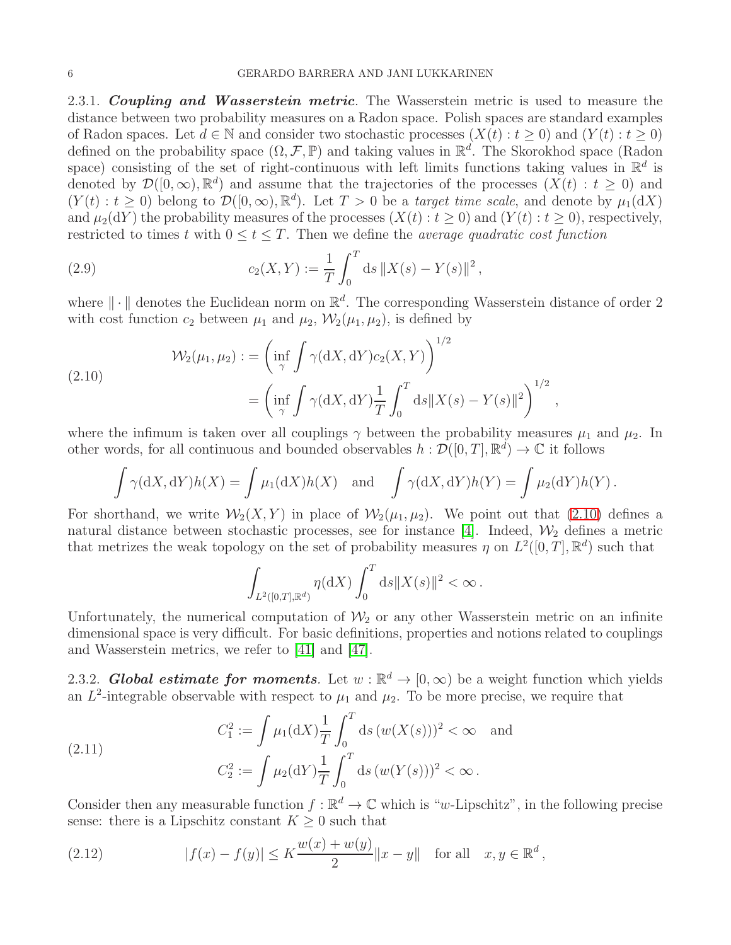<span id="page-5-0"></span>2.3.1. Coupling and Wasserstein metric. The Wasserstein metric is used to measure the distance between two probability measures on a Radon space. Polish spaces are standard examples of Radon spaces. Let  $d \in \mathbb{N}$  and consider two stochastic processes  $(X(t): t > 0)$  and  $(Y(t): t > 0)$ defined on the probability space  $(\Omega, \mathcal{F}, \mathbb{P})$  and taking values in  $\mathbb{R}^d$ . The Skorokhod space (Radon space) consisting of the set of right-continuous with left limits functions taking values in  $\mathbb{R}^d$  is denoted by  $\mathcal{D}([0,\infty),\mathbb{R}^d)$  and assume that the trajectories of the processes  $(X(t): t \geq 0)$  and  $(Y(t): t \geq 0)$  belong to  $\mathcal{D}([0,\infty), \mathbb{R}^d)$ . Let  $T > 0$  be a *target time scale*, and denote by  $\mu_1(dX)$ and  $\mu_2(\mathrm{d}Y)$  the probability measures of the processes  $(X(t): t > 0)$  and  $(Y(t): t > 0)$ , respectively, restricted to times t with  $0 \le t \le T$ . Then we define the *average quadratic cost function* 

<span id="page-5-4"></span>(2.9) 
$$
c_2(X,Y) := \frac{1}{T} \int_0^T ds \, \|X(s) - Y(s)\|^2,
$$

where  $\|\cdot\|$  denotes the Euclidean norm on  $\mathbb{R}^d$ . The corresponding Wasserstein distance of order 2 with cost function  $c_2$  between  $\mu_1$  and  $\mu_2$ ,  $\mathcal{W}_2(\mu_1, \mu_2)$ , is defined by

<span id="page-5-2"></span>(2.10)  

$$
\mathcal{W}_2(\mu_1, \mu_2) := \left(\inf_{\gamma} \int \gamma(dX, dY) c_2(X, Y)\right)^{1/2} = \left(\inf_{\gamma} \int \gamma(dX, dY) \frac{1}{T} \int_0^T ds ||X(s) - Y(s)||^2\right)^{1/2},
$$

where the infimum is taken over all couplings  $\gamma$  between the probability measures  $\mu_1$  and  $\mu_2$ . In other words, for all continuous and bounded observables  $h : \mathcal{D}([0, T], \mathbb{R}^d) \to \mathbb{C}$  it follows

$$
\int \gamma(\mathrm{d}X, \mathrm{d}Y)h(X) = \int \mu_1(\mathrm{d}X)h(X) \text{ and } \int \gamma(\mathrm{d}X, \mathrm{d}Y)h(Y) = \int \mu_2(\mathrm{d}Y)h(Y).
$$

For shorthand, we write  $\mathcal{W}_2(X, Y)$  in place of  $\mathcal{W}_2(\mu_1, \mu_2)$ . We point out that [\(2.10\)](#page-5-2) defines a natural distance between stochastic processes, see for instance [\[4\]](#page-57-15). Indeed,  $\mathcal{W}_2$  defines a metric that metrizes the weak topology on the set of probability measures  $\eta$  on  $L^2([0,T], \mathbb{R}^d)$  such that

$$
\int_{L^2([0,T],\mathbb{R}^d)} \eta(\mathrm{d}X) \int_0^T \mathrm{d}s \|X(s)\|^2 < \infty.
$$

Unfortunately, the numerical computation of  $\mathcal{W}_2$  or any other Wasserstein metric on an infinite dimensional space is very difficult. For basic definitions, properties and notions related to couplings and Wasserstein metrics, we refer to [\[41\]](#page-58-19) and [\[47\]](#page-59-1).

<span id="page-5-1"></span>2.3.2. **Global estimate for moments**. Let  $w : \mathbb{R}^d \to [0, \infty)$  be a weight function which yields an  $L^2$ -integrable observable with respect to  $\mu_1$  and  $\mu_2$ . To be more precise, we require that

<span id="page-5-5"></span>(2.11) 
$$
C_1^2 := \int \mu_1(\mathrm{d}X) \frac{1}{T} \int_0^T \mathrm{d}s \, (w(X(s)))^2 < \infty \quad \text{and}
$$
\n
$$
C_2^2 := \int \mu_2(\mathrm{d}Y) \frac{1}{T} \int_0^T \mathrm{d}s \, (w(Y(s)))^2 < \infty \, .
$$

Consider then any measurable function  $f : \mathbb{R}^d \to \mathbb{C}$  which is "w-Lipschitz", in the following precise sense: there is a Lipschitz constant  $K \geq 0$  such that

<span id="page-5-3"></span>(2.12) 
$$
|f(x) - f(y)| \le K \frac{w(x) + w(y)}{2} ||x - y|| \text{ for all } x, y \in \mathbb{R}^d,
$$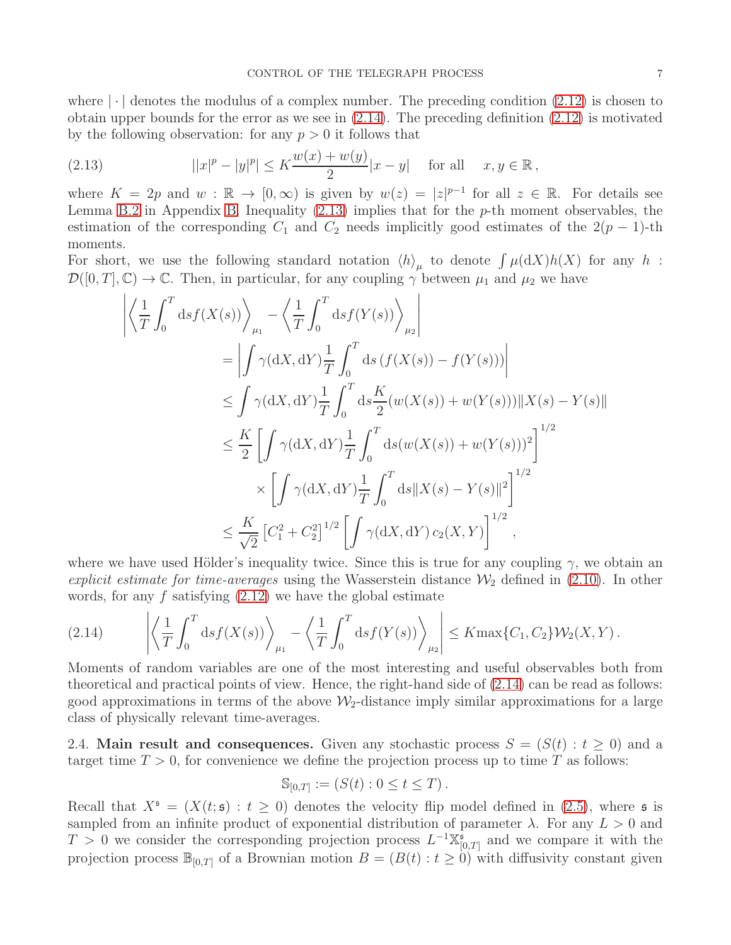where  $\lfloor \cdot \rfloor$  denotes the modulus of a complex number. The preceding condition [\(2.12\)](#page-5-3) is chosen to obtain upper bounds for the error as we see in [\(2.14\)](#page-6-1). The preceding definition [\(2.12\)](#page-5-3) is motivated by the following observation: for any  $p > 0$  it follows that

<span id="page-6-2"></span>(2.13) 
$$
||x|^p - |y|^p| \le K \frac{w(x) + w(y)}{2} |x - y| \text{ for all } x, y \in \mathbb{R},
$$

where  $K = 2p$  and  $w : \mathbb{R} \to [0, \infty)$  is given by  $w(z) = |z|^{p-1}$  for all  $z \in \mathbb{R}$ . For details see Lemma [B.2](#page-46-0) in Appendix [B.](#page-44-0) Inequality  $(2.13)$  implies that for the p-th moment observables, the estimation of the corresponding  $C_1$  and  $C_2$  needs implicitly good estimates of the 2(p – 1)-th moments.

For short, we use the following standard notation  $\langle h \rangle_{\mu}$  to denote  $\int \mu(\mathrm{d}X)h(X)$  for any h:  $\mathcal{D}([0,T],\mathbb{C})\to\mathbb{C}$ . Then, in particular, for any coupling  $\gamma$  between  $\mu_1$  and  $\mu_2$  we have

$$
\left| \left\langle \frac{1}{T} \int_0^T ds f(X(s)) \right\rangle_{\mu_1} - \left\langle \frac{1}{T} \int_0^T ds f(Y(s)) \right\rangle_{\mu_2} \right|
$$
  
\n
$$
= \left| \int \gamma (dX, dY) \frac{1}{T} \int_0^T ds \left( f(X(s)) - f(Y(s)) \right) \right|
$$
  
\n
$$
\leq \int \gamma (dX, dY) \frac{1}{T} \int_0^T ds \frac{K}{2} (w(X(s)) + w(Y(s))) \|X(s) - Y(s)\|
$$
  
\n
$$
\leq \frac{K}{2} \left[ \int \gamma (dX, dY) \frac{1}{T} \int_0^T ds (w(X(s)) + w(Y(s)))^2 \right]^{1/2}
$$
  
\n
$$
\times \left[ \int \gamma (dX, dY) \frac{1}{T} \int_0^T ds \|X(s) - Y(s)\|^2 \right]^{1/2}
$$
  
\n
$$
\leq \frac{K}{\sqrt{2}} \left[ C_1^2 + C_2^2 \right]^{1/2} \left[ \int \gamma (dX, dY) c_2(X, Y) \right]^{1/2},
$$

where we have used Hölder's inequality twice. Since this is true for any coupling  $\gamma$ , we obtain an explicit estimate for time-averages using the Wasserstein distance  $\mathcal{W}_2$  defined in [\(2.10\)](#page-5-2). In other words, for any  $f$  satisfying  $(2.12)$  we have the global estimate

<span id="page-6-1"></span>(2.14) 
$$
\left| \left\langle \frac{1}{T} \int_0^T ds f(X(s)) \right\rangle_{\mu_1} - \left\langle \frac{1}{T} \int_0^T ds f(Y(s)) \right\rangle_{\mu_2} \right| \leq K \max \{C_1, C_2\} \mathcal{W}_2(X, Y).
$$

Moments of random variables are one of the most interesting and useful observables both from theoretical and practical points of view. Hence, the right-hand side of [\(2.14\)](#page-6-1) can be read as follows: good approximations in terms of the above  $\mathcal{W}_2$ -distance imply similar approximations for a large class of physically relevant time-averages.

<span id="page-6-0"></span>2.4. Main result and consequences. Given any stochastic process  $S = (S(t) : t > 0)$  and a target time  $T > 0$ , for convenience we define the projection process up to time T as follows:

$$
\mathbb{S}_{[0,T]} := (S(t) : 0 \le t \le T).
$$

Recall that  $X^{\mathfrak{s}} = (X(t; \mathfrak{s}) : t \geq 0)$  denotes the velocity flip model defined in [\(2.5\)](#page-3-0), where  $\mathfrak{s}$  is sampled from an infinite product of exponential distribution of parameter  $\lambda$ . For any  $L > 0$  and  $T > 0$  we consider the corresponding projection process  $L^{-1}\mathbb{X}_{\mathbb{N}}^{5}$  $_{[0,T]}^{\mathfrak{s}}$  and we compare it with the projection process  $\mathbb{B}_{[0,T]}$  of a Brownian motion  $B = (B(t): t \ge 0)$  with diffusivity constant given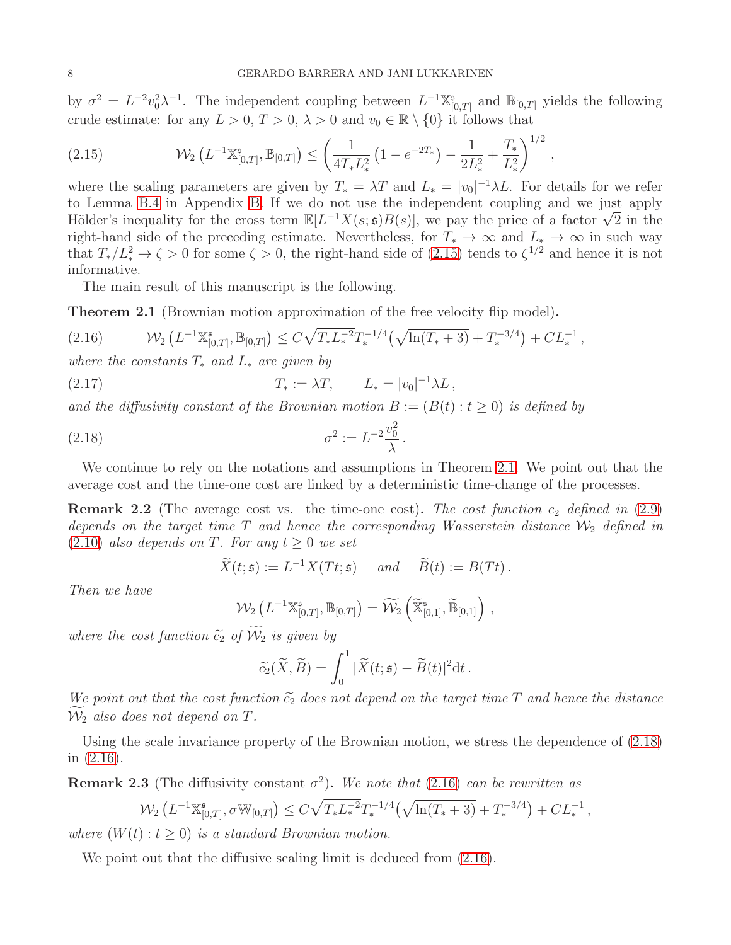by  $\sigma^2 = L^{-2} v_0^2 \lambda^{-1}$ . The independent coupling between  $L^{-1} \mathbb{X}_{[0]}^*$  $\mathbb{B}_{[0,T]}$  and  $\mathbb{B}_{[0,T]}$  yields the following crude estimate: for any  $L > 0$ ,  $T > 0$ ,  $\lambda > 0$  and  $v_0 \in \mathbb{R} \setminus \{0\}$  it follows that

,

<span id="page-7-1"></span>
$$
(2.15) \qquad \mathcal{W}_2\left(L^{-1}\mathbb{X}_{[0,T]}^{\mathfrak{s}},\mathbb{B}_{[0,T]}\right) \leq \left(\frac{1}{4T_*L_*^2}\left(1-e^{-2T_*}\right) - \frac{1}{2L_*^2} + \frac{T_*}{L_*^2}\right)^{1/2}
$$

where the scaling parameters are given by  $T_* = \lambda T$  and  $L_* = |v_0|^{-1} \lambda L$ . For details for we refer to Lemma [B.4](#page-48-0) in Appendix [B.](#page-44-0) If we do not use the independent coupling and we just apply Hölder's inequality for the cross term  $\mathbb{E}[L^{-1}X(s;\mathfrak{s})B(s)]$ , we pay the price of a factor  $\sqrt{2}$  in the right-hand side of the preceding estimate. Nevertheless, for  $T_* \to \infty$  and  $L_* \to \infty$  in such way that  $T_*/L^2_* \to \zeta > 0$  for some  $\zeta > 0$ , the right-hand side of [\(2.15\)](#page-7-1) tends to  $\zeta^{1/2}$  and hence it is not informative.

The main result of this manuscript is the following.

<span id="page-7-0"></span>Theorem 2.1 (Brownian motion approximation of the free velocity flip model).

<span id="page-7-3"></span>
$$
(2.16) \t\t W_2\left(L^{-1}\mathbb{X}_{[0,T]}^{\mathfrak{s}},\mathbb{B}_{[0,T]}\right)\leq C\sqrt{T_{*}L^{-2}_{*}}T_*^{-1/4}\left(\sqrt{\ln(T_*+3)}+T_*^{-3/4}\right)+CL_*^{-1},
$$

where the constants  $T_*$  and  $L_*$  are given by

<span id="page-7-4"></span>(2.17)  $T_* := \lambda T, \qquad L_* = |v_0|^{-1} \lambda L,$ 

and the diffusivity constant of the Brownian motion  $B := (B(t) : t \ge 0)$  is defined by

<span id="page-7-2"></span>(2.18) 
$$
\sigma^2 := L^{-2} \frac{v_0^2}{\lambda}.
$$

We continue to rely on the notations and assumptions in Theorem [2.1.](#page-7-0) We point out that the average cost and the time-one cost are linked by a deterministic time-change of the processes.

**Remark 2.2** (The average cost vs. the time-one cost). The cost function  $c_2$  defined in [\(2.9\)](#page-5-4) depends on the target time  $T$  and hence the corresponding Wasserstein distance  $\mathcal{W}_2$  defined in  $(2.10)$  also depends on T. For any  $t \geq 0$  we set

$$
\widetilde{X}(t; \mathfrak{s}) := L^{-1} X(Tt; \mathfrak{s}) \quad \text{and} \quad \widetilde{B}(t) := B(Tt).
$$

Then we have

$$
\mathcal{W}_2\left(L^{-1}\mathbb{X}_{[0,T]}^{\mathfrak{s}},\mathbb{B}_{[0,T]}\right)=\widetilde{\mathcal{W}}_2\left(\widetilde{\mathbb{X}}_{[0,1]}^{\mathfrak{s}},\widetilde{\mathbb{B}}_{[0,1]}\right)\,,
$$

where the cost function  $\tilde{c}_2$  of  $\mathcal{W}_2$  is given by

$$
\widetilde{c}_2(\widetilde{X}, \widetilde{B}) = \int_0^1 |\widetilde{X}(t; \mathfrak{s}) - \widetilde{B}(t)|^2 dt.
$$

We point out that the cost function  $\tilde{c}_2$  does not depend on the target time T and hence the distance  $\widetilde{\mathcal{W}}_2$  also does not depend on T.

Using the scale invariance property of the Brownian motion, we stress the dependence of [\(2.18\)](#page-7-2) in [\(2.16\)](#page-7-3).

<span id="page-7-5"></span>**Remark 2.3** (The diffusivity constant  $\sigma^2$ ). We note that [\(2.16\)](#page-7-3) can be rewritten as

$$
\mathcal{W}_2\left(L^{-1}\mathbb{X}_{[0,T]}^{\mathfrak{s}},\sigma\mathbb{W}_{[0,T]}\right) \leq C\sqrt{T_{*}L^{-2}_{*}}T_*^{-1/4}\left(\sqrt{\ln(T_*+3)}+T_*^{-3/4}\right)+CL_*^{-1},
$$

where  $(W(t): t \geq 0)$  is a standard Brownian motion.

We point out that the diffusive scaling limit is deduced from  $(2.16)$ .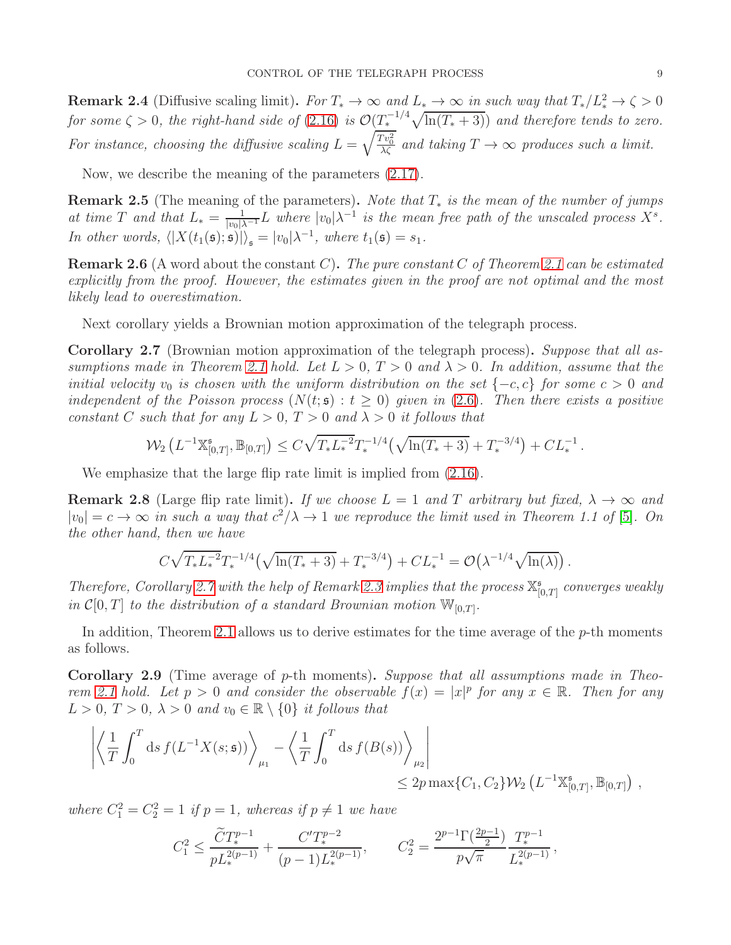**Remark 2.4** (Diffusive scaling limit). For  $T_* \to \infty$  and  $L_* \to \infty$  in such way that  $T_*/L_*^2 \to \zeta > 0$ for some  $\zeta > 0$ , the right-hand side of  $(2.16)$  is  $\mathcal{O}(\frac{T_*}{\epsilon})^{1/4}\sqrt{\ln(T_*+3)}$  and therefore tends to zero. For instance, choosing the diffusive scaling  $L = \sqrt{\frac{T v_0^2}{\lambda \zeta}}$  and taking  $T \to \infty$  produces such a limit.

Now, we describe the meaning of the parameters [\(2.17\)](#page-7-4).

**Remark 2.5** (The meaning of the parameters). Note that  $T_*$  is the mean of the number of jumps at time T and that  $L_* = \frac{1}{|v_0|\lambda^{-1}} L$  where  $|v_0|\lambda^{-1}$  is the mean free path of the unscaled process  $X^s$ . In other words,  $\langle |X(t_1(\mathfrak{s}); \mathfrak{s})| \rangle_{\mathfrak{s}} = |v_0| \lambda^{-1}$ , where  $t_1(\mathfrak{s}) = s_1$ .

**Remark 2.6** (A word about the constant C). The pure constant C of Theorem [2.1](#page-7-0) can be estimated explicitly from the proof. However, the estimates given in the proof are not optimal and the most likely lead to overestimation.

Next corollary yields a Brownian motion approximation of the telegraph process.

<span id="page-8-0"></span>Corollary 2.7 (Brownian motion approximation of the telegraph process). Suppose that all as-sumptions made in Theorem [2.1](#page-7-0) hold. Let  $L > 0$ ,  $T > 0$  and  $\lambda > 0$ . In addition, assume that the initial velocity  $v_0$  is chosen with the uniform distribution on the set  $\{-c, c\}$  for some  $c > 0$  and independent of the Poisson process  $(N(t; \mathfrak{s}) : t > 0)$  given in [\(2.6\)](#page-3-1). Then there exists a positive constant C such that for any  $L > 0$ ,  $T > 0$  and  $\lambda > 0$  it follows that

$$
\mathcal{W}_2\left(L^{-1}\mathbb{X}_{[0,T]}^{\mathfrak{s}},\mathbb{B}_{[0,T]}\right)\leq C\sqrt{T_{*}L^{-2}_{*}}T_*^{-1/4}\left(\sqrt{\ln(T_*+3)}+T_*^{-3/4}\right)+CL_*^{-1}.
$$

We emphasize that the large flip rate limit is implied from  $(2.16)$ .

**Remark 2.8** (Large flip rate limit). If we choose  $L = 1$  and T arbitrary but fixed,  $\lambda \to \infty$  and  $|v_0| = c \rightarrow \infty$  in such a way that  $c^2/\lambda \rightarrow 1$  we reproduce the limit used in Theorem 1.1 of [\[5\]](#page-57-3). On the other hand, then we have

$$
C\sqrt{T_{*}L_{*}^{-2}}T_{*}^{-1/4}(\sqrt{\ln(T_{*}+3)}+T_{*}^{-3/4})+CL_{*}^{-1}= \mathcal{O}\big(\lambda^{-1/4}\sqrt{\ln(\lambda)}\big).
$$

Therefore, Corollary [2.7](#page-8-0) with the help of Remark [2.3](#page-7-5) implies that the process  $\mathbb{X}_{0}^{\mathsf{s}}$  $\int\limits_{[0,T]}^{5} \: convexes \: weakly$ in  $\mathcal{C}[0,T]$  to the distribution of a standard Brownian motion  $\mathbb{W}_{[0,T]}$ .

In addition, Theorem [2.1](#page-7-0) allows us to derive estimates for the time average of the  $p$ -th moments as follows.

<span id="page-8-1"></span>Corollary 2.9 (Time average of p-th moments). Suppose that all assumptions made in Theo-rem [2.1](#page-7-0) hold. Let  $p > 0$  and consider the observable  $f(x) = |x|^p$  for any  $x \in \mathbb{R}$ . Then for any  $L > 0$ ,  $T > 0$ ,  $\lambda > 0$  and  $v_0 \in \mathbb{R} \setminus \{0\}$  it follows that

$$
\left| \left\langle \frac{1}{T} \int_0^T ds \, f(L^{-1}X(s; \mathfrak{s})) \right\rangle_{\mu_1} - \left\langle \frac{1}{T} \int_0^T ds \, f(B(s)) \right\rangle_{\mu_2} \right| \leq 2p \max\{C_1, C_2\} \mathcal{W}_2\left(L^{-1} \mathbb{X}^{\mathfrak{s}}_{[0,T]}, \mathbb{B}_{[0,T]}\right) ,
$$

where  $C_1^2 = C_2^2 = 1$  if  $p = 1$ , whereas if  $p \neq 1$  we have

$$
C_1^2 \le \frac{\widetilde{C}T_*^{p-1}}{pL_*^{2(p-1)}} + \frac{C'T_*^{p-2}}{(p-1)L_*^{2(p-1)}}, \qquad C_2^2 = \frac{2^{p-1}\Gamma(\frac{2p-1}{2})}{p\sqrt{\pi}}\frac{T_*^{p-1}}{L_*^{2(p-1)}},
$$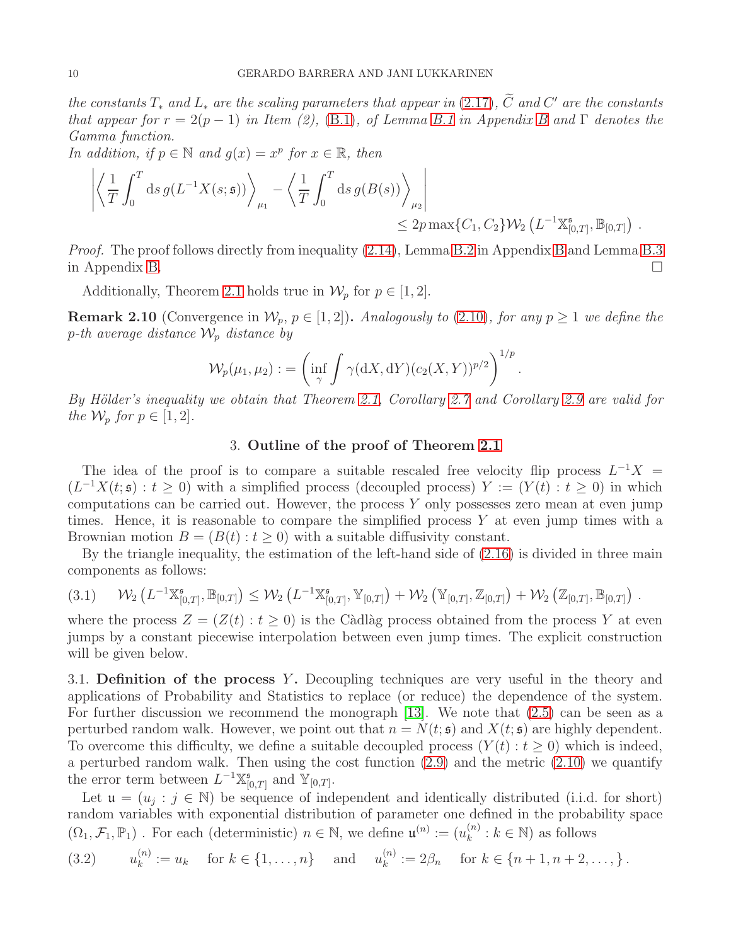the constants  $T_*$  and  $L_*$  are the scaling parameters that appear in [\(2.17\)](#page-7-4), C and C' are the constants that appear for  $r = 2(p-1)$  in Item (2), [\(B.1\)](#page-44-2), of Lemma [B.1](#page-44-1) in Appendix [B](#page-44-0) and  $\Gamma$  denotes the Gamma function.

In addition, if  $p \in \mathbb{N}$  and  $g(x) = x^p$  for  $x \in \mathbb{R}$ , then

$$
\left| \left\langle \frac{1}{T} \int_0^T ds \, g(L^{-1}X(s;\mathfrak{s})) \right\rangle_{\mu_1} - \left\langle \frac{1}{T} \int_0^T ds \, g(B(s)) \right\rangle_{\mu_2} \right| \leq 2p \max\{C_1, C_2\} \mathcal{W}_2\left(L^{-1} \mathbb{X}^{\mathfrak{s}}_{[0,T]}, \mathbb{B}_{[0,T]}\right) .
$$

*Proof.* The proof follows directly from inequality  $(2.14)$ , Lemma [B.2](#page-46-0) in Appendix [B](#page-44-0) and Lemma [B.3](#page-47-0) in Appendix [B.](#page-44-0)

Additionally, Theorem [2.1](#page-7-0) holds true in  $\mathcal{W}_p$  for  $p \in [1, 2]$ .

**Remark 2.10** (Convergence in  $W_p$ ,  $p \in [1, 2]$ ). Analogously to [\(2.10\)](#page-5-2), for any  $p \ge 1$  we define the p-th average distance  $\mathcal{W}_p$  distance by

$$
\mathcal{W}_p(\mu_1,\mu_2):=\left(\inf_{\gamma}\int \gamma(\mathrm{d}X,\mathrm{d}Y)(c_2(X,Y))^{p/2}\right)^{1/p}.
$$

<span id="page-9-0"></span>By Hölder's inequality we obtain that Theorem [2.1,](#page-7-0) Corollary [2.7](#page-8-0) and Corollary [2.9](#page-8-1) are valid for the  $\mathcal{W}_p$  for  $p \in [1, 2]$ .

# 3. Outline of the proof of Theorem [2.1](#page-7-0)

The idea of the proof is to compare a suitable rescaled free velocity flip process  $L^{-1}X =$  $(L^{-1}X(t; \mathfrak{s}) : t \ge 0)$  with a simplified process (decoupled process)  $Y := (Y(t) : t \ge 0)$  in which computations can be carried out. However, the process Y only possesses zero mean at even jump times. Hence, it is reasonable to compare the simplified process  $Y$  at even jump times with a Brownian motion  $B = (B(t): t > 0)$  with a suitable diffusivity constant.

By the triangle inequality, the estimation of the left-hand side of [\(2.16\)](#page-7-3) is divided in three main components as follows:

<span id="page-9-3"></span>
$$
(3.1) \qquad \mathcal{W}_{2}\left(L^{-1}\mathbb{X}_{[0,T]}^{\mathfrak{s}},\mathbb{B}_{[0,T]}\right) \leq \mathcal{W}_{2}\left(L^{-1}\mathbb{X}_{[0,T]}^{\mathfrak{s}},\mathbb{Y}_{[0,T]}\right) + \mathcal{W}_{2}\left(\mathbb{Y}_{[0,T]},\mathbb{Z}_{[0,T]}\right) + \mathcal{W}_{2}\left(\mathbb{Z}_{[0,T]},\mathbb{B}_{[0,T]}\right).
$$

where the process  $Z = (Z(t) : t \geq 0)$  is the Càdlàg process obtained from the process Y at even jumps by a constant piecewise interpolation between even jump times. The explicit construction will be given below.

<span id="page-9-1"></span>3.1. Definition of the process Y. Decoupling techniques are very useful in the theory and applications of Probability and Statistics to replace (or reduce) the dependence of the system. For further discussion we recommend the monograph [\[13\]](#page-57-21). We note that [\(2.5\)](#page-3-0) can be seen as a perturbed random walk. However, we point out that  $n = N(t; \mathfrak{s})$  and  $X(t; \mathfrak{s})$  are highly dependent. To overcome this difficulty, we define a suitable decoupled process  $(Y(t): t \geq 0)$  which is indeed, a perturbed random walk. Then using the cost function  $(2.9)$  and the metric  $(2.10)$  we quantify the error term between  $L^{-1}\mathbb{X}_{\mathbb{N}}^{s}$  $_{[0,T]}^{\mathfrak{s}}$  and  $\mathbb{Y}_{[0,T]}$ .

Let  $\mathfrak{u} = (u_j : j \in \mathbb{N})$  be sequence of independent and identically distributed (i.i.d. for short) random variables with exponential distribution of parameter one defined in the probability space  $(\Omega_1, \mathcal{F}_1, \mathbb{P}_1)$ . For each (deterministic)  $n \in \mathbb{N}$ , we define  $\mathfrak{u}^{(n)} := (u_k^{(n)})$  $k^{(n)}$  :  $k \in \mathbb{N}$ ) as follows

<span id="page-9-2"></span>
$$
(3.2) \t u_k^{(n)} := u_k \t \text{for } k \in \{1, ..., n\} \t \text{and} \t u_k^{(n)} := 2\beta_n \t \text{for } k \in \{n+1, n+2, ..., \}.
$$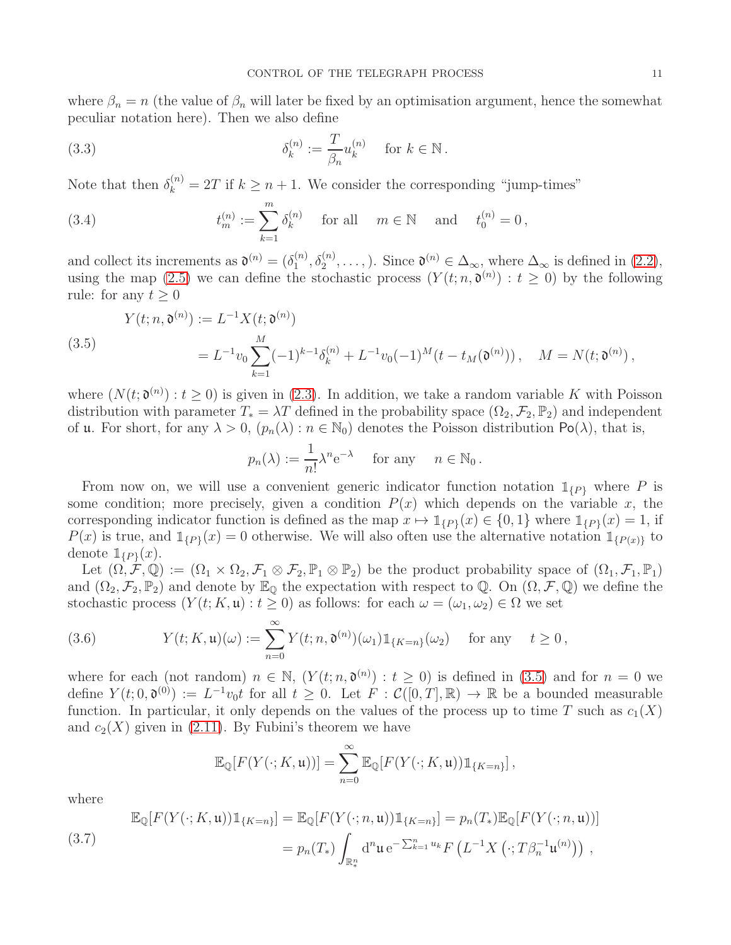where  $\beta_n = n$  (the value of  $\beta_n$  will later be fixed by an optimisation argument, hence the somewhat peculiar notation here). Then we also define

<span id="page-10-1"></span>(3.3) 
$$
\delta_k^{(n)} := \frac{T}{\beta_n} u_k^{(n)} \quad \text{for } k \in \mathbb{N}.
$$

Note that then  $\delta_k^{(n)} = 2T$  if  $k \geq n + 1$ . We consider the corresponding "jump-times"

<span id="page-10-2"></span>(3.4) 
$$
t_m^{(n)} := \sum_{k=1}^m \delta_k^{(n)}
$$
 for all  $m \in \mathbb{N}$  and  $t_0^{(n)} = 0$ ,

and collect its increments as  $\mathfrak{d}^{(n)} = (\delta_1^{(n)})$  $\mathcal{L}_1^{(n)}, \delta_2^{(n)}, \ldots$ ,). Since  $\mathfrak{d}^{(n)} \in \Delta_{\infty}$ , where  $\Delta_{\infty}$  is defined in [\(2.2\)](#page-2-2), using the map [\(2.5\)](#page-3-0) we can define the stochastic process  $(Y(t; n, \mathfrak{d}^{(n)}) : t \geq 0)$  by the following rule: for any  $t \geq 0$ 

<span id="page-10-0"></span>(3.5)  
\n
$$
Y(t; n, \mathfrak{d}^{(n)}) := L^{-1} X(t; \mathfrak{d}^{(n)})
$$
\n
$$
= L^{-1} v_0 \sum_{k=1}^{M} (-1)^{k-1} \delta_k^{(n)} + L^{-1} v_0(-1)^M (t - t_M(\mathfrak{d}^{(n)})), \quad M = N(t; \mathfrak{d}^{(n)}),
$$

where  $(N(t; \mathfrak{d}^{(n)}) : t \ge 0)$  is given in [\(2.3\)](#page-3-2). In addition, we take a random variable K with Poisson distribution with parameter  $T_* = \lambda T$  defined in the probability space  $(\Omega_2, \mathcal{F}_2, \mathbb{P}_2)$  and independent of **u**. For short, for any  $\lambda > 0$ ,  $(p_n(\lambda) : n \in \mathbb{N}_0)$  denotes the Poisson distribution  $Po(\lambda)$ , that is,

$$
p_n(\lambda) := \frac{1}{n!} \lambda^n e^{-\lambda}
$$
 for any  $n \in \mathbb{N}_0$ .

From now on, we will use a convenient generic indicator function notation  $\mathbb{1}_{\{P\}}$  where P is some condition; more precisely, given a condition  $P(x)$  which depends on the variable x, the corresponding indicator function is defined as the map  $x \mapsto \mathbb{1}_{\{P\}}(x) \in \{0,1\}$  where  $\mathbb{1}_{\{P\}}(x) = 1$ , if  $P(x)$  is true, and  $\mathbb{1}_{\{P\}}(x) = 0$  otherwise. We will also often use the alternative notation  $\mathbb{1}_{\{P(x)\}}$  to denote  $\mathbb{1}_{\{P\}}(x)$ .

Let  $(\Omega, \mathcal{F}, \mathbb{Q}) := (\Omega_1 \times \Omega_2, \mathcal{F}_1 \otimes \mathcal{F}_2, \mathbb{P}_1 \otimes \mathbb{P}_2)$  be the product probability space of  $(\Omega_1, \mathcal{F}_1, \mathbb{P}_1)$ and  $(\Omega_2, \mathcal{F}_2, \mathbb{P}_2)$  and denote by  $\mathbb{E}_{\mathbb{Q}}$  the expectation with respect to Q. On  $(\Omega, \mathcal{F}, \mathbb{Q})$  we define the stochastic process  $(Y(t; K, \mathfrak{u}) : t \geq 0)$  as follows: for each  $\omega = (\omega_1, \omega_2) \in \Omega$  we set

<span id="page-10-3"></span>(3.6) 
$$
Y(t;K,\mathfrak{u})(\omega) := \sum_{n=0}^{\infty} Y(t;n,\mathfrak{d}^{(n)})(\omega_1) 1\!\!1_{\{K=n\}}(\omega_2) \quad \text{for any} \quad t \geq 0,
$$

where for each (not random)  $n \in \mathbb{N}$ ,  $(Y(t; n, \mathfrak{d}^{(n)}) : t \ge 0)$  is defined in [\(3.5\)](#page-10-0) and for  $n = 0$  we define  $Y(t; 0, \mathfrak{d}^{(0)}) := L^{-1}v_0t$  for all  $t \geq 0$ . Let  $F : \mathcal{C}([0,T], \mathbb{R}) \to \mathbb{R}$  be a bounded measurable function. In particular, it only depends on the values of the process up to time T such as  $c_1(X)$ and  $c_2(X)$  given in [\(2.11\)](#page-5-5). By Fubini's theorem we have

$$
\mathbb{E}_{\mathbb{Q}}[F(Y(\cdot;K,\mathfrak{u}))]=\sum_{n=0}^{\infty}\mathbb{E}_{\mathbb{Q}}[F(Y(\cdot;K,\mathfrak{u}))1_{\{K=n\}}],
$$

where

<span id="page-10-4"></span>(3.7) 
$$
\mathbb{E}_{\mathbb{Q}}[F(Y(\cdot; K, \mathfrak{u}))1_{\{K=n\}}] = \mathbb{E}_{\mathbb{Q}}[F(Y(\cdot; n, \mathfrak{u}))1_{\{K=n\}}] = p_n(T_*)\mathbb{E}_{\mathbb{Q}}[F(Y(\cdot; n, \mathfrak{u}))]
$$

$$
= p_n(T_*) \int_{\mathbb{R}_*^n} d^n \mathfrak{u} e^{-\sum_{k=1}^n u_k} F\left(L^{-1} X(\cdot; T \beta_n^{-1} \mathfrak{u}^{(n)})\right),
$$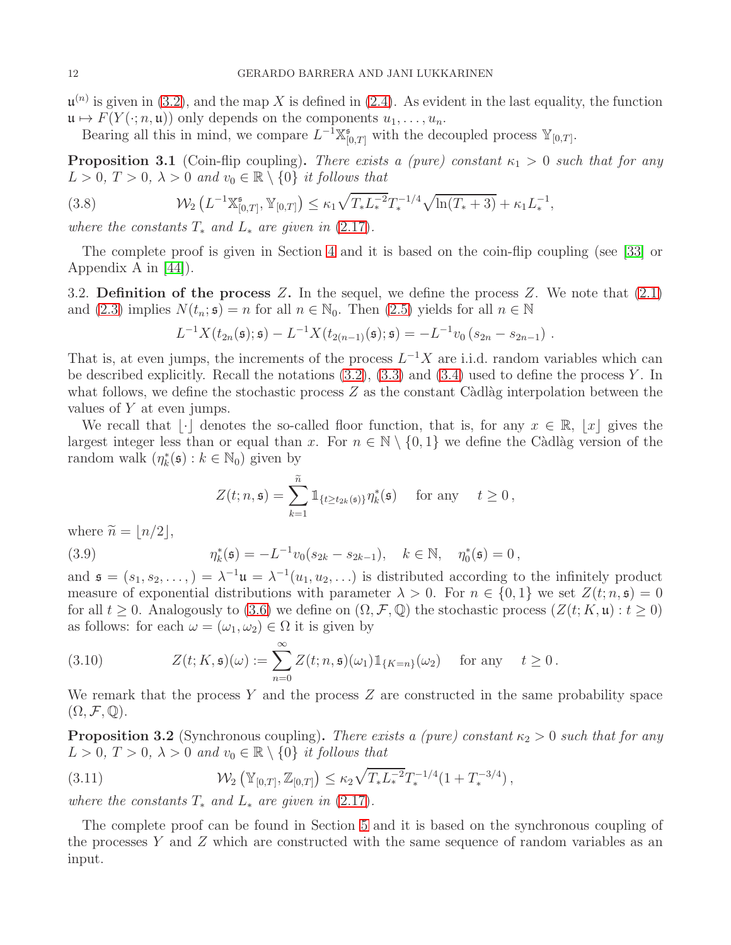$\mathfrak{u}^{(n)}$  is given in [\(3.2\)](#page-9-2), and the map X is defined in [\(2.4\)](#page-3-3). As evident in the last equality, the function  $\mathfrak{u} \mapsto F(Y(\cdot; n, \mathfrak{u}))$  only depends on the components  $u_1, \ldots, u_n$ .

Bearing all this in mind, we compare  $L^{-1}\mathbb{X}_{[0,T]}^{\mathfrak{s}}$  with the decoupled process  $\mathbb{Y}_{[0,T]}$ .

<span id="page-11-1"></span>**Proposition 3.1** (Coin-flip coupling). There exists a (pure) constant  $\kappa_1 > 0$  such that for any  $L > 0$ ,  $T > 0$ ,  $\lambda > 0$  and  $v_0 \in \mathbb{R} \setminus \{0\}$  it follows that

<span id="page-11-3"></span>(3.8) 
$$
\mathcal{W}_2\left(L^{-1}\mathbb{X}_{[0,T]}^{\mathfrak{s}},\mathbb{Y}_{[0,T]}\right)\leq \kappa_1\sqrt{T_{*}L^{-2}_{*}}T_*^{-1/4}\sqrt{\ln(T_*+3)}+\kappa_1 L_*^{-1},
$$

where the constants  $T_*$  and  $L_*$  are given in [\(2.17\)](#page-7-4).

The complete proof is given in Section [4](#page-12-0) and it is based on the coin-flip coupling (see [\[33\]](#page-58-14) or Appendix A in [\[44\]](#page-58-15)).

<span id="page-11-0"></span>3.2. Definition of the process Z. In the sequel, we define the process Z. We note that  $(2.1)$ and [\(2.3\)](#page-3-2) implies  $N(t_n; \mathfrak{s}) = n$  for all  $n \in \mathbb{N}_0$ . Then [\(2.5\)](#page-3-0) yields for all  $n \in \mathbb{N}$ 

$$
L^{-1}X(t_{2n}(\mathfrak{s});\mathfrak{s})-L^{-1}X(t_{2(n-1)}(\mathfrak{s});\mathfrak{s})=-L^{-1}v_0(s_{2n}-s_{2n-1}).
$$

That is, at even jumps, the increments of the process  $L^{-1}X$  are i.i.d. random variables which can be described explicitly. Recall the notations  $(3.2)$ ,  $(3.3)$  and  $(3.4)$  used to define the process Y. In what follows, we define the stochastic process  $Z$  as the constant Càdlàg interpolation between the values of Y at even jumps.

We recall that  $|\cdot|$  denotes the so-called floor function, that is, for any  $x \in \mathbb{R}$ ,  $|x|$  gives the largest integer less than or equal than x. For  $n \in \mathbb{N} \setminus \{0,1\}$  we define the Càdlàg version of the random walk  $(\eta_k^*(\mathfrak{s}): k \in \mathbb{N}_0)$  given by

$$
Z(t; n, \mathfrak{s}) = \sum_{k=1}^{\widetilde{n}} 1\!\!1_{\{t \ge t_{2k}(\mathfrak{s})\}} \eta_k^*(\mathfrak{s}) \quad \text{ for any } \quad t \ge 0,
$$

<span id="page-11-4"></span>where 
$$
\tilde{n} = \lfloor n/2 \rfloor
$$
,  
(3.9) 
$$
\eta_k^*(\mathfrak{s}) = -L^{-1} v_0 (s_{2k} - s_{2k-1}), \quad k \in \mathbb{N}, \quad \eta_0^*(\mathfrak{s}) = 0,
$$

and  $\mathfrak{s} = (s_1, s_2, \dots, ) = \lambda^{-1} \mathfrak{u} = \lambda^{-1} (u_1, u_2, \dots)$  is distributed according to the infinitely product measure of exponential distributions with parameter  $\lambda > 0$ . For  $n \in \{0, 1\}$  we set  $Z(t; n, \mathfrak{s}) = 0$ for all  $t \geq 0$ . Analogously to [\(3.6\)](#page-10-3) we define on  $(\Omega, \mathcal{F}, \mathbb{Q})$  the stochastic process  $(Z(t; K, \mathfrak{u}) : t \geq 0)$ as follows: for each  $\omega = (\omega_1, \omega_2) \in \Omega$  it is given by

<span id="page-11-5"></span>(3.10) 
$$
Z(t; K, \mathfrak{s})(\omega) := \sum_{n=0}^{\infty} Z(t; n, \mathfrak{s})(\omega_1) \mathbb{1}_{\{K=n\}}(\omega_2) \quad \text{for any} \quad t \geq 0.
$$

We remark that the process  $Y$  and the process  $Z$  are constructed in the same probability space  $(\Omega, \mathcal{F}, \mathbb{Q}).$ 

<span id="page-11-2"></span>**Proposition 3.2** (Synchronous coupling). There exists a (pure) constant  $\kappa_2 > 0$  such that for any  $L > 0, T > 0, \lambda > 0$  and  $v_0 \in \mathbb{R} \setminus \{0\}$  it follows that

<span id="page-11-6"></span>(3.11) 
$$
\mathcal{W}_2\left(\mathbb{Y}_{[0,T]}, \mathbb{Z}_{[0,T]}\right) \leq \kappa_2 \sqrt{T_* L_*^{-2}} T_*^{-1/4} (1 + T_*^{-3/4}),
$$

where the constants  $T_*$  and  $L_*$  are given in [\(2.17\)](#page-7-4).

The complete proof can be found in Section [5](#page-24-0) and it is based on the synchronous coupling of the processes Y and Z which are constructed with the same sequence of random variables as an input.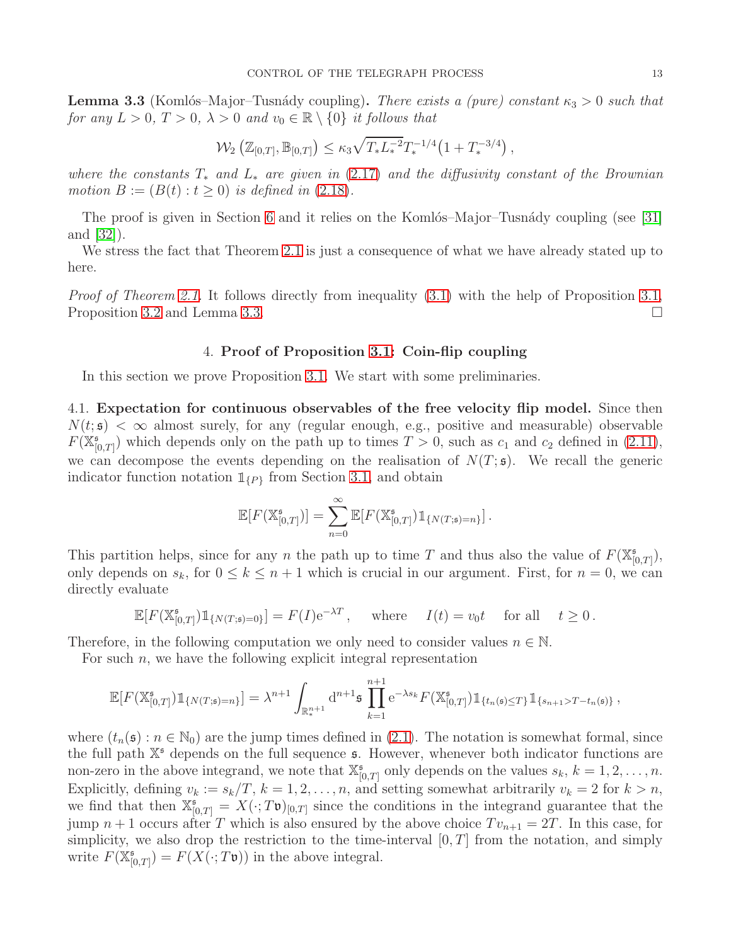<span id="page-12-2"></span>**Lemma 3.3** (Komlós–Major–Tusnády coupling). There exists a (pure) constant  $\kappa_3 > 0$  such that for any  $L > 0$ ,  $T > 0$ ,  $\lambda > 0$  and  $v_0 \in \mathbb{R} \setminus \{0\}$  it follows that

$$
\mathcal{W}_2\left(\mathbb{Z}_{[0,T]},\mathbb{B}_{[0,T]}\right) \leq \kappa_3 \sqrt{T_* L_*^{-2}} T_*^{-1/4} \left(1+T_*^{-3/4}\right),
$$

where the constants  $T_*$  and  $L_*$  are given in [\(2.17\)](#page-7-4) and the diffusivity constant of the Brownian motion  $B := (B(t) : t \geq 0)$  is defined in [\(2.18\)](#page-7-2).

The proof is given in Section [6](#page-32-0) and it relies on the Komlós–Major–Tusnády coupling (see [\[31\]](#page-58-16) and [\[32\]](#page-58-17)).

We stress the fact that Theorem [2.1](#page-7-0) is just a consequence of what we have already stated up to here.

<span id="page-12-0"></span>*Proof of Theorem [2.1.](#page-7-0)* It follows directly from inequality [\(3.1\)](#page-9-3) with the help of Proposition [3.1,](#page-11-1) Proposition [3.2](#page-11-2) and Lemma [3.3.](#page-12-2)

#### 4. Proof of Proposition [3.1:](#page-11-1) Coin-flip coupling

In this section we prove Proposition [3.1.](#page-11-1) We start with some preliminaries.

<span id="page-12-1"></span>4.1. Expectation for continuous observables of the free velocity flip model. Since then  $N(t, \mathfrak{s}) < \infty$  almost surely, for any (regular enough, e.g., positive and measurable) observable  $F(\mathbb{X}_{\mathbb{N}}^{\mathfrak{s}}$  $\binom{5}{0,T}$  which depends only on the path up to times  $T > 0$ , such as  $c_1$  and  $c_2$  defined in  $(2.11)$ , we can decompose the events depending on the realisation of  $N(T; \mathfrak{s})$ . We recall the generic indicator function notation  $\mathbb{1}_{\{P\}}$  from Section [3.1,](#page-9-1) and obtain

$$
\mathbb{E}[F(\mathbb{X}_{[0,T]}^{\mathfrak{s}})] = \sum_{n=0}^{\infty} \mathbb{E}[F(\mathbb{X}_{[0,T]}^{\mathfrak{s}}) \mathbb{1}_{\{N(T;\mathfrak{s})=n\}}].
$$

This partition helps, since for any n the path up to time T and thus also the value of  $F(\mathbb{X}_{\mathbb{R}}^{\mathfrak{s}})$  $_{[0,T]}^{\mathfrak{s}}\big),$ only depends on  $s_k$ , for  $0 \le k \le n+1$  which is crucial in our argument. First, for  $n=0$ , we can directly evaluate

$$
\mathbb{E}[F(\mathbb{X}_{[0,T]}^{\mathfrak{s}})\mathbb{1}_{\{N(T;\mathfrak{s})=0\}}] = F(I)\mathrm{e}^{-\lambda T}, \quad \text{where} \quad I(t) = v_0 t \quad \text{for all} \quad t \ge 0.
$$

Therefore, in the following computation we only need to consider values  $n \in \mathbb{N}$ .

For such  $n$ , we have the following explicit integral representation

$$
\mathbb{E}[F(\mathbb{X}_{[0,T]}^{\mathfrak{s}})\mathbb{1}_{\{N(T;\mathfrak{s})=n\}}] = \lambda^{n+1} \int_{\mathbb{R}_{*}^{n+1}} d^{n+1} \mathfrak{s} \prod_{k=1}^{n+1} e^{-\lambda s_{k}} F(\mathbb{X}_{[0,T]}^{\mathfrak{s}})\mathbb{1}_{\{t_{n}(\mathfrak{s})\leq T\}} \mathbb{1}_{\{s_{n+1}>T-t_{n}(\mathfrak{s})\}},
$$

where  $(t_n(\mathfrak{s}): n \in \mathbb{N}_0$  are the jump times defined in [\(2.1\)](#page-2-3). The notation is somewhat formal, since the full path  $\mathbb{X}^{\mathfrak{s}}$  depends on the full sequence  $\mathfrak{s}$ . However, whenever both indicator functions are non-zero in the above integrand, we note that  $\mathbb{X}_{\mathbb{N}}^{\mathfrak{s}}$  $S_{[0,T]}^5$  only depends on the values  $s_k$ ,  $k = 1, 2, \ldots, n$ . Explicitly, defining  $v_k := s_k/T$ ,  $k = 1, 2, ..., n$ , and setting somewhat arbitrarily  $v_k = 2$  for  $k > n$ , we find that then  $\mathbb{X}_{[0,T]}^{\mathfrak{s}} = X(\cdot; T\mathfrak{v})_{[0,T]}$  since the conditions in the integrand guarantee that the jump  $n + 1$  occurs after T which is also ensured by the above choice  $Tv_{n+1} = 2T$ . In this case, for simplicity, we also drop the restriction to the time-interval  $[0, T]$  from the notation, and simply write  $F(\mathbb{X}_{\mathbb{N}}^{\mathfrak{s}})$  $F_{[0,T]}^{\mathfrak{s}} = F(X(\cdot; T\mathfrak{v}))$  in the above integral.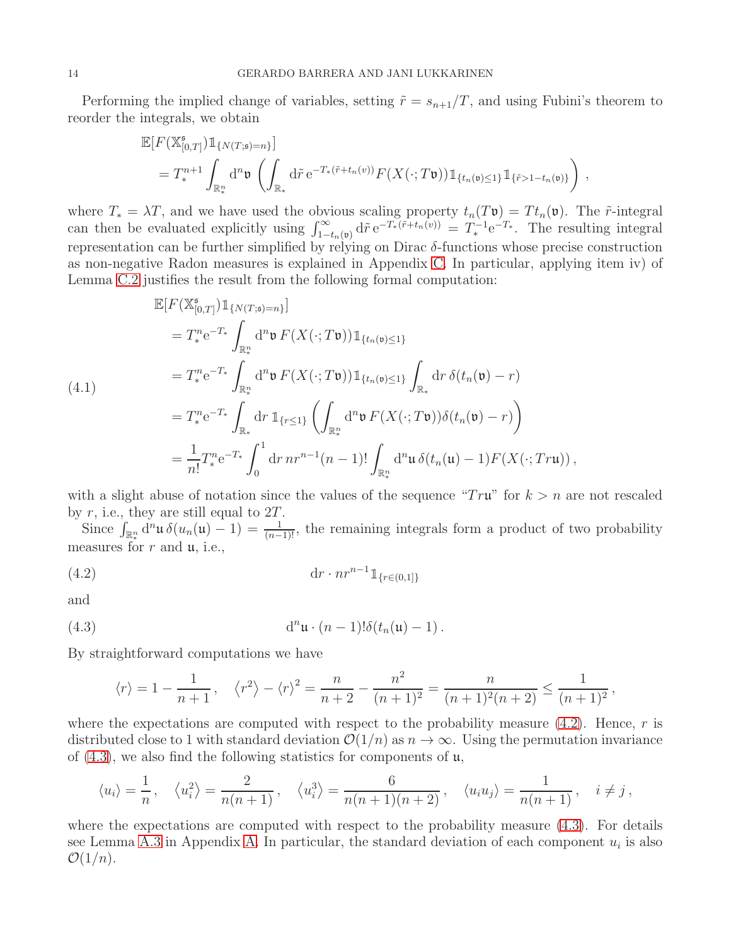Performing the implied change of variables, setting  $\tilde{r} = s_{n+1}/T$ , and using Fubini's theorem to reorder the integrals, we obtain

$$
\mathbb{E}[F(\mathbb{X}_{[0,T]}^{\mathfrak{s}})\mathbb{1}_{\{N(T;\mathfrak{s})=n\}}]
$$
\n
$$
=T_*^{n+1}\int_{\mathbb{R}_*^n} d^n \mathfrak{v}\left(\int_{\mathbb{R}_*} d\tilde{r} e^{-T_*(\tilde{r}+t_n(v))} F(X(\cdot;T\mathfrak{v}))\mathbb{1}_{\{t_n(\mathfrak{v})\leq 1\}}\mathbb{1}_{\{\tilde{r}>1-t_n(\mathfrak{v})\}}\right)
$$

,

where  $T_* = \lambda T$ , and we have used the obvious scaling property  $t_n(T\mathfrak{v}) = T t_n(\mathfrak{v})$ . The  $\tilde{r}$ -integral can then be evaluated explicitly using  $\int_{1-t_n(\mathfrak{v})}^{\infty} d\tilde{r} e^{-T_*(\tilde{r}+t_n(\tilde{v}))} = T_*^{-1} e^{-T_*}$ . The resulting integral representation can be further simplified by relying on Dirac δ-functions whose precise construction as non-negative Radon measures is explained in Appendix [C.](#page-49-0) In particular, applying item iv) of Lemma [C.2](#page-54-0) justifies the result from the following formal computation:

<span id="page-13-2"></span>
$$
\mathbb{E}[F(\mathbb{X}_{[0,T]}^{\mathfrak{s}})] \mathbb{1}_{\{N(T;\mathfrak{s})=n\}}] \n= T_*^n e^{-T_*} \int_{\mathbb{R}_*^n} d^n \mathfrak{v} F(X(\cdot; T\mathfrak{v})) \mathbb{1}_{\{t_n(\mathfrak{v})\leq 1\}} \n= T_*^n e^{-T_*} \int_{\mathbb{R}_*^n} d^n \mathfrak{v} F(X(\cdot; T\mathfrak{v})) \mathbb{1}_{\{t_n(\mathfrak{v})\leq 1\}} \int_{\mathbb{R}_*} dr \delta(t_n(\mathfrak{v}) - r) \n= T_*^n e^{-T_*} \int_{\mathbb{R}_*} dr \mathbb{1}_{\{r\leq 1\}} \left( \int_{\mathbb{R}_*^n} d^n \mathfrak{v} F(X(\cdot; T\mathfrak{v})) \delta(t_n(\mathfrak{v}) - r) \right) \n= \frac{1}{n!} T_*^n e^{-T_*} \int_0^1 dr \, nr^{n-1}(n-1)! \int_{\mathbb{R}_*^n} d^n \mathfrak{u} \delta(t_n(\mathfrak{u}) - 1) F(X(\cdot; T r \mathfrak{u})) ,
$$

with a slight abuse of notation since the values of the sequence " $Tr\mathbf{u}$ " for  $k > n$  are not rescaled by  $r$ , i.e., they are still equal to  $2T$ .

Since  $\int_{\mathbb{R}^n_*} d^n \mathfrak{u} \delta(u_n(\mathfrak{u}) - 1) = \frac{1}{(n-1)!}$ , the remaining integrals form a product of two probability measures for  $r$  and  $\mu$ , i.e.,

<span id="page-13-0"></span>
$$
(4.2) \t\t dr \cdot nr^{n-1} \mathbb{1}_{\{r \in (0,1]\}}
$$

and

<span id="page-13-1"></span>(4.3) 
$$
\mathrm{d}^n \mathfrak{u} \cdot (n-1)!\delta(t_n(\mathfrak{u})-1).
$$

By straightforward computations we have

$$
\langle r \rangle = 1 - \frac{1}{n+1}, \quad \langle r^2 \rangle - \langle r \rangle^2 = \frac{n}{n+2} - \frac{n^2}{(n+1)^2} = \frac{n}{(n+1)^2(n+2)} \le \frac{1}{(n+1)^2},
$$

where the expectations are computed with respect to the probability measure  $(4.2)$ . Hence, r is distributed close to 1 with standard deviation  $\mathcal{O}(1/n)$  as  $n \to \infty$ . Using the permutation invariance of  $(4.3)$ , we also find the following statistics for components of  $\mu$ ,

$$
\langle u_i \rangle = \frac{1}{n}, \quad \langle u_i^2 \rangle = \frac{2}{n(n+1)}, \quad \langle u_i^3 \rangle = \frac{6}{n(n+1)(n+2)}, \quad \langle u_i u_j \rangle = \frac{1}{n(n+1)}, \quad i \neq j,
$$

where the expectations are computed with respect to the probability measure  $(4.3)$ . For details see Lemma [A.3](#page-41-1) in Appendix [A.](#page-39-0) In particular, the standard deviation of each component  $u_i$  is also  $\mathcal{O}(1/n)$ .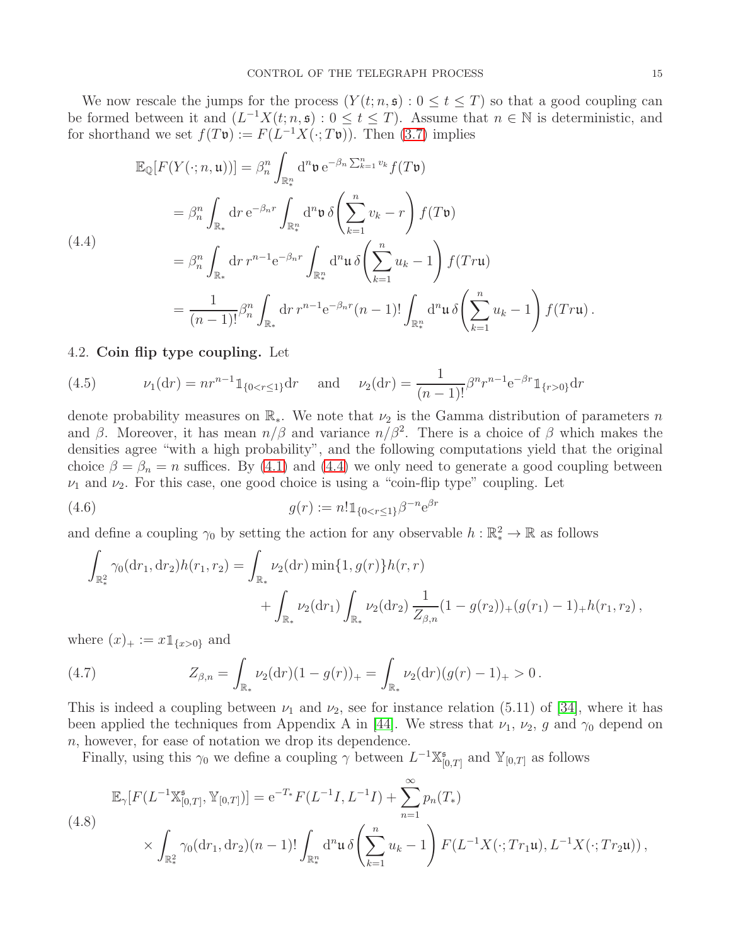We now rescale the jumps for the process  $(Y(t; n, \mathfrak{s}) : 0 \le t \le T)$  so that a good coupling can be formed between it and  $(L^{-1}X(t; n, \mathfrak{s}) : 0 \leq t \leq T)$ . Assume that  $n \in \mathbb{N}$  is deterministic, and for shorthand we set  $f(T\mathfrak{v}) := F(L^{-1}X(\cdot; T\mathfrak{v}))$ . Then [\(3.7\)](#page-10-4) implies

<span id="page-14-1"></span>
$$
\mathbb{E}_{\mathbb{Q}}[F(Y(:, n, \mathfrak{u}))] = \beta_n^n \int_{\mathbb{R}_*^n} d^n \mathfrak{v} e^{-\beta_n \sum_{k=1}^n v_k} f(T\mathfrak{v})
$$
\n
$$
= \beta_n^n \int_{\mathbb{R}_*} dr e^{-\beta_n r} \int_{\mathbb{R}_*^n} d^n \mathfrak{v} \delta \left( \sum_{k=1}^n v_k - r \right) f(T\mathfrak{v})
$$
\n
$$
(4.4)
$$
\n
$$
= \beta_n^n \int_{\mathbb{R}_*} dr r^{n-1} e^{-\beta_n r} \int_{\mathbb{R}_*^n} d^n \mathfrak{u} \delta \left( \sum_{k=1}^n u_k - 1 \right) f(Tr\mathfrak{u})
$$
\n
$$
= \frac{1}{(n-1)!} \beta_n^n \int_{\mathbb{R}_*} dr r^{n-1} e^{-\beta_n r} (n-1)! \int_{\mathbb{R}_*^n} d^n \mathfrak{u} \delta \left( \sum_{k=1}^n u_k - 1 \right) f(Tr\mathfrak{u}).
$$

## <span id="page-14-0"></span>4.2. Coin flip type coupling. Let

<span id="page-14-5"></span>(4.5) 
$$
\nu_1(\mathrm{d}r) = nr^{n-1} \mathbb{1}_{\{0 < r \le 1\}} \mathrm{d}r \quad \text{and} \quad \nu_2(\mathrm{d}r) = \frac{1}{(n-1)!} \beta^n r^{n-1} e^{-\beta r} \mathbb{1}_{\{r > 0\}} \mathrm{d}r
$$

denote probability measures on  $\mathbb{R}_*$ . We note that  $\nu_2$  is the Gamma distribution of parameters n and  $\beta$ . Moreover, it has mean  $n/\beta$  and variance  $n/\beta^2$ . There is a choice of  $\beta$  which makes the densities agree "with a high probability", and the following computations yield that the original choice  $\beta = \beta_n = n$  suffices. By [\(4.1\)](#page-13-2) and [\(4.4\)](#page-14-1) we only need to generate a good coupling between  $\nu_1$  and  $\nu_2$ . For this case, one good choice is using a "coin-flip type" coupling. Let

<span id="page-14-3"></span>(4.6) 
$$
g(r) := n! \mathbb{1}_{\{0 < r \le 1\}} \beta^{-n} e^{\beta r}
$$

and define a coupling  $\gamma_0$  by setting the action for any observable  $h : \mathbb{R}^2_* \to \mathbb{R}$  as follows

$$
\int_{\mathbb{R}^2_*} \gamma_0(\mathrm{d}r_1, \mathrm{d}r_2) h(r_1, r_2) = \int_{\mathbb{R}_*} \nu_2(\mathrm{d}r) \min\{1, g(r)\} h(r, r) + \int_{\mathbb{R}_*} \nu_2(\mathrm{d}r_1) \int_{\mathbb{R}_*} \nu_2(\mathrm{d}r_2) \frac{1}{Z_{\beta, n}} (1 - g(r_2))_+ (g(r_1) - 1)_+ h(r_1, r_2),
$$

where  $(x)_+ := x 1_{\{x>0\}}$  and

<span id="page-14-4"></span>(4.7) 
$$
Z_{\beta,n} = \int_{\mathbb{R}_*} \nu_2(\mathrm{d}r)(1-g(r))_+ = \int_{\mathbb{R}_*} \nu_2(\mathrm{d}r)(g(r)-1)_+ > 0.
$$

This is indeed a coupling between  $\nu_1$  and  $\nu_2$ , see for instance relation (5.11) of [\[34\]](#page-58-20), where it has been applied the techniques from Appendix A in [\[44\]](#page-58-15). We stress that  $\nu_1$ ,  $\nu_2$ , g and  $\gamma_0$  depend on n, however, for ease of notation we drop its dependence.

Finally, using this  $\gamma_0$  we define a coupling  $\gamma$  between  $L^{-1}\mathbb{X}_{\mathbb{N}}^{\mathfrak{s}}$  $_{[0,T]}^{\mathfrak{s}}$  and  $\mathbb{Y}_{[0,T]}$  as follows

<span id="page-14-2"></span>
$$
\mathbb{E}_{\gamma}[F(L^{-1}\mathbb{X}_{[0,T]}^{\mathfrak{s}},\mathbb{Y}_{[0,T]})] = e^{-T_{*}}F(L^{-1}I,L^{-1}I) + \sum_{n=1}^{\infty} p_{n}(T_{*})
$$
\n
$$
\times \int_{\mathbb{R}_{*}^{2}} \gamma_{0}(\mathrm{d}r_{1},\mathrm{d}r_{2})(n-1)! \int_{\mathbb{R}_{*}^{n}} \mathrm{d}^{n}\mathfrak{u}\,\delta\left(\sum_{k=1}^{n} u_{k}-1\right) F(L^{-1}X(\cdot;Tr_{1}\mathfrak{u}),L^{-1}X(\cdot;Tr_{2}\mathfrak{u})) ,
$$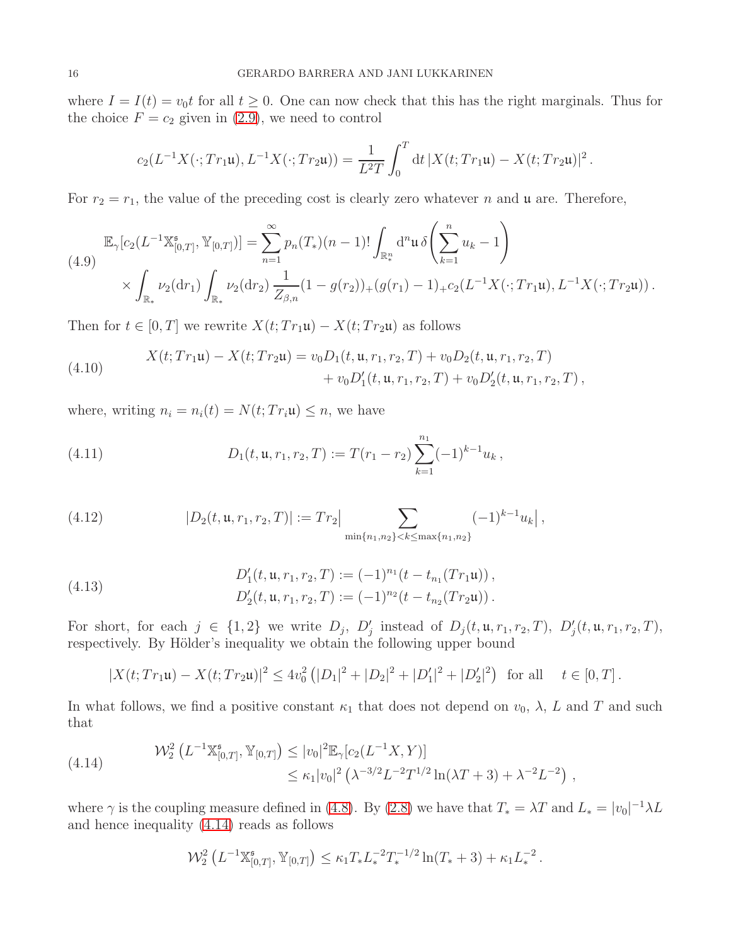where  $I = I(t) = v_0 t$  for all  $t \geq 0$ . One can now check that this has the right marginals. Thus for the choice  $F = c_2$  given in [\(2.9\)](#page-5-4), we need to control

$$
c_2(L^{-1}X(\cdot;Tr_1\mathfrak{u}),L^{-1}X(\cdot;Tr_2\mathfrak{u}))=\frac{1}{L^2T}\int_0^T\mathrm{d}t\,|X(t;Tr_1\mathfrak{u})-X(t;Tr_2\mathfrak{u})|^2\,.
$$

For  $r_2 = r_1$ , the value of the preceding cost is clearly zero whatever n and u are. Therefore,

<span id="page-15-1"></span>
$$
\mathbb{E}_{\gamma}[c_2(L^{-1}\mathbb{X}_{[0,T]}^{\mathfrak{s}},\mathbb{Y}_{[0,T]})] = \sum_{n=1}^{\infty} p_n(T_*)(n-1)! \int_{\mathbb{R}_*^n} d^n \mathfrak{u} \, \delta\left(\sum_{k=1}^n u_k - 1\right)
$$
\n
$$
\times \int_{\mathbb{R}_*} \nu_2(dr_1) \int_{\mathbb{R}_*} \nu_2(dr_2) \frac{1}{Z_{\beta,n}} (1 - g(r_2))_+(g(r_1) - 1)_+ c_2(L^{-1}X(\cdot;Tr_1\mathfrak{u}), L^{-1}X(\cdot;Tr_2\mathfrak{u}))\,.
$$

Then for  $t \in [0, T]$  we rewrite  $X(t; Tr_1\mathfrak{u}) - X(t; Tr_2\mathfrak{u})$  as follows

<span id="page-15-2"></span>(4.10) 
$$
X(t; Tr_1\mathbf{u}) - X(t; Tr_2\mathbf{u}) = v_0D_1(t, \mathbf{u}, r_1, r_2, T) + v_0D_2(t, \mathbf{u}, r_1, r_2, T) + v_0D'_1(t, \mathbf{u}, r_1, r_2, T) + v_0D'_2(t, \mathbf{u}, r_1, r_2, T) ,
$$

where, writing  $n_i = n_i(t) = N(t; Tr_i \mathfrak{u}) \leq n$ , we have

<span id="page-15-5"></span>(4.11) 
$$
D_1(t, \mathfrak{u}, r_1, r_2, T) := T(r_1 - r_2) \sum_{k=1}^{n_1} (-1)^{k-1} u_k,
$$

<span id="page-15-3"></span>(4.12) 
$$
|D_2(t, \mathfrak{u}, r_1, r_2, T)| := Tr_2 \Big| \sum_{\min\{n_1, n_2\} < k \leq \max\{n_1, n_2\}} (-1)^{k-1} u_k \Big|,
$$

<span id="page-15-4"></span>(4.13) 
$$
D'_1(t, \mathfrak{u}, r_1, r_2, T) := (-1)^{n_1}(t - t_{n_1}(Tr_1\mathfrak{u})),
$$

$$
D'_2(t, \mathfrak{u}, r_1, r_2, T) := (-1)^{n_2}(t - t_{n_2}(Tr_2\mathfrak{u})).
$$

For short, for each  $j \in \{1,2\}$  we write  $D_j$ ,  $D'_j$  instead of  $D_j(t, \mathfrak{u}, r_1, r_2, T)$ ,  $D'_j(t, \mathfrak{u}, r_1, r_2, T)$ , respectively. By Hölder's inequality we obtain the following upper bound

$$
|X(t;Tr_1\mathfrak{u}) - X(t;Tr_2\mathfrak{u})|^2 \le 4v_0^2 (|D_1|^2 + |D_2|^2 + |D_1'|^2 + |D_2'|^2) \text{ for all } t \in [0,T].
$$

In what follows, we find a positive constant  $\kappa_1$  that does not depend on  $v_0$ ,  $\lambda$ , L and T and such that

<span id="page-15-0"></span>(4.14) 
$$
\mathcal{W}_2^2 \left( L^{-1} \mathbb{X}_{[0,T]}^{\mathfrak{s}}, \mathbb{Y}_{[0,T]} \right) \leq |v_0|^2 \mathbb{E}_{\gamma} [c_2(L^{-1}X, Y)] \leq \kappa_1 |v_0|^2 \left( \lambda^{-3/2} L^{-2} T^{1/2} \ln(\lambda T + 3) + \lambda^{-2} L^{-2} \right),
$$

where  $\gamma$  is the coupling measure defined in [\(4.8\)](#page-14-2). By [\(2.8\)](#page-4-3) we have that  $T_* = \lambda T$  and  $L_* = |v_0|^{-1} \lambda L$ and hence inequality [\(4.14\)](#page-15-0) reads as follows

$$
\mathcal{W}_2^2\left(L^{-1}\mathbb{X}_{[0,T]}^{\mathfrak{s}},\mathbb{Y}_{[0,T]}\right)\leq \kappa_1 T_* L_*^{-2} T_*^{-1/2}\ln(T_*+3)+\kappa_1 L_*^{-2}\,.
$$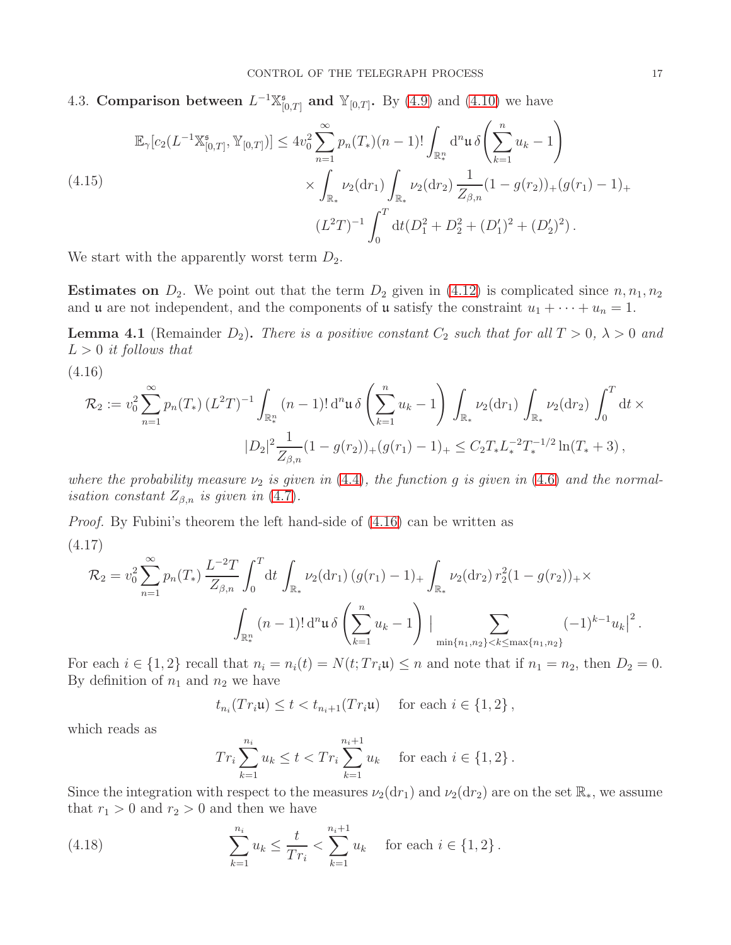<span id="page-16-0"></span>4.3. Comparison between  $L^{-1}\mathbb{X}_{\mathbb{N}}^{5}$  $_{[0,T]}^{\mathfrak{s}}$  and  $\mathbb{Y}_{[0,T]}$ . By [\(4.9\)](#page-15-1) and [\(4.10\)](#page-15-2) we have

<span id="page-16-5"></span>
$$
\mathbb{E}_{\gamma}[c_2(L^{-1}\mathbb{X}_{[0,T]}^{\mathfrak{s}},\mathbb{Y}_{[0,T]})] \le 4v_0^2 \sum_{n=1}^{\infty} p_n(T_*)(n-1)! \int_{\mathbb{R}_*^n} d^n \mathfrak{u} \delta\left(\sum_{k=1}^n u_k - 1\right)
$$
\n
$$
\times \int_{\mathbb{R}_*} \nu_2(dr_1) \int_{\mathbb{R}_*} \nu_2(dr_2) \frac{1}{Z_{\beta,n}} (1 - g(r_2))_+(g(r_1) - 1)_+
$$
\n
$$
(L^2T)^{-1} \int_0^T dt (D_1^2 + D_2^2 + (D_1')^2 + (D_2')^2).
$$

We start with the apparently worst term  $D_2$ .

**Estimates on**  $D_2$ . We point out that the term  $D_2$  given in [\(4.12\)](#page-15-3) is complicated since  $n, n_1, n_2$ and **u** are not independent, and the components of **u** satisfy the constraint  $u_1 + \cdots + u_n = 1$ .

<span id="page-16-4"></span>**Lemma 4.1** (Remainder  $D_2$ ). There is a positive constant  $C_2$  such that for all  $T > 0$ ,  $\lambda > 0$  and  $L > 0$  it follows that

<span id="page-16-1"></span>(4.16)

$$
\mathcal{R}_2 := v_0^2 \sum_{n=1}^{\infty} p_n(T_*) \left( L^2 T \right)^{-1} \int_{\mathbb{R}_*^n} (n-1)! \, \mathrm{d}^n \mathfrak{u} \, \delta \left( \sum_{k=1}^n u_k - 1 \right) \int_{\mathbb{R}_*} \nu_2(\mathrm{d}r_1) \int_{\mathbb{R}_*} \nu_2(\mathrm{d}r_2) \int_0^T \mathrm{d}t \times
$$
  

$$
|D_2|^2 \frac{1}{Z_{\beta,n}} (1 - g(r_2))_+ (g(r_1) - 1)_+ \leq C_2 T_* L_*^{-2} T_*^{-1/2} \ln(T_* + 3) \,,
$$

where the probability measure  $\nu_2$  is given in [\(4.4\)](#page-14-1), the function g is given in [\(4.6\)](#page-14-3) and the normal*isation constant*  $Z_{\beta,n}$  *is given in* [\(4.7\)](#page-14-4).

<span id="page-16-3"></span>Proof. By Fubini's theorem the left hand-side of [\(4.16\)](#page-16-1) can be written as (4.17)

$$
\mathcal{R}_2 = v_0^2 \sum_{n=1}^{\infty} p_n(T_*) \frac{L^{-2}T}{Z_{\beta,n}} \int_0^T dt \int_{\mathbb{R}_*} \nu_2(dr_1) (g(r_1) - 1)_+ \int_{\mathbb{R}_*} \nu_2(dr_2) r_2^2 (1 - g(r_2))_+ \times \int_{\mathbb{R}_*} (n-1)! d^n \mathfrak{u} \delta \left( \sum_{k=1}^n u_k - 1 \right) \Big| \sum_{\min\{n_1, n_2\} < k \leq \max\{n_1, n_2\}} (-1)^{k-1} u_k \Big|^2.
$$

For each  $i \in \{1,2\}$  recall that  $n_i = n_i(t) = N(t; Tr_i \mathfrak{u}) \leq n$  and note that if  $n_1 = n_2$ , then  $D_2 = 0$ . By definition of  $n_1$  and  $n_2$  we have

 $t_{n_i}(Tr_i\mathfrak{u}) \leq t < t_{n_i+1}(Tr_i\mathfrak{u})$  for each  $i \in \{1,2\}$ ,

which reads as

$$
Tr_i \sum_{k=1}^{n_i} u_k \le t < Tr_i \sum_{k=1}^{n_i+1} u_k \quad \text{ for each } i \in \{1, 2\}.
$$

Since the integration with respect to the measures  $\nu_2(dr_1)$  and  $\nu_2(dr_2)$  are on the set  $\mathbb{R}_*$ , we assume that  $r_1 > 0$  and  $r_2 > 0$  and then we have

<span id="page-16-2"></span>(4.18) 
$$
\sum_{k=1}^{n_i} u_k \leq \frac{t}{Tr_i} < \sum_{k=1}^{n_i+1} u_k \quad \text{for each } i \in \{1, 2\}.
$$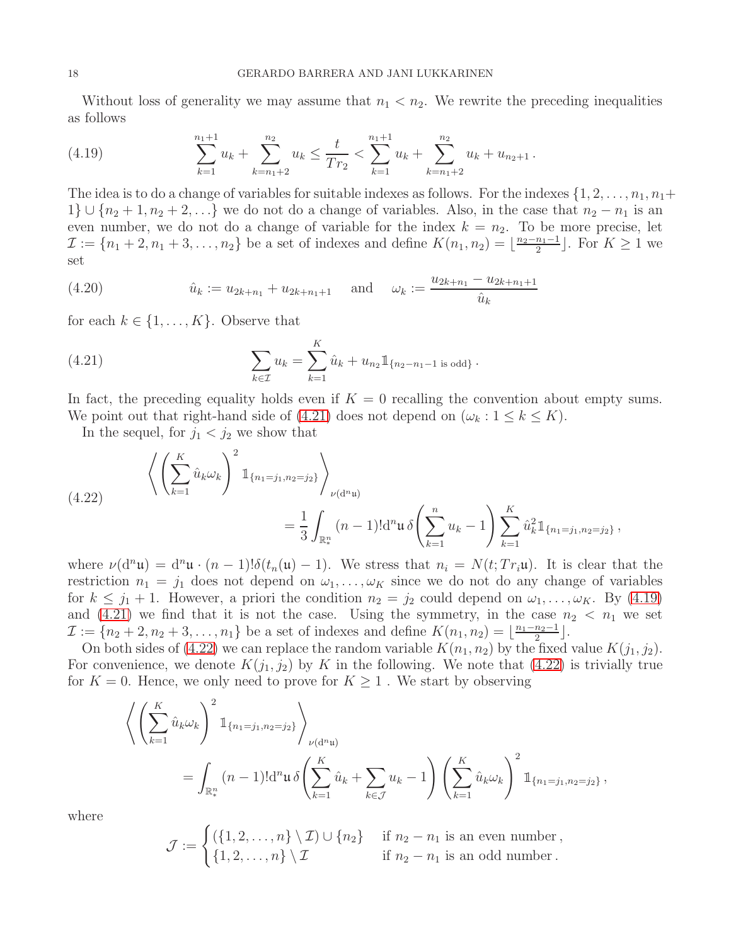Without loss of generality we may assume that  $n_1 < n_2$ . We rewrite the preceding inequalities as follows

<span id="page-17-1"></span>(4.19) 
$$
\sum_{k=1}^{n_1+1} u_k + \sum_{k=n_1+2}^{n_2} u_k \le \frac{t}{Tr_2} < \sum_{k=1}^{n_1+1} u_k + \sum_{k=n_1+2}^{n_2} u_k + u_{n_2+1}.
$$

The idea is to do a change of variables for suitable indexes as follows. For the indexes  $\{1, 2, \ldots, n_1, n_1+\}$  $1\} \cup \{n_2+1,n_2+2,\ldots\}$  we do not do a change of variables. Also, in the case that  $n_2 - n_1$  is an even number, we do not do a change of variable for the index  $k = n_2$ . To be more precise, let  $\mathcal{I} := \{n_1 + 2, n_1 + 3, \ldots, n_2\}$  be a set of indexes and define  $K(n_1, n_2) = \lfloor \frac{n_2 - n_1 - 1}{2} \rfloor$  $\lfloor \frac{n_1-1}{2} \rfloor$ . For  $K \geq 1$  we set

<span id="page-17-3"></span>(4.20) 
$$
\hat{u}_k := u_{2k+n_1} + u_{2k+n_1+1} \quad \text{and} \quad \omega_k := \frac{u_{2k+n_1} - u_{2k+n_1+1}}{\hat{u}_k}
$$

for each  $k \in \{1, \ldots, K\}$ . Observe that

<span id="page-17-0"></span>(4.21) 
$$
\sum_{k \in \mathcal{I}} u_k = \sum_{k=1}^K \hat{u}_k + u_{n_2} \mathbb{1}_{\{n_2 - n_1 - 1 \text{ is odd}\}}.
$$

In fact, the preceding equality holds even if  $K = 0$  recalling the convention about empty sums. We point out that right-hand side of [\(4.21\)](#page-17-0) does not depend on  $(\omega_k : 1 \le k \le K)$ .

In the sequel, for  $j_1 < j_2$  we show that

<span id="page-17-2"></span>(4.22) 
$$
\left\langle \left( \sum_{k=1}^{K} \hat{u}_{k} \omega_{k} \right)^{2} 1_{\{n_{1} = j_{1}, n_{2} = j_{2}\}} \right\rangle_{\nu(d^{n}u)} = \frac{1}{3} \int_{\mathbb{R}_{*}^{n}} (n-1)! d^{n} \mathfrak{u} \delta \left( \sum_{k=1}^{n} u_{k} - 1 \right) \sum_{k=1}^{K} \hat{u}_{k}^{2} 1_{\{n_{1} = j_{1}, n_{2} = j_{2}\}},
$$

where  $\nu(\mathrm{d}^n\mathfrak{u}) = \mathrm{d}^n\mathfrak{u} \cdot (n-1)!\delta(t_n(\mathfrak{u})-1)$ . We stress that  $n_i = N(t;Tr_i\mathfrak{u})$ . It is clear that the restriction  $n_1 = j_1$  does not depend on  $\omega_1, \ldots, \omega_K$  since we do not do any change of variables for  $k \leq j_1 + 1$ . However, a priori the condition  $n_2 = j_2$  could depend on  $\omega_1, \ldots, \omega_K$ . By [\(4.19\)](#page-17-1) and [\(4.21\)](#page-17-0) we find that it is not the case. Using the symmetry, in the case  $n_2 < n_1$  we set  $\mathcal{I} := \{n_2 + 2, n_2 + 3, \ldots, n_1\}$  be a set of indexes and define  $K(n_1, n_2) = \lfloor \frac{n_1 - n_2 - 1}{2} \rfloor$  $\frac{n_2-1}{2}$ .

On both sides of [\(4.22\)](#page-17-2) we can replace the random variable  $K(n_1, n_2)$  by the fixed value  $K(j_1, j_2)$ . For convenience, we denote  $K(j_1, j_2)$  by K in the following. We note that [\(4.22\)](#page-17-2) is trivially true for  $K = 0$ . Hence, we only need to prove for  $K \geq 1$ . We start by observing

$$
\left\langle \left( \sum_{k=1}^{K} \hat{u}_{k} \omega_{k} \right)^{2} 1_{\{n_{1} = j_{1}, n_{2} = j_{2}\}} \right\rangle_{\nu(\mathbf{d}^{n} \mathbf{u})}
$$
\n
$$
= \int_{\mathbb{R}_{*}^{n}} (n-1)! \mathbf{d}^{n} \mathbf{u} \, \delta \left( \sum_{k=1}^{K} \hat{u}_{k} + \sum_{k \in \mathcal{J}} u_{k} - 1 \right) \left( \sum_{k=1}^{K} \hat{u}_{k} \omega_{k} \right)^{2} 1_{\{n_{1} = j_{1}, n_{2} = j_{2}\}},
$$

where

$$
\mathcal{J} := \begin{cases} (\{1, 2, \ldots, n\} \setminus \mathcal{I}) \cup \{n_2\} & \text{if } n_2 - n_1 \text{ is an even number,} \\ \{1, 2, \ldots, n\} \setminus \mathcal{I} & \text{if } n_2 - n_1 \text{ is an odd number.} \end{cases}
$$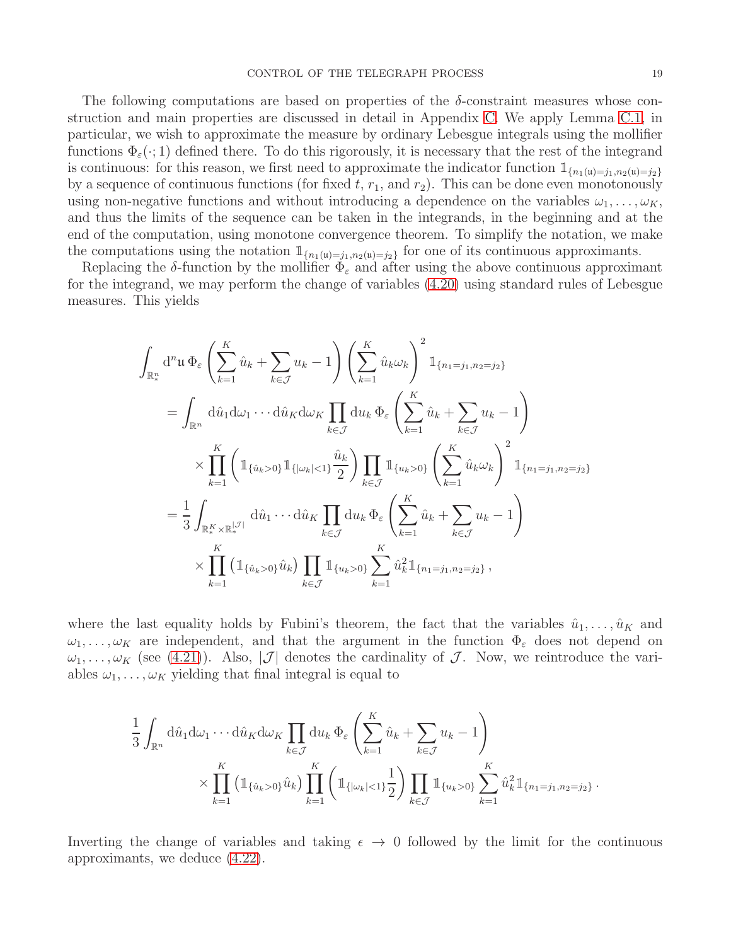The following computations are based on properties of the  $\delta$ -constraint measures whose construction and main properties are discussed in detail in Appendix [C.](#page-49-0) We apply Lemma [C.1,](#page-50-0) in particular, we wish to approximate the measure by ordinary Lebesgue integrals using the mollifier functions  $\Phi_{\varepsilon}(\cdot;1)$  defined there. To do this rigorously, it is necessary that the rest of the integrand is continuous: for this reason, we first need to approximate the indicator function  $\mathbb{1}_{\{n_1(u)=j_1,n_2(u)=j_2\}}$ by a sequence of continuous functions (for fixed  $t, r_1,$  and  $r_2$ ). This can be done even monotonously using non-negative functions and without introducing a dependence on the variables  $\omega_1, \ldots, \omega_K$ , and thus the limits of the sequence can be taken in the integrands, in the beginning and at the end of the computation, using monotone convergence theorem. To simplify the notation, we make the computations using the notation  $\mathbb{1}_{\{n_1(u)=j_1,n_2(u)=j_2\}}$  for one of its continuous approximants.

Replacing the  $\delta$ -function by the mollifier  $\Phi_{\varepsilon}$  and after using the above continuous approximant for the integrand, we may perform the change of variables [\(4.20\)](#page-17-3) using standard rules of Lebesgue measures. This yields

$$
\int_{\mathbb{R}_{*}^{n}} d^{n}u \, \Phi_{\varepsilon} \left( \sum_{k=1}^{K} \hat{u}_{k} + \sum_{k \in \mathcal{J}} u_{k} - 1 \right) \left( \sum_{k=1}^{K} \hat{u}_{k} \omega_{k} \right)^{2} \mathbb{1}_{\{n_{1} = j_{1}, n_{2} = j_{2}\}}
$$
\n
$$
= \int_{\mathbb{R}^{n}} d\hat{u}_{1} d\omega_{1} \cdots d\hat{u}_{K} d\omega_{K} \prod_{k \in \mathcal{J}} d u_{k} \, \Phi_{\varepsilon} \left( \sum_{k=1}^{K} \hat{u}_{k} + \sum_{k \in \mathcal{J}} u_{k} - 1 \right)
$$
\n
$$
\times \prod_{k=1}^{K} \left( \mathbb{1}_{\{\hat{u}_{k} > 0\}} \mathbb{1}_{\{\omega_{k}\} < 1\}} \frac{\hat{u}_{k}}{2} \right) \prod_{k \in \mathcal{J}} \mathbb{1}_{\{u_{k} > 0\}} \left( \sum_{k=1}^{K} \hat{u}_{k} \omega_{k} \right)^{2} \mathbb{1}_{\{n_{1} = j_{1}, n_{2} = j_{2}\}}
$$
\n
$$
= \frac{1}{3} \int_{\mathbb{R}_{*}^{K} \times \mathbb{R}_{*}^{|\mathcal{J}|}} d\hat{u}_{1} \cdots d\hat{u}_{K} \prod_{k \in \mathcal{J}} d u_{k} \, \Phi_{\varepsilon} \left( \sum_{k=1}^{K} \hat{u}_{k} + \sum_{k \in \mathcal{J}} u_{k} - 1 \right)
$$
\n
$$
\times \prod_{k=1}^{K} \left( \mathbb{1}_{\{\hat{u}_{k} > 0\}} \hat{u}_{k} \right) \prod_{k \in \mathcal{J}} \mathbb{1}_{\{u_{k} > 0\}} \sum_{k=1}^{K} \hat{u}_{k}^{2} \mathbb{1}_{\{n_{1} = j_{1}, n_{2} = j_{2}\}},
$$

where the last equality holds by Fubini's theorem, the fact that the variables  $\hat{u}_1, \ldots, \hat{u}_K$  and  $\omega_1, \ldots, \omega_K$  are independent, and that the argument in the function  $\Phi_{\varepsilon}$  does not depend on  $\omega_1, \ldots, \omega_K$  (see [\(4.21\)](#page-17-0)). Also,  $|\mathcal{J}|$  denotes the cardinality of  $\mathcal{J}$ . Now, we reintroduce the variables  $\omega_1, \ldots, \omega_K$  yielding that final integral is equal to

$$
\frac{1}{3} \int_{\mathbb{R}^n} d\hat{u}_1 d\omega_1 \cdots d\hat{u}_K d\omega_K \prod_{k \in \mathcal{J}} du_k \, \Phi_{\varepsilon} \left( \sum_{k=1}^K \hat{u}_k + \sum_{k \in \mathcal{J}} u_k - 1 \right) \times \prod_{k=1}^K \left( \mathbb{1}_{\{\hat{u}_k > 0\}} \hat{u}_k \right) \prod_{k=1}^K \left( \mathbb{1}_{\{\omega_k | < 1\}} \frac{1}{2} \right) \prod_{k \in \mathcal{J}} \mathbb{1}_{\{u_k > 0\}} \sum_{k=1}^K \hat{u}_k^2 \mathbb{1}_{\{n_1 = j_1, n_2 = j_2\}}.
$$

Inverting the change of variables and taking  $\epsilon \to 0$  followed by the limit for the continuous approximants, we deduce [\(4.22\)](#page-17-2).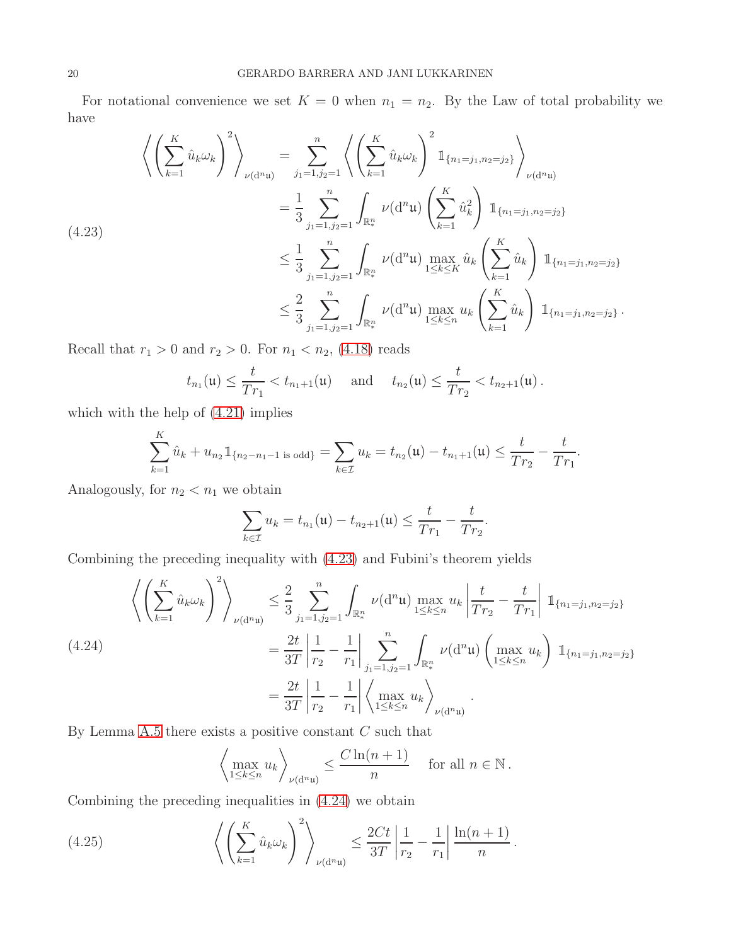For notational convenience we set  $K = 0$  when  $n_1 = n_2$ . By the Law of total probability we have

<span id="page-19-0"></span>
$$
\left\langle \left(\sum_{k=1}^{K} \hat{u}_{k} \omega_{k} \right)^{2} \right\rangle_{\nu(\mathrm{d}^{n} \mathbf{u})} = \sum_{j_{1}=1, j_{2}=1}^{n} \left\langle \left(\sum_{k=1}^{K} \hat{u}_{k} \omega_{k} \right)^{2} \mathbb{1}_{\{n_{1}=j_{1}, n_{2}=j_{2}\}} \right\rangle_{\nu(\mathrm{d}^{n} \mathbf{u})}
$$
\n
$$
= \frac{1}{3} \sum_{j_{1}=1, j_{2}=1}^{n} \int_{\mathbb{R}_{*}^{n}} \nu(\mathrm{d}^{n} \mathbf{u}) \left(\sum_{k=1}^{K} \hat{u}_{k}^{2} \right) \mathbb{1}_{\{n_{1}=j_{1}, n_{2}=j_{2}\}} \left\langle (4.23) \right\rangle
$$
\n
$$
\leq \frac{1}{3} \sum_{j_{1}=1, j_{2}=1}^{n} \int_{\mathbb{R}_{*}^{n}} \nu(\mathrm{d}^{n} \mathbf{u}) \max_{1 \leq k \leq K} \hat{u}_{k} \left(\sum_{k=1}^{K} \hat{u}_{k} \right) \mathbb{1}_{\{n_{1}=j_{1}, n_{2}=j_{2}\}} \left\langle \left(\sum_{k=1}^{K} \hat{u}_{k}\right)^{2} \mathbb{1}_{\{n_{1}=j_{1}, n_{2}=j_{2}\}} \right\rangle
$$
\n
$$
\leq \frac{2}{3} \sum_{j_{1}=1, j_{2}=1}^{n} \int_{\mathbb{R}_{*}^{n}} \nu(\mathrm{d}^{n} \mathbf{u}) \max_{1 \leq k \leq n} u_{k} \left(\sum_{k=1}^{K} \hat{u}_{k}\right) \mathbb{1}_{\{n_{1}=j_{1}, n_{2}=j_{2}\}}.
$$

Recall that  $r_1 > 0$  and  $r_2 > 0$ . For  $n_1 < n_2$ , [\(4.18\)](#page-16-2) reads

$$
t_{n_1}(\mathfrak{u}) \leq \frac{t}{Tr_1} < t_{n_1+1}(\mathfrak{u})
$$
 and  $t_{n_2}(\mathfrak{u}) \leq \frac{t}{Tr_2} < t_{n_2+1}(\mathfrak{u})$ .

which with the help of  $(4.21)$  implies

K

$$
\sum_{k=1}^K \hat{u}_k + u_{n_2} \mathbb{1}_{\{n_2 - n_1 - 1 \text{ is odd}\}} = \sum_{k \in \mathcal{I}} u_k = t_{n_2}(\mathfrak{u}) - t_{n_1+1}(\mathfrak{u}) \le \frac{t}{Tr_2} - \frac{t}{Tr_1}.
$$

Analogously, for  $n_2 < n_1$  we obtain

$$
\sum_{k\in\mathcal{I}} u_k = t_{n_1}(\mathfrak{u}) - t_{n_2+1}(\mathfrak{u}) \le \frac{t}{Tr_1} - \frac{t}{Tr_2}.
$$

Combining the preceding inequality with [\(4.23\)](#page-19-0) and Fubini's theorem yields

<span id="page-19-1"></span>
$$
\left\langle \left( \sum_{k=1}^{K} \hat{u}_{k} \omega_{k} \right)^{2} \right\rangle_{\nu(\mathrm{d}^{n} \mathfrak{u})} \leq \frac{2}{3} \sum_{j_{1}=1, j_{2}=1}^{n} \int_{\mathbb{R}_{*}^{n}} \nu(\mathrm{d}^{n} \mathfrak{u}) \max_{1 \leq k \leq n} u_{k} \left| \frac{t}{Tr_{2}} - \frac{t}{Tr_{1}} \right| \mathbb{1}_{\{n_{1}=j_{1}, n_{2}=j_{2}\}} \n= \frac{2t}{3T} \left| \frac{1}{r_{2}} - \frac{1}{r_{1}} \right| \sum_{j_{1}=1, j_{2}=1}^{n} \int_{\mathbb{R}_{*}^{n}} \nu(\mathrm{d}^{n} \mathfrak{u}) \left( \max_{1 \leq k \leq n} u_{k} \right) \mathbb{1}_{\{n_{1}=j_{1}, n_{2}=j_{2}\}} \n= \frac{2t}{3T} \left| \frac{1}{r_{2}} - \frac{1}{r_{1}} \right| \left\langle \max_{1 \leq k \leq n} u_{k} \right\rangle_{\nu(\mathrm{d}^{n} \mathfrak{u})}.
$$

By Lemma [A.5](#page-43-0) there exists a positive constant  $C$  such that

$$
\left\langle \max_{1 \leq k \leq n} u_k \right\rangle_{\nu(\mathrm{d}^n \mathfrak{u})} \leq \frac{C \ln(n+1)}{n} \quad \text{ for all } n \in \mathbb{N}.
$$

Combining the preceding inequalities in [\(4.24\)](#page-19-1) we obtain

<span id="page-19-2"></span>(4.25) 
$$
\left\langle \left( \sum_{k=1}^{K} \hat{u}_k \omega_k \right)^2 \right\rangle_{\nu(d^n \mathfrak{u})} \leq \frac{2Ct}{3T} \left| \frac{1}{r_2} - \frac{1}{r_1} \right| \frac{\ln(n+1)}{n}.
$$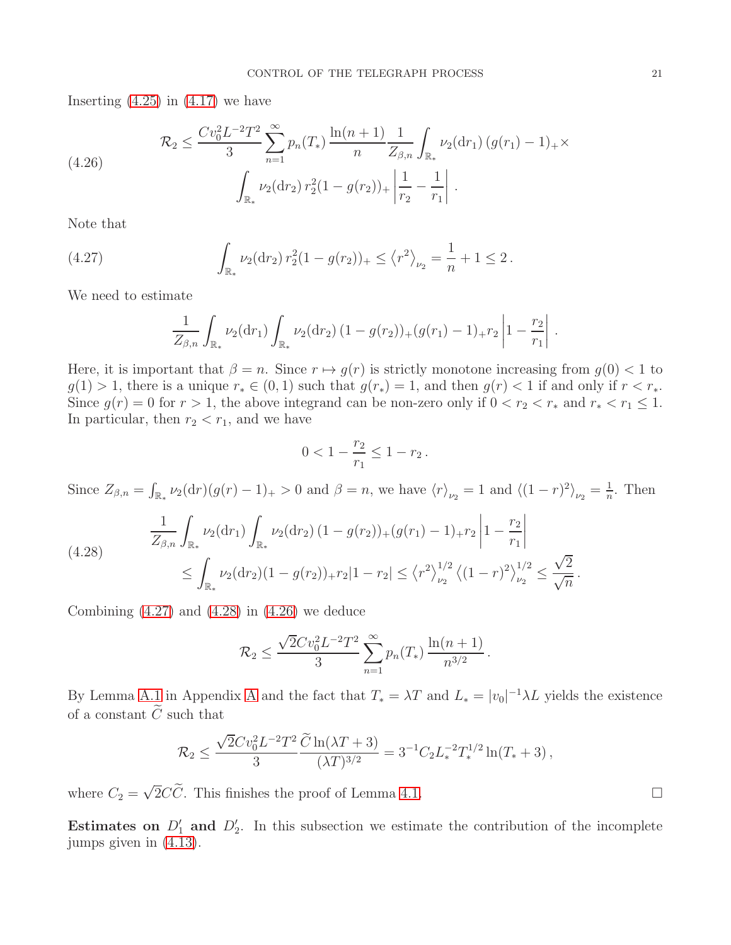Inserting  $(4.25)$  in  $(4.17)$  we have

<span id="page-20-2"></span>(4.26) 
$$
\mathcal{R}_2 \leq \frac{Cv_0^2 L^{-2} T^2}{3} \sum_{n=1}^{\infty} p_n(T_*) \frac{\ln(n+1)}{n} \frac{1}{Z_{\beta,n}} \int_{\mathbb{R}_*} \nu_2(\mathrm{d}r_1) (g(r_1) - 1)_+ \times \int_{\mathbb{R}_*} \nu_2(\mathrm{d}r_2) r_2^2 (1 - g(r_2))_+ \left| \frac{1}{r_2} - \frac{1}{r_1} \right|.
$$

Note that

<span id="page-20-0"></span>(4.27) 
$$
\int_{\mathbb{R}_*} \nu_2(\mathrm{d}r_2) r_2^2 (1 - g(r_2))_+ \leq \left\langle r^2 \right\rangle_{\nu_2} = \frac{1}{n} + 1 \leq 2.
$$

We need to estimate

$$
\frac{1}{Z_{\beta,n}} \int_{\mathbb{R}_*} \nu_2(\mathrm{d}r_1) \int_{\mathbb{R}_*} \nu_2(\mathrm{d}r_2) (1 - g(r_2))_+(g(r_1) - 1)_+ r_2 \left| 1 - \frac{r_2}{r_1} \right|
$$

Here, it is important that  $\beta = n$ . Since  $r \mapsto q(r)$  is strictly monotone increasing from  $q(0) < 1$  to  $g(1) > 1$ , there is a unique  $r_* \in (0, 1)$  such that  $g(r_*) = 1$ , and then  $g(r) < 1$  if and only if  $r < r_*$ . Since  $g(r) = 0$  for  $r > 1$ , the above integrand can be non-zero only if  $0 < r_2 < r_*$  and  $r_* < r_1 \leq 1$ . In particular, then  $r_2 < r_1$ , and we have

$$
0 < 1 - \frac{r_2}{r_1} \le 1 - r_2 \, .
$$

Since  $Z_{\beta,n} = \int_{\mathbb{R}_*} \nu_2(\mathrm{d}r)(g(r)-1)_+ > 0$  and  $\beta = n$ , we have  $\langle r \rangle_{\nu_2} = 1$  and  $\langle (1-r)^2 \rangle_{\nu_2} = \frac{1}{n}$  $\frac{1}{n}$ . Then

<span id="page-20-1"></span>
$$
\frac{1}{Z_{\beta,n}} \int_{\mathbb{R}_*} \nu_2(\mathrm{d}r_1) \int_{\mathbb{R}_*} \nu_2(\mathrm{d}r_2) (1 - g(r_2))_+(g(r_1) - 1)_{+}r_2 \left| 1 - \frac{r_2}{r_1} \right|
$$
\n
$$
\leq \int_{\mathbb{R}_*} \nu_2(\mathrm{d}r_2) (1 - g(r_2))_+r_2 \left| 1 - r_2 \right| \leq \left\langle r^2 \right\rangle_{\nu_2}^{1/2} \left\langle (1 - r)^2 \right\rangle_{\nu_2}^{1/2} \leq \frac{\sqrt{2}}{\sqrt{n}}.
$$

Combining  $(4.27)$  and  $(4.28)$  in  $(4.26)$  we deduce

$$
\mathcal{R}_2 \le \frac{\sqrt{2}Cv_0^2L^{-2}T^2}{3}\sum_{n=1}^{\infty}p_n(T_*)\frac{\ln(n+1)}{n^{3/2}}.
$$

By Lemma [A.1](#page-39-2) in [A](#page-39-0)ppendix A and the fact that  $T_* = \lambda T$  and  $L_* = |v_0|^{-1} \lambda L$  yields the existence of a constant  $\widetilde{C}$  such that

$$
\mathcal{R}_2 \le \frac{\sqrt{2}Cv_0^2 L^{-2}T^2}{3} \frac{\widetilde{C} \ln(\lambda T + 3)}{(\lambda T)^{3/2}} = 3^{-1} C_2 L_*^{-2} T_*^{1/2} \ln(T_* + 3) ,
$$

where  $C_2 = \sqrt{2}C\tilde{C}$ . This finishes the proof of Lemma [4.1.](#page-16-4)

Estimates on  $D'_1$  and  $D'_2$ . In this subsection we estimate the contribution of the incomplete jumps given in [\(4.13\)](#page-15-4).

.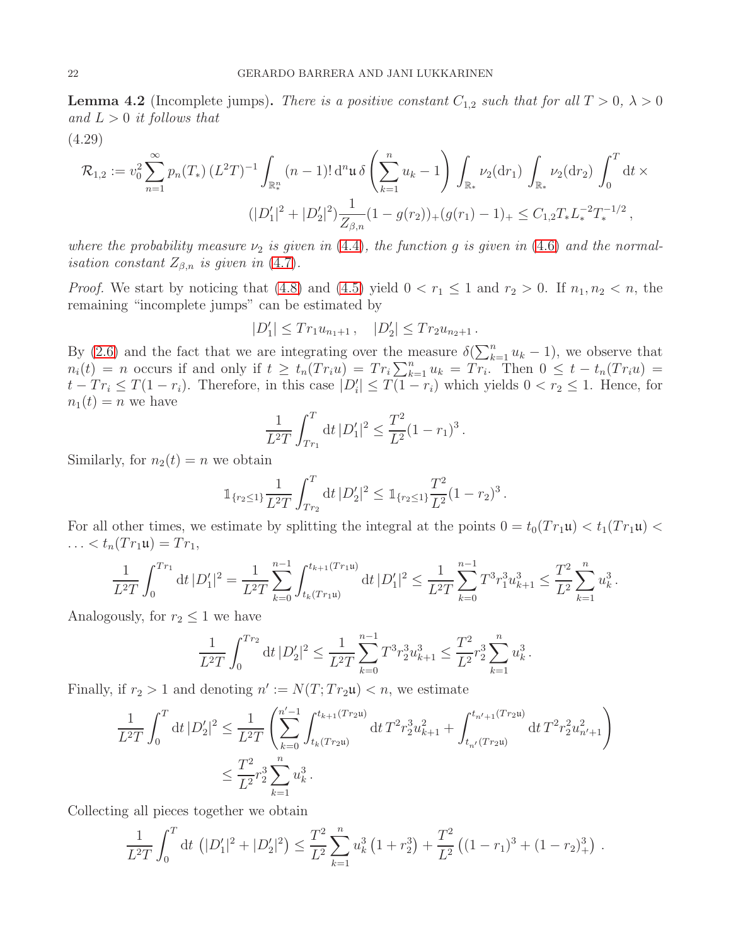<span id="page-21-1"></span>**Lemma 4.2** (Incomplete jumps). There is a positive constant  $C_{1,2}$  such that for all  $T > 0$ ,  $\lambda > 0$ and  $L > 0$  it follows that

<span id="page-21-0"></span>(4.29)

$$
\mathcal{R}_{1,2} := v_0^2 \sum_{n=1}^{\infty} p_n(T_*) \left( L^2 T \right)^{-1} \int_{\mathbb{R}_*^n} (n-1)! \, d^n \mathfrak{u} \, \delta \left( \sum_{k=1}^n u_k - 1 \right) \int_{\mathbb{R}_*} \nu_2(dr_1) \int_{\mathbb{R}_*} \nu_2(dr_2) \int_0^T dt \times
$$
  

$$
(|D_1'|^2 + |D_2'|^2) \frac{1}{Z_{\beta,n}} (1 - g(r_2))_+ (g(r_1) - 1)_+ \leq C_{1,2} T_* L_*^{-2} T_*^{-1/2} \,,
$$

where the probability measure  $\nu_2$  is given in [\(4.4\)](#page-14-1), the function g is given in [\(4.6\)](#page-14-3) and the normal*isation constant*  $Z_{\beta,n}$  *is given in* [\(4.7\)](#page-14-4).

*Proof.* We start by noticing that [\(4.8\)](#page-14-2) and [\(4.5\)](#page-14-5) yield  $0 < r_1 \leq 1$  and  $r_2 > 0$ . If  $n_1, n_2 < n$ , the remaining "incomplete jumps" can be estimated by

$$
|D_1'| \leq Tr_1 u_{n_1+1} , \quad |D_2'| \leq Tr_2 u_{n_2+1} .
$$

By [\(2.6\)](#page-3-1) and the fact that we are integrating over the measure  $\delta(\sum_{k=1}^n u_k - 1)$ , we observe that  $n_i(t) = n$  occurs if and only if  $t \ge t_n(Tr_iu) = Tr_i \sum_{k=1}^n u_k = Tr_i$ . Then  $0 \le t - t_n(Tr_iu) =$  $t - Tr_i \leq T(1 - r_i)$ . Therefore, in this case  $|D'_i| \leq T(1 - r_i)$  which yields  $0 < r_2 \leq 1$ . Hence, for  $n_1(t) = n$  we have

$$
\frac{1}{L^2T} \int_{T r_1}^T dt \, |D_1'|^2 \le \frac{T^2}{L^2} (1 - r_1)^3.
$$

Similarly, for  $n_2(t) = n$  we obtain

$$
\mathbb{1}_{\{r_2\leq 1\}}\frac{1}{L^2T}\int_{T_{r_2}}^T dt\,|D_2'|^2 \leq \mathbb{1}_{\{r_2\leq 1\}}\frac{T^2}{L^2}(1-r_2)^3.
$$

For all other times, we estimate by splitting the integral at the points  $0 = t_0(T r_1 \mathfrak{u}) < t_1(T r_1 \mathfrak{u})$ ...  $< t_n(Tr_1\mathfrak{u}) = Tr_1$ ,

$$
\frac{1}{L^2T} \int_0^{Tr_1} dt \, |D_1'|^2 = \frac{1}{L^2T} \sum_{k=0}^{n-1} \int_{t_k(Tr_1\mathfrak{u})}^{t_{k+1}(Tr_1\mathfrak{u})} dt \, |D_1'|^2 \leq \frac{1}{L^2T} \sum_{k=0}^{n-1} T^3 r_1^3 u_{k+1}^3 \leq \frac{T^2}{L^2} \sum_{k=1}^n u_k^3.
$$

Analogously, for  $r_2 \leq 1$  we have

$$
\frac{1}{L^2T} \int_0^{Tr_2} dt \, |D_2'|^2 \le \frac{1}{L^2T} \sum_{k=0}^{n-1} T^3 r_2^3 u_{k+1}^3 \le \frac{T^2}{L^2} r_2^3 \sum_{k=1}^n u_k^3.
$$

Finally, if  $r_2 > 1$  and denoting  $n' := N(T; Tr_2\mathfrak{u}) < n$ , we estimate

$$
\frac{1}{L^2T} \int_0^T dt \, |D_2'|^2 \le \frac{1}{L^2T} \left( \sum_{k=0}^{n'-1} \int_{t_k(Tr_2u)}^{t_{k+1}(Tr_2u)} dt \, T^2 r_2^3 u_{k+1}^2 + \int_{t_{n'}(Tr_2u)}^{t_{n'+1}(Tr_2u)} dt \, T^2 r_2^2 u_{n'+1}^2 \right)
$$
\n
$$
\le \frac{T^2}{L^2} r_2^3 \sum_{k=1}^n u_k^3.
$$

Collecting all pieces together we obtain

$$
\frac{1}{L^2T}\int_0^T dt \left(|D_1'|^2 + |D_2'|^2\right) \leq \frac{T^2}{L^2}\sum_{k=1}^n u_k^3 \left(1 + r_2^3\right) + \frac{T^2}{L^2} \left((1 - r_1)^3 + (1 - r_2)^3\right).
$$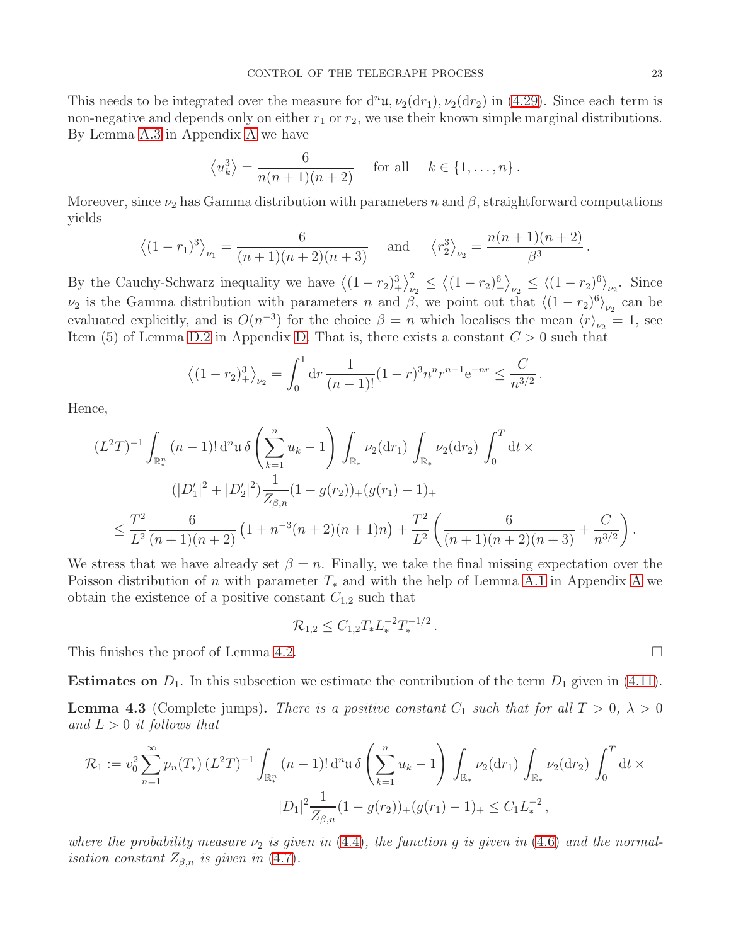This needs to be integrated over the measure for  $d^n\mathfrak{u}, \nu_2(dr_1), \nu_2(dr_2)$  in [\(4.29\)](#page-21-0). Since each term is non-negative and depends only on either  $r_1$  or  $r_2$ , we use their known simple marginal distributions. By Lemma [A.3](#page-41-1) in Appendix [A](#page-39-0) we have

$$
\langle u_k^3 \rangle = \frac{6}{n(n+1)(n+2)}
$$
 for all  $k \in \{1, ..., n\}$ .

Moreover, since  $\nu_2$  has Gamma distribution with parameters n and  $\beta$ , straightforward computations yields

$$
\langle (1-r_1)^3 \rangle_{\nu_1} = \frac{6}{(n+1)(n+2)(n+3)}
$$
 and  $\langle r_2^3 \rangle_{\nu_2} = \frac{n(n+1)(n+2)}{\beta^3}$ .

By the Cauchy-Schwarz inequality we have  $\left\langle (1-r_2)_+^3 \right\rangle_{\nu_2}^2 \le \left\langle (1-r_2)_+^6 \right\rangle_{\nu_2} \le \left\langle (1-r_2)_+^6 \right\rangle_{\nu_2}$ . Since  $\nu_2$  is the Gamma distribution with parameters *n* and *β*, we point out that  $\langle (1 - r_2)^6 \rangle_{\nu_2}$  can be evaluated explicitly, and is  $O(n^{-3})$  for the choice  $\beta = n$  which localises the mean  $\langle r \rangle_{\nu_2} = 1$ , see Item (5) of Lemma [D.2](#page-56-1) in Appendix [D.](#page-55-0) That is, there exists a constant  $C > 0$  such that

$$
\langle (1-r_2)_+^3 \rangle_{\nu_2} = \int_0^1 dr \, \frac{1}{(n-1)!} (1-r)^3 n^n r^{n-1} e^{-nr} \le \frac{C}{n^{3/2}}.
$$

Hence,

$$
(L^2T)^{-1} \int_{\mathbb{R}_*^n} (n-1)! \, \mathrm{d}^n \mathfrak{u} \, \delta \left( \sum_{k=1}^n u_k - 1 \right) \int_{\mathbb{R}_*} \nu_2(\mathrm{d}r_1) \int_{\mathbb{R}_*} \nu_2(\mathrm{d}r_2) \int_0^T \mathrm{d}t \times
$$
  

$$
(|D_1'|^2 + |D_2'|^2) \frac{1}{Z_{\beta,n}} (1 - g(r_2))_+ (g(r_1) - 1)_+
$$
  

$$
\leq \frac{T^2}{L^2} \frac{6}{(n+1)(n+2)} \left( 1 + n^{-3} (n+2)(n+1)n \right) + \frac{T^2}{L^2} \left( \frac{6}{(n+1)(n+2)(n+3)} + \frac{C}{n^{3/2}} \right).
$$

We stress that we have already set  $\beta = n$ . Finally, we take the final missing expectation over the Poisson distribution of n with parameter  $T_*$  and with the help of Lemma [A.1](#page-39-2) in [A](#page-39-0)ppendix A we obtain the existence of a positive constant  $C_{1,2}$  such that

$$
\mathcal{R}_{1,2} \leq C_{1,2} T_* L_*^{-2} T_*^{-1/2}.
$$

This finishes the proof of Lemma [4.2.](#page-21-1)

**Estimates on**  $D_1$ . In this subsection we estimate the contribution of the term  $D_1$  given in [\(4.11\)](#page-15-5).

<span id="page-22-0"></span>**Lemma 4.3** (Complete jumps). There is a positive constant  $C_1$  such that for all  $T > 0$ ,  $\lambda > 0$ and  $L > 0$  it follows that

$$
\mathcal{R}_1 := v_0^2 \sum_{n=1}^{\infty} p_n(T_*) \left( L^2 T \right)^{-1} \int_{\mathbb{R}_*^n} (n-1)! \, \mathrm{d}^n \mathfrak{u} \, \delta \left( \sum_{k=1}^n u_k - 1 \right) \int_{\mathbb{R}_*} \nu_2(\mathrm{d}r_1) \int_{\mathbb{R}_*} \nu_2(\mathrm{d}r_2) \int_0^T \mathrm{d}t \times
$$

$$
|D_1|^2 \frac{1}{Z_{\beta,n}} (1 - g(r_2))_+ (g(r_1) - 1)_+ \leq C_1 L_*^{-2} \,,
$$

where the probability measure  $\nu_2$  is given in [\(4.4\)](#page-14-1), the function g is given in [\(4.6\)](#page-14-3) and the normalisation constant  $Z_{\beta,n}$  is given in [\(4.7\)](#page-14-4).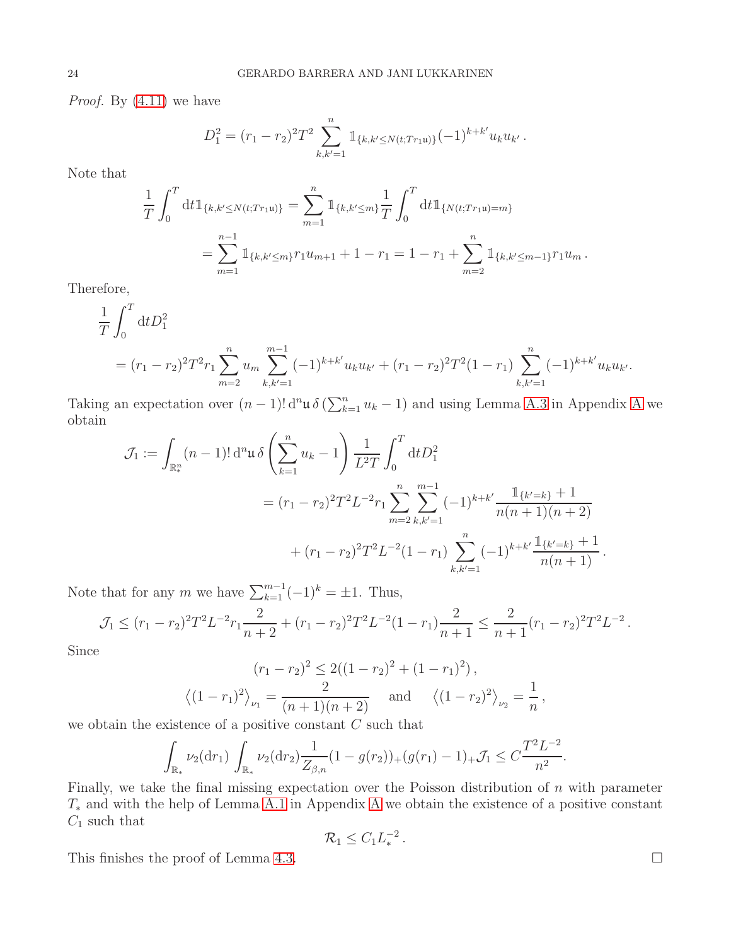*Proof.* By  $(4.11)$  we have

$$
D_1^2 = (r_1 - r_2)^2 T^2 \sum_{k,k'=1}^n \mathbb{1}_{\{k,k'\leq N(t;Tr_1\mathfrak{u})\}} (-1)^{k+k'} u_k u_{k'}.
$$

Note that

$$
\frac{1}{T} \int_0^T dt \mathbb{1}_{\{k,k' \le N(t;Tr_1\mathfrak{u})\}} = \sum_{m=1}^n \mathbb{1}_{\{k,k' \le m\}} \frac{1}{T} \int_0^T dt \mathbb{1}_{\{N(t;Tr_1\mathfrak{u}) = m\}} \n= \sum_{m=1}^{n-1} \mathbb{1}_{\{k,k' \le m\}} r_1 u_{m+1} + 1 - r_1 = 1 - r_1 + \sum_{m=2}^n \mathbb{1}_{\{k,k' \le m-1\}} r_1 u_m.
$$

Therefore,

$$
\frac{1}{T} \int_0^T dt D_1^2
$$
\n
$$
= (r_1 - r_2)^2 T^2 r_1 \sum_{m=2}^n u_m \sum_{k,k'=1}^{m-1} (-1)^{k+k'} u_k u_{k'} + (r_1 - r_2)^2 T^2 (1 - r_1) \sum_{k,k'=1}^n (-1)^{k+k'} u_k u_{k'}.
$$

Taking an expectation over  $(n-1)! d^n \mu \delta(\sum_{k=1}^n u_k - 1)$  and using Lemma [A.3](#page-41-1) in [A](#page-39-0)ppendix A we obtain

$$
\mathcal{J}_1 := \int_{\mathbb{R}_*^n} (n-1)! \, \mathrm{d}^n \mathfrak{u} \, \delta \left( \sum_{k=1}^n u_k - 1 \right) \frac{1}{L^2 T} \int_0^T \mathrm{d}t D_1^2
$$
  
=  $(r_1 - r_2)^2 T^2 L^{-2} r_1 \sum_{m=2}^n \sum_{k,k'=1}^{m-1} (-1)^{k+k'} \frac{\mathbb{1}_{\{k'=k\}} + 1}{n(n+1)(n+2)}$   
+  $(r_1 - r_2)^2 T^2 L^{-2} (1 - r_1) \sum_{k,k'=1}^n (-1)^{k+k'} \frac{\mathbb{1}_{\{k'=k\}} + 1}{n(n+1)}.$ 

Note that for any m we have  $\sum_{k=1}^{m-1} (-1)^k = \pm 1$ . Thus,

$$
\mathcal{J}_1 \le (r_1 - r_2)^2 T^2 L^{-2} r_1 \frac{2}{n+2} + (r_1 - r_2)^2 T^2 L^{-2} (1 - r_1) \frac{2}{n+1} \le \frac{2}{n+1} (r_1 - r_2)^2 T^2 L^{-2}.
$$

Since

$$
(r_1 - r_2)^2 \le 2((1 - r_2)^2 + (1 - r_1)^2),
$$
  

$$
\langle (1 - r_1)^2 \rangle_{\nu_1} = \frac{2}{(n+1)(n+2)} \quad \text{and} \quad \langle (1 - r_2)^2 \rangle_{\nu_2} = \frac{1}{n},
$$

we obtain the existence of a positive constant  $C$  such that

$$
\int_{\mathbb{R}_*} \nu_2(dr_1) \int_{\mathbb{R}_*} \nu_2(dr_2) \frac{1}{Z_{\beta,n}} (1 - g(r_2))_+(g(r_1) - 1)_+ \mathcal{J}_1 \leq C \frac{T^2 L^{-2}}{n^2}.
$$

Finally, we take the final missing expectation over the Poisson distribution of  $n$  with parameter T<sup>∗</sup> and with the help of Lemma [A.1](#page-39-2) in Appendix [A](#page-39-0) we obtain the existence of a positive constant  $C_1$  such that

$$
\mathcal{R}_1\leq C_1L_*^{-2}.
$$

This finishes the proof of Lemma [4.3.](#page-22-0)  $\Box$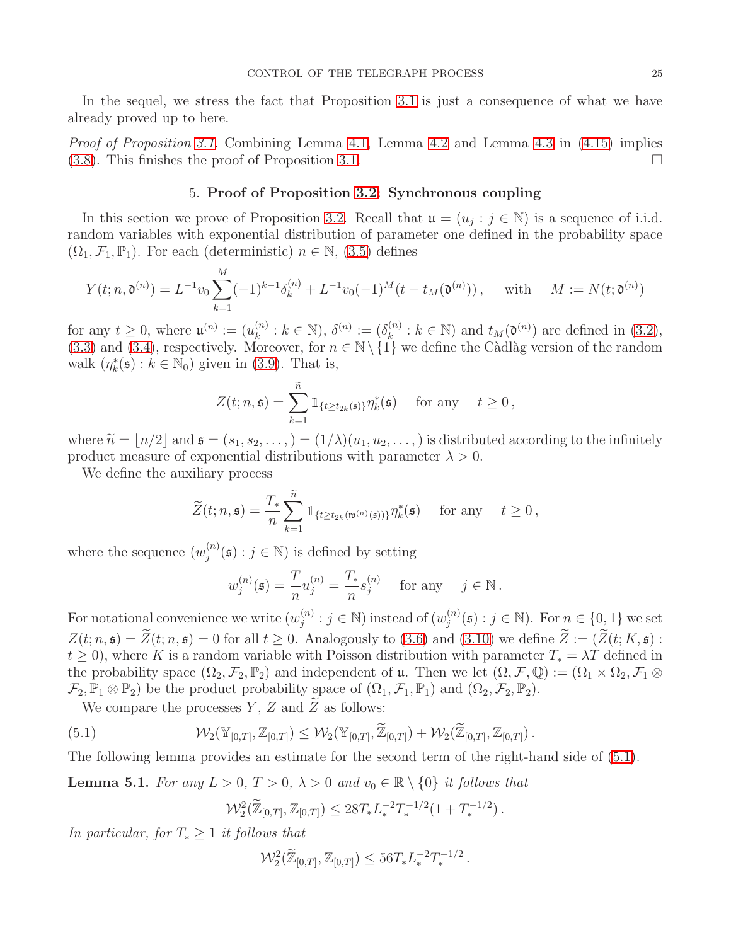In the sequel, we stress the fact that Proposition [3.1](#page-11-1) is just a consequence of what we have already proved up to here.

<span id="page-24-0"></span>*Proof of Proposition [3.1.](#page-11-1)* Combining Lemma [4.1,](#page-16-4) Lemma [4.2](#page-21-1) and Lemma [4.3](#page-22-0) in  $(4.15)$  implies  $(3.8)$ . This finishes the proof of Proposition [3.1.](#page-11-1)

# 5. Proof of Proposition [3.2:](#page-11-2) Synchronous coupling

In this section we prove of Proposition [3.2.](#page-11-2) Recall that  $\mathfrak{u} = (u_j : j \in \mathbb{N})$  is a sequence of i.i.d. random variables with exponential distribution of parameter one defined in the probability space  $(\Omega_1, \mathcal{F}_1, \mathbb{P}_1)$ . For each (deterministic)  $n \in \mathbb{N}$ , [\(3.5\)](#page-10-0) defines

$$
Y(t; n, \mathfrak{d}^{(n)}) = L^{-1} v_0 \sum_{k=1}^{M} (-1)^{k-1} \delta_k^{(n)} + L^{-1} v_0 (-1)^M (t - t_M(\mathfrak{d}^{(n)})), \quad \text{with} \quad M := N(t; \mathfrak{d}^{(n)})
$$

for any  $t \geq 0$ , where  $\mathfrak{u}^{(n)} := (u_k^{(n)})$  $\lambda_k^{(n)} : k \in \mathbb{N}$ ),  $\delta^{(n)} := (\delta_k^{(n)})$  $k_{k}^{(n)}: k \in \mathbb{N}$  and  $t_M(\mathfrak{d}^{(n)})$  are defined in [\(3.2\)](#page-9-2), [\(3.3\)](#page-10-1) and [\(3.4\)](#page-10-2), respectively. Moreover, for  $n \in \mathbb{N} \setminus \{1\}$  we define the Càdlàg version of the random walk  $(\eta_k^*(\mathfrak{s}): k \in \mathbb{N}_0)$  given in [\(3.9\)](#page-11-4). That is,

$$
Z(t; n, \mathfrak{s}) = \sum_{k=1}^{\widetilde{n}} \mathbb{1}_{\{t \ge t_{2k}(\mathfrak{s})\}} \eta_k^*(\mathfrak{s}) \quad \text{for any} \quad t \ge 0,
$$

where  $\tilde{n} = |n/2|$  and  $\mathfrak{s} = (s_1, s_2, \dots, ) = (1/\lambda)(u_1, u_2, \dots, )$  is distributed according to the infinitely product measure of exponential distributions with parameter  $\lambda > 0$ .

We define the auxiliary process

$$
\widetilde{Z}(t;n,\mathfrak{s})=\frac{T_*}{n}\sum_{k=1}^{\widetilde{n}}\mathbb{1}_{\{t\geq t_{2k}(\mathfrak{w}^{(n)}(\mathfrak{s}))\}}\eta_k^*(\mathfrak{s})\quad\text{ for any }\quad t\geq 0\,,
$$

where the sequence  $(w_i^{(n)})$  $j^{(n)}(s) : j \in \mathbb{N}$ ) is defined by setting

$$
w_j^{(n)}(\mathfrak{s}) = \frac{T}{n} u_j^{(n)} = \frac{T_*}{n} s_j^{(n)} \quad \text{for any} \quad j \in \mathbb{N} \, .
$$

For notational convenience we write  $(w_i^{(n)})$  $j^{(n)}$ :  $j \in \mathbb{N}$ ) instead of  $(w_j^{(n)}$  $j^{(n)}(s) : j \in \mathbb{N}$ . For  $n \in \{0,1\}$  we set  $Z(t; n, \mathfrak{s}) = \widetilde{Z}(t; n, \mathfrak{s}) = 0$  for all  $t \geq 0$ . Analogously to [\(3.6\)](#page-10-3) and [\(3.10\)](#page-11-5) we define  $\widetilde{Z} := (\widetilde{Z}(t; K, \mathfrak{s})$ :  $t \geq 0$ , where K is a random variable with Poisson distribution with parameter  $T_* = \lambda T$  defined in the probability space  $(\Omega_2, \mathcal{F}_2, \mathbb{P}_2)$  and independent of u. Then we let  $(\Omega, \mathcal{F}, \mathbb{Q}) := (\Omega_1 \times \Omega_2, \mathcal{F}_1 \otimes$  $\mathcal{F}_2, \mathbb{P}_1 \otimes \mathbb{P}_2$  be the product probability space of  $(\Omega_1, \mathcal{F}_1, \mathbb{P}_1)$  and  $(\Omega_2, \mathcal{F}_2, \mathbb{P}_2)$ .

We compare the processes Y, Z and  $\widetilde{Z}$  as follows:

<span id="page-24-1"></span>(5.1) 
$$
\mathcal{W}_2(\mathbb{Y}_{[0,T]}, \mathbb{Z}_{[0,T]}) \leq \mathcal{W}_2(\mathbb{Y}_{[0,T]}, \widetilde{\mathbb{Z}}_{[0,T]}) + \mathcal{W}_2(\widetilde{\mathbb{Z}}_{[0,T]}, \mathbb{Z}_{[0,T]}).
$$

The following lemma provides an estimate for the second term of the right-hand side of [\(5.1\)](#page-24-1).

<span id="page-24-2"></span>**Lemma 5.1.** For any  $L > 0$ ,  $T > 0$ ,  $\lambda > 0$  and  $v_0 \in \mathbb{R} \setminus \{0\}$  it follows that

$$
\mathcal{W}_2^2(\widetilde{\mathbb{Z}}_{[0,T]},\mathbb{Z}_{[0,T]}) \leq 28T_*L_*^{-2}T_*^{-1/2}(1+T_*^{-1/2}).
$$

In particular, for  $T_* \geq 1$  it follows that

$$
\mathcal{W}_2^2(\widetilde{\mathbb{Z}}_{[0,T]},\mathbb{Z}_{[0,T]}) \leq 56T_*L_*^{-2}T_*^{-1/2}.
$$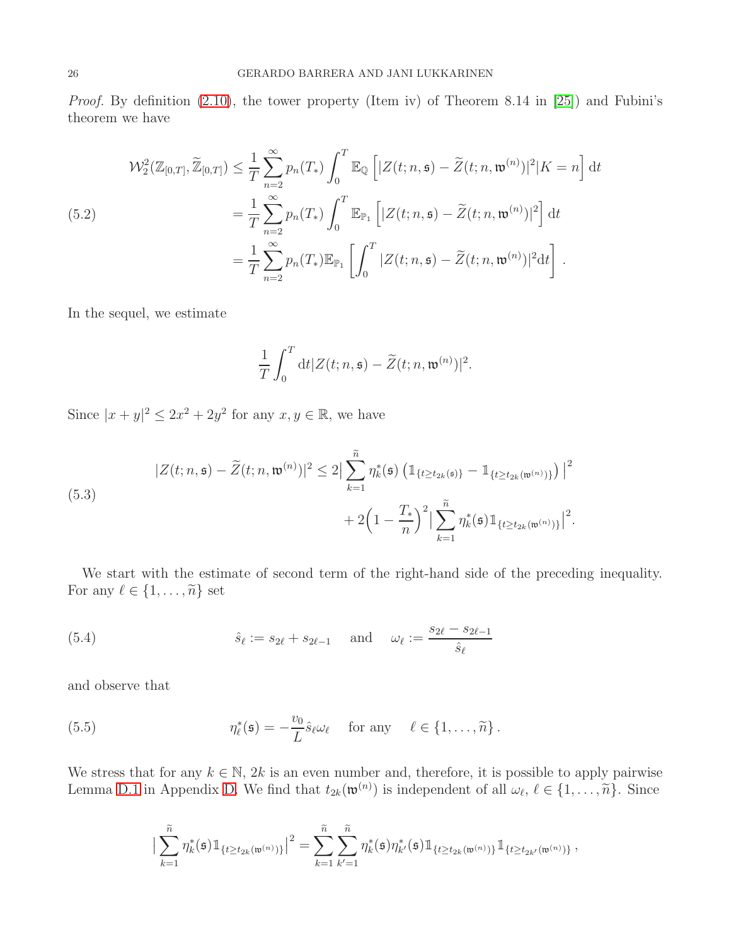Proof. By definition [\(2.10\)](#page-5-2), the tower property (Item iv) of Theorem 8.14 in [\[25\]](#page-58-21)) and Fubini's theorem we have

<span id="page-25-3"></span>(5.2)  
\n
$$
\mathcal{W}_2^2(\mathbb{Z}_{[0,T]}, \widetilde{\mathbb{Z}}_{[0,T]}) \leq \frac{1}{T} \sum_{n=2}^{\infty} p_n(T_*) \int_0^T \mathbb{E}_{\mathbb{Q}} \left[ |Z(t; n, \mathfrak{s}) - \widetilde{Z}(t; n, \mathfrak{w}^{(n)})|^2 | K = n \right] dt
$$
\n
$$
= \frac{1}{T} \sum_{n=2}^{\infty} p_n(T_*) \int_0^T \mathbb{E}_{\mathbb{P}_1} \left[ |Z(t; n, \mathfrak{s}) - \widetilde{Z}(t; n, \mathfrak{w}^{(n)})|^2 \right] dt
$$
\n
$$
= \frac{1}{T} \sum_{n=2}^{\infty} p_n(T_*) \mathbb{E}_{\mathbb{P}_1} \left[ \int_0^T |Z(t; n, \mathfrak{s}) - \widetilde{Z}(t; n, \mathfrak{w}^{(n)})|^2 dt \right].
$$

In the sequel, we estimate

$$
\frac{1}{T}\int_0^T \mathrm{d}t |Z(t;n,\mathfrak{s}) - \widetilde{Z}(t;n,\mathfrak{w}^{(n)})|^2.
$$

Since  $|x+y|^2 \leq 2x^2 + 2y^2$  for any  $x, y \in \mathbb{R}$ , we have

<span id="page-25-2"></span>(5.3)  

$$
|Z(t; n, \mathfrak{s}) - \widetilde{Z}(t; n, \mathfrak{w}^{(n)})|^2 \leq 2 \Big| \sum_{k=1}^{\widetilde{n}} \eta_k^*(\mathfrak{s}) \left( \mathbb{1}_{\{t \geq t_{2k}(\mathfrak{s})\}} - \mathbb{1}_{\{t \geq t_{2k}(\mathfrak{w}^{(n)})\}} \right) \Big|^2
$$

$$
+ 2 \Big( 1 - \frac{T_*}{n} \Big)^2 \Big| \sum_{k=1}^{\widetilde{n}} \eta_k^*(\mathfrak{s}) \mathbb{1}_{\{t \geq t_{2k}(\mathfrak{w}^{(n)})\}} \Big|^2.
$$

We start with the estimate of second term of the right-hand side of the preceding inequality. For any  $\ell \in \{1, \ldots, \widetilde{n}\}\;$  set

<span id="page-25-1"></span>(5.4) 
$$
\hat{s}_{\ell} := s_{2\ell} + s_{2\ell - 1}
$$
 and  $\omega_{\ell} := \frac{s_{2\ell} - s_{2\ell - 1}}{\hat{s}_{\ell}}$ 

and observe that

<span id="page-25-0"></span>(5.5) 
$$
\eta_{\ell}^*(\mathfrak{s}) = -\frac{v_0}{L}\hat{s}_{\ell}\omega_{\ell} \quad \text{for any} \quad \ell \in \{1, ..., \tilde{n}\}.
$$

We stress that for any  $k \in \mathbb{N}$ , 2k is an even number and, therefore, it is possible to apply pairwise Lemma [D.1](#page-55-1) in Appendix [D.](#page-55-0) We find that  $t_{2k}(\mathfrak{w}^{(n)})$  is independent of all  $\omega_{\ell}, \ell \in \{1, \ldots, \tilde{n}\}$ . Since

$$
\big|\sum_{k=1}^{\widetilde n}\eta_k^*(\mathfrak s)1\!\!1_{\{t\geq t_{2k}(\mathfrak w^{(n)})\}}\big|^2=\sum_{k=1}^{\widetilde n}\sum_{k'=1}^{\widetilde n}\eta_k^*(\mathfrak s)\eta_{k'}^*(\mathfrak s)1\!\!1_{\{t\geq t_{2k}(\mathfrak w^{(n)})\}}1\!\!1_{\{t\geq t_{2k'}(\mathfrak w^{(n)})\}}\,,
$$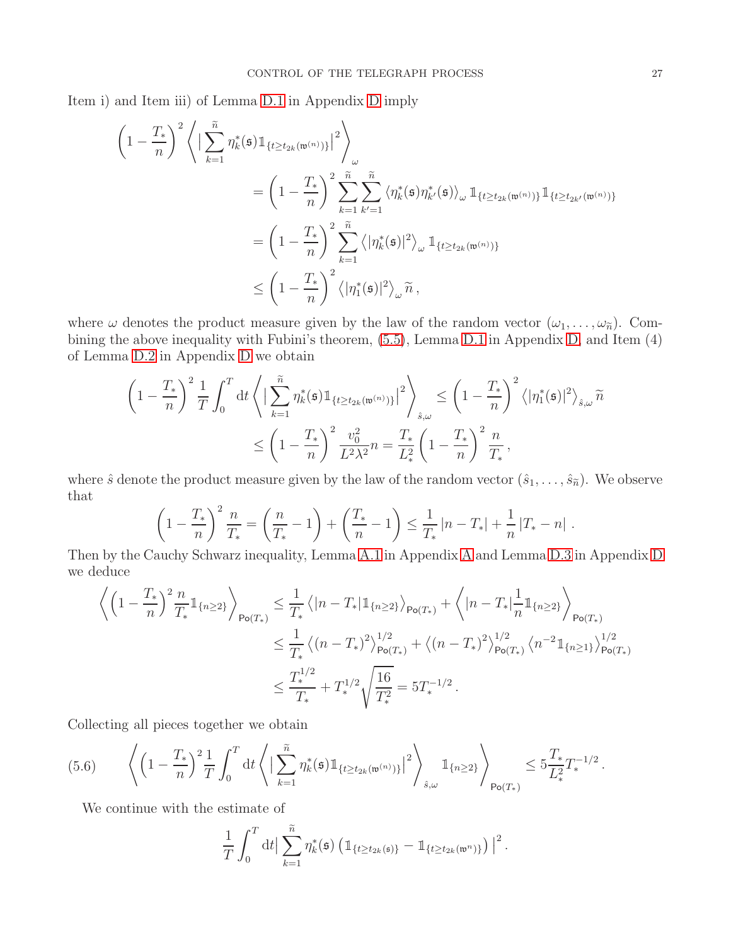Item i) and Item iii) of Lemma [D.1](#page-55-1) in Appendix [D](#page-55-0) imply

$$
\begin{split}\n&\left(1-\frac{T_{*}}{n}\right)^{2}\left\langle\left|\sum_{k=1}^{\widetilde{n}}\eta_{k}^{*}(\mathfrak{s})\mathbb{1}_{\{t\geq t_{2k}(\mathfrak{w}^{(n)})\}}\right|^{2}\right\rangle_{\omega} \\
&=\left(1-\frac{T_{*}}{n}\right)^{2}\sum_{k=1}^{\widetilde{n}}\sum_{k'=1}^{\widetilde{n}}\left\langle\eta_{k}^{*}(\mathfrak{s})\eta_{k'}^{*}(\mathfrak{s})\right\rangle_{\omega}\mathbb{1}_{\{t\geq t_{2k}(\mathfrak{w}^{(n)})\}}\mathbb{1}_{\{t\geq t_{2k'}(\mathfrak{w}^{(n)})\}} \\
&=\left(1-\frac{T_{*}}{n}\right)^{2}\sum_{k=1}^{\widetilde{n}}\left\langle\left|\eta_{k}^{*}(\mathfrak{s})\right|^{2}\right\rangle_{\omega}\mathbb{1}_{\{t\geq t_{2k}(\mathfrak{w}^{(n)})\}} \\
&\leq\left(1-\frac{T_{*}}{n}\right)^{2}\left\langle\left|\eta_{1}^{*}(\mathfrak{s})\right|^{2}\right\rangle_{\omega}\widetilde{n}\,,\n\end{split}
$$

where  $\omega$  denotes the product measure given by the law of the random vector  $(\omega_1, \ldots, \omega_{\tilde{n}})$ . Combining the above inequality with Fubini's theorem, [\(5.5\)](#page-25-0), Lemma [D.1](#page-55-1) in Appendix [D,](#page-55-0) and Item (4) of Lemma [D.2](#page-56-1) in Appendix [D](#page-55-0) we obtain

$$
\left(1 - \frac{T_*}{n}\right)^2 \frac{1}{T} \int_0^T dt \left\langle \left|\sum_{k=1}^{\tilde{n}} \eta_k^*(\mathfrak{s}) \mathbb{1}_{\{t \ge t_{2k}(\mathfrak{w}^{(n)})\}}\right|^2 \right\rangle_{\hat{s},\omega} \le \left(1 - \frac{T_*}{n}\right)^2 \left\langle |\eta_1^*(\mathfrak{s})|^2 \right\rangle_{\hat{s},\omega} \tilde{n}
$$

$$
\le \left(1 - \frac{T_*}{n}\right)^2 \frac{v_0^2}{L^2 \lambda^2} n = \frac{T_*}{L_*^2} \left(1 - \frac{T_*}{n}\right)^2 \frac{n}{T_*},
$$

where  $\hat{s}$  denote the product measure given by the law of the random vector  $(\hat{s}_1, \ldots, \hat{s}_{\tilde{n}})$ . We observe that

$$
\left(1 - \frac{T_*}{n}\right)^2 \frac{n}{T_*} = \left(\frac{n}{T_*} - 1\right) + \left(\frac{T_*}{n} - 1\right) \le \frac{1}{T_*} \left|n - T_*\right| + \frac{1}{n} \left|T_* - n\right|.
$$

Then by the Cauchy Schwarz inequality, Lemma [A.1](#page-39-2) in Appendix [A](#page-39-0) and Lemma [D.3](#page-56-2) in Appendix [D](#page-55-0) we deduce

$$
\left\langle \left(1 - \frac{T_*}{n}\right)^2 \frac{n}{T_*} \mathbb{1}_{\{n \ge 2\}} \right\rangle_{\mathsf{Po}(T_*)} \leq \frac{1}{T_*} \left\langle |n - T_*| \mathbb{1}_{\{n \ge 2\}} \right\rangle_{\mathsf{Po}(T_*)} + \left\langle |n - T_*| \frac{1}{n} \mathbb{1}_{\{n \ge 2\}} \right\rangle_{\mathsf{Po}(T_*)}
$$
\n
$$
\leq \frac{1}{T_*} \left\langle (n - T_*)^2 \right\rangle_{\mathsf{Po}(T_*)}^{1/2} + \left\langle (n - T_*)^2 \right\rangle_{\mathsf{Po}(T_*)}^{1/2} \left\langle n^{-2} \mathbb{1}_{\{n \ge 1\}} \right\rangle_{\mathsf{Po}(T_*)}^{1/2}
$$
\n
$$
\leq \frac{T_*^{1/2}}{T_*} + T_*^{1/2} \sqrt{\frac{16}{T_*^2}} = 5T_*^{-1/2}.
$$

Collecting all pieces together we obtain

<span id="page-26-0"></span>
$$
(5.6) \qquad \left\langle \left(1 - \frac{T_*}{n}\right)^2 \frac{1}{T} \int_0^T \mathrm{d}t \left\langle \left| \sum_{k=1}^{\widetilde{n}} \eta_k^*(\mathfrak{s}) \mathbb{1}_{\{t \ge t_{2k}(\mathfrak{w}^{(n)})\}} \right|^2 \right\rangle_{\hat{s}, \omega} \mathbb{1}_{\{n \ge 2\}} \right\rangle_{\text{Po}(T_*)} \le 5 \frac{T_*}{L_*^2} T_*^{-1/2} \,.
$$

We continue with the estimate of

$$
\frac{1}{T}\int_0^T\mathrm{d}t\big|\sum_{k=1}^{\widetilde{n}}\eta_k^*(\mathfrak{s})\left(\mathbb{1}_{\{t\geq t_{2k}(\mathfrak{s})\}}-\mathbb{1}_{\{t\geq t_{2k}(\mathfrak{w}^n)\}}\right)\big|^2.
$$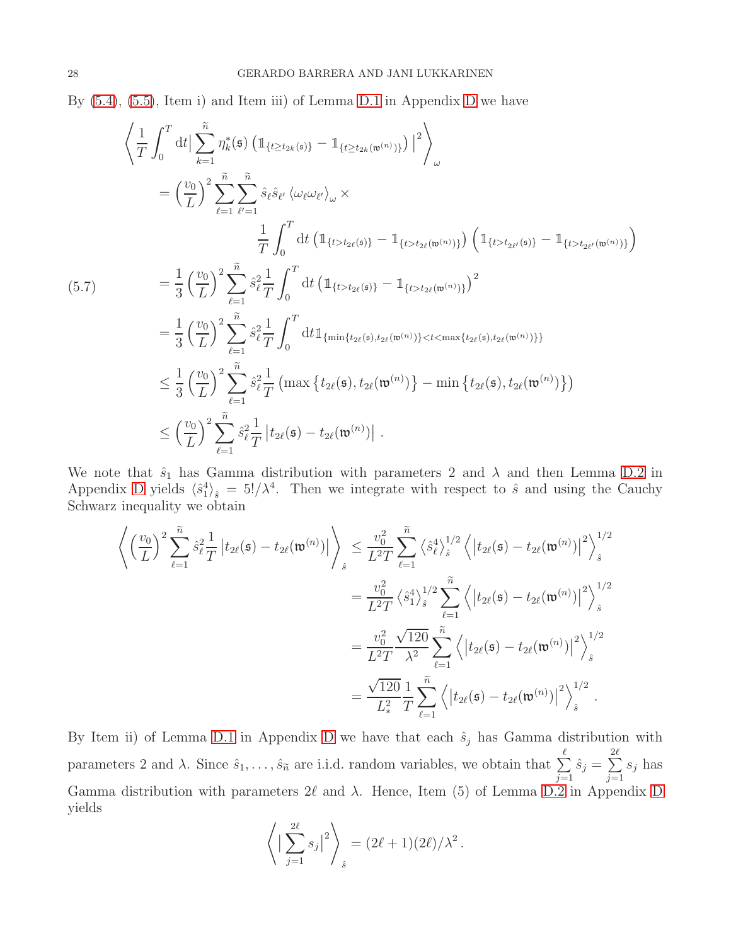By [\(5.4\)](#page-25-1), [\(5.5\)](#page-25-0), Item i) and Item iii) of Lemma [D.1](#page-55-1) in Appendix [D](#page-55-0) we have

$$
\left\langle \frac{1}{T} \int_{0}^{T} dt \Big| \sum_{k=1}^{\tilde{n}} \eta_{k}^{*}(\mathfrak{s}) \left( \mathbb{1}_{\{t \ge t_{2k}(\mathfrak{s})\}} - \mathbb{1}_{\{t \ge t_{2k}(\mathfrak{w}^{(n)})\}} \right) \Big|^{2} \right\rangle_{\omega}
$$
\n
$$
= \left( \frac{v_{0}}{L} \right)^{2} \sum_{\ell=1}^{\tilde{n}} \sum_{\ell'=1}^{\tilde{n}} \hat{s}_{\ell} \hat{s}_{\ell'} \left\langle \omega_{\ell} \omega_{\ell'} \right\rangle_{\omega} \times
$$
\n
$$
= \frac{1}{3} \left( \frac{v_{0}}{L} \right)^{2} \sum_{\ell=1}^{\tilde{n}} \hat{s}_{\ell}^{2} \frac{1}{T} \int_{0}^{T} dt \left( \mathbb{1}_{\{t > t_{2\ell}(\mathfrak{s})\}} - \mathbb{1}_{\{t > t_{2\ell}(\mathfrak{w}^{(n)})\}} \right) \left( \mathbb{1}_{\{t > t_{2\ell'}(\mathfrak{s})\}} - \mathbb{1}_{\{t > t_{2\ell'}(\mathfrak{w}^{(n)})\}} \right)
$$
\n
$$
= \frac{1}{3} \left( \frac{v_{0}}{L} \right)^{2} \sum_{\ell=1}^{\tilde{n}} \hat{s}_{\ell}^{2} \frac{1}{T} \int_{0}^{T} dt \left( \mathbb{1}_{\{t > t_{2\ell}(\mathfrak{s})\}} - \mathbb{1}_{\{t > t_{2\ell}(\mathfrak{w}^{(n)})\}} \right)^{2}
$$
\n
$$
= \frac{1}{3} \left( \frac{v_{0}}{L} \right)^{2} \sum_{\ell=1}^{\tilde{n}} \hat{s}_{\ell}^{2} \frac{1}{T} \int_{0}^{T} dt \mathbb{1}_{\{\min\{t_{2\ell}(\mathfrak{s}), t_{2\ell}(\mathfrak{w}^{(n)})\}} < t < \max\{t_{2\ell}(\mathfrak{s}), t_{2\ell}(\mathfrak{w}^{(n)})\}
$$
\n
$$
\leq \left( \frac{v_{0}}{L} \right)^{2} \sum_{\ell=1}^{\tilde{n}} \hat{s
$$

We note that  $\hat{s}_1$  has Gamma distribution with parameters 2 and  $\lambda$  and then Lemma [D.2](#page-56-1) in Appendix [D](#page-55-0) yields  $\langle \hat{s}_1^4 \rangle_{\hat{s}} = 5!/\lambda^4$ . Then we integrate with respect to  $\hat{s}$  and using the Cauchy Schwarz inequality we obtain

$$
\left\langle \left(\frac{v_0}{L}\right)^2 \sum_{\ell=1}^{\tilde{n}} \hat{s}_{\ell}^2 \frac{1}{T} \left| t_{2\ell}(\mathfrak{s}) - t_{2\ell}(\mathfrak{w}^{(n)}) \right| \right\rangle_{\hat{s}} \leq \frac{v_0^2}{L^2 T} \sum_{\ell=1}^{\tilde{n}} \left\langle \hat{s}_{\ell}^4 \right\rangle_{\hat{s}}^{1/2} \left\langle \left| t_{2\ell}(\mathfrak{s}) - t_{2\ell}(\mathfrak{w}^{(n)}) \right|^2 \right\rangle_{\hat{s}}^{1/2}
$$

$$
= \frac{v_0^2}{L^2 T} \left\langle \hat{s}_1^4 \right\rangle_{\hat{s}}^{1/2} \sum_{\ell=1}^{\tilde{n}} \left\langle \left| t_{2\ell}(\mathfrak{s}) - t_{2\ell}(\mathfrak{w}^{(n)}) \right|^2 \right\rangle_{\hat{s}}^{1/2}
$$

$$
= \frac{v_0^2}{L^2 T} \frac{\sqrt{120}}{\lambda^2} \sum_{\ell=1}^{\tilde{n}} \left\langle \left| t_{2\ell}(\mathfrak{s}) - t_{2\ell}(\mathfrak{w}^{(n)}) \right|^2 \right\rangle_{\hat{s}}^{1/2}
$$

$$
= \frac{\sqrt{120}}{L_{\ast}^2} \frac{1}{T} \sum_{\ell=1}^{\tilde{n}} \left\langle \left| t_{2\ell}(\mathfrak{s}) - t_{2\ell}(\mathfrak{w}^{(n)}) \right|^2 \right\rangle_{\hat{s}}^{1/2}.
$$

By Item ii) of Lemma [D.1](#page-55-1) in Appendix [D](#page-55-0) we have that each  $\hat{s}_j$  has Gamma distribution with parameters 2 and  $\lambda$ . Since  $\hat{s}_1, \ldots, \hat{s}_{\tilde{n}}$  are i.i.d. random variables, we obtain that  $\sum_{i=1}^{\ell}$  $j=1$  $\hat{s}_j = \sum^{2\ell}$  $j=1$  $s_j$  has Gamma distribution with parameters  $2\ell$  and  $\lambda$ . Hence, Item (5) of Lemma [D.2](#page-56-1) in Appendix [D](#page-55-0) yields

$$
\left\langle \left| \sum_{j=1}^{2\ell} s_j \right|^2 \right\rangle_{\hat{s}} = (2\ell + 1)(2\ell)/\lambda^2.
$$

<span id="page-27-0"></span> $($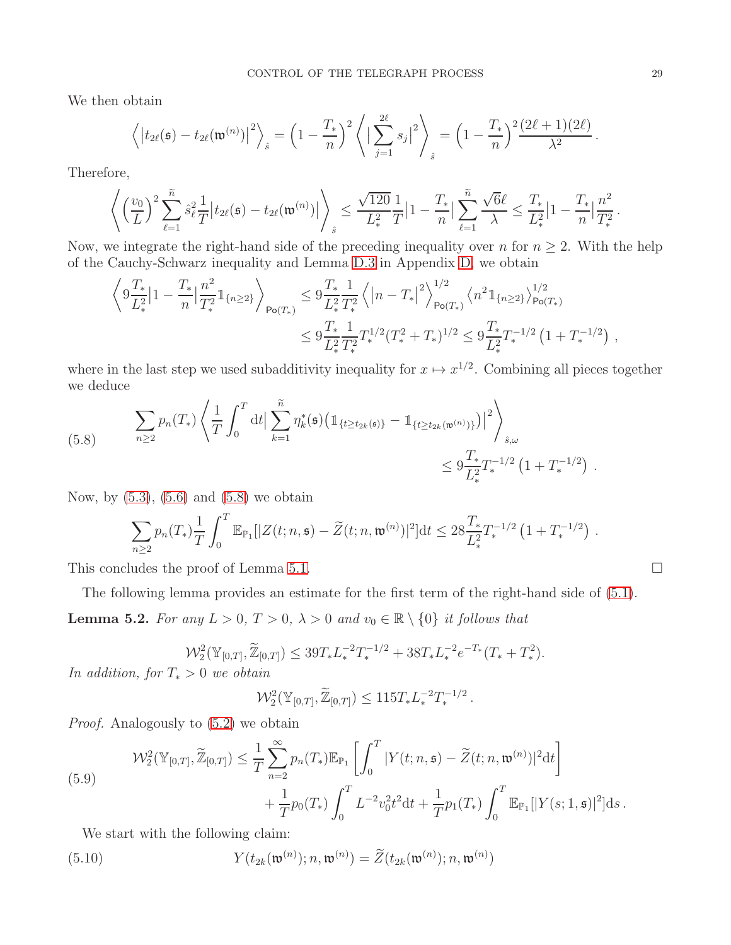We then obtain

$$
\left\langle \left| t_{2\ell}(\mathfrak{s}) - t_{2\ell}(\mathfrak{w}^{(n)}) \right|^2 \right\rangle_{\hat{s}} = \left(1 - \frac{T_*}{n}\right)^2 \left\langle \left| \sum_{j=1}^{2\ell} s_j \right|^2 \right\rangle_{\hat{s}} = \left(1 - \frac{T_*}{n}\right)^2 \frac{(2\ell+1)(2\ell)}{\lambda^2}.
$$

Therefore,

$$
\left\langle \left(\frac{v_0}{L}\right)^2 \sum_{\ell=1}^{\widetilde{n}} \hat{s}_{\ell}^2 \frac{1}{T} \big| t_{2\ell}(\mathfrak{s}) - t_{2\ell}(\mathfrak{w}^{(n)}) \big| \right\rangle_{\hat{s}} \leq \frac{\sqrt{120}}{L_*^2} \frac{1}{T} \big| 1 - \frac{T_*}{n} \big| \sum_{\ell=1}^{\widetilde{n}} \frac{\sqrt{6} \ell}{\lambda} \leq \frac{T_*}{L_*^2} \big| 1 - \frac{T_*}{n} \big| \frac{n^2}{T_*^2}
$$

Now, we integrate the right-hand side of the preceding inequality over n for  $n \geq 2$ . With the help of the Cauchy-Schwarz inequality and Lemma [D.3](#page-56-2) in Appendix [D,](#page-55-0) we obtain

$$
\left\langle 9 \frac{T_*}{L_*^2} \left| 1 - \frac{T_*}{n} \right| \frac{n^2}{T_*^2} \mathbb{1}_{\{n \ge 2\}} \right\rangle_{\text{Po}(T_*)} \leq 9 \frac{T_*}{L_*^2} \frac{1}{T_*^2} \left\langle \left| n - T_* \right|^2 \right\rangle_{\text{Po}(T_*)}^{1/2} \left\langle n^2 \mathbb{1}_{\{n \ge 2\}} \right\rangle_{\text{Po}(T_*)}^{1/2} \\
\leq 9 \frac{T_*}{L_*^2} \frac{1}{T_*^2} T_*^{1/2} (T_*^2 + T_*)^{1/2} \leq 9 \frac{T_*}{L_*^2} T_*^{-1/2} \left( 1 + T_*^{-1/2} \right) ,
$$

where in the last step we used subadditivity inequality for  $x \mapsto x^{1/2}$ . Combining all pieces together we deduce

<span id="page-28-0"></span>(5.8) 
$$
\sum_{n\geq 2} p_n(T_*) \left\langle \frac{1}{T} \int_0^T dt \Big| \sum_{k=1}^{\tilde{n}} \eta_k^*(\mathfrak{s}) \Big( \mathbb{1}_{\{t \geq t_{2k}(\mathfrak{s})\}} - \mathbb{1}_{\{t \geq t_{2k}(\mathfrak{w}^{(n)})\}} \Big) \Big|^2 \right\rangle_{\hat{s},\omega}
$$
  
 
$$
\leq 9 \frac{T_*}{L_*^2} T_*^{-1/2} \left( 1 + T_*^{-1/2} \right) .
$$

Now, by  $(5.3)$ ,  $(5.6)$  and  $(5.8)$  we obtain

$$
\sum_{n\geq 2} p_n(T_*) \frac{1}{T} \int_0^T \mathbb{E}_{\mathbb{P}_1}[|Z(t; n, \mathfrak{s}) - \widetilde{Z}(t; n, \mathfrak{w}^{(n)})|^2] dt \leq 28 \frac{T_*}{L_*^2} T_*^{-1/2} \left(1 + T_*^{-1/2}\right) \, .
$$

This concludes the proof of Lemma [5.1.](#page-24-2)  $\Box$ 

<span id="page-28-3"></span>The following lemma provides an estimate for the first term of the right-hand side of [\(5.1\)](#page-24-1). **Lemma 5.2.** For any  $L > 0$ ,  $T > 0$ ,  $\lambda > 0$  and  $v_0 \in \mathbb{R} \setminus \{0\}$  it follows that

$$
\mathcal{W}_2^2(\mathbb{Y}_{[0,T]}, \widetilde{\mathbb{Z}}_{[0,T]}) \leq 39T_* L_*^{-2} T_*^{-1/2} + 38T_* L_*^{-2} e^{-T_*} (T_* + T_*^2).
$$

In addition, for  $T_* > 0$  we obtain

$$
\mathcal{W}_2^2(\mathbb{Y}_{[0,T]}, \widetilde{\mathbb{Z}}_{[0,T]}) \le 115 T_* L_*^{-2} T_*^{-1/2}.
$$

Proof. Analogously to [\(5.2\)](#page-25-3) we obtain

<span id="page-28-2"></span>(5.9)  

$$
\mathcal{W}_2^2(\mathbb{Y}_{[0,T]}, \widetilde{\mathbb{Z}}_{[0,T]}) \leq \frac{1}{T} \sum_{n=2}^{\infty} p_n(T_*) \mathbb{E}_{\mathbb{P}_1} \left[ \int_0^T |Y(t; n, \mathfrak{s}) - \widetilde{Z}(t; n, \mathfrak{w}^{(n)})|^2 dt \right] + \frac{1}{T} p_0(T_*) \int_0^T L^{-2} v_0^2 t^2 dt + \frac{1}{T} p_1(T_*) \int_0^T \mathbb{E}_{\mathbb{P}_1} [|Y(s; 1, \mathfrak{s})|^2] ds.
$$

We start with the following claim:

<span id="page-28-1"></span>(5.10) 
$$
Y(t_{2k}(\mathfrak{w}^{(n)}); n, \mathfrak{w}^{(n)}) = \widetilde{Z}(t_{2k}(\mathfrak{w}^{(n)}); n, \mathfrak{w}^{(n)})
$$

.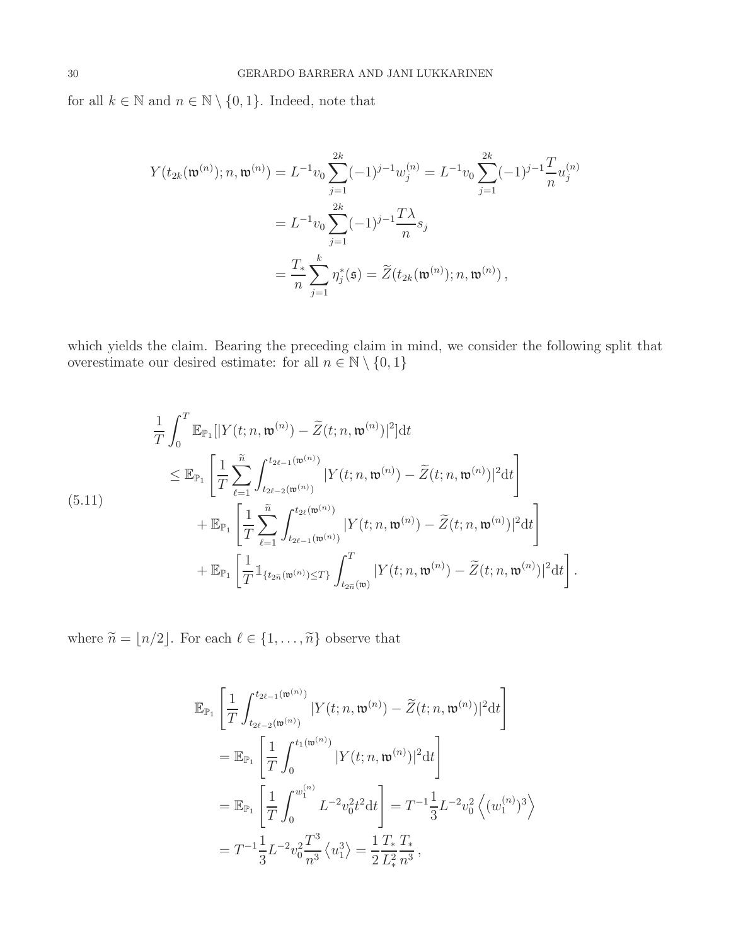for all  $k \in \mathbb{N}$  and  $n \in \mathbb{N} \setminus \{0, 1\}$ . Indeed, note that

$$
Y(t_{2k}(\mathfrak{w}^{(n)}); n, \mathfrak{w}^{(n)}) = L^{-1}v_0 \sum_{j=1}^{2k} (-1)^{j-1} w_j^{(n)} = L^{-1}v_0 \sum_{j=1}^{2k} (-1)^{j-1} \frac{T}{n} u_j^{(n)}
$$
  

$$
= L^{-1}v_0 \sum_{j=1}^{2k} (-1)^{j-1} \frac{T\lambda}{n} s_j
$$
  

$$
= \frac{T_*}{n} \sum_{j=1}^k \eta_j^*(\mathfrak{s}) = \widetilde{Z}(t_{2k}(\mathfrak{w}^{(n)}); n, \mathfrak{w}^{(n)}),
$$

which yields the claim. Bearing the preceding claim in mind, we consider the following split that overestimate our desired estimate: for all  $n \in \mathbb{N} \setminus \{0, 1\}$ 

<span id="page-29-0"></span>
$$
\frac{1}{T} \int_{0}^{T} \mathbb{E}_{\mathbb{P}_{1}}[|Y(t; n, \mathfrak{w}^{(n)}) - \widetilde{Z}(t; n, \mathfrak{w}^{(n)})|^{2}]dt \n\leq \mathbb{E}_{\mathbb{P}_{1}} \left[ \frac{1}{T} \sum_{\ell=1}^{\widetilde{n}} \int_{t_{2\ell-2}(\mathfrak{w}^{(n)})}^{t_{2\ell-1}(\mathfrak{w}^{(n)})} |Y(t; n, \mathfrak{w}^{(n)}) - \widetilde{Z}(t; n, \mathfrak{w}^{(n)})|^{2} dt \right] \n+ \mathbb{E}_{\mathbb{P}_{1}} \left[ \frac{1}{T} \sum_{\ell=1}^{\widetilde{n}} \int_{t_{2\ell-1}(\mathfrak{w}^{(n)})}^{t_{2\ell}(\mathfrak{w}^{(n)})} |Y(t; n, \mathfrak{w}^{(n)}) - \widetilde{Z}(t; n, \mathfrak{w}^{(n)})|^{2} dt \right] \n+ \mathbb{E}_{\mathbb{P}_{1}} \left[ \frac{1}{T} \mathbb{1}_{\{t_{2\widetilde{n}}(\mathfrak{w}^{(n)}) \leq T\}} \int_{t_{2\widetilde{n}}(\mathfrak{w})}^{T} |Y(t; n, \mathfrak{w}^{(n)}) - \widetilde{Z}(t; n, \mathfrak{w}^{(n)})|^{2} dt \right].
$$

where  $\widetilde{n}=\lfloor n/2\rfloor.$  For each  $\ell\in\{1,\ldots,\widetilde{n}\}$  observe that

$$
\mathbb{E}_{\mathbb{P}_{1}}\left[\frac{1}{T}\int_{t_{2\ell-2}(\mathfrak{w}^{(n)})}^{t_{2\ell-1}(\mathfrak{w}^{(n)})}|Y(t;n,\mathfrak{w}^{(n)})-\widetilde{Z}(t;n,\mathfrak{w}^{(n)})|^{2}\mathrm{d}t\right]
$$
\n
$$
=\mathbb{E}_{\mathbb{P}_{1}}\left[\frac{1}{T}\int_{0}^{t_{1}(\mathfrak{w}^{(n)})}|Y(t;n,\mathfrak{w}^{(n)})|^{2}\mathrm{d}t\right]
$$
\n
$$
=\mathbb{E}_{\mathbb{P}_{1}}\left[\frac{1}{T}\int_{0}^{w_{1}^{(n)}}L^{-2}v_{0}^{2}t^{2}\mathrm{d}t\right]=T^{-1}\frac{1}{3}L^{-2}v_{0}^{2}\left\langle (w_{1}^{(n)})^{3}\right\rangle
$$
\n
$$
=T^{-1}\frac{1}{3}L^{-2}v_{0}^{2}\frac{T^{3}}{n^{3}}\left\langle u_{1}^{3}\right\rangle =\frac{1}{2}\frac{T_{*}}{L_{*}^{2}}\frac{T_{*}}{n^{3}},
$$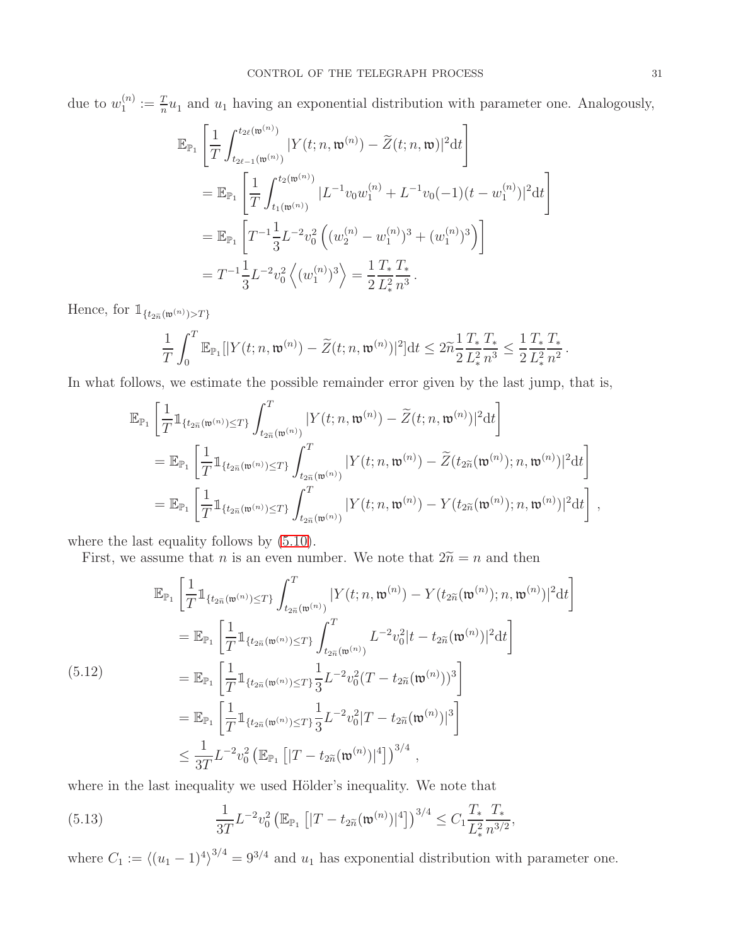due to  $w_1^{(n)}$  $\binom{n}{1} := \frac{T}{n} u_1$  and  $u_1$  having an exponential distribution with parameter one. Analogously,

$$
\mathbb{E}_{\mathbb{P}_1} \left[ \frac{1}{T} \int_{t_{2\ell-1}(\mathfrak{w}^{(n)})}^{t_{2\ell}(\mathfrak{w}^{(n)})} |Y(t; n, \mathfrak{w}^{(n)}) - \widetilde{Z}(t; n, \mathfrak{w})|^2 dt \right]
$$
\n
$$
= \mathbb{E}_{\mathbb{P}_1} \left[ \frac{1}{T} \int_{t_1(\mathfrak{w}^{(n)})}^{t_2(\mathfrak{w}^{(n)})} |L^{-1}v_0 w_1^{(n)} + L^{-1}v_0(-1)(t - w_1^{(n)})|^2 dt \right]
$$
\n
$$
= \mathbb{E}_{\mathbb{P}_1} \left[ T^{-1} \frac{1}{3} L^{-2} v_0^2 \left( (w_2^{(n)} - w_1^{(n)})^3 + (w_1^{(n)})^3 \right) \right]
$$
\n
$$
= T^{-1} \frac{1}{3} L^{-2} v_0^2 \left( (w_1^{(n)})^3 \right) = \frac{1}{2} \frac{T_*}{L_*^2} \frac{T_*}{n^3}.
$$

Hence, for  $\mathbbm{1}_{\{t_{2\widetilde{n}}(\mathfrak{w}^{(n)}) > T\}}$ 

$$
\frac{1}{T}\int_0^T \mathbb{E}_{\mathbb{P}_1}[|Y(t; n, \mathfrak{w}^{(n)}) - \widetilde{Z}(t; n, \mathfrak{w}^{(n)})|^2]dt \leq 2\widetilde{n}\frac{1}{2}\frac{T_*}{L_*^2}\frac{T_*}{n^3} \leq \frac{1}{2}\frac{T_*}{L_*^2}\frac{T_*}{n^2}.
$$

In what follows, we estimate the possible remainder error given by the last jump, that is,

$$
\begin{split} &\mathbb{E}_{\mathbb{P}_{1}}\left[\frac{1}{T}\mathbbm{1}_{\{t_{2\widetilde{n}}(\mathfrak{w}^{(n)})\leq T\}}\int_{t_{2\widetilde{n}}(\mathfrak{w}^{(n)})}^{T}|Y(t;n,\mathfrak{w}^{(n)})-\widetilde{Z}(t;n,\mathfrak{w}^{(n)})|^{2}\mathrm{d}t\right]\\ &=\mathbb{E}_{\mathbb{P}_{1}}\left[\frac{1}{T}\mathbbm{1}_{\{t_{2\widetilde{n}}(\mathfrak{w}^{(n)})\leq T\}}\int_{t_{2\widetilde{n}}(\mathfrak{w}^{(n)})}^{T}|Y(t;n,\mathfrak{w}^{(n)})-\widetilde{Z}(t_{2\widetilde{n}}(\mathfrak{w}^{(n)});n,\mathfrak{w}^{(n)})|^{2}\mathrm{d}t\right]\\ &=\mathbb{E}_{\mathbb{P}_{1}}\left[\frac{1}{T}\mathbbm{1}_{\{t_{2\widetilde{n}}(\mathfrak{w}^{(n)})\leq T\}}\int_{t_{2\widetilde{n}}(\mathfrak{w}^{(n)})}^{T}|Y(t;n,\mathfrak{w}^{(n)})-Y(t_{2\widetilde{n}}(\mathfrak{w}^{(n)});n,\mathfrak{w}^{(n)})|^{2}\mathrm{d}t\right]\;, \end{split}
$$

where the last equality follows by  $(5.10)$ .

First, we assume that *n* is an even number. We note that  $2\tilde{n} = n$  and then

<span id="page-30-0"></span>
$$
\mathbb{E}_{\mathbb{P}_{1}}\left[\frac{1}{T}\mathbb{1}_{\{t_{2\tilde{n}}(\mathfrak{w}^{(n)})\leq T\}}\int_{t_{2\tilde{n}}(\mathfrak{w}^{(n)})}^{T}|Y(t;n,\mathfrak{w}^{(n)})-Y(t_{2\tilde{n}}(\mathfrak{w}^{(n)});n,\mathfrak{w}^{(n)})|^{2}\mathrm{d}t\right]
$$
\n
$$
=\mathbb{E}_{\mathbb{P}_{1}}\left[\frac{1}{T}\mathbb{1}_{\{t_{2\tilde{n}}(\mathfrak{w}^{(n)})\leq T\}}\int_{t_{2\tilde{n}}(\mathfrak{w}^{(n)})}^{T}L^{-2}v_{0}^{2}|t-t_{2\tilde{n}}(\mathfrak{w}^{(n)})|^{2}\mathrm{d}t\right]
$$
\n
$$
=\mathbb{E}_{\mathbb{P}_{1}}\left[\frac{1}{T}\mathbb{1}_{\{t_{2\tilde{n}}(\mathfrak{w}^{(n)})\leq T\}}\frac{1}{3}L^{-2}v_{0}^{2}(T-t_{2\tilde{n}}(\mathfrak{w}^{(n)}))^{3}\right]
$$
\n
$$
=\mathbb{E}_{\mathbb{P}_{1}}\left[\frac{1}{T}\mathbb{1}_{\{t_{2\tilde{n}}(\mathfrak{w}^{(n)})\leq T\}}\frac{1}{3}L^{-2}v_{0}^{2}|T-t_{2\tilde{n}}(\mathfrak{w}^{(n)})|^{3}\right]
$$
\n
$$
\leq \frac{1}{3T}L^{-2}v_{0}^{2}\left(\mathbb{E}_{\mathbb{P}_{1}}\left[|T-t_{2\tilde{n}}(\mathfrak{w}^{(n)})|^{4}\right]\right)^{3/4},
$$

where in the last inequality we used Hölder's inequality. We note that

<span id="page-30-1"></span>(5.13) 
$$
\frac{1}{3T}L^{-2}v_0^2\left(\mathbb{E}_{\mathbb{P}_1}\left[|T-t_{2\widetilde{n}}(\mathfrak{w}^{(n)})|^4\right]\right)^{3/4} \leq C_1 \frac{T_*}{L_*^2} \frac{T_*}{n^{3/2}},
$$

where  $C_1 := \langle (u_1 - 1)^4 \rangle^{3/4} = 9^{3/4}$  and  $u_1$  has exponential distribution with parameter one.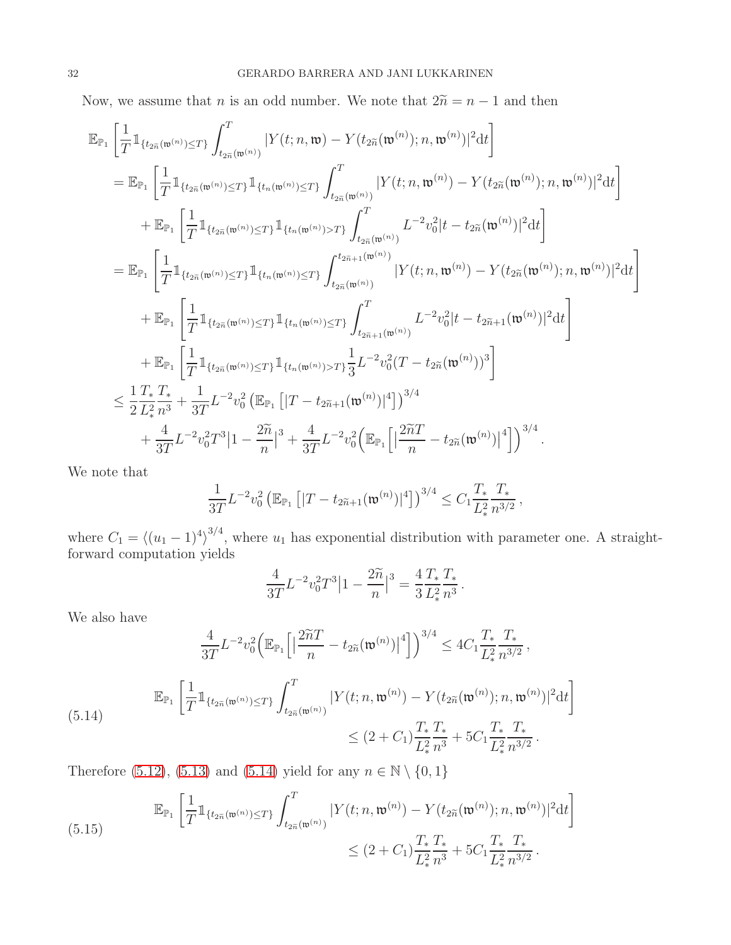Now, we assume that n is an odd number. We note that  $2\tilde{n} = n - 1$  and then

$$
\begin{split} \mathbb{E}_{\mathbb{P}_{1}}&\left[\frac{1}{T}\mathbbm{1}_{\{t_{2\widetilde{n}}(\mathfrak{w}^{(n)})\leq T\}}\int_{t_{2\widetilde{n}}(\mathfrak{w}^{(n)})}^{T}|Y(t;n,\mathfrak{w})-Y(t_{2\widetilde{n}}(\mathfrak{w}^{(n)});n,\mathfrak{w}^{(n)})|^{2}\mathrm{d}t\right]\\ &=\mathbb{E}_{\mathbb{P}_{1}}\left[\frac{1}{T}\mathbbm{1}_{\{t_{2\widetilde{n}}(\mathfrak{w}^{(n)})\leq T\}}\mathbbm{1}_{\{t_{n}(\mathfrak{w}^{(n)})\leq T\}}\int_{t_{2\widetilde{n}}(\mathfrak{w}^{(n)})}^{T}|Y(t;n,\mathfrak{w}^{(n)})-Y(t_{2\widetilde{n}}(\mathfrak{w}^{(n)});n,\mathfrak{w}^{(n)})|^{2}\mathrm{d}t\right]\\ &+\mathbb{E}_{\mathbb{P}_{1}}\left[\frac{1}{T}\mathbbm{1}_{\{t_{2\widetilde{n}}(\mathfrak{w}^{(n)})\leq T\}}\mathbbm{1}_{\{t_{n}(\mathfrak{w}^{(n)})>T\}}\int_{t_{2\widetilde{n}}(\mathfrak{w}^{(n)})}^{T}L^{-2}v_{0}^{2}|t-t_{2\widetilde{n}}(\mathfrak{w}^{(n)})|^{2}\mathrm{d}t\right]\\ &=\mathbb{E}_{\mathbb{P}_{1}}\left[\frac{1}{T}\mathbbm{1}_{\{t_{2\widetilde{n}}(\mathfrak{w}^{(n)})\leq T\}}\mathbbm{1}_{\{t_{n}(\mathfrak{w}^{(n)})\leq T\}}\int_{t_{2\widetilde{n}}(\mathfrak{w}^{(n)})}^{t_{2\widetilde{n}+1}(\mathfrak{w}^{(n)})} |Y(t;n,\mathfrak{w}^{(n)})-Y(t_{2\widetilde{n}}(\mathfrak{w}^{(n)});n,\mathfrak{w}^{(n)})|^{2}\mathrm{d}t\right]\\ &+\mathbb{E}_{\mathbb{P}_{1}}\left[\frac{1}{T}\mathbbm{1}_{\{t_{2\widetilde{n}}(\mathfrak{w}^{(n)})\leq T\}}\mathbbm{1}_{\{t_{n}(\mathfrak{w}^{(n
$$

We note that

$$
\frac{1}{3T}L^{-2}v_0^2\left(\mathbb{E}_{\mathbb{P}_1}\left[|T-t_{2\widetilde{n}+1}(\mathfrak{w}^{(n)})|^4\right]\right)^{3/4}\leq C_1\frac{T_*}{L_*^2}\frac{T_*}{n^{3/2}},
$$

where  $C_1 = \langle (u_1 - 1)^4 \rangle^{3/4}$ , where  $u_1$  has exponential distribution with parameter one. A straightforward computation yields

$$
\frac{4}{3T}L^{-2}v_0^2T^3\big|1-\frac{2\widetilde{n}}{n}\big|^3=\frac{4}{3}\frac{T_*}{L_*^2}\frac{T_*}{n^3}.
$$

We also have

$$
\frac{4}{3T}L^{-2}v_0^2\Big(\mathbb{E}_{\mathbb{P}_1}\Big[\Big|\frac{2\widetilde{n}T}{n}-t_{2\widetilde{n}}(\mathfrak{w}^{(n)})\Big|^4\Big]\Big)^{3/4}\leq 4C_1\frac{T_*}{L_*^2}\frac{T_*}{n^{3/2}},
$$
  
\n
$$
\mathbb{E}_{\mathbb{P}_1}\Big[\frac{1}{T}\mathbb{1}_{\{t_{2\widetilde{n}}(\mathfrak{w}^{(n)})\leq T\}}\int_{t_{2\widetilde{n}}(\mathfrak{w}^{(n)})}^T|Y(t;n,\mathfrak{w}^{(n)})-Y(t_{2\widetilde{n}}(\mathfrak{w}^{(n)});n,\mathfrak{w}^{(n)})|^2\mathrm{d}t\Big]
$$
  
\n
$$
\leq (2+C_1)\frac{T_*}{L_*^2}\frac{T_*}{n^3}+5C_1\frac{T_*}{L_*^2}\frac{T_*}{n^{3/2}}.
$$

<span id="page-31-0"></span>Therefore [\(5.12\)](#page-30-0), [\(5.13\)](#page-30-1) and [\(5.14\)](#page-31-0) yield for any  $n \in \mathbb{N} \setminus \{0, 1\}$ 

<span id="page-31-1"></span>(5.15) 
$$
\mathbb{E}_{\mathbb{P}_1} \left[ \frac{1}{T} \mathbb{1}_{\{t_{2\tilde{n}}(\mathfrak{w}^{(n)}) \leq T\}} \int_{t_{2\tilde{n}}(\mathfrak{w}^{(n)})}^T |Y(t; n, \mathfrak{w}^{(n)}) - Y(t_{2\tilde{n}}(\mathfrak{w}^{(n)}); n, \mathfrak{w}^{(n)})|^2 dt \right] \leq (2 + C_1) \frac{T_* T_*}{L_*^2 n^3} + 5C_1 \frac{T_* T_*}{L_*^2 n^{3/2}}.
$$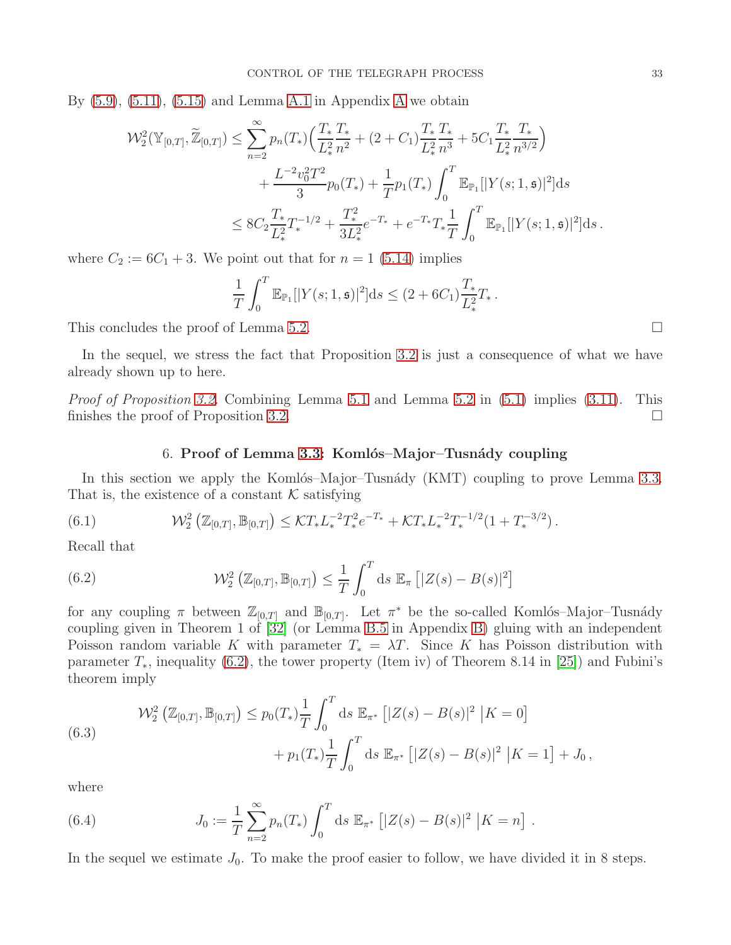By  $(5.9)$ ,  $(5.11)$ ,  $(5.15)$  and Lemma [A.1](#page-39-2) in [A](#page-39-0)ppendix A we obtain

$$
\mathcal{W}_{2}^{2}(\mathbb{Y}_{[0,T]}, \widetilde{\mathbb{Z}}_{[0,T]}) \leq \sum_{n=2}^{\infty} p_{n}(T_{*}) \Big( \frac{T_{*}}{L_{*}^{2}} \frac{T_{*}}{n^{2}} + (2 + C_{1}) \frac{T_{*}}{L_{*}^{2}} \frac{T_{*}}{n^{3}} + 5C_{1} \frac{T_{*}}{L_{*}^{2}} \frac{T_{*}}{n^{3/2}} \Big) + \frac{L^{-2} v_{0}^{2} T^{2}}{3} p_{0}(T_{*}) + \frac{1}{T} p_{1}(T_{*}) \int_{0}^{T} \mathbb{E}_{\mathbb{P}_{1}}[|Y(s; 1, \mathfrak{s})|^{2}] ds \leq 8C_{2} \frac{T_{*}}{L_{*}^{2}} T_{*}^{-1/2} + \frac{T_{*}^{2}}{3L_{*}^{2}} e^{-T_{*}} + e^{-T_{*}} T_{*} \frac{1}{T} \int_{0}^{T} \mathbb{E}_{\mathbb{P}_{1}}[|Y(s; 1, \mathfrak{s})|^{2}] ds.
$$

where  $C_2 := 6C_1 + 3$ . We point out that for  $n = 1$  [\(5.14\)](#page-31-0) implies

$$
\frac{1}{T} \int_0^T \mathbb{E}_{\mathbb{P}_1}[|Y(s; 1, \mathfrak{s})|^2] \mathrm{d}s \le (2 + 6C_1) \frac{T_*}{L_*^2} T_*.
$$

This concludes the proof of Lemma [5.2.](#page-28-3)

In the sequel, we stress the fact that Proposition [3.2](#page-11-2) is just a consequence of what we have already shown up to here.

<span id="page-32-0"></span>*Proof of Proposition [3.2.](#page-11-2)* Combining Lemma [5.1](#page-24-2) and Lemma [5.2](#page-28-3) in  $(5.1)$  implies  $(3.11)$ . This finishes the proof of Proposition [3.2.](#page-11-2)

### 6. Proof of Lemma [3.3:](#page-12-2) Komlós–Major–Tusnády coupling

In this section we apply the Komlós–Major–Tusnády  $(KMT)$  coupling to prove Lemma [3.3.](#page-12-2) That is, the existence of a constant  $K$  satisfying

<span id="page-32-4"></span>(6.1) 
$$
\mathcal{W}_2^2\left(\mathbb{Z}_{[0,T]},\mathbb{B}_{[0,T]}\right) \leq \mathcal{K}T_* L_*^{-2} T_*^2 e^{-T_*} + \mathcal{K}T_* L_*^{-2} T_*^{-1/2} (1+T_*^{-3/2}).
$$

Recall that

<span id="page-32-1"></span>(6.2) 
$$
\mathcal{W}_2^2\left(\mathbb{Z}_{[0,T]}, \mathbb{B}_{[0,T]}\right) \leq \frac{1}{T} \int_0^T ds \mathbb{E}_{\pi} \left[ |Z(s) - B(s)|^2 \right]
$$

for any coupling  $\pi$  between  $\mathbb{Z}_{[0,T]}$  and  $\mathbb{B}_{[0,T]}$ . Let  $\pi^*$  be the so-called Komlós–Major–Tusnády coupling given in Theorem 1 of [\[32\]](#page-58-17) (or Lemma [B.5](#page-49-1) in Appendix [B\)](#page-44-0) gluing with an independent Poisson random variable K with parameter  $T_* = \lambda T$ . Since K has Poisson distribution with parameter  $T_*$ , inequality [\(6.2\)](#page-32-1), the tower property (Item iv) of Theorem 8.14 in [\[25\]](#page-58-21)) and Fubini's theorem imply

<span id="page-32-3"></span>(6.3)  

$$
\mathcal{W}_2^2\left(\mathbb{Z}_{[0,T]}, \mathbb{B}_{[0,T]}\right) \leq p_0(T_*) \frac{1}{T} \int_0^T ds \mathbb{E}_{\pi^*} \left[ |Z(s) - B(s)|^2 \, |K = 0 \right] + p_1(T_*) \frac{1}{T} \int_0^T ds \mathbb{E}_{\pi^*} \left[ |Z(s) - B(s)|^2 \, |K = 1 \right] + J_0,
$$

where

<span id="page-32-2"></span>(6.4) 
$$
J_0 := \frac{1}{T} \sum_{n=2}^{\infty} p_n(T_*) \int_0^T ds \ \mathbb{E}_{\pi^*} \left[ |Z(s) - B(s)|^2 \ |K = n \right].
$$

In the sequel we estimate  $J_0$ . To make the proof easier to follow, we have divided it in 8 steps.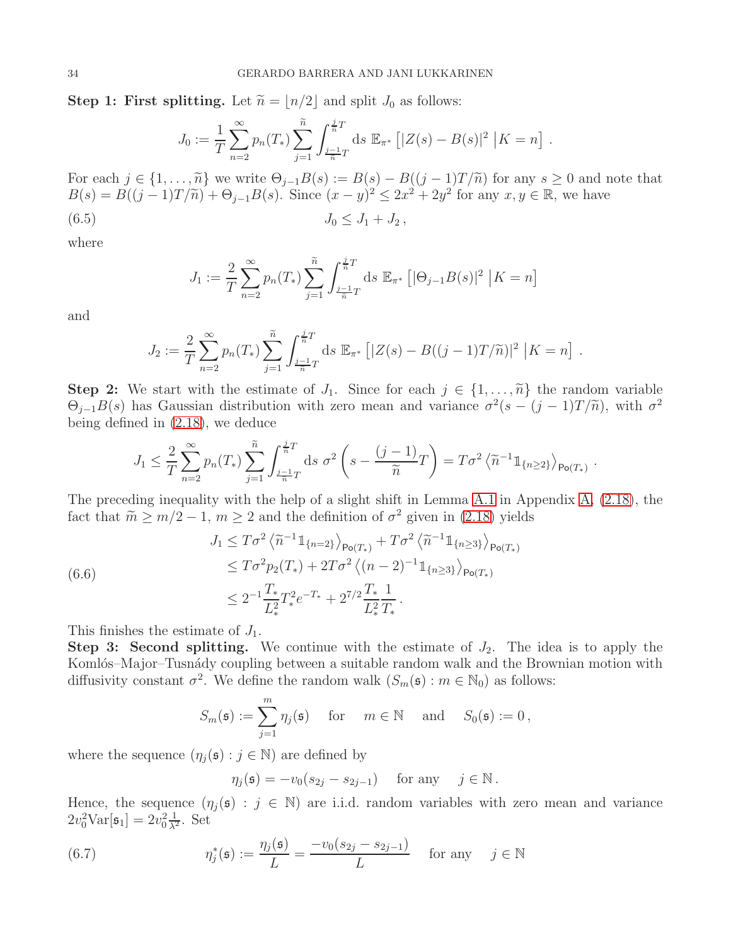**Step 1: First splitting.** Let  $\widetilde{n} = |n/2|$  and split  $J_0$  as follows:

$$
J_0 := \frac{1}{T} \sum_{n=2}^{\infty} p_n(T_*) \sum_{j=1}^{\widetilde{n}} \int_{\frac{j-1}{\widetilde{n}}T}^{\frac{j}{\widetilde{n}}T} ds \mathbb{E}_{\pi^*} \left[ |Z(s) - B(s)|^2 \, |K = n \right].
$$

For each  $j \in \{1, ..., \tilde{n}\}$  we write  $\Theta_{j-1}B(s) := B(s) - B((j-1)T/\tilde{n})$  for any  $s \geq 0$  and note that  $B(s) = B((j-1)T/\tilde{n}) + \Theta_{j-1}B(s)$ . Since  $(x - y)^2 \le 2x^2 + 2y^2$  for any  $x, y \in \mathbb{R}$ , we have

<span id="page-33-0"></span>
$$
(6.5) \t\t J_0 \leq J_1 + J_2,
$$

where

$$
J_1 := \frac{2}{T} \sum_{n=2}^{\infty} p_n(T_*) \sum_{j=1}^{\widetilde{n}} \int_{\frac{j-1}{\widetilde{n}}T}^{\frac{j}{\widetilde{n}}T} ds \mathbb{E}_{\pi^*} [|\Theta_{j-1}B(s)|^2 | K = n]
$$

and

$$
J_2 := \frac{2}{T} \sum_{n=2}^{\infty} p_n(T_*) \sum_{j=1}^{\widetilde{n}} \int_{\frac{j-1}{\widetilde{n}}T}^{\frac{j}{\widetilde{n}}T} ds \mathbb{E}_{\pi^*} \left[ |Z(s) - B((j-1)T/\widetilde{n})|^2 \Big| K = n \right].
$$

**Step 2:** We start with the estimate of  $J_1$ . Since for each  $j \in \{1, \ldots, \tilde{n}\}\$  the random variable  $\Theta_{j-1}B(s)$  has Gaussian distribution with zero mean and variance  $\sigma^2(s-(j-1)T/\tilde{n})$ , with  $\sigma^2$ being defined in [\(2.18\)](#page-7-2), we deduce

$$
J_1 \leq \frac{2}{T} \sum_{n=2}^{\infty} p_n(T_*) \sum_{j=1}^{\widetilde{n}} \int_{\frac{j-1}{\widetilde{n}}T}^{\frac{j}{\widetilde{n}}T} ds \sigma^2 \left(s - \frac{(j-1)}{\widetilde{n}}T\right) = T\sigma^2 \left\langle \widetilde{n}^{-1} \mathbb{1}_{\{n \geq 2\}} \right\rangle_{\text{Po}(T_*)}.
$$

The preceding inequality with the help of a slight shift in Lemma [A.1](#page-39-2) in Appendix [A,](#page-39-0) [\(2.18\)](#page-7-2), the fact that  $\tilde{m} \ge m/2 - 1$ ,  $m \ge 2$  and the definition of  $\sigma^2$  given in [\(2.18\)](#page-7-2) yields

<span id="page-33-2"></span>
$$
J_1 \leq T\sigma^2 \left\langle \tilde{n}^{-1} \mathbb{1}_{\{n=2\}} \right\rangle_{\mathsf{Po}(T_*)} + T\sigma^2 \left\langle \tilde{n}^{-1} \mathbb{1}_{\{n \ge 3\}} \right\rangle_{\mathsf{Po}(T_*)}
$$
  
\n
$$
\leq T\sigma^2 p_2(T_*) + 2T\sigma^2 \left\langle (n-2)^{-1} \mathbb{1}_{\{n \ge 3\}} \right\rangle_{\mathsf{Po}(T_*)}
$$
  
\n
$$
\leq 2^{-1} \frac{T_*}{L_*^2} T_*^2 e^{-T_*} + 2^{7/2} \frac{T_*}{L_*^2} \frac{1}{T_*}.
$$

This finishes the estimate of  $J_1$ .

Step 3: Second splitting. We continue with the estimate of  $J_2$ . The idea is to apply the Komlós–Major–Tusnády coupling between a suitable random walk and the Brownian motion with diffusivity constant  $\sigma^2$ . We define the random walk  $(S_m(\mathfrak{s}) : m \in \mathbb{N}_0)$  as follows:

$$
S_m(\mathfrak{s}) := \sum_{j=1}^m \eta_j(\mathfrak{s}) \quad \text{for} \quad m \in \mathbb{N} \quad \text{and} \quad S_0(\mathfrak{s}) := 0,
$$

where the sequence  $(\eta_i(\mathfrak{s}) : j \in \mathbb{N})$  are defined by

$$
\eta_j(\mathfrak{s}) = -v_0(s_{2j} - s_{2j-1}) \quad \text{ for any } \quad j \in \mathbb{N}.
$$

Hence, the sequence  $(\eta_i(\mathfrak{s}) : j \in \mathbb{N})$  are i.i.d. random variables with zero mean and variance  $2v_0^2 \text{Var}[\mathfrak{s}_1] = 2v_0^2 \frac{1}{\lambda^2}$ . Set

<span id="page-33-1"></span>(6.7) 
$$
\eta_j^*(\mathfrak{s}) := \frac{\eta_j(\mathfrak{s})}{L} = \frac{-v_0(s_{2j} - s_{2j-1})}{L} \quad \text{for any} \quad j \in \mathbb{N}
$$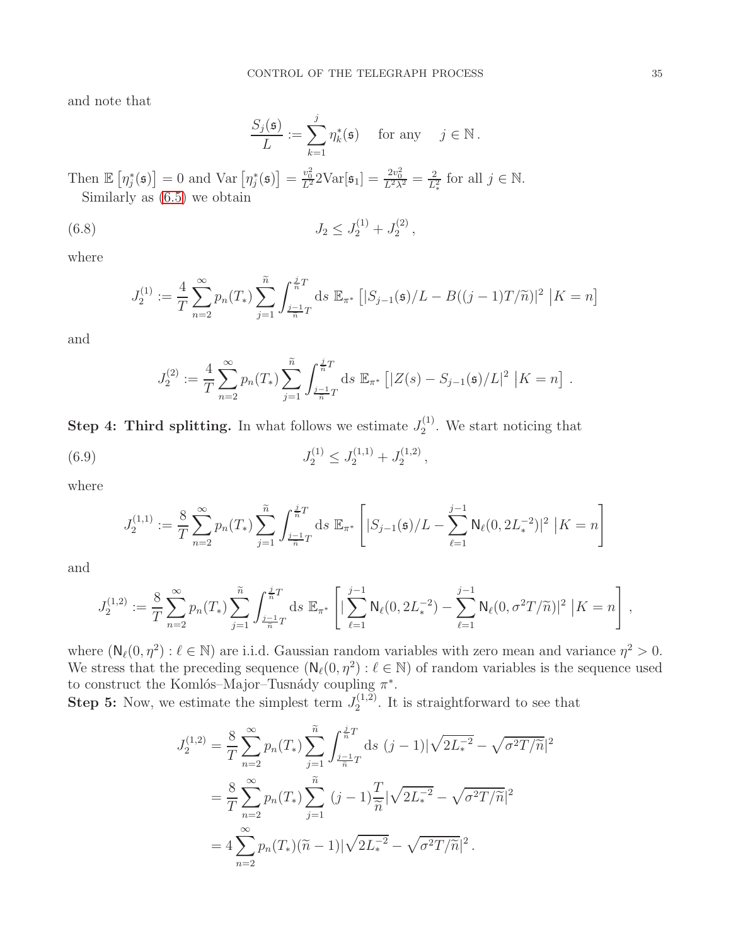and note that

$$
\frac{S_j(\mathfrak{s})}{L} := \sum_{k=1}^j \eta_k^*(\mathfrak{s}) \quad \text{ for any } \quad j \in \mathbb{N} \, .
$$

Then  $\mathbb{E}\left[\eta_j^*(\mathfrak{s})\right] = 0$  and  $\text{Var}\left[\eta_j^*(\mathfrak{s})\right] = \frac{v_0^2}{L^2} 2\text{Var}[\mathfrak{s}_1] = \frac{2v_0^2}{L^2 \lambda^2} = \frac{2}{L^2}$  $\frac{2}{L_*^2}$  for all  $j \in \mathbb{N}$ . Similarly as [\(6.5\)](#page-33-0) we obtain

<span id="page-34-1"></span>(6.8) 
$$
J_2 \leq J_2^{(1)} + J_2^{(2)},
$$

where

$$
J_2^{(1)} := \frac{4}{T} \sum_{n=2}^{\infty} p_n(T_*) \sum_{j=1}^{\widetilde{n}} \int_{\frac{j-1}{\widetilde{n}}T}^{\frac{j}{\widetilde{n}}T} ds \mathbb{E}_{\pi^*} \left[ |S_{j-1}(\mathfrak{s})/L - B((j-1)T/\widetilde{n})|^2 \Big| K = n \right]
$$

and

$$
J_2^{(2)} := \frac{4}{T} \sum_{n=2}^{\infty} p_n(T_*) \sum_{j=1}^{\widetilde{n}} \int_{\frac{j-1}{\widetilde{n}}T}^{\frac{j}{\widetilde{n}}T} ds \mathbb{E}_{\pi^*} \left[ |Z(s) - S_{j-1}(\mathfrak{s})/L|^2 \middle| K = n \right].
$$

**Step 4: Third splitting.** In what follows we estimate  $J_2^{(1)}$  $2^{(1)}$ . We start noticing that

<span id="page-34-0"></span>(6.9) 
$$
J_2^{(1)} \leq J_2^{(1,1)} + J_2^{(1,2)},
$$

where

$$
J_2^{(1,1)} := \frac{8}{T} \sum_{n=2}^{\infty} p_n(T_*) \sum_{j=1}^{\widetilde{n}} \int_{\frac{j-1}{\widetilde{n}}T}^{\frac{j}{\widetilde{n}}T} ds \mathbb{E}_{\pi^*} \left[ |S_{j-1}(\mathfrak{s})/L - \sum_{\ell=1}^{j-1} \mathsf{N}_{\ell}(0, 2L_*^{-2})|^2 \ |K = n \right]
$$

and

$$
J_2^{(1,2)} := \frac{8}{T} \sum_{n=2}^{\infty} p_n(T_*) \sum_{j=1}^{\widetilde{n}} \int_{\frac{j-1}{\widetilde{n}}T}^{\frac{j}{\widetilde{n}}T} ds \, \mathbb{E}_{\pi^*} \left[ |\sum_{\ell=1}^{j-1} \mathsf{N}_{\ell}(0, 2L_*^{-2}) - \sum_{\ell=1}^{j-1} \mathsf{N}_{\ell}(0, \sigma^2 T/\widetilde{n})|^2 \, |K = n \right],
$$

where  $(N_{\ell}(0, \eta^2): \ell \in \mathbb{N})$  are i.i.d. Gaussian random variables with zero mean and variance  $\eta^2 > 0$ . We stress that the preceding sequence  $(N_{\ell}(0, \eta^2) : \ell \in \mathbb{N})$  of random variables is the sequence used to construct the Komlós–Major–Tusnády coupling  $\pi^*$ .

**Step 5:** Now, we estimate the simplest term  $J_2^{(1,2)}$  $2^{(1,2)}$ . It is straightforward to see that

$$
J_2^{(1,2)} = \frac{8}{T} \sum_{n=2}^{\infty} p_n(T_*) \sum_{j=1}^{\tilde{n}} \int_{\frac{j-1}{\tilde{n}}T}^{\frac{j}{\tilde{n}}T} ds (j-1) |\sqrt{2L_*^{-2}} - \sqrt{\sigma^2 T / \tilde{n}}|^2
$$
  

$$
= \frac{8}{T} \sum_{n=2}^{\infty} p_n(T_*) \sum_{j=1}^{\tilde{n}} (j-1) \frac{T}{\tilde{n}} |\sqrt{2L_*^{-2}} - \sqrt{\sigma^2 T / \tilde{n}}|^2
$$
  

$$
= 4 \sum_{n=2}^{\infty} p_n(T_*)(\tilde{n} - 1) |\sqrt{2L_*^{-2}} - \sqrt{\sigma^2 T / \tilde{n}}|^2.
$$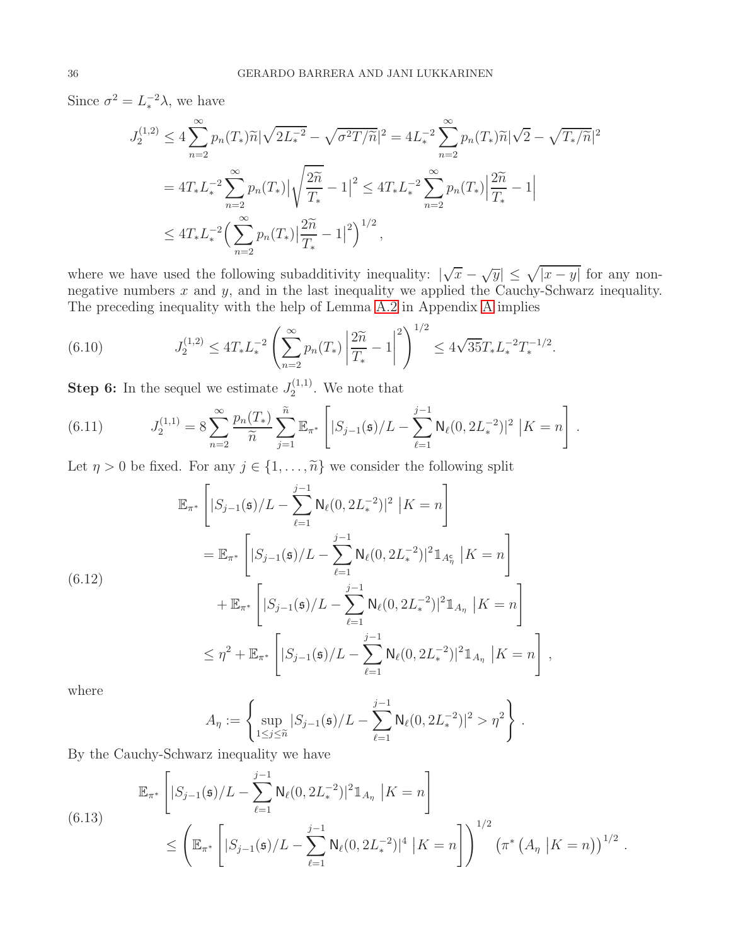Since  $\sigma^2 = L_*^{-2} \lambda$ , we have

$$
J_2^{(1,2)} \le 4 \sum_{n=2}^{\infty} p_n(T_*) \widetilde{n} |\sqrt{2L_*^{-2}} - \sqrt{\sigma^2 T/\widetilde{n}}|^2 = 4L_*^{-2} \sum_{n=2}^{\infty} p_n(T_*) \widetilde{n} |\sqrt{2} - \sqrt{T_*/\widetilde{n}}|^2
$$
  
=  $4T_* L_*^{-2} \sum_{n=2}^{\infty} p_n(T_*) |\sqrt{\frac{2\widetilde{n}}{T_*}} - 1|^2 \le 4T_* L_*^{-2} \sum_{n=2}^{\infty} p_n(T_*) |\frac{2\widetilde{n}}{T_*} - 1|$   
 $\le 4T_* L_*^{-2} \Big( \sum_{n=2}^{\infty} p_n(T_*) |\frac{2\widetilde{n}}{T_*} - 1|^2 \Big)^{1/2},$ 

where we have used the following subadditivity inequality:  $|\sqrt{x} - \sqrt{y}| \leq \sqrt{|x - y|}$  for any nonnegative numbers  $x$  and  $y$ , and in the last inequality we applied the Cauchy-Schwarz inequality. The preceding inequality with the help of Lemma [A.2](#page-40-0) in Appendix [A](#page-39-0) implies

<span id="page-35-3"></span>(6.10) 
$$
J_2^{(1,2)} \le 4T_* L_*^{-2} \left( \sum_{n=2}^{\infty} p_n(T_*) \left| \frac{2\widetilde{n}}{T_*} - 1 \right|^2 \right)^{1/2} \le 4\sqrt{35} T_* L_*^{-2} T_*^{-1/2}.
$$

**Step 6:** In the sequel we estimate  $J_2^{(1,1)}$  $2^{(1,1)}$ . We note that

<span id="page-35-2"></span>(6.11) 
$$
J_2^{(1,1)} = 8 \sum_{n=2}^{\infty} \frac{p_n(T_*)}{\widetilde{n}} \sum_{j=1}^{\widetilde{n}} \mathbb{E}_{\pi^*} \left[ |S_{j-1}(\mathfrak{s})/L - \sum_{\ell=1}^{j-1} \mathsf{N}_{\ell}(0, 2L_*^{-2})|^2 |K = n \right].
$$

Let  $\eta > 0$  be fixed. For any  $j \in \{1, \ldots, \tilde{n}\}$  we consider the following split

<span id="page-35-0"></span>
$$
\mathbb{E}_{\pi^*} \left[ |S_{j-1}(\mathfrak{s})/L - \sum_{\ell=1}^{j-1} \mathsf{N}_{\ell}(0, 2L_*^{-2})|^2 \, \big| K = n \right]
$$
\n
$$
= \mathbb{E}_{\pi^*} \left[ |S_{j-1}(\mathfrak{s})/L - \sum_{\ell=1}^{j-1} \mathsf{N}_{\ell}(0, 2L_*^{-2})|^2 \mathbb{1}_{A_{\eta}^c} \, \big| K = n \right]
$$
\n
$$
+ \mathbb{E}_{\pi^*} \left[ |S_{j-1}(\mathfrak{s})/L - \sum_{\ell=1}^{j-1} \mathsf{N}_{\ell}(0, 2L_*^{-2})|^2 \mathbb{1}_{A_{\eta}} \, \big| K = n \right]
$$
\n
$$
\leq \eta^2 + \mathbb{E}_{\pi^*} \left[ |S_{j-1}(\mathfrak{s})/L - \sum_{\ell=1}^{j-1} \mathsf{N}_{\ell}(0, 2L_*^{-2})|^2 \mathbb{1}_{A_{\eta}} \, \big| K = n \right],
$$

where

$$
A_{\eta} := \left\{ \sup_{1 \leq j \leq \tilde{n}} |S_{j-1}(\mathfrak{s})/L - \sum_{\ell=1}^{j-1} \mathsf{N}_{\ell}(0, 2L_{*}^{-2})|^2 > \eta^2 \right\}.
$$

By the Cauchy-Schwarz inequality we have

<span id="page-35-1"></span>(6.13)  
\n
$$
\mathbb{E}_{\pi^*} \left[ |S_{j-1}(\mathfrak{s})/L - \sum_{\ell=1}^{j-1} \mathsf{N}_{\ell}(0, 2L_*^{-2})|^2 \mathbb{1}_{A_{\eta}} | K = n \right]
$$
\n
$$
\leq \left( \mathbb{E}_{\pi^*} \left[ |S_{j-1}(\mathfrak{s})/L - \sum_{\ell=1}^{j-1} \mathsf{N}_{\ell}(0, 2L_*^{-2})|^4 | K = n \right] \right)^{1/2} \left( \pi^* \left( A_{\eta} | K = n \right) \right)^{1/2}
$$

.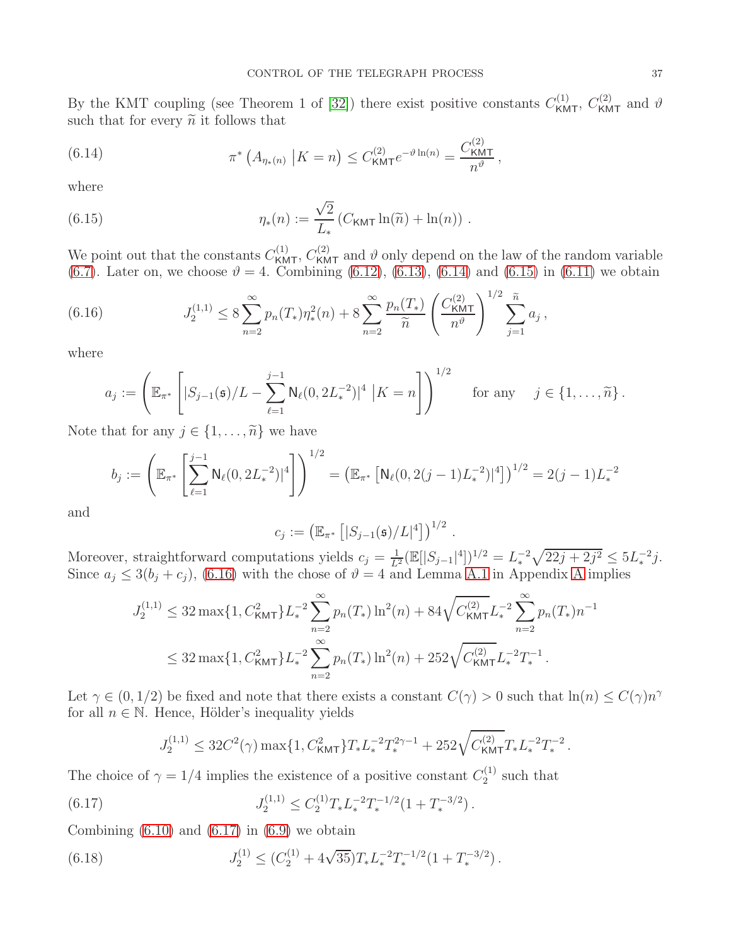By the KMT coupling (see Theorem 1 of [\[32\]](#page-58-17)) there exist positive constants  $C_{\text{KMT}}^{(1)}$ ,  $C_{\text{KMT}}^{(2)}$  and  $\vartheta$ such that for every  $\widetilde{n}$  it follows that

<span id="page-36-0"></span>(6.14) 
$$
\pi^* \left( A_{\eta_*(n)} \middle| K = n \right) \leq C_{\text{KMT}}^{(2)} e^{-\vartheta \ln(n)} = \frac{C_{\text{KMT}}^{(2)}}{n^{\vartheta}},
$$

where

<span id="page-36-1"></span>(6.15) 
$$
\eta_*(n) := \frac{\sqrt{2}}{L_*} \left( C_{\text{KMT}} \ln(\widetilde{n}) + \ln(n) \right) .
$$

We point out that the constants  $C_{\text{KMT}}^{(1)}$ ,  $C_{\text{KMT}}^{(2)}$  and  $\vartheta$  only depend on the law of the random variable [\(6.7\)](#page-33-1). Later on, we choose  $\vartheta = 4$ . Combining [\(6.12\)](#page-35-0), [\(6.13\)](#page-35-1), [\(6.14\)](#page-36-0) and [\(6.15\)](#page-36-1) in [\(6.11\)](#page-35-2) we obtain

<span id="page-36-2"></span>(6.16) 
$$
J_2^{(1,1)} \leq 8 \sum_{n=2}^{\infty} p_n(T_*) \eta_*^2(n) + 8 \sum_{n=2}^{\infty} \frac{p_n(T_*)}{\widetilde{n}} \left( \frac{C_{\text{KMT}}^{(2)}}{n^{\vartheta}} \right)^{1/2} \sum_{j=1}^{\widetilde{n}} a_j,
$$

where

$$
a_j := \left( \mathbb{E}_{\pi^*} \left[ |S_{j-1}(\mathfrak{s})/L - \sum_{\ell=1}^{j-1} \mathsf{N}_{\ell}(0, 2L_*^{-2})|^4 \, \big| K = n \right] \right)^{1/2} \quad \text{for any} \quad j \in \{1, \dots, \widetilde{n}\}.
$$

Note that for any  $j \in \{1, \ldots, \tilde{n}\}\$ we have

$$
b_j := \left( \mathbb{E}_{\pi^*} \left[ \sum_{\ell=1}^{j-1} \mathsf{N}_{\ell}(0, 2L_*^{-2})^4 \right] \right)^{1/2} = \left( \mathbb{E}_{\pi^*} \left[ \mathsf{N}_{\ell}(0, 2(j-1)L_*^{-2})^4 \right] \right)^{1/2} = 2(j-1)L_*^{-2}
$$

and

$$
c_j := \left( \mathbb{E}_{\pi^*} \left[ |S_{j-1}(\mathfrak{s})/L|^4 \right] \right)^{1/2}
$$

.

Moreover, straightforward computations yields  $c_j = \frac{1}{L^2} (\mathbb{E}[|S_{j-1}|^4])^{1/2} = L_*^{-2} \sqrt{22j + 2j^2} \leq 5L_*^{-2}j$ . Since  $a_j \leq 3(b_j + c_j)$ , [\(6.16\)](#page-36-2) with the chose of  $\vartheta = 4$  and Lemma [A.1](#page-39-2) in [A](#page-39-0)ppendix A implies

$$
J_2^{(1,1)} \le 32 \max\{1, C_{\text{KMT}}^2\} L_*^{-2} \sum_{n=2}^{\infty} p_n(T_*) \ln^2(n) + 84 \sqrt{C_{\text{KMT}}^{(2)}} L_*^{-2} \sum_{n=2}^{\infty} p_n(T_*) n^{-1}
$$
  

$$
\le 32 \max\{1, C_{\text{KMT}}^2\} L_*^{-2} \sum_{n=2}^{\infty} p_n(T_*) \ln^2(n) + 252 \sqrt{C_{\text{KMT}}^{(2)}} L_*^{-2} T_*^{-1}.
$$

Let  $\gamma \in (0, 1/2)$  be fixed and note that there exists a constant  $C(\gamma) > 0$  such that  $\ln(n) \leq C(\gamma)n^{\gamma}$ for all  $n \in \mathbb{N}$ . Hence, Hölder's inequality yields

$$
J_2^{(1,1)} \leq 32 C^2(\gamma) \max\{1, C^2_{\text{KMT}}\} T_* L_*^{-2} T_*^{2\gamma-1} + 252 \sqrt{C_{\text{KMT}}^{(2)}} T_* L_*^{-2} T_*^{-2} \,.
$$

The choice of  $\gamma = 1/4$  implies the existence of a positive constant  $C_2^{(1)}$  $2^{(1)}$  such that

<span id="page-36-3"></span>(6.17) 
$$
J_2^{(1,1)} \leq C_2^{(1)} T_* L_*^{-2} T_*^{-1/2} (1 + T_*^{-3/2}).
$$

Combining  $(6.10)$  and  $(6.17)$  in  $(6.9)$  we obtain

<span id="page-36-4"></span>(6.18) 
$$
J_2^{(1)} \leq (C_2^{(1)} + 4\sqrt{35})T_* L_*^{-2} T_*^{-1/2} (1 + T_*^{-3/2}).
$$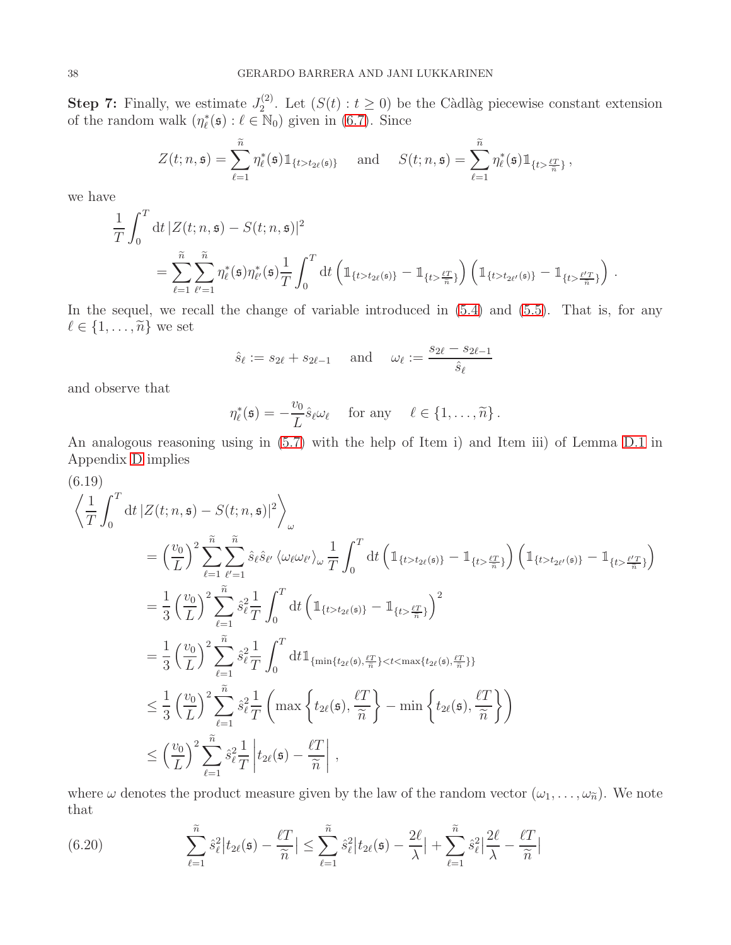**Step 7:** Finally, we estimate  $J_2^{(2)}$ <sup>(2)</sup>. Let  $(S(t): t \geq 0)$  be the Càdlàg piecewise constant extension of the random walk  $(\eta_{\ell}^*(\mathfrak{s}) : \ell \in \mathbb{N}_0)$  given in [\(6.7\)](#page-33-1). Since

$$
Z(t; n, \mathfrak{s}) = \sum_{\ell=1}^{\widetilde{n}} \eta_{\ell}^*(\mathfrak{s}) 1_{\{t > t_{2\ell}(\mathfrak{s})\}} \quad \text{and} \quad S(t; n, \mathfrak{s}) = \sum_{\ell=1}^{\widetilde{n}} \eta_{\ell}^*(\mathfrak{s}) 1_{\{t > \frac{\ell T}{\widetilde{n}}\}},
$$

we have

$$
\frac{1}{T} \int_0^T dt \, |Z(t; n, \mathfrak{s}) - S(t; n, \mathfrak{s})|^2
$$
\n
$$
= \sum_{\ell=1}^{\tilde{n}} \sum_{\ell'=1}^{\tilde{n}} \eta_{\ell}^*(\mathfrak{s}) \eta_{\ell'}^*(\mathfrak{s}) \frac{1}{T} \int_0^T dt \left( \mathbb{1}_{\{t > t_{2\ell}(\mathfrak{s})\}} - \mathbb{1}_{\{t > \frac{\ell T}{\tilde{n}}\}} \right) \left( \mathbb{1}_{\{t > t_{2\ell'}(\mathfrak{s})\}} - \mathbb{1}_{\{t > \frac{\ell' T}{\tilde{n}}\}} \right).
$$

In the sequel, we recall the change of variable introduced in  $(5.4)$  and  $(5.5)$ . That is, for any  $\ell \in \{1, \ldots, \widetilde{n}\}$  we set

$$
\hat{s}_{\ell} := s_{2\ell} + s_{2\ell - 1} \quad \text{and} \quad \omega_{\ell} := \frac{s_{2\ell} - s_{2\ell - 1}}{\hat{s}_{\ell}}
$$

and observe that

$$
\eta_{\ell}^*(\mathfrak{s}) = -\frac{v_0}{L} \hat{s}_{\ell} \omega_{\ell} \quad \text{ for any } \quad \ell \in \{1, \ldots, \widetilde{n}\}.
$$

An analogous reasoning using in [\(5.7\)](#page-27-0) with the help of Item i) and Item iii) of Lemma [D.1](#page-55-1) in Appendix [D](#page-55-0) implies

<span id="page-37-1"></span>
$$
\left\langle \frac{1}{T} \int_{0}^{T} dt \left| Z(t; n, \mathfrak{s}) - S(t; n, \mathfrak{s}) \right|^{2} \right\rangle_{\omega}
$$
\n
$$
= \left( \frac{v_{0}}{L} \right)^{2} \sum_{\ell=1}^{\tilde{n}} \sum_{\ell'=1}^{\tilde{n}} \hat{s}_{\ell} \hat{s}_{\ell'} \left\langle \omega_{\ell} \omega_{\ell'} \right\rangle_{\omega} \frac{1}{T} \int_{0}^{T} dt \left( \mathbb{1}_{\{t > t_{2\ell}(\mathfrak{s})\}} - \mathbb{1}_{\{t > \frac{\ell T}{n}\}} \right) \left( \mathbb{1}_{\{t > t_{2\ell'}(\mathfrak{s})\}} - \mathbb{1}_{\{t > \frac{\ell T}{n}\}} \right)
$$
\n
$$
= \frac{1}{3} \left( \frac{v_{0}}{L} \right)^{2} \sum_{\ell=1}^{\tilde{n}} \hat{s}_{\ell}^{2} \frac{1}{T} \int_{0}^{T} dt \left( \mathbb{1}_{\{t > t_{2\ell}(\mathfrak{s})\}} - \mathbb{1}_{\{t > \frac{\ell T}{n}\}} \right)^{2}
$$
\n
$$
= \frac{1}{3} \left( \frac{v_{0}}{L} \right)^{2} \sum_{\ell=1}^{\tilde{n}} \hat{s}_{\ell}^{2} \frac{1}{T} \int_{0}^{T} dt \mathbb{1}_{\{\min\{t_{2\ell}(\mathfrak{s}), \frac{\ell T}{n}\} < t < \max\{t_{2\ell}(\mathfrak{s}), \frac{\ell T}{n}\}\}
$$
\n
$$
\leq \frac{1}{3} \left( \frac{v_{0}}{L} \right)^{2} \sum_{\ell=1}^{\tilde{n}} \hat{s}_{\ell}^{2} \frac{1}{T} \left( \max \left\{ t_{2\ell}(\mathfrak{s}), \frac{\ell T}{\tilde{n}} \right\} - \min \left\{ t_{2\ell}(\mathfrak{s}), \frac{\ell T}{\tilde{n}} \right\} \right)
$$
\n
$$
\leq \left( \frac{v_{0}}{L} \right)^{2} \sum_{\ell=1}^{\tilde{n}} \hat{s}_{\ell}^{2} \frac{1}{T} \left| t_{2\ell}(\mathfrak{s}) - \frac{\ell T
$$

where  $\omega$  denotes the product measure given by the law of the random vector  $(\omega_1, \ldots, \omega_{\tilde{n}})$ . We note that

<span id="page-37-0"></span>(6.20) 
$$
\sum_{\ell=1}^{\widetilde{n}} \hat{s}_{\ell}^{2} | t_{2\ell}(\mathfrak{s}) - \frac{\ell T}{\widetilde{n}} | \leq \sum_{\ell=1}^{\widetilde{n}} \hat{s}_{\ell}^{2} | t_{2\ell}(\mathfrak{s}) - \frac{2\ell}{\lambda} | + \sum_{\ell=1}^{\widetilde{n}} \hat{s}_{\ell}^{2} | \frac{2\ell}{\lambda} - \frac{\ell T}{\widetilde{n}} |
$$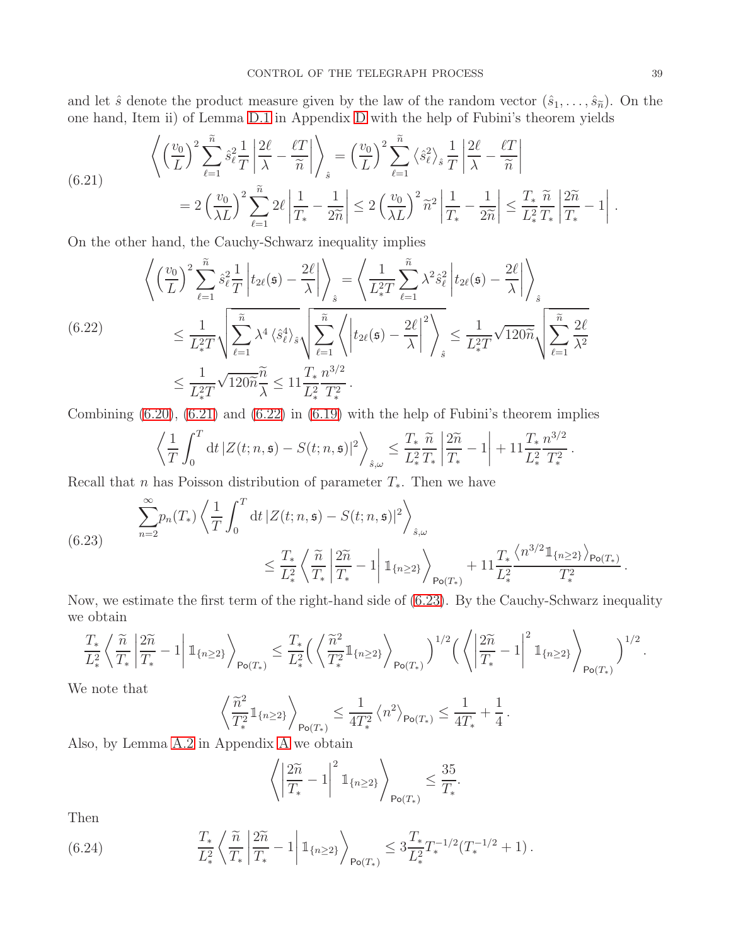and let  $\hat{s}$  denote the product measure given by the law of the random vector  $(\hat{s}_1, \ldots, \hat{s}_{\tilde{n}})$ . On the one hand, Item ii) of Lemma [D.1](#page-55-1) in Appendix [D](#page-55-0) with the help of Fubini's theorem yields

<span id="page-38-0"></span>(6.21) 
$$
\left\langle \left(\frac{v_0}{L}\right)^2 \sum_{\ell=1}^{\widetilde{n}} \hat{s}_{\ell}^2 \frac{1}{T} \left| \frac{2\ell}{\lambda} - \frac{\ell T}{\widetilde{n}} \right| \right\rangle_{\hat{s}} = \left(\frac{v_0}{L}\right)^2 \sum_{\ell=1}^{\widetilde{n}} \left\langle \hat{s}_{\ell}^2 \right\rangle_{\hat{s}} \frac{1}{T} \left| \frac{2\ell}{\lambda} - \frac{\ell T}{\widetilde{n}} \right|
$$

$$
= 2 \left(\frac{v_0}{\lambda L}\right)^2 \sum_{\ell=1}^{\widetilde{n}} 2\ell \left| \frac{1}{T_*} - \frac{1}{2\widetilde{n}} \right| \le 2 \left(\frac{v_0}{\lambda L}\right)^2 \widetilde{n}^2 \left| \frac{1}{T_*} - \frac{1}{2\widetilde{n}} \right| \le \frac{T_*}{L_*^2} \frac{\widetilde{n}}{T_*} \left| \frac{2\widetilde{n}}{T_*} - 1 \right|.
$$

On the other hand, the Cauchy-Schwarz inequality implies

<span id="page-38-1"></span>
$$
\left\langle \left(\frac{v_0}{L}\right)^2 \sum_{\ell=1}^{\widetilde{n}} \hat{s}_{\ell}^2 \frac{1}{T} \left| t_{2\ell}(\mathfrak{s}) - \frac{2\ell}{\lambda} \right| \right\rangle_{\hat{s}} = \left\langle \frac{1}{L_{*}^{2}T} \sum_{\ell=1}^{\widetilde{n}} \lambda^2 \hat{s}_{\ell}^2 \left| t_{2\ell}(\mathfrak{s}) - \frac{2\ell}{\lambda} \right| \right\rangle_{\hat{s}}
$$
\n
$$
\leq \frac{1}{L_{*}^{2}T} \sqrt{\sum_{\ell=1}^{\widetilde{n}} \lambda^4 \left\langle \hat{s}_{\ell}^4 \right\rangle_{\hat{s}}} \sqrt{\sum_{\ell=1}^{\widetilde{n}} \left\langle \left| t_{2\ell}(\mathfrak{s}) - \frac{2\ell}{\lambda} \right|^2 \right\rangle_{\hat{s}}} \leq \frac{1}{L_{*}^{2}T} \sqrt{120\widetilde{n}} \sqrt{\sum_{\ell=1}^{\widetilde{n}} \frac{2\ell}{\lambda^2}}
$$
\n
$$
\leq \frac{1}{L_{*}^{2}T} \sqrt{120\widetilde{n}} \frac{\widetilde{n}}{\lambda} \leq 11 \frac{T_{*}}{L_{*}^{2}} \frac{n^{3/2}}{T_{*}^{2}}.
$$

Combining  $(6.20)$ ,  $(6.21)$  and  $(6.22)$  in  $(6.19)$  with the help of Fubini's theorem implies

$$
\left\langle \frac{1}{T} \int_0^T \mathrm{d}t \, |Z(t; n, \mathfrak{s}) - S(t; n, \mathfrak{s})|^2 \right\rangle_{\hat{s}, \omega} \leq \frac{T_*}{L_*^2} \frac{\widetilde{n}}{T_*} \left| \frac{2\widetilde{n}}{T_*} - 1 \right| + 11 \frac{T_*}{L_*^2} \frac{n^{3/2}}{T_*^2}
$$

Recall that n has Poisson distribution of parameter  $T_*$ . Then we have

<span id="page-38-2"></span>(6.23) 
$$
\sum_{n=2}^{\infty} p_n(T_*) \left\langle \frac{1}{T} \int_0^T dt \, |Z(t; n, \mathfrak{s}) - S(t; n, \mathfrak{s})|^2 \right\rangle_{\hat{\mathfrak{s}}, \omega}
$$

$$
\leq \frac{T_*}{L_*^2} \left\langle \frac{\tilde{n}}{T_*} \left| \frac{2\tilde{n}}{T_*} - 1 \right| \mathbb{1}_{\{n \geq 2\}} \right\rangle_{\mathsf{Po}(T_*)} + 11 \frac{T_*}{L_*^2} \frac{\left\langle n^{3/2} \mathbb{1}_{\{n \geq 2\}} \right\rangle_{\mathsf{Po}(T_*)}}
$$

Now, we estimate the first term of the right-hand side of [\(6.23\)](#page-38-2). By the Cauchy-Schwarz inequality we obtain  $\ddot{\phantom{1}}$ 

$$
\frac{T_*}{L_*^2}\left\langle \frac{\widetilde{n}}{T_*}\left\vert \frac{2\widetilde{n}}{T_*}-1\right\vert \mathbb{1}_{\left\lbrace n\geq 2\right\rbrace}\right\rangle_{\mathsf{Po}(T_*)}\leq \frac{T_*}{L_*^2}\Big(\left\langle \frac{\widetilde{n}^2}{T_*^2}\mathbb{1}_{\left\lbrace n\geq 2\right\rbrace}\right\rangle_{\mathsf{Po}(T_*)}\Big)^{1/2}\Big(\left\langle \left\vert \frac{2\widetilde{n}}{T_*}-1\right\vert^2\mathbb{1}_{\left\lbrace n\geq 2\right\rbrace}\right\rangle_{\mathsf{Po}(T_*)}\Big)^{1/2}.
$$

We note that

$$
\left\langle \frac{\widetilde{n}^2}{T_*^2} 1\!\!1_{\{n\geq 2\}} \right\rangle_{\mathsf{Po}(T_*)} \leq \frac{1}{4T_*^2} \left\langle n^2 \right\rangle_{\mathsf{Po}(T_*)} \leq \frac{1}{4T_*} + \frac{1}{4} \, .
$$

Also, by Lemma [A.2](#page-40-0) in Appendix [A](#page-39-0) we obtain

$$
\left\langle \left| \frac{2\widetilde{n}}{T_*} - 1 \right|^2 \mathbb{1}_{\{n \ge 2\}} \right\rangle_{\mathsf{Po}(T_*)} \le \frac{35}{T_*}.
$$

Then

<span id="page-38-3"></span>(6.24) 
$$
\frac{T_*}{L_*^2} \left\langle \frac{\tilde{n}}{T_*} \left| \frac{2\tilde{n}}{T_*} - 1 \right| 1_{\{n \geq 2\}} \right\rangle_{\text{Po}(T_*)} \leq 3 \frac{T_*}{L_*^2} T_*^{-1/2} (T_*^{-1/2} + 1).
$$

.

.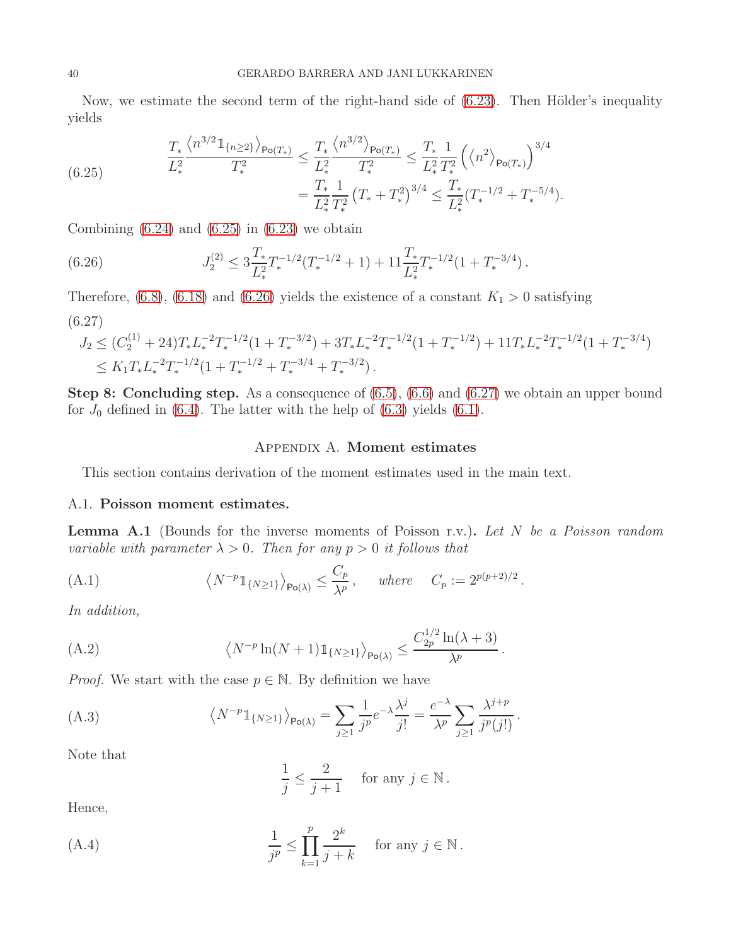Now, we estimate the second term of the right-hand side of  $(6.23)$ . Then Hölder's inequality yields

<span id="page-39-3"></span>(6.25) 
$$
\frac{T_* \left\langle n^{3/2} \mathbb{1}_{\{n \geq 2\}} \right\rangle_{\text{Po}(T_*)}}{L_*^2} \leq \frac{T_* \left\langle n^{3/2} \right\rangle_{\text{Po}(T_*)}}{T_*^2} \leq \frac{T_* \left\langle n^{3/2} \right\rangle_{\text{Po}(T_*)}}{T_*^2} \leq \frac{T_* \left( \left\langle n^{2} \right\rangle_{\text{Po}(T_*)} \right)^{3/4}}{L_*^2 T_*^2} = \frac{T_* \left( \left\langle n^{2} \right\rangle_{\text{Po}(T_*)} \right)^{3/4}}{L_*^2 T_*^2} = \frac{T_* \left( \left\langle n^{2} \right\rangle_{\text{Po}(T_*)} \right)^{3/4}}{L_*^2 T_*^2} = \frac{T_* \left( \left\langle n^{2} \right\rangle_{\text{Po}(T_*)} \right)^{3/4}}{L_*^2 T_*^2} = \frac{T_* \left( \left\langle n^{2} \right\rangle_{\text{Po}(T_*)} \right)^{3/4}}{L_*^2 T_*^2} = \frac{T_* \left( \left\langle n^{2} \right\rangle_{\text{Po}(T_*)} \right)^{3/4}}{L_*^2 T_*^2} = \frac{T_* \left( \left\langle n^{2} \right\rangle_{\text{Po}(T_*)} \right)^{3/4}}{L_*^2 T_*^2} = \frac{T_* \left( \left\langle n^{2} \right\rangle_{\text{Po}(T_*)} \right)^{3/4}}{L_*^2 T_*^2} = \frac{T_* \left( \left\langle n^{2} \right\rangle_{\text{Po}(T_*)} \right)^{3/4}}{L_*^2 T_*^2} = \frac{T_* \left( \left\langle n^{2} \right\rangle_{\text{Po}(T_*)} \right)^{3/4}}{L_*^2 T_*^2} = \frac{T_* \left( \left\langle n^{2} \right\rangle_{\text{Po}(T_*)} \right)^{3/4}}{L_*^2 T_*^2} = \frac{T_* \left( \left\langle n^{2} \right\rangle_{\text{Po}(T_*)} \right)^{3/4}}{L_*^2 T_*^2} = \frac{T_* \left( \left\langle n^{2} \right\rangle_{\text{Po}(T_*)} \right)^{3/4}}{L_*^2 T_*^2} = \frac{T
$$

Combining  $(6.24)$  and  $(6.25)$  in  $(6.23)$  we obtain

<span id="page-39-4"></span>(6.26) 
$$
J_2^{(2)} \leq 3 \frac{T_*}{L_*^2} T_*^{-1/2} (T_*^{-1/2} + 1) + 11 \frac{T_*}{L_*^2} T_*^{-1/2} (1 + T_*^{-3/4}).
$$

<span id="page-39-5"></span>Therefore, [\(6.8\)](#page-34-1), [\(6.18\)](#page-36-4) and [\(6.26\)](#page-39-4) yields the existence of a constant  $K_1 > 0$  satisfying (6.27)

$$
J_2 \le (C_2^{(1)} + 24) T_* L_*^{-2} T_*^{-1/2} (1 + T_*^{-3/2}) + 3 T_* L_*^{-2} T_*^{-1/2} (1 + T_*^{-1/2}) + 11 T_* L_*^{-2} T_*^{-1/2} (1 + T_*^{-3/4})
$$
  
\n
$$
\le K_1 T_* L_*^{-2} T_*^{-1/2} (1 + T_*^{-1/2} + T_*^{-3/4} + T_*^{-3/2}).
$$

<span id="page-39-0"></span>Step 8: Concluding step. As a consequence of [\(6.5\)](#page-33-0), [\(6.6\)](#page-33-2) and [\(6.27\)](#page-39-5) we obtain an upper bound for  $J_0$  defined in [\(6.4\)](#page-32-2). The latter with the help of [\(6.3\)](#page-32-3) yields [\(6.1\)](#page-32-4).

## Appendix A. Moment estimates

<span id="page-39-1"></span>This section contains derivation of the moment estimates used in the main text.

# A.1. Poisson moment estimates.

<span id="page-39-2"></span>**Lemma A.1** (Bounds for the inverse moments of Poisson r.v.). Let  $N$  be a Poisson random variable with parameter  $\lambda > 0$ . Then for any  $p > 0$  it follows that

<span id="page-39-9"></span>(A.1) 
$$
\langle N^{-p}1_{\{N\geq 1\}}\rangle_{\mathsf{Po}(\lambda)} \leq \frac{C_p}{\lambda^p}, \quad \text{where} \quad C_p := 2^{p(p+2)/2}.
$$

In addition,

<span id="page-39-8"></span>(A.2) 
$$
\left\langle N^{-p}\ln(N+1)\mathbb{1}_{\{N\geq 1\}}\right\rangle_{\mathsf{Po}(\lambda)} \leq \frac{C_{2p}^{1/2}\ln(\lambda+3)}{\lambda^p}.
$$

*Proof.* We start with the case  $p \in \mathbb{N}$ . By definition we have

<span id="page-39-6"></span>(A.3) 
$$
\langle N^{-p} \mathbb{1}_{\{N \ge 1\}} \rangle_{\mathsf{Po}(\lambda)} = \sum_{j \ge 1} \frac{1}{j^p} e^{-\lambda} \frac{\lambda^j}{j!} = \frac{e^{-\lambda}}{\lambda^p} \sum_{j \ge 1} \frac{\lambda^{j+p}}{j^p(j!)}.
$$

Note that

$$
\frac{1}{j} \le \frac{2}{j+1} \quad \text{for any } j \in \mathbb{N} \, .
$$

Hence,

<span id="page-39-7"></span>(A.4) 
$$
\frac{1}{j^p} \le \prod_{k=1}^p \frac{2^k}{j+k} \quad \text{for any } j \in \mathbb{N}.
$$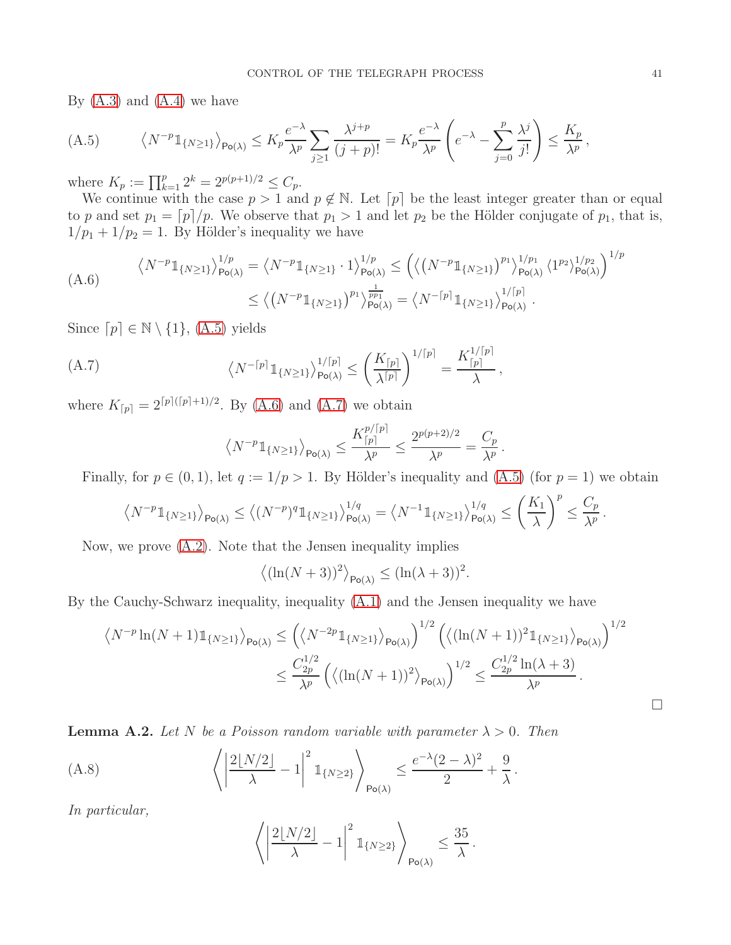By  $(A.3)$  and  $(A.4)$  we have

<span id="page-40-1"></span>
$$
(A.5) \qquad \left\langle N^{-p}\mathbb{1}_{\{N\geq 1\}}\right\rangle_{\mathsf{Po}(\lambda)} \leq K_p \frac{e^{-\lambda}}{\lambda^p} \sum_{j\geq 1} \frac{\lambda^{j+p}}{(j+p)!} = K_p \frac{e^{-\lambda}}{\lambda^p} \left(e^{-\lambda} - \sum_{j=0}^p \frac{\lambda^j}{j!}\right) \leq \frac{K_p}{\lambda^p},
$$

where  $K_p := \prod_{k=1}^p 2^k = 2^{p(p+1)/2} \leq C_p$ .

We continue with the case  $p > 1$  and  $p \notin \mathbb{N}$ . Let  $[p]$  be the least integer greater than or equal to p and set  $p_1 = [p]/p$ . We observe that  $p_1 > 1$  and let  $p_2$  be the Hölder conjugate of  $p_1$ , that is,  $1/p_1 + 1/p_2 = 1$ . By Hölder's inequality we have

<span id="page-40-2"></span>
$$
\langle N^{-p} \mathbb{1}_{\{N \ge 1\}} \rangle_{\mathsf{Po}(\lambda)}^{1/p} = \langle N^{-p} \mathbb{1}_{\{N \ge 1\}} \cdot 1 \rangle_{\mathsf{Po}(\lambda)}^{1/p} \le \left( \langle \left( N^{-p} \mathbb{1}_{\{N \ge 1\}} \right)^{p_1} \rangle_{\mathsf{Po}(\lambda)}^{1/p_1} \langle 1^{p_2} \rangle_{\mathsf{Po}(\lambda)}^{1/p_2} \right)^{1/p_2}
$$
\n
$$
\le \langle \left( N^{-p} \mathbb{1}_{\{N \ge 1\}} \right)^{p_1} \rangle_{\mathsf{Po}(\lambda)}^{\frac{1}{p_1}} = \langle N^{-\lceil p \rceil} \mathbb{1}_{\{N \ge 1\}} \rangle_{\mathsf{Po}(\lambda)}^{1/\lceil p \rceil}.
$$

Since  $[p] \in \mathbb{N} \setminus \{1\}$ , [\(A.5\)](#page-40-1) yields

<span id="page-40-3"></span>(A.7) 
$$
\langle N^{-\lceil p \rceil} \mathbb{1}_{\{N \ge 1\}} \rangle_{\mathsf{Po}(\lambda)}^{1/\lceil p \rceil} \le \left( \frac{K_{\lceil p \rceil}}{\lambda^{\lceil p \rceil}} \right)^{1/\lceil p \rceil} = \frac{K_{\lceil p \rceil}^{1/\lceil p \rceil}}{\lambda},
$$

where  $K_{[p]} = 2^{[p]([p]+1)/2}$ . By [\(A.6\)](#page-40-2) and [\(A.7\)](#page-40-3) we obtain

$$
\left\langle N^{-p} \mathbb{1}_{\{N \geq 1\}} \right\rangle_{\mathsf{Po}(\lambda)} \leq \frac{K_{\lceil p \rceil}^{p/\lceil p \rceil}}{\lambda^p} \leq \frac{2^{p(p+2)/2}}{\lambda^p} = \frac{C_p}{\lambda^p}.
$$

Finally, for  $p \in (0, 1)$ , let  $q := 1/p > 1$ . By Hölder's inequality and  $(A.5)$  (for  $p = 1$ ) we obtain

$$
\left\langle N^{-p}\mathbb{1}_{\{N\geq 1\}}\right\rangle_{\mathsf{Po}(\lambda)}\leq \left\langle (N^{-p})^q\mathbb{1}_{\{N\geq 1\}}\right\rangle_{\mathsf{Po}(\lambda)}^{1/q}=\left\langle N^{-1}\mathbb{1}_{\{N\geq 1\}}\right\rangle_{\mathsf{Po}(\lambda)}^{1/q}\leq \left(\frac{K_1}{\lambda}\right)^p\leq \frac{C_p}{\lambda^p}\,.
$$

Now, we prove [\(A.2\)](#page-39-8). Note that the Jensen inequality implies

$$
\langle (\ln(N+3))^2 \rangle_{\text{Po}(\lambda)} \le (\ln(\lambda+3))^2.
$$

By the Cauchy-Schwarz inequality, inequality [\(A.1\)](#page-39-9) and the Jensen inequality we have

$$
\langle N^{-p} \ln(N+1) \mathbb{1}_{\{N \ge 1\}} \rangle_{\mathsf{Po}(\lambda)} \le \left( \langle N^{-2p} \mathbb{1}_{\{N \ge 1\}} \rangle_{\mathsf{Po}(\lambda)} \right)^{1/2} \left( \langle (\ln(N+1))^2 \mathbb{1}_{\{N \ge 1\}} \rangle_{\mathsf{Po}(\lambda)} \right)^{1/2}
$$

$$
\le \frac{C_{2p}^{1/2}}{\lambda^p} \left( \langle (\ln(N+1))^2 \rangle_{\mathsf{Po}(\lambda)} \right)^{1/2} \le \frac{C_{2p}^{1/2} \ln(\lambda+3)}{\lambda^p}.
$$

<span id="page-40-0"></span>**Lemma A.2.** Let N be a Poisson random variable with parameter  $\lambda > 0$ . Then

<span id="page-40-4"></span>(A.8) 
$$
\left\langle \left| \frac{2\lfloor N/2 \rfloor}{\lambda} - 1 \right|^2 \mathbb{1}_{\{N \ge 2\}} \right\rangle_{\mathsf{Po}(\lambda)} \le \frac{e^{-\lambda}(2-\lambda)^2}{2} + \frac{9}{\lambda}.
$$

In particular,

$$
\left\langle \left| \frac{2\lfloor N/2 \rfloor}{\lambda} - 1 \right|^2 \mathbb{1}_{\{N \ge 2\}} \right\rangle_{\mathsf{Po}(\lambda)} \le \frac{35}{\lambda}.
$$

 $\Box$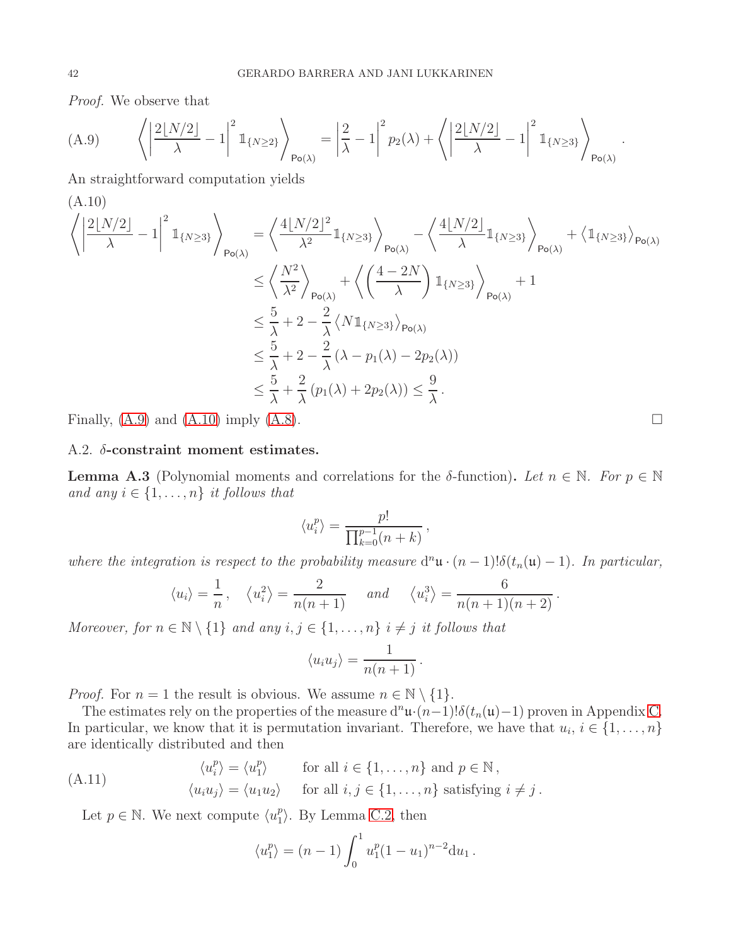Proof. We observe that

<span id="page-41-2"></span>
$$
(A.9) \qquad \left\langle \left| \frac{2\lfloor N/2 \rfloor}{\lambda} - 1 \right|^2 \mathbb{1}_{\{N \ge 2\}} \right\rangle_{\mathsf{Po}(\lambda)} = \left| \frac{2}{\lambda} - 1 \right|^2 p_2(\lambda) + \left\langle \left| \frac{2\lfloor N/2 \rfloor}{\lambda} - 1 \right|^2 \mathbb{1}_{\{N \ge 3\}} \right\rangle_{\mathsf{Po}(\lambda)}.
$$

An straightforward computation yields

<span id="page-41-3"></span>(A.10)  
\n
$$
\left\langle \left| \frac{2\lfloor N/2 \rfloor}{\lambda} - 1 \right|^2 \mathbb{1}_{\{N \ge 3\}} \right\rangle_{\mathsf{Po}(\lambda)} = \left\langle \frac{4\lfloor N/2 \rfloor^2}{\lambda^2} \mathbb{1}_{\{N \ge 3\}} \right\rangle_{\mathsf{Po}(\lambda)} - \left\langle \frac{4\lfloor N/2 \rfloor}{\lambda} \mathbb{1}_{\{N \ge 3\}} \right\rangle_{\mathsf{Po}(\lambda)} + \left\langle \mathbb{1}_{\{N \ge 3\}} \right\rangle_{\mathsf{Po}(\lambda)} + \left\langle \mathbb{1}_{\{N \ge 3\}} \right\rangle_{\mathsf{Po}(\lambda)} + \left\langle \frac{4 - 2N}{\lambda} \right) \mathbb{1}_{\{N \ge 3\}} \right\rangle_{\mathsf{Po}(\lambda)} + 1
$$
\n
$$
\le \frac{5}{\lambda} + 2 - \frac{2}{\lambda} \left\langle N \mathbb{1}_{\{N \ge 3\}} \right\rangle_{\mathsf{Po}(\lambda)} - 2p_2(\lambda)
$$
\n
$$
\le \frac{5}{\lambda} + 2 - \frac{2}{\lambda} (\lambda - p_1(\lambda) - 2p_2(\lambda))
$$
\n
$$
\le \frac{5}{\lambda} + \frac{2}{\lambda} (p_1(\lambda) + 2p_2(\lambda)) \le \frac{9}{\lambda}.
$$

<span id="page-41-0"></span>Finally,  $(A.9)$  and  $(A.10)$  imply  $(A.8)$ .

## A.2. δ-constraint moment estimates.

<span id="page-41-1"></span>**Lemma A.3** (Polynomial moments and correlations for the  $\delta$ -function). Let  $n \in \mathbb{N}$ . For  $p \in \mathbb{N}$ and any  $i \in \{1, \ldots, n\}$  it follows that

$$
\langle u_i^p \rangle = \frac{p!}{\prod_{k=0}^{p-1} (n+k)},
$$

where the integration is respect to the probability measure  $d^n\mathfrak{u} \cdot (n-1)!\delta(t_n(\mathfrak{u})-1)$ . In particular,

$$
\langle u_i \rangle = \frac{1}{n}, \quad \langle u_i^2 \rangle = \frac{2}{n(n+1)} \quad \text{and} \quad \langle u_i^3 \rangle = \frac{6}{n(n+1)(n+2)}.
$$

Moreover, for  $n \in \mathbb{N} \setminus \{1\}$  and any  $i, j \in \{1, ..., n\}$  if  $j$  it follows that

$$
\langle u_i u_j \rangle = \frac{1}{n(n+1)}.
$$

*Proof.* For  $n = 1$  the result is obvious. We assume  $n \in \mathbb{N} \setminus \{1\}$ .

The estimates rely on the properties of the measure  $d^n\mathfrak{u} \cdot (n-1)! \delta(t_n(\mathfrak{u})-1)$  proven in Appendix [C.](#page-49-0) In particular, we know that it is permutation invariant. Therefore, we have that  $u_i, i \in \{1, \ldots, n\}$ are identically distributed and then

<span id="page-41-4"></span>(A.11) 
$$
\langle u_i^p \rangle = \langle u_1^p \rangle \quad \text{for all } i \in \{1, ..., n\} \text{ and } p \in \mathbb{N},
$$

$$
\langle u_i u_j \rangle = \langle u_1 u_2 \rangle \quad \text{for all } i, j \in \{1, ..., n\} \text{ satisfying } i \neq j.
$$

Let  $p \in \mathbb{N}$ . We next compute  $\langle u_1^p \rangle$  $_{1}^{p}$ . By Lemma [C.2,](#page-54-0) then

$$
\langle u_1^p \rangle = (n-1) \int_0^1 u_1^p (1-u_1)^{n-2} \mathrm{d}u_1 \,.
$$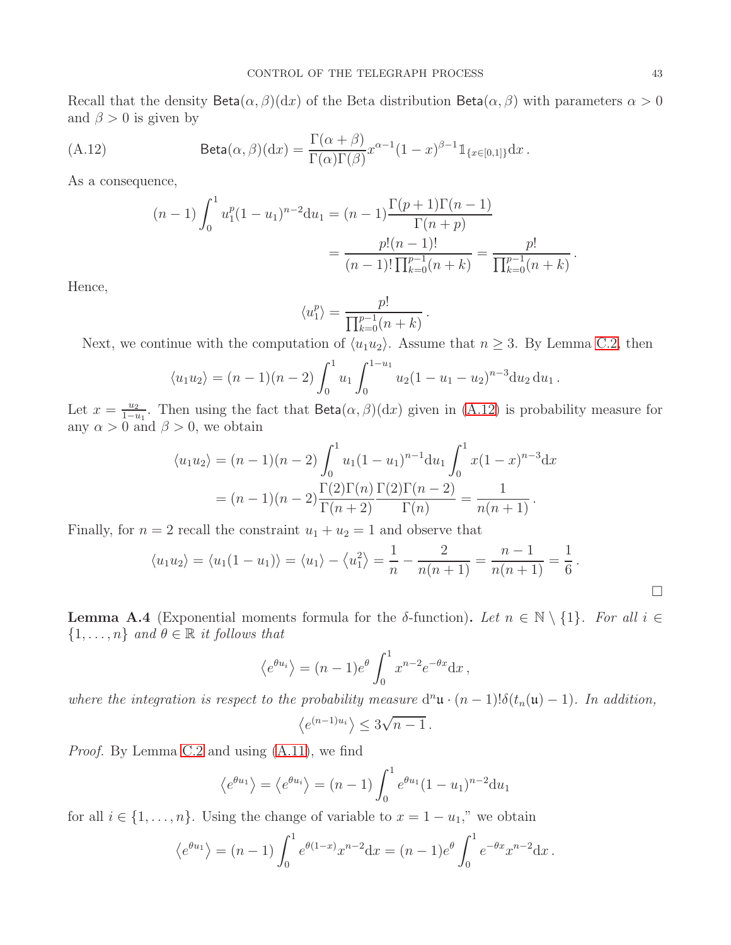Recall that the density Beta $(\alpha, \beta)(dx)$  of the Beta distribution Beta $(\alpha, \beta)$  with parameters  $\alpha > 0$ and  $\beta > 0$  is given by

<span id="page-42-0"></span>(A.12) 
$$
\text{Beta}(\alpha, \beta)(dx) = \frac{\Gamma(\alpha + \beta)}{\Gamma(\alpha)\Gamma(\beta)} x^{\alpha - 1} (1 - x)^{\beta - 1} \mathbb{1}_{\{x \in [0,1]\}} dx.
$$

As a consequence,

$$
(n-1)\int_0^1 u_1^p (1-u_1)^{n-2} du_1 = (n-1)\frac{\Gamma(p+1)\Gamma(n-1)}{\Gamma(n+p)}
$$

$$
= \frac{p!(n-1)!}{(n-1)! \prod_{k=0}^{p-1} (n+k)} = \frac{p!}{\prod_{k=0}^{p-1} (n+k)}
$$

Hence,

$$
\langle u_1^p \rangle = \frac{p!}{\prod_{k=0}^{p-1} (n+k)}.
$$

Next, we continue with the computation of  $\langle u_1 u_2 \rangle$ . Assume that  $n \geq 3$ . By Lemma [C.2,](#page-54-0) then

$$
\langle u_1 u_2 \rangle = (n-1)(n-2) \int_0^1 u_1 \int_0^{1-u_1} u_2 (1-u_1-u_2)^{n-3} du_2 du_1.
$$

Let  $x = \frac{u_2}{1 - i}$  $\frac{u_2}{1-u_1}$ . Then using the fact that Beta $(\alpha, \beta)(dx)$  given in  $(A.12)$  is probability measure for any  $\alpha > 0$  and  $\beta > 0$ , we obtain

$$
\langle u_1 u_2 \rangle = (n-1)(n-2) \int_0^1 u_1 (1-u_1)^{n-1} du_1 \int_0^1 x (1-x)^{n-3} dx
$$
  
=  $(n-1)(n-2) \frac{\Gamma(2)\Gamma(n)}{\Gamma(n+2)} \frac{\Gamma(2)\Gamma(n-2)}{\Gamma(n)} = \frac{1}{n(n+1)}.$ 

Finally, for  $n = 2$  recall the constraint  $u_1 + u_2 = 1$  and observe that

$$
\langle u_1 u_2 \rangle = \langle u_1 (1 - u_1) \rangle = \langle u_1 \rangle - \langle u_1^2 \rangle = \frac{1}{n} - \frac{2}{n(n+1)} = \frac{n-1}{n(n+1)} = \frac{1}{6}.
$$

<span id="page-42-1"></span>**Lemma A.4** (Exponential moments formula for the δ-function). Let  $n \in \mathbb{N} \setminus \{1\}$ . For all  $i \in$  $\{1, \ldots, n\}$  and  $\theta \in \mathbb{R}$  it follows that

$$
\langle e^{\theta u_i} \rangle = (n-1)e^{\theta} \int_0^1 x^{n-2} e^{-\theta x} dx,
$$

where the integration is respect to the probability measure  $d^n\mathfrak{u} \cdot (n-1) \cdot \delta(t_n(\mathfrak{u})-1)$ . In addition,

$$
\left\langle e^{(n-1)u_i} \right\rangle \le 3\sqrt{n-1}.
$$

Proof. By Lemma [C.2](#page-54-0) and using [\(A.11\)](#page-41-4), we find

$$
\langle e^{\theta u_1} \rangle = \langle e^{\theta u_i} \rangle = (n-1) \int_0^1 e^{\theta u_1} (1 - u_1)^{n-2} du_1
$$

for all  $i \in \{1, \ldots, n\}$ . Using the change of variable to  $x = 1 - u_1$ ," we obtain

$$
\langle e^{\theta u_1} \rangle = (n-1) \int_0^1 e^{\theta(1-x)} x^{n-2} dx = (n-1)e^{\theta} \int_0^1 e^{-\theta x} x^{n-2} dx.
$$

 $\Box$ 

.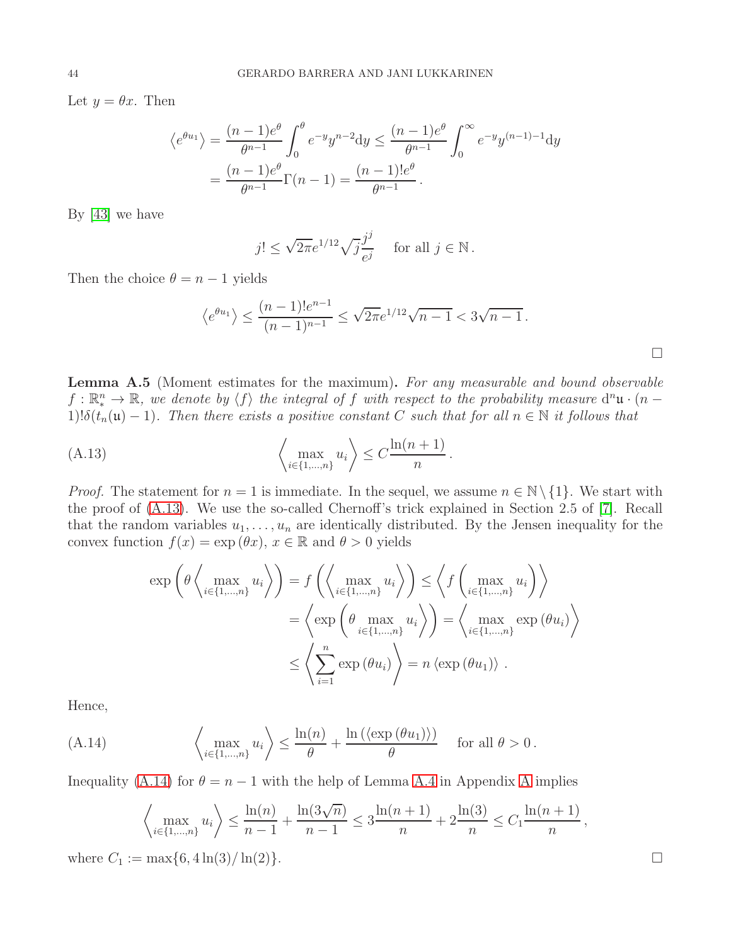Let  $y = \theta x$ . Then

$$
\langle e^{\theta u_1} \rangle = \frac{(n-1)e^{\theta}}{\theta^{n-1}} \int_0^{\theta} e^{-y} y^{n-2} dy \le \frac{(n-1)e^{\theta}}{\theta^{n-1}} \int_0^{\infty} e^{-y} y^{(n-1)-1} dy
$$
  
=  $\frac{(n-1)e^{\theta}}{\theta^{n-1}} \Gamma(n-1) = \frac{(n-1)!e^{\theta}}{\theta^{n-1}}.$ 

By [\[43\]](#page-58-22) we have

$$
j! \le \sqrt{2\pi}e^{1/12}\sqrt{j}\frac{j^j}{e^j} \quad \text{ for all } j \in \mathbb{N} \, .
$$

Then the choice  $\theta = n - 1$  yields

$$
\langle e^{\theta u_1} \rangle \le \frac{(n-1)!e^{n-1}}{(n-1)^{n-1}} \le \sqrt{2\pi}e^{1/12}\sqrt{n-1} < 3\sqrt{n-1}.
$$

.

<span id="page-43-0"></span>Lemma A.5 (Moment estimates for the maximum). For any measurable and bound observable  $f: \mathbb{R}^n \to \mathbb{R}$ , we denote by  $\langle f \rangle$  the integral of f with respect to the probability measure  $d^n\mathfrak{u} \cdot (n - 1)$ 1)! $\delta(t_n(\mathfrak{u})-1)$ . Then there exists a positive constant C such that for all  $n \in \mathbb{N}$  it follows that

<span id="page-43-1"></span>(A.13) 
$$
\left\langle \max_{i \in \{1, ..., n\}} u_i \right\rangle \leq C \frac{\ln(n+1)}{n}
$$

*Proof.* The statement for  $n = 1$  is immediate. In the sequel, we assume  $n \in \mathbb{N} \setminus \{1\}$ . We start with the proof of [\(A.13\)](#page-43-1). We use the so-called Chernoff's trick explained in Section 2.5 of [\[7\]](#page-57-22). Recall that the random variables  $u_1, \ldots, u_n$  are identically distributed. By the Jensen inequality for the convex function  $f(x) = \exp(\theta x)$ ,  $x \in \mathbb{R}$  and  $\theta > 0$  yields

$$
\exp\left(\theta \left\langle \max_{i \in \{1, \dots, n\}} u_i \right\rangle\right) = f\left(\left\langle \max_{i \in \{1, \dots, n\}} u_i \right\rangle\right) \leq \left\langle f\left(\max_{i \in \{1, \dots, n\}} u_i\right)\right\rangle
$$

$$
= \left\langle \exp\left(\theta \max_{i \in \{1, \dots, n\}} u_i \right)\right\rangle = \left\langle \max_{i \in \{1, \dots, n\}} \exp\left(\theta u_i\right)\right\rangle
$$

$$
\leq \left\langle \sum_{i=1}^n \exp\left(\theta u_i\right)\right\rangle = n \left\langle \exp\left(\theta u_1\right)\right\rangle.
$$

Hence,

<span id="page-43-2"></span>(A.14) 
$$
\left\langle \max_{i \in \{1, ..., n\}} u_i \right\rangle \leq \frac{\ln(n)}{\theta} + \frac{\ln\left(\left\langle \exp\left(\theta u_1\right)\right\rangle\right)}{\theta} \quad \text{for all } \theta > 0.
$$

Inequality [\(A.14\)](#page-43-2) for  $\theta = n - 1$  with the help of Lemma [A.4](#page-42-1) in [A](#page-39-0)ppendix A implies

$$
\left\langle \max_{i \in \{1, \dots, n\}} u_i \right\rangle \le \frac{\ln(n)}{n-1} + \frac{\ln(3\sqrt{n})}{n-1} \le 3\frac{\ln(n+1)}{n} + 2\frac{\ln(3)}{n} \le C_1 \frac{\ln(n+1)}{n},
$$

where  $C_1 := \max\{6, 4\ln(3)/\ln(2)\}.$ 

 $\Box$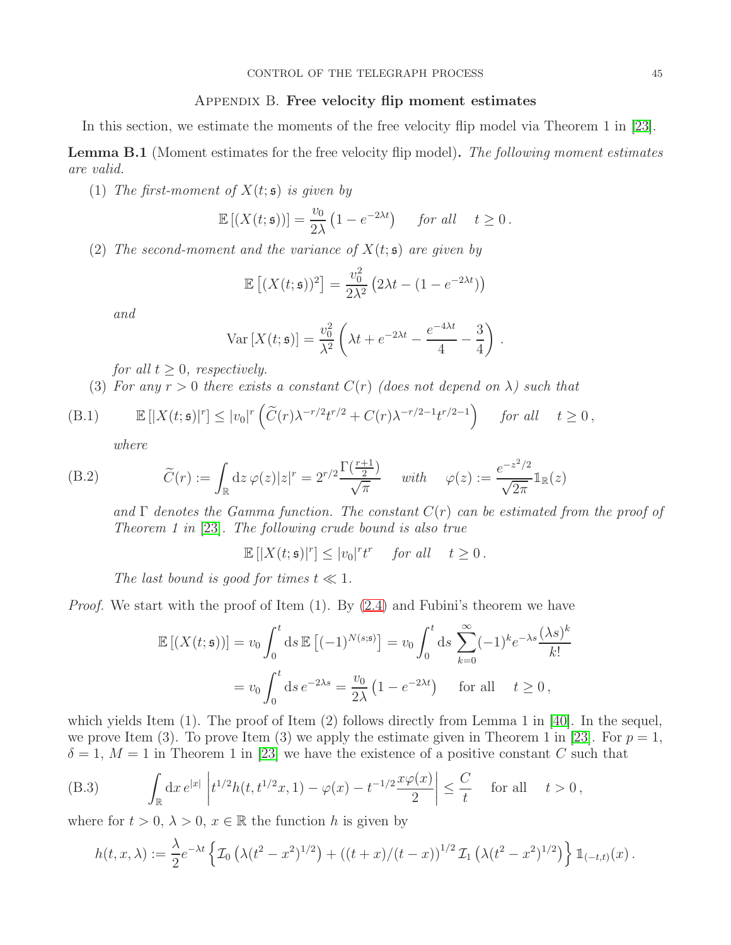## APPENDIX B. Free velocity flip moment estimates

<span id="page-44-0"></span>In this section, we estimate the moments of the free velocity flip model via Theorem 1 in [\[23\]](#page-58-2).

<span id="page-44-1"></span>**Lemma B.1** (Moment estimates for the free velocity flip model). The following moment estimates are valid.

(1) The first-moment of  $X(t; \mathfrak{s})$  is given by

$$
\mathbb{E}\left[\left(X(t;\mathfrak{s})\right)\right] = \frac{v_0}{2\lambda} \left(1 - e^{-2\lambda t}\right) \quad \text{for all} \quad t \ge 0.
$$

(2) The second-moment and the variance of  $X(t; \mathfrak{s})$  are given by

$$
\mathbb{E}\left[ (X(t; \mathfrak{s}))^2 \right] = \frac{v_0^2}{2\lambda^2} \left( 2\lambda t - (1 - e^{-2\lambda t}) \right)
$$

and

$$
\text{Var}\left[X(t;\mathfrak{s})\right] = \frac{v_0^2}{\lambda^2} \left(\lambda t + e^{-2\lambda t} - \frac{e^{-4\lambda t}}{4} - \frac{3}{4}\right) \,.
$$

for all  $t \geq 0$ , respectively.

(3) For any  $r > 0$  there exists a constant  $C(r)$  (does not depend on  $\lambda$ ) such that

<span id="page-44-2"></span>(B.1) 
$$
\mathbb{E}\left[|X(t;\mathfrak{s})|^r\right] \leq |v_0|^r \left(\widetilde{C}(r)\lambda^{-r/2}t^{r/2} + C(r)\lambda^{-r/2-1}t^{r/2-1}\right) \quad \text{for all} \quad t \geq 0,
$$

where

<span id="page-44-4"></span>(B.2) 
$$
\widetilde{C}(r) := \int_{\mathbb{R}} dz \,\varphi(z)|z|^r = 2^{r/2} \frac{\Gamma(\frac{r+1}{2})}{\sqrt{\pi}} \quad \text{with} \quad \varphi(z) := \frac{e^{-z^2/2}}{\sqrt{2\pi}} 1_{\mathbb{R}}(z)
$$

and  $\Gamma$  denotes the Gamma function. The constant  $C(r)$  can be estimated from the proof of Theorem 1 in [\[23\]](#page-58-2). The following crude bound is also true

 $\mathbb{E}[|X(t; \mathfrak{s})|^r] \le |v_0|^r t^r$  for all  $t \ge 0$ .

The last bound is good for times  $t \ll 1$ .

*Proof.* We start with the proof of Item  $(1)$ . By  $(2.4)$  and Fubini's theorem we have

$$
\mathbb{E}\left[\left(X(t;\mathfrak{s})\right)\right] = v_0 \int_0^t \mathrm{d}s \,\mathbb{E}\left[(-1)^{N(s;\mathfrak{s})}\right] = v_0 \int_0^t \mathrm{d}s \sum_{k=0}^\infty (-1)^k e^{-\lambda s} \frac{(\lambda s)^k}{k!}
$$

$$
= v_0 \int_0^t \mathrm{d}s \, e^{-2\lambda s} = \frac{v_0}{2\lambda} \left(1 - e^{-2\lambda t}\right) \quad \text{for all} \quad t \ge 0,
$$

which yields Item  $(1)$ . The proof of Item  $(2)$  follows directly from Lemma 1 in [\[40\]](#page-58-8). In the sequel, we prove Item (3). To prove Item (3) we apply the estimate given in Theorem 1 in [\[23\]](#page-58-2). For  $p = 1$ ,  $\delta = 1, M = 1$  in Theorem 1 in [\[23\]](#page-58-2) we have the existence of a positive constant C such that

<span id="page-44-3"></span>(B.3) 
$$
\int_{\mathbb{R}} dx e^{|x|} \left| t^{1/2} h(t, t^{1/2} x, 1) - \varphi(x) - t^{-1/2} \frac{x \varphi(x)}{2} \right| \leq \frac{C}{t} \quad \text{for all} \quad t > 0,
$$

where for  $t > 0$ ,  $\lambda > 0$ ,  $x \in \mathbb{R}$  the function h is given by

$$
h(t,x,\lambda) := \frac{\lambda}{2} e^{-\lambda t} \left\{ \mathcal{I}_0 \left( \lambda (t^2 - x^2)^{1/2} \right) + \left( (t+x)/(t-x) \right)^{1/2} \mathcal{I}_1 \left( \lambda (t^2 - x^2)^{1/2} \right) \right\} \mathbb{1}_{(-t,t)}(x) .
$$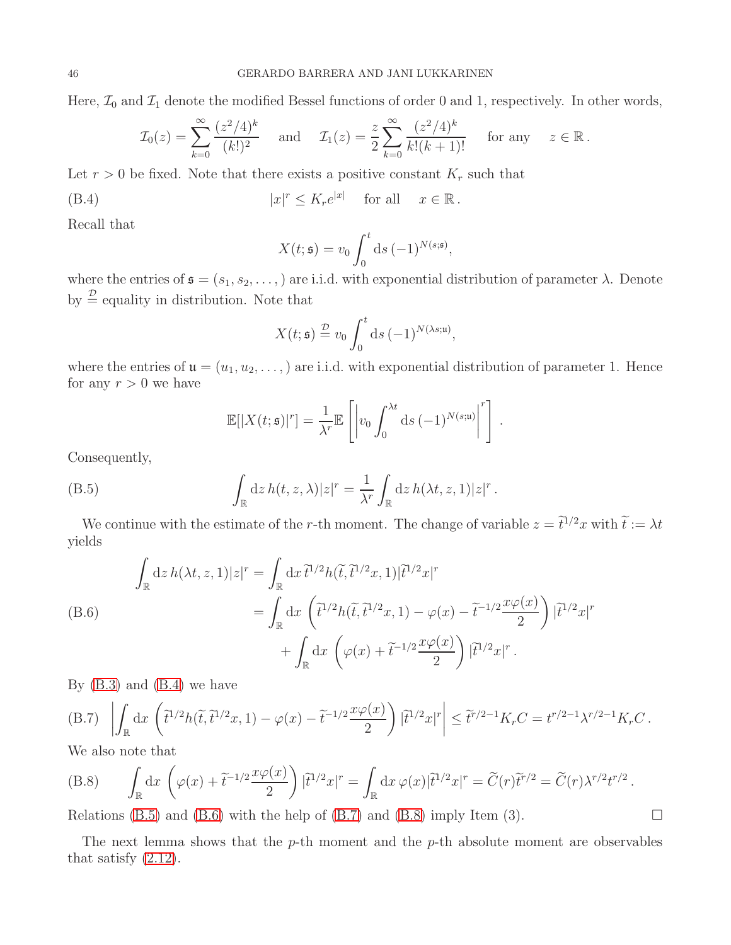Here,  $\mathcal{I}_0$  and  $\mathcal{I}_1$  denote the modified Bessel functions of order 0 and 1, respectively. In other words,

$$
\mathcal{I}_0(z) = \sum_{k=0}^{\infty} \frac{(z^2/4)^k}{(k!)^2} \quad \text{and} \quad \mathcal{I}_1(z) = \frac{z}{2} \sum_{k=0}^{\infty} \frac{(z^2/4)^k}{k!(k+1)!} \quad \text{for any} \quad z \in \mathbb{R}.
$$

Let  $r > 0$  be fixed. Note that there exists a positive constant  $K_r$  such that

<span id="page-45-0"></span>
$$
(B.4) \t\t |x|^r \le K_r e^{|x|} \tfor all \t x \in \mathbb{R}.
$$

Recall that

$$
X(t; \mathfrak{s}) = v_0 \int_0^t \mathrm{d}s \, (-1)^{N(s; \mathfrak{s})},
$$

where the entries of  $\mathfrak{s} = (s_1, s_2, \ldots)$  are i.i.d. with exponential distribution of parameter  $\lambda$ . Denote by  $\stackrel{\mathcal{D}}{=}$  equality in distribution. Note that

$$
X(t; \mathfrak{s}) \stackrel{\mathcal{D}}{=} v_0 \int_0^t \mathrm{d}s \, (-1)^{N(\lambda s; \mathfrak{u})},
$$

where the entries of  $\mathfrak{u} = (u_1, u_2, \dots)$  are i.i.d. with exponential distribution of parameter 1. Hence for any  $r > 0$  we have

$$
\mathbb{E}[|X(t; \mathfrak{s})|^r] = \frac{1}{\lambda^r} \mathbb{E}\left[\left|v_0 \int_0^{\lambda t} \mathrm{d}s \, (-1)^{N(s; \mathfrak{u})}\right|^r\right].
$$

Consequently,

<span id="page-45-1"></span>(B.5) 
$$
\int_{\mathbb{R}} dz h(t, z, \lambda) |z|^r = \frac{1}{\lambda^r} \int_{\mathbb{R}} dz h(\lambda t, z, 1) |z|^r.
$$

We continue with the estimate of the r-th moment. The change of variable  $z = \tilde{t}^{1/2}x$  with  $\tilde{t} := \lambda t$ yields

<span id="page-45-2"></span>
$$
\int_{\mathbb{R}} dz h(\lambda t, z, 1)|z|^r = \int_{\mathbb{R}} dx \,\tilde{t}^{1/2} h(\tilde{t}, \tilde{t}^{1/2} x, 1)|\tilde{t}^{1/2} x|^r
$$
\n
$$
= \int_{\mathbb{R}} dx \left( \tilde{t}^{1/2} h(\tilde{t}, \tilde{t}^{1/2} x, 1) - \varphi(x) - \tilde{t}^{-1/2} \frac{x \varphi(x)}{2} \right) |\tilde{t}^{1/2} x|^r
$$
\n
$$
+ \int_{\mathbb{R}} dx \left( \varphi(x) + \tilde{t}^{-1/2} \frac{x \varphi(x)}{2} \right) |\tilde{t}^{1/2} x|^r.
$$

By  $(B.3)$  and  $(B.4)$  we have

<span id="page-45-3"></span>(B.7) 
$$
\left| \int_{\mathbb{R}} dx \left( \tilde{t}^{1/2} h(\tilde{t}, \tilde{t}^{1/2} x, 1) - \varphi(x) - \tilde{t}^{-1/2} \frac{x \varphi(x)}{2} \right) |\tilde{t}^{1/2} x|^r \right| \leq \tilde{t}^{r/2 - 1} K_r C = t^{r/2 - 1} \lambda^{r/2 - 1} K_r C.
$$

We also note that

<span id="page-45-4"></span>(B.8) 
$$
\int_{\mathbb{R}} dx \left( \varphi(x) + \tilde{t}^{-1/2} \frac{x \varphi(x)}{2} \right) |\tilde{t}^{1/2} x|^r = \int_{\mathbb{R}} dx \, \varphi(x) |\tilde{t}^{1/2} x|^r = \tilde{C}(r) \tilde{t}^{r/2} = \tilde{C}(r) \lambda^{r/2} t^{r/2}.
$$

Relations [\(B.5\)](#page-45-1) and [\(B.6\)](#page-45-2) with the help of [\(B.7\)](#page-45-3) and [\(B.8\)](#page-45-4) imply Item (3).

The next lemma shows that the  $p$ -th moment and the  $p$ -th absolute moment are observables that satisfy  $(2.12)$ .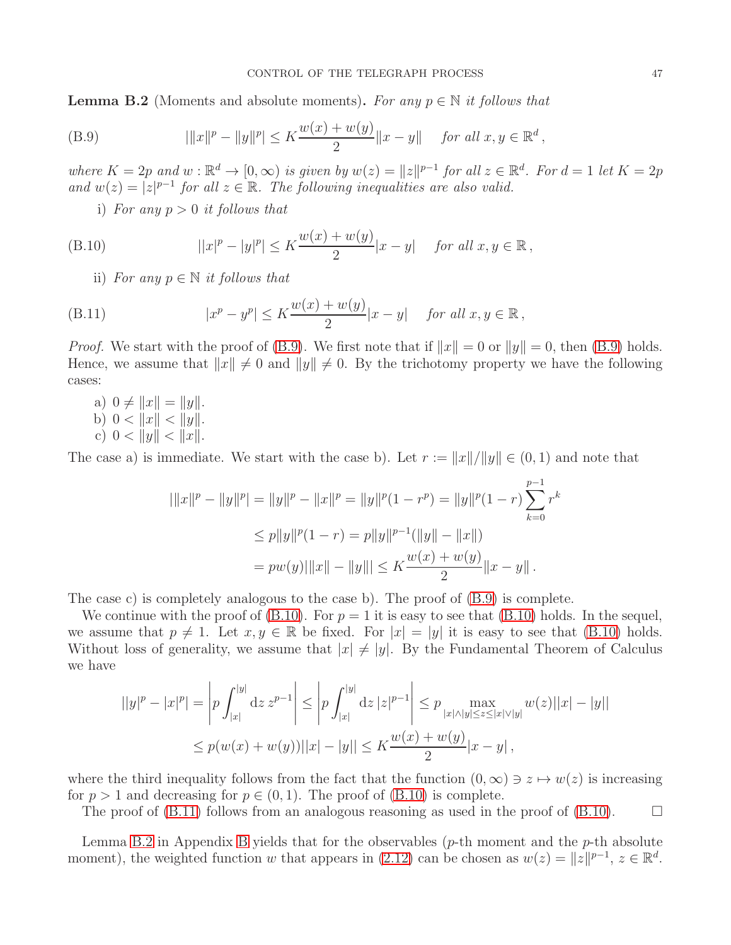<span id="page-46-0"></span>**Lemma B.2** (Moments and absolute moments). For any  $p \in \mathbb{N}$  it follows that

<span id="page-46-1"></span>(B.9) 
$$
|\|x\|^p - \|y\|^p| \le K \frac{w(x) + w(y)}{2} \|x - y\| \quad \text{for all } x, y \in \mathbb{R}^d,
$$

where  $K = 2p$  and  $w : \mathbb{R}^d \to [0, \infty)$  is given by  $w(z) = ||z||^{p-1}$  for all  $z \in \mathbb{R}^d$ . For  $d = 1$  let  $K = 2p$ and  $w(z) = |z|^{p-1}$  for all  $z \in \mathbb{R}$ . The following inequalities are also valid.

i) For any  $p > 0$  it follows that

<span id="page-46-2"></span>(B.10) 
$$
||x|^p - |y|^p| \le K \frac{w(x) + w(y)}{2} |x - y| \quad \text{for all } x, y \in \mathbb{R},
$$

ii) For any  $p \in \mathbb{N}$  it follows that

<span id="page-46-3"></span>(B.11) 
$$
|x^{p} - y^{p}| \leq K \frac{w(x) + w(y)}{2} |x - y| \quad \text{for all } x, y \in \mathbb{R},
$$

*Proof.* We start with the proof of [\(B.9\)](#page-46-1). We first note that if  $||x|| = 0$  or  $||y|| = 0$ , then (B.9) holds. Hence, we assume that  $||x|| \neq 0$  and  $||y|| \neq 0$ . By the trichotomy property we have the following cases:

a)  $0 \neq ||x|| = ||y||$ . b)  $0 < ||x|| < ||y||$ . c)  $0 < ||y|| < ||x||$ .

The case a) is immediate. We start with the case b). Let  $r := ||x||/||y|| \in (0, 1)$  and note that

$$
|\|x\|^p - \|y\|^p| = \|y\|^p - \|x\|^p = \|y\|^p (1 - r^p) = \|y\|^p (1 - r) \sum_{k=0}^{p-1} r^k
$$
  
\n
$$
\leq p \|y\|^p (1 - r) = p \|y\|^{p-1} (\|y\| - \|x\|)
$$
  
\n
$$
= pw(y) |\|x\| - \|y\|| \leq K \frac{w(x) + w(y)}{2} \|x - y\|.
$$

The case c) is completely analogous to the case b). The proof of [\(B.9\)](#page-46-1) is complete.

We continue with the proof of  $(B.10)$ . For  $p = 1$  it is easy to see that  $(B.10)$  holds. In the sequel, we assume that  $p \neq 1$ . Let  $x, y \in \mathbb{R}$  be fixed. For  $|x| = |y|$  it is easy to see that [\(B.10\)](#page-46-2) holds. Without loss of generality, we assume that  $|x| \neq |y|$ . By the Fundamental Theorem of Calculus we have

$$
||y|^p - |x|^p| = \left| p \int_{|x|}^{|y|} dz \, z^{p-1} \right| \le \left| p \int_{|x|}^{|y|} dz \, |z|^{p-1} \right| \le p \max_{|x| \wedge |y| \le z \le |x| \vee |y|} w(z) ||x| - |y||
$$
  

$$
\le p(w(x) + w(y)) ||x| - |y|| \le K \frac{w(x) + w(y)}{2} |x - y|,
$$

where the third inequality follows from the fact that the function  $(0, \infty) \ni z \mapsto w(z)$  is increasing for  $p > 1$  and decreasing for  $p \in (0, 1)$ . The proof of  $(B.10)$  is complete.

The proof of  $(B.11)$  follows from an analogous reasoning as used in the proof of  $(B.10)$ .

Lemma [B.2](#page-46-0) in Appendix [B](#page-44-0) yields that for the observables ( $p$ -th moment and the  $p$ -th absolute moment), the weighted function w that appears in [\(2.12\)](#page-5-3) can be chosen as  $w(z) = ||z||^{p-1}$ ,  $z \in \mathbb{R}^d$ .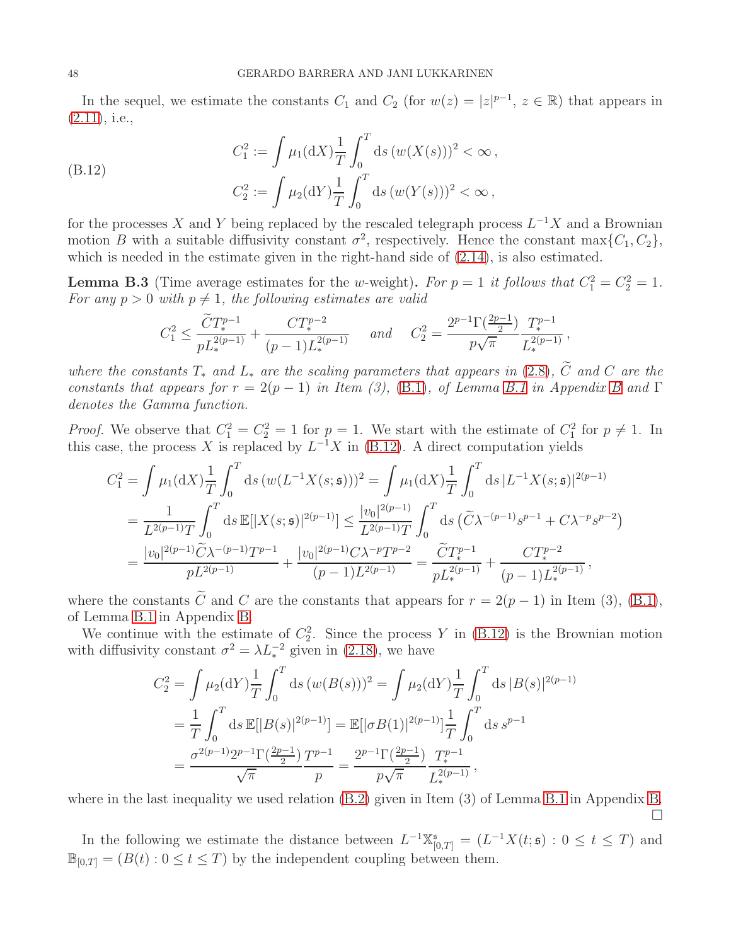In the sequel, we estimate the constants  $C_1$  and  $C_2$  (for  $w(z) = |z|^{p-1}$ ,  $z \in \mathbb{R}$ ) that appears in [\(2.11\)](#page-5-5), i.e.,

<span id="page-47-1"></span>(B.12) 
$$
C_1^2 := \int \mu_1(\mathrm{d}X) \frac{1}{T} \int_0^T \mathrm{d}s \left( w(X(s)) \right)^2 < \infty ,
$$

$$
C_2^2 := \int \mu_2(\mathrm{d}Y) \frac{1}{T} \int_0^T \mathrm{d}s \left( w(Y(s)) \right)^2 < \infty ,
$$

for the processes X and Y being replaced by the rescaled telegraph process  $L^{-1}X$  and a Brownian motion B with a suitable diffusivity constant  $\sigma^2$ , respectively. Hence the constant max $\{C_1, C_2\}$ , which is needed in the estimate given in the right-hand side of [\(2.14\)](#page-6-1), is also estimated.

<span id="page-47-0"></span>**Lemma B.3** (Time average estimates for the w-weight). For  $p = 1$  it follows that  $C_1^2 = C_2^2 = 1$ . For any  $p > 0$  with  $p \neq 1$ , the following estimates are valid

$$
C_1^2 \le \frac{\widetilde{C}T_*^{p-1}}{pL_*^{2(p-1)}} + \frac{CT_*^{p-2}}{(p-1)L_*^{2(p-1)}} \quad \text{and} \quad C_2^2 = \frac{2^{p-1}\Gamma(\frac{2p-1}{2})}{p\sqrt{\pi}} \frac{T_*^{p-1}}{L_*^{2(p-1)}}\,,
$$

where the constants  $T_*$  and  $L_*$  are the scaling parameters that appears in [\(2.8\)](#page-4-3),  $\tilde{C}$  and  $C$  are the constants that appears for  $r = 2(p-1)$  in Item (3), [\(B.1\)](#page-44-2), of Lemma [B.1](#page-44-1) in Appendix [B](#page-44-0) and  $\Gamma$ denotes the Gamma function.

*Proof.* We observe that  $C_1^2 = C_2^2 = 1$  for  $p = 1$ . We start with the estimate of  $C_1^2$  for  $p \neq 1$ . In this case, the process X is replaced by  $L^{-1}X$  in [\(B.12\)](#page-47-1). A direct computation yields

$$
C_1^2 = \int \mu_1(\mathrm{d}X) \frac{1}{T} \int_0^T \mathrm{d}s \left( w(L^{-1}X(s;\mathfrak{s})) \right)^2 = \int \mu_1(\mathrm{d}X) \frac{1}{T} \int_0^T \mathrm{d}s \left| L^{-1}X(s;\mathfrak{s}) \right|^{2(p-1)}
$$
  
= 
$$
\frac{1}{L^{2(p-1)}T} \int_0^T \mathrm{d}s \,\mathbb{E}[|X(s;\mathfrak{s})|^{2(p-1)}] \le \frac{|v_0|^{2(p-1)}}{L^{2(p-1)}T} \int_0^T \mathrm{d}s \left( \widetilde{C} \lambda^{-(p-1)} s^{p-1} + C \lambda^{-p} s^{p-2} \right)
$$
  
= 
$$
\frac{|v_0|^{2(p-1)} \widetilde{C} \lambda^{-(p-1)} T^{p-1}}{pL^{2(p-1)}} + \frac{|v_0|^{2(p-1)} C \lambda^{-p} T^{p-2}}{(p-1) L^{2(p-1)}} = \frac{\widetilde{C} T^{p-1}}{pL_*^{2(p-1)}} + \frac{C T^{p-2}_*}{(p-1) L_*^{2(p-1)}},
$$

where the constants  $\tilde{C}$  and C are the constants that appears for  $r = 2(p-1)$  in Item (3), [\(B.1\)](#page-44-2), of Lemma [B.1](#page-44-1) in Appendix [B.](#page-44-0)

We continue with the estimate of  $C_2^2$ . Since the process Y in [\(B.12\)](#page-47-1) is the Brownian motion with diffusivity constant  $\sigma^2 = \lambda L_*^{-2}$  given in [\(2.18\)](#page-7-2), we have

$$
C_2^2 = \int \mu_2(\mathrm{d}Y) \frac{1}{T} \int_0^T \mathrm{d}s \, (w(B(s)))^2 = \int \mu_2(\mathrm{d}Y) \frac{1}{T} \int_0^T \mathrm{d}s \, |B(s)|^{2(p-1)}
$$
  
= 
$$
\frac{1}{T} \int_0^T \mathrm{d}s \, \mathbb{E}[|B(s)|^{2(p-1)}] = \mathbb{E}[|\sigma B(1)|^{2(p-1)}] \frac{1}{T} \int_0^T \mathrm{d}s \, s^{p-1}
$$
  
= 
$$
\frac{\sigma^{2(p-1)} 2^{p-1} \Gamma(\frac{2p-1}{2})}{\sqrt{\pi}} \frac{T^{p-1}}{p} = \frac{2^{p-1} \Gamma(\frac{2p-1}{2})}{p \sqrt{\pi}} \frac{T^{p-1}}{L_*^{2(p-1)}},
$$

where in the last inequality we used relation [\(B.2\)](#page-44-4) given in Item (3) of Lemma [B.1](#page-44-1) in Appendix [B.](#page-44-0) П

In the following we estimate the distance between  $L^{-1}\mathbb{X}_{[0,T]}^{\mathfrak{s}} = (L^{-1}X(t;\mathfrak{s}) : 0 \leq t \leq T)$  and  $\mathbb{B}_{[0,T]} = (B(t): 0 \le t \le T)$  by the independent coupling between them.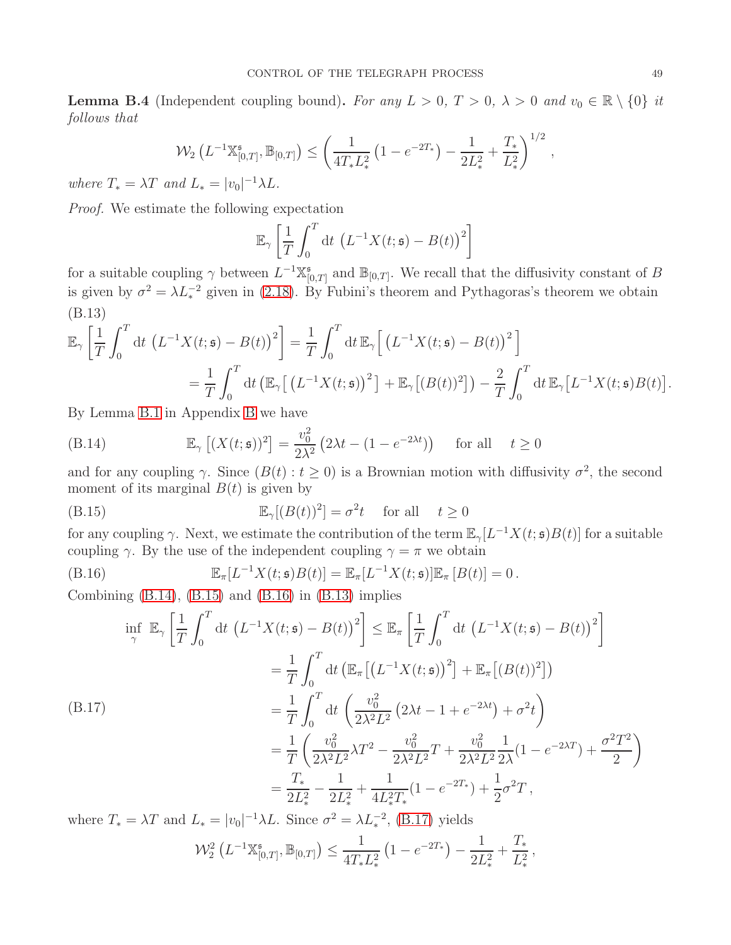<span id="page-48-0"></span>**Lemma B.4** (Independent coupling bound). For any  $L > 0$ ,  $T > 0$ ,  $\lambda > 0$  and  $v_0 \in \mathbb{R} \setminus \{0\}$  it follows that

$$
\mathcal{W}_2\left(L^{-1}\mathbb{X}_{[0,T]}^{\mathfrak{s}},\mathbb{B}_{[0,T]}\right)\leq \left(\frac{1}{4T_*L_*^2}\left(1-e^{-2T_*}\right)-\frac{1}{2L_*^2}+\frac{T_*}{L_*^2}\right)^{1/2},
$$

where  $T_* = \lambda T$  and  $L_* = |v_0|^{-1} \lambda L$ .

Proof. We estimate the following expectation

$$
\mathbb{E}_{\gamma}\left[\frac{1}{T}\int_0^T dt \left(L^{-1}X(t;\mathfrak{s}) - B(t)\right)^2\right]
$$

for a suitable coupling  $\gamma$  between  $L^{-1}\mathbb{X}_{\mathbb{N}}^{5}$  $\mathbb{B}_{[0,T]}$  and  $\mathbb{B}_{[0,T]}$ . We recall that the diffusivity constant of B is given by  $\sigma^2 = \lambda L_*^{-2}$  given in [\(2.18\)](#page-7-2). By Fubini's theorem and Pythagoras's theorem we obtain (B.13)

<span id="page-48-4"></span>
$$
\mathbb{E}_{\gamma} \left[ \frac{1}{T} \int_0^T \mathrm{d}t \, \left( L^{-1} X(t; \mathfrak{s}) - B(t) \right)^2 \right] = \frac{1}{T} \int_0^T \mathrm{d}t \, \mathbb{E}_{\gamma} \left[ \left( L^{-1} X(t; \mathfrak{s}) - B(t) \right)^2 \right]
$$
\n
$$
= \frac{1}{T} \int_0^T \mathrm{d}t \, \left( \mathbb{E}_{\gamma} \left[ \left( L^{-1} X(t; \mathfrak{s}) \right)^2 \right] + \mathbb{E}_{\gamma} \left[ \left( B(t) \right)^2 \right] \right) - \frac{2}{T} \int_0^T \mathrm{d}t \, \mathbb{E}_{\gamma} \left[ L^{-1} X(t; \mathfrak{s}) B(t) \right]
$$

By Lemma [B.1](#page-44-1) in Appendix [B](#page-44-0) we have

<span id="page-48-1"></span>(B.14) 
$$
\mathbb{E}_{\gamma}\left[ (X(t;\mathfrak{s}))^{2} \right] = \frac{v_{0}^{2}}{2\lambda^{2}} \left( 2\lambda t - (1 - e^{-2\lambda t}) \right) \text{ for all } t \ge 0
$$

and for any coupling  $\gamma$ . Since  $(B(t): t \ge 0)$  is a Brownian motion with diffusivity  $\sigma^2$ , the second moment of its marginal  $B(t)$  is given by

<span id="page-48-2"></span>(B.15) 
$$
\mathbb{E}_{\gamma}[(B(t))^{2}] = \sigma^{2}t \quad \text{for all} \quad t \ge 0
$$

for any coupling  $\gamma$ . Next, we estimate the contribution of the term  $\mathbb{E}_{\gamma}[L^{-1}X(t, \mathfrak{s})B(t)]$  for a suitable coupling  $\gamma$ . By the use of the independent coupling  $\gamma = \pi$  we obtain

<span id="page-48-3"></span>(B.16) 
$$
\mathbb{E}_{\pi}[L^{-1}X(t; \mathfrak{s})B(t)] = \mathbb{E}_{\pi}[L^{-1}X(t; \mathfrak{s})]\mathbb{E}_{\pi}[B(t)] = 0.
$$

Combining  $(B.14)$ ,  $(B.15)$  and  $(B.16)$  in  $(B.13)$  implies

<span id="page-48-5"></span>
$$
\inf_{\gamma} \mathbb{E}_{\gamma} \left[ \frac{1}{T} \int_{0}^{T} dt \left( L^{-1} X(t; \mathfrak{s}) - B(t) \right)^{2} \right] \leq \mathbb{E}_{\pi} \left[ \frac{1}{T} \int_{0}^{T} dt \left( L^{-1} X(t; \mathfrak{s}) - B(t) \right)^{2} \right]
$$
\n
$$
= \frac{1}{T} \int_{0}^{T} dt \left( \mathbb{E}_{\pi} \left[ \left( L^{-1} X(t; \mathfrak{s}) \right)^{2} \right] + \mathbb{E}_{\pi} \left[ (B(t))^{2} \right] \right)
$$
\n(B.17)\n
$$
= \frac{1}{T} \int_{0}^{T} dt \left( \frac{v_{0}^{2}}{2\lambda^{2} L^{2}} \left( 2\lambda t - 1 + e^{-2\lambda t} \right) + \sigma^{2} t \right)
$$
\n
$$
= \frac{1}{T} \left( \frac{v_{0}^{2}}{2\lambda^{2} L^{2}} \lambda T^{2} - \frac{v_{0}^{2}}{2\lambda^{2} L^{2}} T + \frac{v_{0}^{2}}{2\lambda^{2} L^{2}} \frac{1}{2\lambda} (1 - e^{-2\lambda T}) + \frac{\sigma^{2} T^{2}}{2} \right)
$$
\n
$$
= \frac{T_{*}}{2L_{*}^{2}} - \frac{1}{2L_{*}^{2}} + \frac{1}{4L_{*}^{2} T_{*}} (1 - e^{-2T_{*}}) + \frac{1}{2} \sigma^{2} T,
$$
\nHence,  $T_{*} \to T_{*} \to T_{*} \to T_{*} \to T_{*} \to T_{*} \to T_{*} \to T_{*} \to T_{*} \to T_{*} \to T_{*} \to T_{*} \to T_{*} \to T_{*} \to T_{*} \to T_{*} \to T_{*} \to T_{*} \to T_{*} \to T_{*} \to T_{*} \to T_{*} \to T_{*} \to T_{*} \to T_{*} \to T_{*} \to T_{*} \to T_{*} \to T_{*} \to T_{*} \to T_{*} \to T_{*} \to T_{*} \to T_{*} \to T_{*} \to T_{*} \to T_{*} \to T_{*} \to T_{*} \to T_{*$ 

where  $T_* = \lambda T$  and  $L_* = |v_0|^{-1} \lambda L$ . Since  $\sigma^2 = \lambda L_*^{-2}$ , [\(B.17\)](#page-48-5) yields

$$
\mathcal{W}_2^2\left(L^{-1}\mathbb{X}_{[0,T]}^s,\mathbb{B}_{[0,T]}\right) \le \frac{1}{4T_*L_*^2}\left(1-e^{-2T_*}\right) - \frac{1}{2L_*^2} + \frac{T_*}{L_*^2},
$$

.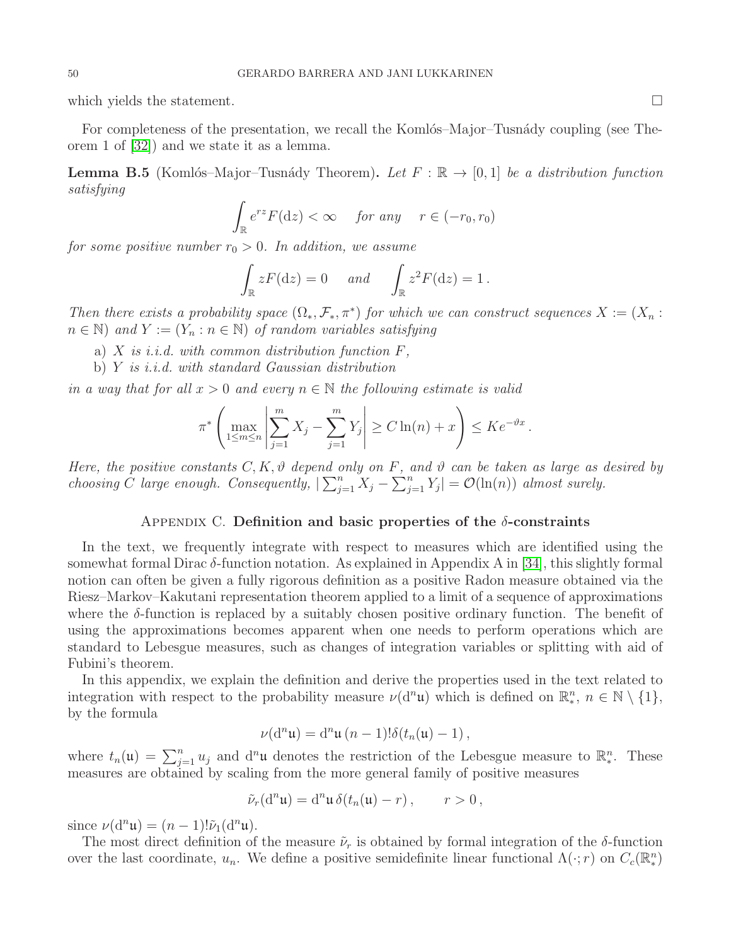which yields the statement.  $\Box$ 

For completeness of the presentation, we recall the Komlós–Major–Tusnády coupling (see Theorem 1 of [\[32\]](#page-58-17)) and we state it as a lemma.

<span id="page-49-1"></span>**Lemma B.5** (Komlós–Major–Tusnády Theorem). Let  $F : \mathbb{R} \to [0,1]$  be a distribution function satisfying

$$
\int_{\mathbb{R}} e^{rz} F(\mathrm{d}z) < \infty \quad \text{for any} \quad r \in (-r_0, r_0)
$$

for some positive number  $r_0 > 0$ . In addition, we assume

$$
\int_{\mathbb{R}} zF(\mathrm{d}z) = 0 \quad \text{and} \quad \int_{\mathbb{R}} z^2 F(\mathrm{d}z) = 1.
$$

Then there exists a probability space  $(\Omega_*, \mathcal{F}_*, \pi^*)$  for which we can construct sequences  $X := (X_n :$  $n \in \mathbb{N}$ ) and  $Y := (Y_n : n \in \mathbb{N})$  of random variables satisfying

- a)  $X$  is i.i.d. with common distribution function  $F$ ,
- b) Y is i.i.d. with standard Gaussian distribution

in a way that for all  $x > 0$  and every  $n \in \mathbb{N}$  the following estimate is valid

$$
\pi^* \left( \max_{1 \le m \le n} \left| \sum_{j=1}^m X_j - \sum_{j=1}^m Y_j \right| \ge C \ln(n) + x \right) \le Ke^{-\vartheta x}.
$$

Here, the positive constants C, K,  $\vartheta$  depend only on F, and  $\vartheta$  can be taken as large as desired by choosing C large enough. Consequently,  $|\sum_{j=1}^{n} X_j - \sum_{j=1}^{n} Y_j| = \mathcal{O}(\ln(n))$  almost surely.

#### APPENDIX C. Definition and basic properties of the  $\delta$ -constraints

<span id="page-49-0"></span>In the text, we frequently integrate with respect to measures which are identified using the somewhat formal Dirac  $\delta$ -function notation. As explained in Appendix A in [\[34\]](#page-58-20), this slightly formal notion can often be given a fully rigorous definition as a positive Radon measure obtained via the Riesz–Markov–Kakutani representation theorem applied to a limit of a sequence of approximations where the  $\delta$ -function is replaced by a suitably chosen positive ordinary function. The benefit of using the approximations becomes apparent when one needs to perform operations which are standard to Lebesgue measures, such as changes of integration variables or splitting with aid of Fubini's theorem.

In this appendix, we explain the definition and derive the properties used in the text related to integration with respect to the probability measure  $\nu(\mathrm{d}^n\mathfrak{u})$  which is defined on  $\mathbb{R}^n_*, n \in \mathbb{N} \setminus \{1\},\$ by the formula

$$
\nu(\mathrm{d}^n\mathfrak{u})=\mathrm{d}^n\mathfrak{u}\,(n-1)!\delta(t_n(\mathfrak{u})-1)\,,
$$

where  $t_n(\mathfrak{u}) = \sum_{j=1}^n u_j$  and  $d^n\mathfrak{u}$  denotes the restriction of the Lebesgue measure to  $\mathbb{R}^n_*$ . These measures are obtained by scaling from the more general family of positive measures

$$
\tilde{\nu}_r(\mathrm{d}^n\mathfrak{u}) = \mathrm{d}^n\mathfrak{u}\,\delta(t_n(\mathfrak{u}) - r)\,, \qquad r > 0\,,
$$

since  $\nu(\mathrm{d}^n\mathfrak{u})=(n-1)!\tilde{\nu}_1(\mathrm{d}^n\mathfrak{u}).$ 

The most direct definition of the measure  $\tilde{\nu}_r$  is obtained by formal integration of the  $\delta$ -function over the last coordinate,  $u_n$ . We define a positive semidefinite linear functional  $\Lambda(\cdot; r)$  on  $C_c(\mathbb{R}^n_*)$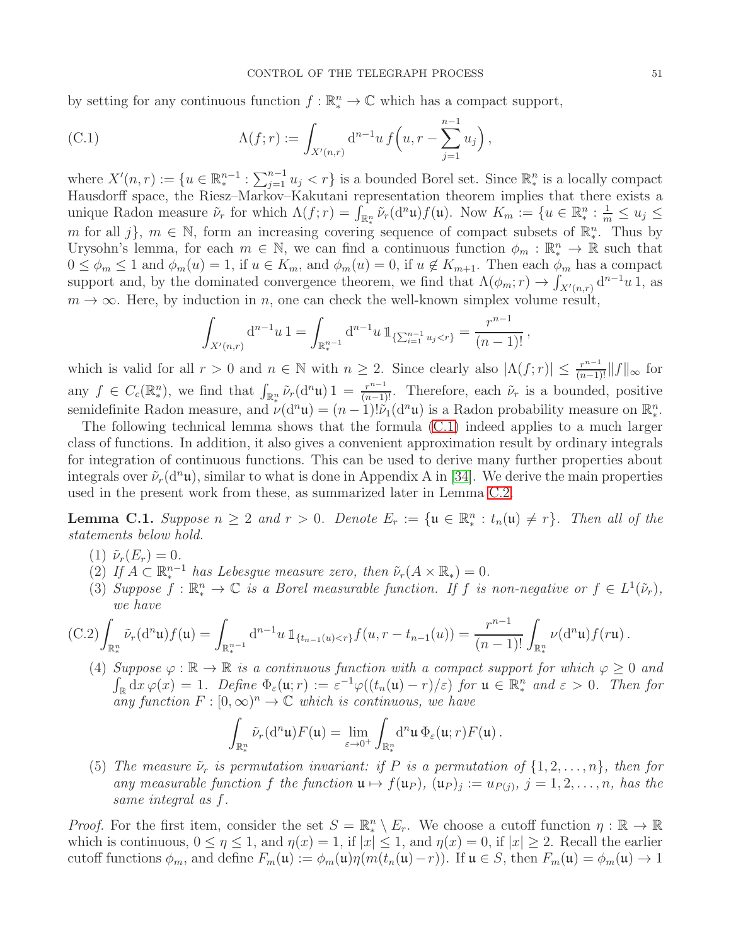by setting for any continuous function  $f : \mathbb{R}^n_* \to \mathbb{C}$  which has a compact support,

<span id="page-50-1"></span>(C.1) 
$$
\Lambda(f;r) := \int_{X'(n,r)} d^{n-1}u f\left(u, r - \sum_{j=1}^{n-1} u_j\right),
$$

where  $X'(n,r) := \{u \in \mathbb{R}^{n-1}_* : \sum_{j=1}^{n-1} u_j < r\}$  is a bounded Borel set. Since  $\mathbb{R}^n_*$  is a locally compact Hausdorff space, the Riesz–Markov–Kakutani representation theorem implies that there exists a unique Radon measure  $\tilde{\nu}_r$  for which  $\Lambda(f;r) = \int_{\mathbb{R}^n_*} \tilde{\nu}_r(\mathrm{d}^n\mathfrak{u})f(\mathfrak{u})$ . Now  $K_m := \{u \in \mathbb{R}^n_* : \frac{1}{m} \leq u_j \leq \infty\}$ m for all j},  $m \in \mathbb{N}$ , form an increasing covering sequence of compact subsets of  $\mathbb{R}^n_*$ . Thus by Urysohn's lemma, for each  $m \in \mathbb{N}$ , we can find a continuous function  $\phi_m : \mathbb{R}^n \to \mathbb{R}$  such that  $0 \leq \phi_m \leq 1$  and  $\phi_m(u) = 1$ , if  $u \in K_m$ , and  $\phi_m(u) = 0$ , if  $u \notin K_{m+1}$ . Then each  $\phi_m$  has a compact support and, by the dominated convergence theorem, we find that  $\Lambda(\phi_m; r) \to \int_{X'(n,r)} d^{n-1}u \, \hat{1}$ , as  $m \to \infty$ . Here, by induction in n, one can check the well-known simplex volume result,

$$
\int_{X'(n,r)} d^{n-1}u \, 1 = \int_{\mathbb{R}^{n-1}_*} d^{n-1}u \, 1_{\{\sum_{i=1}^{n-1} u_j < r\}} = \frac{r^{n-1}}{(n-1)!},
$$

which is valid for all  $r > 0$  and  $n \in \mathbb{N}$  with  $n \geq 2$ . Since clearly also  $|\Lambda(f; r)| \leq \frac{r^{n-1}}{(n-1)!} ||f||_{\infty}$  for any  $f \in C_c(\mathbb{R}^n_*)$ , we find that  $\int_{\mathbb{R}^n_*} \tilde{\nu}_r(\mathrm{d}^n\mathfrak{u}) 1 = \frac{r^{n-1}}{(n-1)!}$ . Therefore, each  $\tilde{\nu}_r$  is a bounded, positive semidefinite Radon measure, and  $\nu(\mathbf{d}^n\mathbf{u}) = (n-1)!\tilde{\nu}_1(\mathbf{d}^n\mathbf{u})$  is a Radon probability measure on  $\mathbb{R}^n_*$ .

The following technical lemma shows that the formula [\(C.1\)](#page-50-1) indeed applies to a much larger class of functions. In addition, it also gives a convenient approximation result by ordinary integrals for integration of continuous functions. This can be used to derive many further properties about integrals over  $\tilde{\nu}_r(\mathrm{d}^n\mathfrak{u})$ , similar to what is done in Appendix A in [\[34\]](#page-58-20). We derive the main properties used in the present work from these, as summarized later in Lemma [C.2.](#page-54-0)

<span id="page-50-0"></span>**Lemma C.1.** Suppose  $n \geq 2$  and  $r > 0$ . Denote  $E_r := \{ \mathfrak{u} \in \mathbb{R}^n_* : t_n(\mathfrak{u}) \neq r \}$ . Then all of the statements below hold.

- (1)  $\tilde{\nu}_r(E_r) = 0$ .
- (2) If  $A \subset \mathbb{R}^{n-1}$  has Lebesgue measure zero, then  $\tilde{\nu}_r(A \times \mathbb{R}_*) = 0$ .
- (3) Suppose  $f : \mathbb{R}^n_* \to \mathbb{C}$  is a Borel measurable function. If f is non-negative or  $f \in L^1(\tilde{\nu}_r)$ , we have

<span id="page-50-2"></span>
$$
(C.2)\int_{\mathbb{R}^n_*}\tilde{\nu}_r(d^n\mathfrak{u})f(\mathfrak{u})=\int_{\mathbb{R}^{n-1}_*}d^{n-1}u\,\mathbb{1}_{\{t_{n-1}(u)< r\}}f(u,r-t_{n-1}(u))=\frac{r^{n-1}}{(n-1)!}\int_{\mathbb{R}^n_*}\nu(d^n\mathfrak{u})f(r\mathfrak{u}).
$$

(4) Suppose  $\varphi : \mathbb{R} \to \mathbb{R}$  is a continuous function with a compact support for which  $\varphi \geq 0$  and  $\int_{\mathbb{R}} dx \varphi(x) = 1$ . Define  $\Phi_{\varepsilon}(\mathfrak{u}; r) := \varepsilon^{-1} \varphi((t_n(\mathfrak{u}) - r)/\varepsilon)$  for  $\mathfrak{u} \in \mathbb{R}_*^n$  and  $\varepsilon > 0$ . Then for any function  $F : [0, \infty)^n \to \mathbb{C}$  which is continuous, we have

$$
\int_{\mathbb{R}^n_*} \tilde{\nu}_r(\mathrm{d}^n\mathfrak{u}) F(\mathfrak{u}) = \lim_{\varepsilon \to 0^+} \int_{\mathbb{R}^n_*} \mathrm{d}^n\mathfrak{u} \,\Phi_\varepsilon(\mathfrak{u};r) F(\mathfrak{u}) \,.
$$

(5) The measure  $\tilde{\nu}_r$  is permutation invariant: if P is a permutation of  $\{1, 2, ..., n\}$ , then for any measurable function f the function  $\mathfrak{u} \mapsto f(\mathfrak{u}_P)$ ,  $(\mathfrak{u}_P)_j := u_{P(j)}, j = 1, 2, ..., n$ , has the same integral as f.

*Proof.* For the first item, consider the set  $S = \mathbb{R}^n \setminus E_r$ . We choose a cutoff function  $\eta : \mathbb{R} \to \mathbb{R}$ which is continuous,  $0 \le \eta \le 1$ , and  $\eta(x) = 1$ , if  $|x| \le 1$ , and  $\eta(x) = 0$ , if  $|x| \ge 2$ . Recall the earlier cutoff functions  $\phi_m$ , and define  $F_m(\mathfrak{u}) := \phi_m(\mathfrak{u})\eta(m(t_n(\mathfrak{u})-r))$ . If  $\mathfrak{u} \in S$ , then  $F_m(\mathfrak{u}) = \phi_m(\mathfrak{u}) \to 1$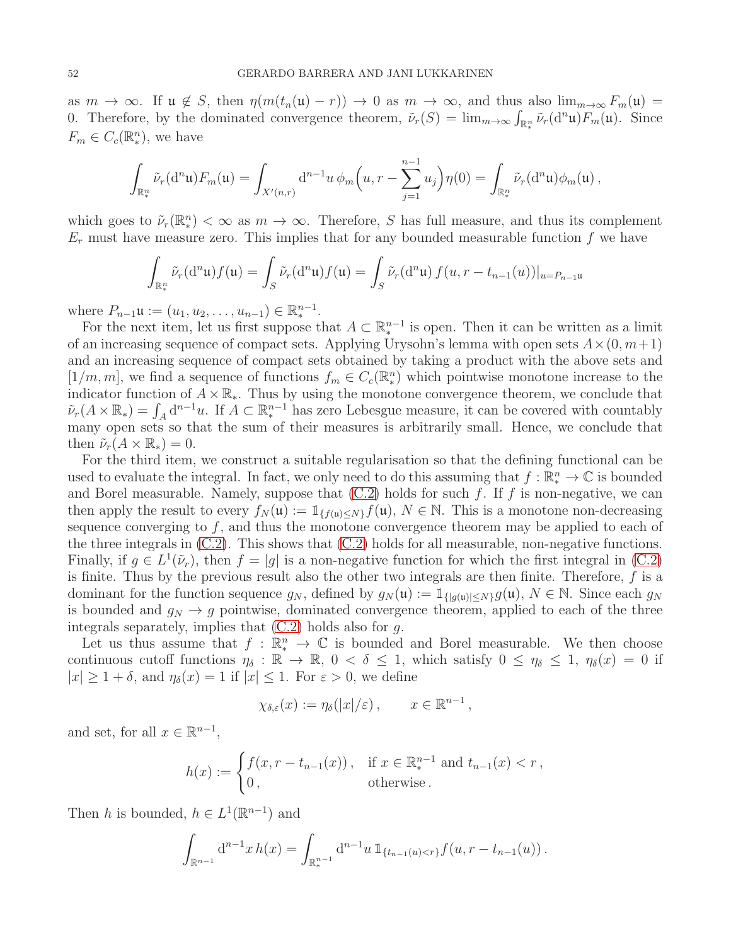as  $m \to \infty$ . If  $\mathfrak{u} \notin S$ , then  $\eta(m(t_n(\mathfrak{u}) - r)) \to 0$  as  $m \to \infty$ , and thus also  $\lim_{m \to \infty} F_m(\mathfrak{u}) =$ 0. Therefore, by the dominated convergence theorem,  $\tilde{\nu}_r(S) = \lim_{m \to \infty} \int_{\mathbb{R}_*^n} \tilde{\nu}_r(\mathrm{d}^n \mathfrak{u}) F_m(\mathfrak{u})$ . Since  $F_m \in C_c(\mathbb{R}^n_*)$ , we have

$$
\int_{\mathbb{R}_*^n} \tilde{\nu}_r(\mathrm{d}^n\mathfrak{u}) F_m(\mathfrak{u}) = \int_{X'(n,r)} \mathrm{d}^{n-1}u \,\phi_m\Big(u,r-\sum_{j=1}^{n-1} u_j\Big)\eta(0) = \int_{\mathbb{R}_*^n} \tilde{\nu}_r(\mathrm{d}^n\mathfrak{u})\phi_m(\mathfrak{u}) ,
$$

which goes to  $\tilde{\nu}_r(\mathbb{R}^n_*) < \infty$  as  $m \to \infty$ . Therefore, S has full measure, and thus its complement  $E_r$  must have measure zero. This implies that for any bounded measurable function f we have

$$
\int_{\mathbb{R}_*^n} \tilde{\nu}_r(\mathrm{d}^n\mathfrak{u}) f(\mathfrak{u}) = \int_S \tilde{\nu}_r(\mathrm{d}^n\mathfrak{u}) f(\mathfrak{u}) = \int_S \tilde{\nu}_r(\mathrm{d}^n\mathfrak{u}) f(u, r - t_{n-1}(u))|_{u = P_{n-1}\mathfrak{u}}
$$

where  $P_{n-1}\mathfrak{u} := (u_1, u_2, \dots, u_{n-1}) \in \mathbb{R}^{n-1}_*$ .

For the next item, let us first suppose that  $A \subset \mathbb{R}^{n-1}$  is open. Then it can be written as a limit of an increasing sequence of compact sets. Applying Urysohn's lemma with open sets  $A \times (0, m+1)$ and an increasing sequence of compact sets obtained by taking a product with the above sets and  $[1/m, m]$ , we find a sequence of functions  $f_m \in C_c(\mathbb{R}^n)$  which pointwise monotone increase to the indicator function of  $A \times \mathbb{R}_*$ . Thus by using the monotone convergence theorem, we conclude that  $\tilde{\nu}_r(A \times \mathbb{R}_*) = \int_A d^{n-1}u$ . If  $A \subset \mathbb{R}^{n-1}_*$  has zero Lebesgue measure, it can be covered with countably many open sets so that the sum of their measures is arbitrarily small. Hence, we conclude that then  $\tilde{\nu}_r(A \times \mathbb{R}_*) = 0$ .

For the third item, we construct a suitable regularisation so that the defining functional can be used to evaluate the integral. In fact, we only need to do this assuming that  $f : \mathbb{R}^n_* \to \mathbb{C}$  is bounded and Borel measurable. Namely, suppose that  $(C.2)$  holds for such f. If f is non-negative, we can then apply the result to every  $f_N(\mathfrak{u}) := \mathbb{1}_{\{f(\mathfrak{u}) \leq N\}} f(\mathfrak{u}), N \in \mathbb{N}$ . This is a monotone non-decreasing sequence converging to  $f$ , and thus the monotone convergence theorem may be applied to each of the three integrals in [\(C.2\)](#page-50-2). This shows that [\(C.2\)](#page-50-2) holds for all measurable, non-negative functions. Finally, if  $g \in L^1(\tilde{\nu}_r)$ , then  $f = |g|$  is a non-negative function for which the first integral in [\(C.2\)](#page-50-2) is finite. Thus by the previous result also the other two integrals are then finite. Therefore,  $f$  is a dominant for the function sequence  $g_N$ , defined by  $g_N(\mathfrak{u}) := \mathbb{1}_{\{|g(\mathfrak{u})| \leq N\}} g(\mathfrak{u}), N \in \mathbb{N}$ . Since each  $g_N$ is bounded and  $g_N \to g$  pointwise, dominated convergence theorem, applied to each of the three integrals separately, implies that  $(C.2)$  holds also for g.

Let us thus assume that  $f : \mathbb{R}^n_* \to \mathbb{C}$  is bounded and Borel measurable. We then choose continuous cutoff functions  $\eta_{\delta} : \mathbb{R} \to \mathbb{R}$ ,  $0 < \delta \leq 1$ , which satisfy  $0 \leq \eta_{\delta} \leq 1$ ,  $\eta_{\delta}(x) = 0$  if  $|x| \geq 1 + \delta$ , and  $\eta_{\delta}(x) = 1$  if  $|x| \leq 1$ . For  $\varepsilon > 0$ , we define

$$
\chi_{\delta,\varepsilon}(x) := \eta_{\delta}(|x|/\varepsilon), \qquad x \in \mathbb{R}^{n-1},
$$

and set, for all  $x \in \mathbb{R}^{n-1}$ ,

$$
h(x) := \begin{cases} f(x, r - t_{n-1}(x)), & \text{if } x \in \mathbb{R}^{n-1}_* \text{ and } t_{n-1}(x) < r, \\ 0, & \text{otherwise.} \end{cases}
$$

Then h is bounded,  $h \in L^1(\mathbb{R}^{n-1})$  and

$$
\int_{\mathbb{R}^{n-1}} d^{n-1}x h(x) = \int_{\mathbb{R}^{n-1}} d^{n-1}u \, \mathbb{1}_{\{t_{n-1}(u) < r\}} f(u, r - t_{n-1}(u)) \, .
$$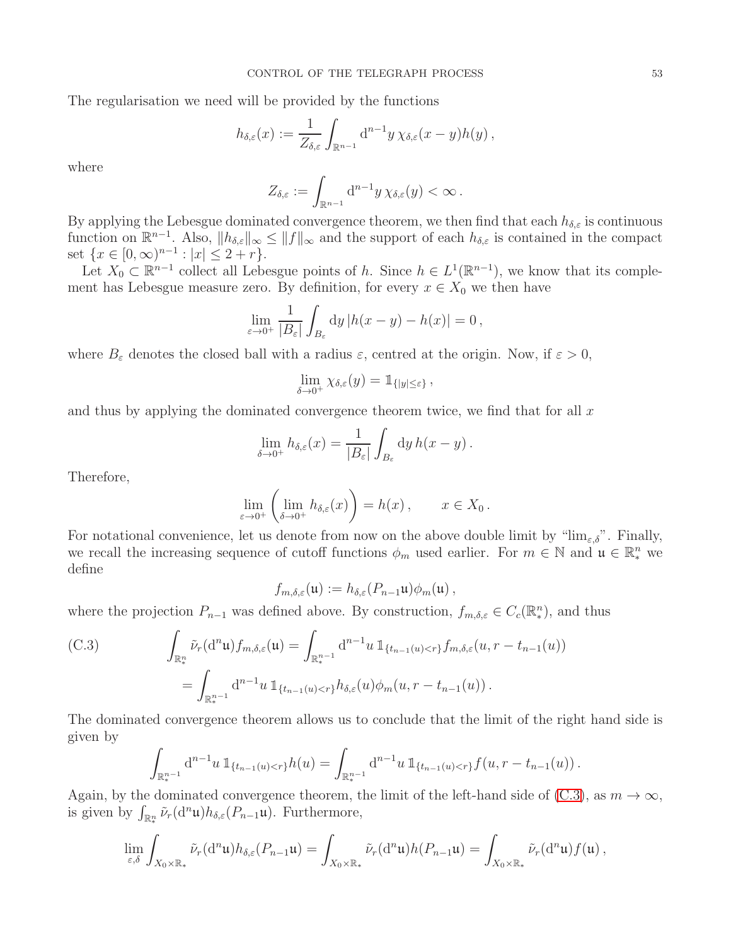The regularisation we need will be provided by the functions

$$
h_{\delta,\varepsilon}(x) := \frac{1}{Z_{\delta,\varepsilon}} \int_{\mathbb{R}^{n-1}} d^{n-1}y \,\chi_{\delta,\varepsilon}(x-y)h(y),
$$

where

$$
Z_{\delta,\varepsilon} := \int_{\mathbb{R}^{n-1}} d^{n-1}y \,\chi_{\delta,\varepsilon}(y) < \infty.
$$

By applying the Lebesgue dominated convergence theorem, we then find that each  $h_{\delta,\varepsilon}$  is continuous function on  $\mathbb{R}^{n-1}$ . Also,  $||h_{\delta,\varepsilon}||_{\infty} \le ||f||_{\infty}$  and the support of each  $h_{\delta,\varepsilon}$  is contained in the compact set  $\{x \in [0, \infty)^{n-1} : |x| \leq 2 + r\}.$ 

Let  $X_0 \subset \mathbb{R}^{n-1}$  collect all Lebesgue points of h. Since  $h \in L^1(\mathbb{R}^{n-1})$ , we know that its complement has Lebesgue measure zero. By definition, for every  $x \in X_0$  we then have

$$
\lim_{\varepsilon \to 0^+} \frac{1}{|B_{\varepsilon}|} \int_{B_{\varepsilon}} dy \, |h(x - y) - h(x)| = 0,
$$

where  $B_{\varepsilon}$  denotes the closed ball with a radius  $\varepsilon$ , centred at the origin. Now, if  $\varepsilon > 0$ ,

$$
\lim_{\delta \to 0^+} \chi_{\delta,\varepsilon}(y) = \mathbb{1}_{\{|y| \leq \varepsilon\}},
$$

and thus by applying the dominated convergence theorem twice, we find that for all  $x$ 

$$
\lim_{\delta \to 0^+} h_{\delta,\varepsilon}(x) = \frac{1}{|B_{\varepsilon}|} \int_{B_{\varepsilon}} dy \, h(x - y) \, .
$$

Therefore,

$$
\lim_{\varepsilon \to 0^+} \left( \lim_{\delta \to 0^+} h_{\delta,\varepsilon}(x) \right) = h(x) , \qquad x \in X_0 .
$$

For notational convenience, let us denote from now on the above double limit by " $\lim_{\varepsilon,\delta}$ ". Finally, we recall the increasing sequence of cutoff functions  $\phi_m$  used earlier. For  $m \in \mathbb{N}$  and  $\mathfrak{u} \in \mathbb{R}^n_*$  we define

$$
f_{m,\delta,\varepsilon}(\mathfrak{u}) := h_{\delta,\varepsilon}(P_{n-1}\mathfrak{u})\phi_m(\mathfrak{u}),
$$

where the projection  $P_{n-1}$  was defined above. By construction,  $f_{m,\delta,\varepsilon} \in C_c(\mathbb{R}^n_*)$ , and thus

<span id="page-52-0"></span>(C.3) 
$$
\int_{\mathbb{R}_{*}^{n}} \tilde{\nu}_{r}(\mathrm{d}^{n} \mathfrak{u}) f_{m,\delta,\varepsilon}(\mathfrak{u}) = \int_{\mathbb{R}_{*}^{n-1}} \mathrm{d}^{n-1} u \, \mathbb{1}_{\{t_{n-1}(u) < r\}} f_{m,\delta,\varepsilon}(u, r - t_{n-1}(u))
$$
\n
$$
= \int_{\mathbb{R}_{*}^{n-1}} \mathrm{d}^{n-1} u \, \mathbb{1}_{\{t_{n-1}(u) < r\}} h_{\delta,\varepsilon}(u) \phi_{m}(u, r - t_{n-1}(u)).
$$

The dominated convergence theorem allows us to conclude that the limit of the right hand side is given by

$$
\int_{\mathbb{R}^{n-1}_*} d^{n-1}u \, \mathbb{1}_{\{t_{n-1}(u) < r\}} h(u) = \int_{\mathbb{R}^{n-1}_*} d^{n-1}u \, \mathbb{1}_{\{t_{n-1}(u) < r\}} f(u, r - t_{n-1}(u)).
$$

Again, by the dominated convergence theorem, the limit of the left-hand side of [\(C.3\)](#page-52-0), as  $m \to \infty$ , is given by  $\int_{\mathbb{R}^n_*} \tilde{\nu}_r(\mathrm{d}^n\mathfrak{u})h_{\delta,\varepsilon}(P_{n-1}\mathfrak{u})$ . Furthermore,

$$
\lim_{\varepsilon,\delta}\int_{X_0\times\mathbb{R}_*}\tilde{\nu}_r(\mathrm{d}^n\mathfrak{u})h_{\delta,\varepsilon}(P_{n-1}\mathfrak{u})=\int_{X_0\times\mathbb{R}_*}\tilde{\nu}_r(\mathrm{d}^n\mathfrak{u})h(P_{n-1}\mathfrak{u})=\int_{X_0\times\mathbb{R}_*}\tilde{\nu}_r(\mathrm{d}^n\mathfrak{u})f(\mathfrak{u})\,,
$$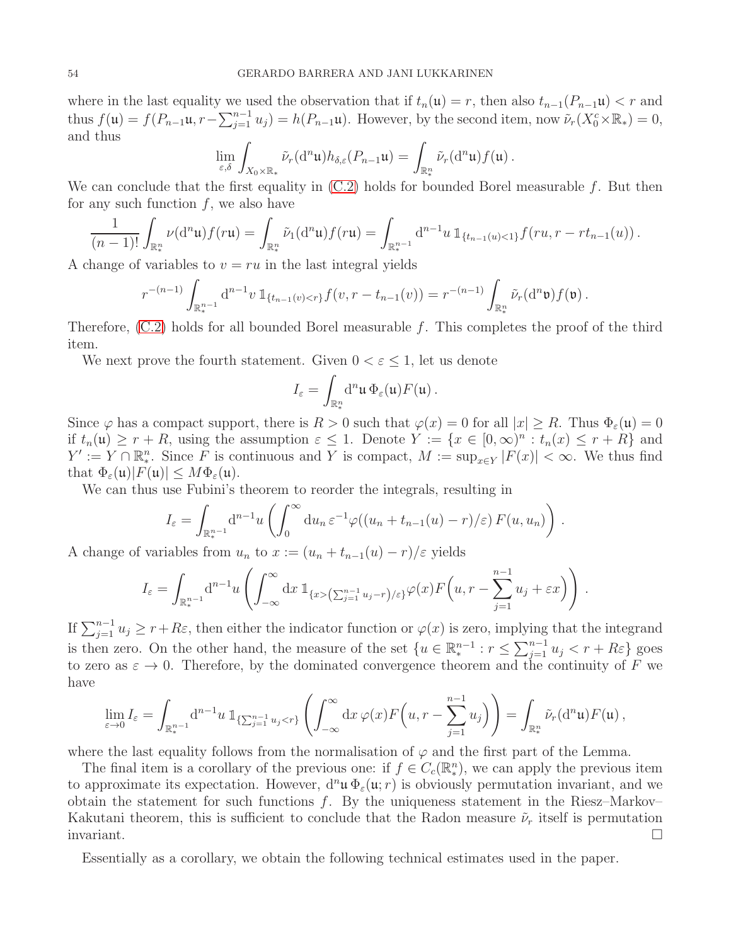where in the last equality we used the observation that if  $t_n(\mathfrak{u}) = r$ , then also  $t_{n-1}(P_{n-1}\mathfrak{u}) < r$  and thus  $f(\mathfrak{u}) = f(P_{n-1}\mathfrak{u}, r - \sum_{j=1}^{n-1} u_j) = h(P_{n-1}\mathfrak{u})$ . However, by the second item, now  $\tilde{\nu}_r(X_0^c \times \mathbb{R}_*) = 0$ , and thus

$$
\lim_{\varepsilon,\delta}\int_{X_0\times\mathbb{R}_*}\tilde{\nu}_r(\mathrm{d}^n\mathfrak{u})h_{\delta,\varepsilon}(P_{n-1}\mathfrak{u})=\int_{\mathbb{R}_*^n}\tilde{\nu}_r(\mathrm{d}^n\mathfrak{u})f(\mathfrak{u})\,.
$$

We can conclude that the first equality in  $(C.2)$  holds for bounded Borel measurable f. But then for any such function  $f$ , we also have

$$
\frac{1}{(n-1)!} \int_{\mathbb{R}^n_*} \nu(\mathrm{d}^n \mathfrak{u}) f(r\mathfrak{u}) = \int_{\mathbb{R}^n_*} \tilde{\nu}_1(\mathrm{d}^n \mathfrak{u}) f(r\mathfrak{u}) = \int_{\mathbb{R}^{n-1}_*} \mathrm{d}^{n-1} u \, \mathbb{1}_{\{t_{n-1}(u) < 1\}} f(ru, r - rt_{n-1}(u)) \, .
$$

A change of variables to  $v = ru$  in the last integral yields

$$
r^{-(n-1)} \int_{\mathbb{R}^{n-1}_*} d^{n-1}v \, \mathbb{1}_{\{t_{n-1}(v) < r\}} f(v, r - t_{n-1}(v)) = r^{-(n-1)} \int_{\mathbb{R}^n_*} \tilde{\nu}_r(d^n \mathfrak{v}) f(\mathfrak{v}) \, .
$$

Therefore,  $(C.2)$  holds for all bounded Borel measurable f. This completes the proof of the third item.

We next prove the fourth statement. Given  $0 < \varepsilon \leq 1$ , let us denote

$$
I_{\varepsilon} = \int_{\mathbb{R}^n_*} d^n \mathfrak{u} \, \Phi_{\varepsilon}(\mathfrak{u}) F(\mathfrak{u}) \, .
$$

Since  $\varphi$  has a compact support, there is  $R > 0$  such that  $\varphi(x) = 0$  for all  $|x| \ge R$ . Thus  $\Phi_{\varepsilon}(\mathfrak{u}) = 0$ if  $t_n(\mathfrak{u}) \geq r + R$ , using the assumption  $\varepsilon \leq 1$ . Denote  $Y := \{x \in [0, \infty)^n : t_n(x) \leq r + R\}$  and  $Y' := Y \cap \mathbb{R}^n$ . Since F is continuous and Y is compact,  $M := \sup_{x \in Y} |F(x)| < \infty$ . We thus find that  $\Phi_{\varepsilon}(\mathfrak{u})|F(\mathfrak{u})| \leq M\Phi_{\varepsilon}(\mathfrak{u}).$ 

We can thus use Fubini's theorem to reorder the integrals, resulting in

$$
I_{\varepsilon} = \int_{\mathbb{R}_{*}^{n-1}} d^{n-1}u \left( \int_{0}^{\infty} du_{n} \, \varepsilon^{-1} \varphi((u_{n} + t_{n-1}(u) - r)/\varepsilon) \, F(u, u_{n}) \right) \, .
$$

A change of variables from  $u_n$  to  $x := (u_n + t_{n-1}(u) - r)/\varepsilon$  yields

$$
I_{\varepsilon} = \int_{\mathbb{R}^{n-1}_{*}} d^{n-1}u \left( \int_{-\infty}^{\infty} dx \, 1\!\!1_{\{x > (\sum_{j=1}^{n-1} u_j - r) / \varepsilon\}} \varphi(x) F\left(u, r - \sum_{j=1}^{n-1} u_j + \varepsilon x\right) \right) .
$$

If  $\sum_{j=1}^{n-1} u_j \ge r+R\varepsilon$ , then either the indicator function or  $\varphi(x)$  is zero, implying that the integrand is then zero. On the other hand, the measure of the set  $\{u \in \mathbb{R}^{n-1}_*: r \leq \sum_{j=1}^{n-1} u_j < r + R\varepsilon\}$  goes to zero as  $\varepsilon \to 0$ . Therefore, by the dominated convergence theorem and the continuity of F we have

$$
\lim_{\varepsilon \to 0} I_{\varepsilon} = \int_{\mathbb{R}^{n-1}_{*}} d^{n-1} u \, \mathbb{1}_{\{\sum_{j=1}^{n-1} u_j < r\}} \left( \int_{-\infty}^{\infty} dx \, \varphi(x) F\left(u, r - \sum_{j=1}^{n-1} u_j\right) \right) = \int_{\mathbb{R}^n_*} \tilde{\nu}_r(d^n \mathfrak{u}) F(\mathfrak{u}) ,
$$

where the last equality follows from the normalisation of  $\varphi$  and the first part of the Lemma.

The final item is a corollary of the previous one: if  $f \in C_c(\mathbb{R}^n)$ , we can apply the previous item to approximate its expectation. However,  $d^n\mathbf{u} \Phi_{\varepsilon}(\mathbf{u}; r)$  is obviously permutation invariant, and we obtain the statement for such functions f. By the uniqueness statement in the Riesz–Markov– Kakutani theorem, this is sufficient to conclude that the Radon measure  $\tilde{\nu}_r$  itself is permutation invariant.

Essentially as a corollary, we obtain the following technical estimates used in the paper.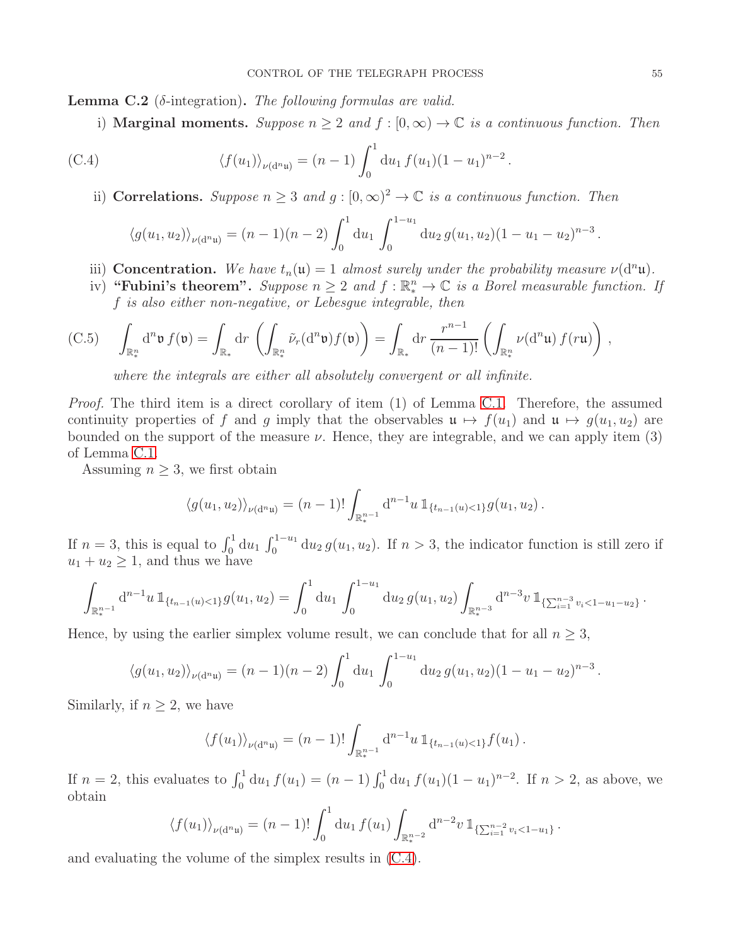<span id="page-54-0"></span>**Lemma C.2** ( $\delta$ -integration). The following formulas are valid.

i) **Marginal moments.** Suppose  $n \geq 2$  and  $f : [0, \infty) \to \mathbb{C}$  is a continuous function. Then

<span id="page-54-1"></span>(C.4) 
$$
\langle f(u_1) \rangle_{\nu(d^n u)} = (n-1) \int_0^1 du_1 f(u_1) (1-u_1)^{n-2}.
$$

ii) Correlations. Suppose  $n \geq 3$  and  $g : [0, \infty)^2 \to \mathbb{C}$  is a continuous function. Then

$$
\langle g(u_1, u_2) \rangle_{\nu(d^n u)} = (n-1)(n-2) \int_0^1 du_1 \int_0^{1-u_1} du_2 g(u_1, u_2) (1-u_1-u_2)^{n-3}.
$$

- iii) Concentration. We have  $t_n(u) = 1$  almost surely under the probability measure  $\nu(d^n\mathfrak{u})$ .
- iv) "Fubini's theorem". Suppose  $n \geq 2$  and  $f : \mathbb{R}^n_* \to \mathbb{C}$  is a Borel measurable function. If f is also either non-negative, or Lebesgue integrable, then

<span id="page-54-2"></span>(C.5) 
$$
\int_{\mathbb{R}^n_*} d^n \mathfrak{v} f(\mathfrak{v}) = \int_{\mathbb{R}^n} dr \left( \int_{\mathbb{R}^n_*} \tilde{\nu}_r(d^n \mathfrak{v}) f(\mathfrak{v}) \right) = \int_{\mathbb{R}^n} dr \frac{r^{n-1}}{(n-1)!} \left( \int_{\mathbb{R}^n_*} \nu(d^n \mathfrak{u}) f(r \mathfrak{u}) \right),
$$

where the integrals are either all absolutely convergent or all infinite.

*Proof.* The third item is a direct corollary of item (1) of Lemma [C.1.](#page-50-0) Therefore, the assumed continuity properties of f and g imply that the observables  $\mathfrak{u} \mapsto f(u_1)$  and  $\mathfrak{u} \mapsto g(u_1, u_2)$  are bounded on the support of the measure  $\nu$ . Hence, they are integrable, and we can apply item (3) of Lemma [C.1.](#page-50-0)

Assuming  $n \geq 3$ , we first obtain

$$
\langle g(u_1, u_2) \rangle_{\nu(d^n u)} = (n-1)! \int_{\mathbb{R}^{n-1}_*} d^{n-1} u \, \mathbb{1}_{\{t_{n-1}(u) < 1\}} g(u_1, u_2) \, .
$$

If  $n=3$ , this is equal to  $\int_0^1 du_1 \int_0^{1-u_1} du_2 g(u_1, u_2)$ . If  $n>3$ , the indicator function is still zero if  $u_1 + u_2 \geq 1$ , and thus we have

$$
\int_{\mathbb{R}_{*}^{n-1}} d^{n-1}u \, \mathbb{1}_{\{t_{n-1}(u) < 1\}} g(u_1, u_2) = \int_0^1 du_1 \, \int_0^{1-u_1} du_2 \, g(u_1, u_2) \int_{\mathbb{R}_{*}^{n-3}} d^{n-3}v \, \mathbb{1}_{\{\sum_{i=1}^{n-3} v_i < 1-u_1-u_2\}}.
$$

Hence, by using the earlier simplex volume result, we can conclude that for all  $n \geq 3$ ,

$$
\langle g(u_1, u_2) \rangle_{\nu(d^n u)} = (n-1)(n-2) \int_0^1 du_1 \int_0^{1-u_1} du_2 g(u_1, u_2) (1-u_1-u_2)^{n-3}.
$$

Similarly, if  $n \geq 2$ , we have

$$
\langle f(u_1) \rangle_{\nu(d^n u)} = (n-1)! \int_{\mathbb{R}^{n-1}_*} d^{n-1} u \, \mathbb{1}_{\{t_{n-1}(u) < 1\}} f(u_1) \, .
$$

If  $n = 2$ , this evaluates to  $\int_0^1 du_1 f(u_1) = (n-1) \int_0^1 du_1 f(u_1) (1-u_1)^{n-2}$ . If  $n > 2$ , as above, we obtain

$$
\langle f(u_1) \rangle_{\nu(d^n u)} = (n-1)! \int_0^1 du_1 f(u_1) \int_{\mathbb{R}^{n-2}_*} d^{n-2} v \, \mathbb{1}_{\{\sum_{i=1}^{n-2} v_i < 1-u_1\}}.
$$

and evaluating the volume of the simplex results in [\(C.4\)](#page-54-1).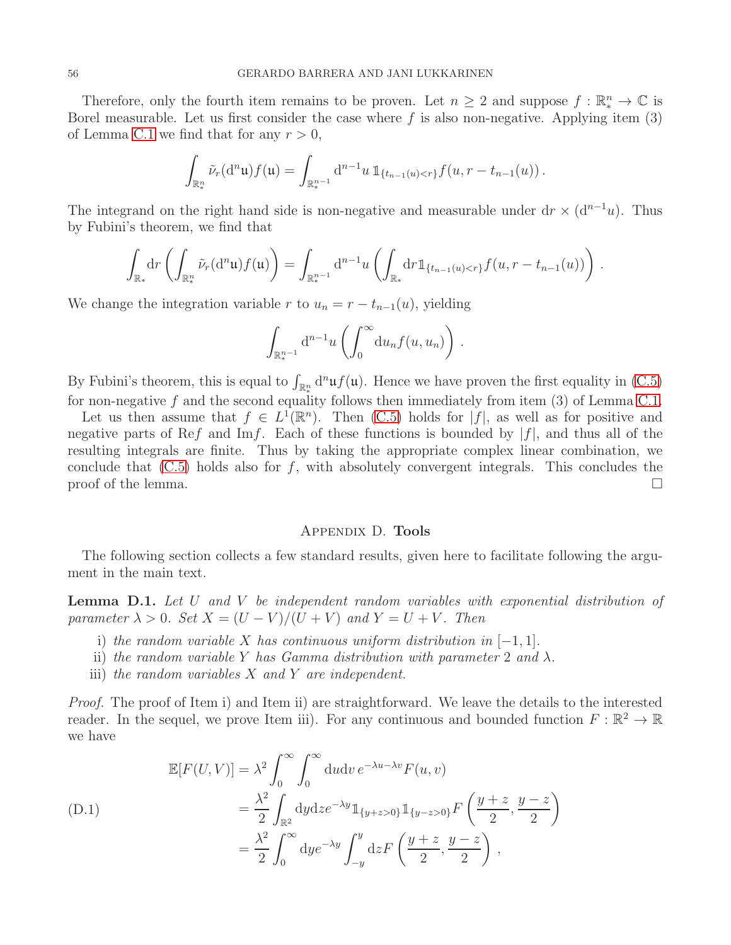Therefore, only the fourth item remains to be proven. Let  $n \geq 2$  and suppose  $f : \mathbb{R}^n_* \to \mathbb{C}$  is Borel measurable. Let us first consider the case where  $f$  is also non-negative. Applying item  $(3)$ of Lemma [C.1](#page-50-0) we find that for any  $r > 0$ ,

$$
\int_{\mathbb{R}^n_*} \tilde{\nu}_r(\mathrm{d}^n\mathfrak{u}) f(\mathfrak{u}) = \int_{\mathbb{R}^{n-1}_*} \mathrm{d}^{n-1}u \, \mathbb{1}_{\{t_{n-1}(u) < r\}} f(u, r - t_{n-1}(u)) \, .
$$

The integrand on the right hand side is non-negative and measurable under dr  $\times$  (d<sup>n-1</sup>u). Thus by Fubini's theorem, we find that

$$
\int_{\mathbb{R}_*} dr \left( \int_{\mathbb{R}_*^n} \tilde{\nu}_r(d^n \mathfrak{u}) f(\mathfrak{u}) \right) = \int_{\mathbb{R}_*^{n-1}} d^{n-1} u \left( \int_{\mathbb{R}_*} dr \mathbb{1}_{\{t_{n-1}(u) < r\}} f(u, r - t_{n-1}(u)) \right) .
$$

We change the integration variable r to  $u_n = r - t_{n-1}(u)$ , yielding

$$
\int_{\mathbb{R}^{n-1}_*} d^{n-1}u\left(\int_0^\infty du_n f(u,u_n)\right).
$$

By Fubini's theorem, this is equal to  $\int_{\mathbb{R}^n_*} d^n \mathfrak{u} f(\mathfrak{u})$ . Hence we have proven the first equality in [\(C.5\)](#page-54-2) for non-negative  $f$  and the second equality follows then immediately from item  $(3)$  of Lemma [C.1.](#page-50-0)

Let us then assume that  $f \in L^1(\mathbb{R}^n)$ . Then [\(C.5\)](#page-54-2) holds for  $|f|$ , as well as for positive and negative parts of Ref and Imf. Each of these functions is bounded by  $|f|$ , and thus all of the resulting integrals are finite. Thus by taking the appropriate complex linear combination, we conclude that  $(C.5)$  holds also for f, with absolutely convergent integrals. This concludes the proof of the lemma.  $\Box$ 

## Appendix D. Tools

<span id="page-55-0"></span>The following section collects a few standard results, given here to facilitate following the argument in the main text.

<span id="page-55-1"></span>**Lemma D.1.** Let U and V be independent random variables with exponential distribution of parameter  $\lambda > 0$ . Set  $X = (U - V)/(U + V)$  and  $Y = U + V$ . Then

- i) the random variable X has continuous uniform distribution in  $[-1, 1]$ .
- ii) the random variable Y has Gamma distribution with parameter 2 and  $\lambda$ .
- iii) the random variables  $X$  and  $Y$  are independent.

Proof. The proof of Item i) and Item ii) are straightforward. We leave the details to the interested reader. In the sequel, we prove Item iii). For any continuous and bounded function  $F : \mathbb{R}^2 \to \mathbb{R}$ we have

<span id="page-55-2"></span>
$$
\mathbb{E}[F(U,V)] = \lambda^2 \int_0^\infty \int_0^\infty du dv \, e^{-\lambda u - \lambda v} F(u,v)
$$
  
\n
$$
= \frac{\lambda^2}{2} \int_{\mathbb{R}^2} dy dz e^{-\lambda y} \mathbb{1}_{\{y+z>0\}} \mathbb{1}_{\{y-z>0\}} F\left(\frac{y+z}{2}, \frac{y-z}{2}\right)
$$
  
\n
$$
= \frac{\lambda^2}{2} \int_0^\infty dy e^{-\lambda y} \int_{-y}^y dz F\left(\frac{y+z}{2}, \frac{y-z}{2}\right),
$$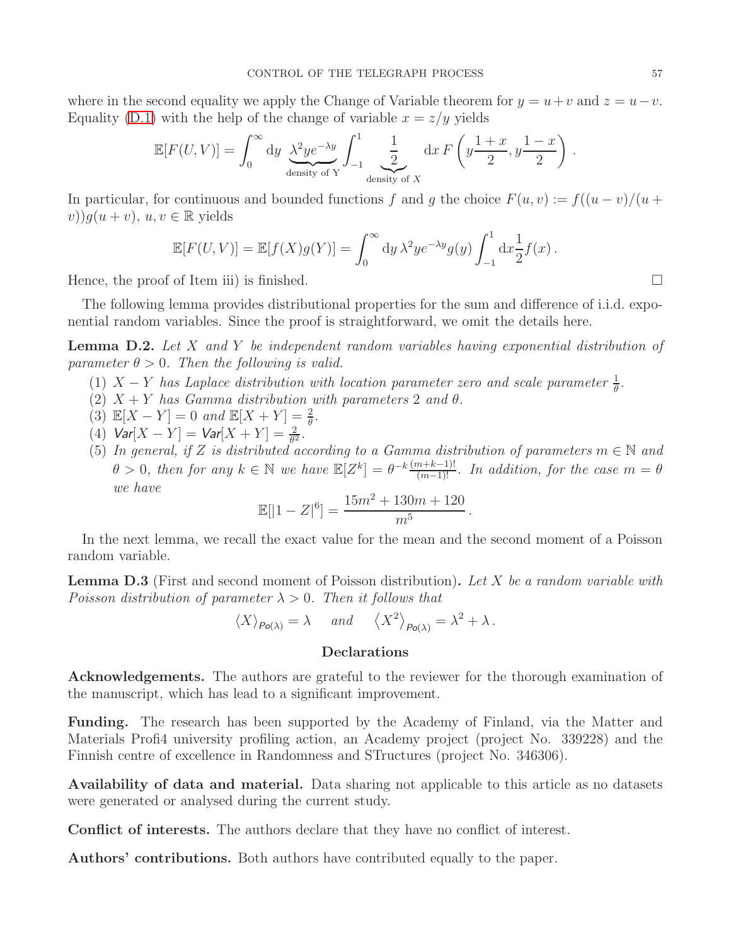where in the second equality we apply the Change of Variable theorem for  $y = u + v$  and  $z = u - v$ . Equality [\(D.1\)](#page-55-2) with the help of the change of variable  $x = z/y$  yields

$$
\mathbb{E}[F(U,V)] = \int_0^\infty dy \underbrace{\lambda^2 y e^{-\lambda y}}_{\text{density of } Y} \int_{-1}^1 \underbrace{\frac{1}{2}}_{\text{density of } X} dx F\left(y \frac{1+x}{2}, y \frac{1-x}{2}\right).
$$

In particular, for continuous and bounded functions f and g the choice  $F(u, v) := f((u - v)/(u +$  $(v)$ ) $g(u + v)$ ,  $u, v \in \mathbb{R}$  yields

$$
\mathbb{E}[F(U,V)] = \mathbb{E}[f(X)g(Y)] = \int_0^\infty dy \,\lambda^2 y e^{-\lambda y} g(y) \int_{-1}^1 dx \frac{1}{2} f(x) .
$$

Hence, the proof of Item iii) is finished.

The following lemma provides distributional properties for the sum and difference of i.i.d. exponential random variables. Since the proof is straightforward, we omit the details here.

<span id="page-56-1"></span>**Lemma D.2.** Let X and Y be independent random variables having exponential distribution of parameter  $\theta > 0$ . Then the following is valid.

- (1)  $X Y$  has Laplace distribution with location parameter zero and scale parameter  $\frac{1}{\theta}$ .
- (2)  $X + Y$  has Gamma distribution with parameters 2 and  $\theta$ .
- (3)  $\mathbb{E}[X Y] = 0$  and  $\mathbb{E}[X + Y] = \frac{2}{\theta}$ .
- (4)  $Var[X Y] = Var[X + Y] = \frac{2}{\theta^2}$ .
- (5) In general, if Z is distributed according to a Gamma distribution of parameters  $m \in \mathbb{N}$  and  $\theta > 0$ , then for any  $k \in \mathbb{N}$  we have  $\mathbb{E}[Z^k] = \theta^{-k} \frac{(m+k-1)!}{(m-1)!}$ . In addition, for the case  $m = \theta$ we have

.

$$
\mathbb{E}[|1 - Z|^6] = \frac{15m^2 + 130m + 120}{m^5}
$$

In the next lemma, we recall the exact value for the mean and the second moment of a Poisson random variable.

<span id="page-56-2"></span>**Lemma D.3** (First and second moment of Poisson distribution). Let  $X$  be a random variable with Poisson distribution of parameter  $\lambda > 0$ . Then it follows that

$$
\langle X \rangle_{Po(\lambda)} = \lambda \quad \text{and} \quad \langle X^2 \rangle_{Po(\lambda)} = \lambda^2 + \lambda \, .
$$

## <span id="page-56-0"></span>Declarations

Acknowledgements. The authors are grateful to the reviewer for the thorough examination of the manuscript, which has lead to a significant improvement.

Funding. The research has been supported by the Academy of Finland, via the Matter and Materials Profi4 university profiling action, an Academy project (project No. 339228) and the Finnish centre of excellence in Randomness and STructures (project No. 346306).

Availability of data and material. Data sharing not applicable to this article as no datasets were generated or analysed during the current study.

Conflict of interests. The authors declare that they have no conflict of interest.

Authors' contributions. Both authors have contributed equally to the paper.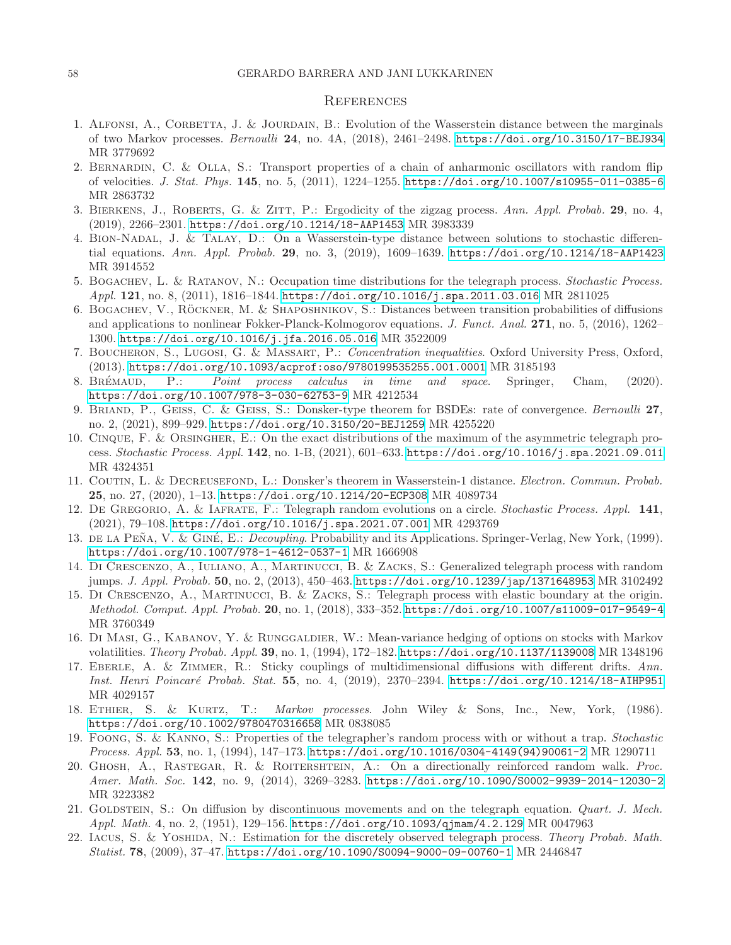#### <span id="page-57-0"></span>**REFERENCES**

- <span id="page-57-14"></span>1. ALFONSI, A., CORBETTA, J. & JOURDAIN, B.: Evolution of the Wasserstein distance between the marginals of two Markov processes. *Bernoulli* 24, no. 4A, (2018), 2461–2498. <https://doi.org/10.3150/17-BEJ934> MR 3779692
- <span id="page-57-12"></span>2. Bernardin, C. & Olla, S.: Transport properties of a chain of anharmonic oscillators with random flip of velocities. *J. Stat. Phys.* 145, no. 5, (2011), 1224–1255. <https://doi.org/10.1007/s10955-011-0385-6> MR 2863732
- <span id="page-57-15"></span><span id="page-57-2"></span>3. Bierkens, J., Roberts, G. & Zitt, P.: Ergodicity of the zigzag process. *Ann. Appl. Probab.* 29, no. 4, (2019), 2266–2301. <https://doi.org/10.1214/18-AAP1453> MR 3983339
- 4. Bion-Nadal, J. & Talay, D.: On a Wasserstein-type distance between solutions to stochastic differential equations. *Ann. Appl. Probab.* 29, no. 3, (2019), 1609–1639. <https://doi.org/10.1214/18-AAP1423> MR 3914552
- <span id="page-57-3"></span>5. Bogachev, L. & Ratanov, N.: Occupation time distributions for the telegraph process. *Stochastic Process. Appl.* 121, no. 8, (2011), 1816–1844. <https://doi.org/10.1016/j.spa.2011.03.016> MR 2811025
- <span id="page-57-16"></span>6. BOGACHEV, V., RÖCKNER, M. & SHAPOSHNIKOV, S.: Distances between transition probabilities of diffusions and applications to nonlinear Fokker-Planck-Kolmogorov equations. *J. Funct. Anal.* 271, no. 5, (2016), 1262– 1300. <https://doi.org/10.1016/j.jfa.2016.05.016> MR 3522009
- <span id="page-57-22"></span>7. Boucheron, S., Lugosi, G. & Massart, P.: *Concentration inequalities*. Oxford University Press, Oxford, (2013). <https://doi.org/10.1093/acprof:oso/9780199535255.001.0001> MR 3185193
- <span id="page-57-20"></span>8. Br´emaud, P.: *Point process calculus in time and space*. Springer, Cham, (2020). <https://doi.org/10.1007/978-3-030-62753-9> MR 4212534
- <span id="page-57-18"></span>9. Briand, P., Geiss, C. & Geiss, S.: Donsker-type theorem for BSDEs: rate of convergence. *Bernoulli* 27, no. 2, (2021), 899–929. <https://doi.org/10.3150/20-BEJ1259> MR 4255220
- <span id="page-57-11"></span>10. Cinque, F. & Orsingher, E.: On the exact distributions of the maximum of the asymmetric telegraph process. *Stochastic Process. Appl.* 142, no. 1-B, (2021), 601–633. <https://doi.org/10.1016/j.spa.2021.09.011> MR 4324351
- <span id="page-57-19"></span>11. Coutin, L. & Decreusefond, L.: Donsker's theorem in Wasserstein-1 distance. *Electron. Commun. Probab.* 25, no. 27, (2020), 1–13. <https://doi.org/10.1214/20-ECP308> MR 4089734
- <span id="page-57-4"></span>12. De Gregorio, A. & Iafrate, F.: Telegraph random evolutions on a circle. *Stochastic Process. Appl.* 141, (2021), 79–108. <https://doi.org/10.1016/j.spa.2021.07.001> MR 4293769
- <span id="page-57-21"></span>13. DE LA PEÑA, V. & GINÉ, E.: *Decoupling*. Probability and its Applications. Springer-Verlag, New York, (1999). <https://doi.org/10.1007/978-1-4612-0537-1> MR 1666908
- <span id="page-57-5"></span>14. Di Crescenzo, A., Iuliano, A., Martinucci, B. & Zacks, S.: Generalized telegraph process with random jumps. *J. Appl. Probab.* 50, no. 2, (2013), 450–463. <https://doi.org/10.1239/jap/1371648953> MR 3102492
- <span id="page-57-6"></span>15. Di Crescenzo, A., Martinucci, B. & Zacks, S.: Telegraph process with elastic boundary at the origin. *Methodol. Comput. Appl. Probab.* 20, no. 1, (2018), 333–352. <https://doi.org/10.1007/s11009-017-9549-4> MR 3760349
- <span id="page-57-10"></span>16. Di Masi, G., Kabanov, Y. & Runggaldier, W.: Mean-variance hedging of options on stocks with Markov volatilities. *Theory Probab. Appl.* 39, no. 1, (1994), 172–182. <https://doi.org/10.1137/1139008> MR 1348196
- <span id="page-57-17"></span>17. Eberle, A. & Zimmer, R.: Sticky couplings of multidimensional diffusions with different drifts. *Ann. Inst. Henri Poincar´e Probab. Stat.* 55, no. 4, (2019), 2370–2394. <https://doi.org/10.1214/18-AIHP951> MR 4029157
- <span id="page-57-13"></span>18. Ethier, S. & Kurtz, T.: *Markov processes*. John Wiley & Sons, Inc., New, York, (1986). <https://doi.org/10.1002/9780470316658> MR 0838085
- <span id="page-57-7"></span>19. Foong, S. & Kanno, S.: Properties of the telegrapher's random process with or without a trap. *Stochastic Process. Appl.* 53, no. 1, (1994), 147–173. [https://doi.org/10.1016/0304-4149\(94\)90061-2](https://doi.org/10.1016/0304-4149(94)90061-2) MR 1290711
- <span id="page-57-8"></span>20. Ghosh, A., Rastegar, R. & Roitershtein, A.: On a directionally reinforced random walk. *Proc. Amer. Math. Soc.* 142, no. 9, (2014), 3269–3283. <https://doi.org/10.1090/S0002-9939-2014-12030-2> MR 3223382
- <span id="page-57-1"></span>21. Goldstein, S.: On diffusion by discontinuous movements and on the telegraph equation. *Quart. J. Mech. Appl. Math.* 4, no. 2, (1951), 129–156. <https://doi.org/10.1093/qjmam/4.2.129> MR 0047963
- <span id="page-57-9"></span>22. Iacus, S. & Yoshida, N.: Estimation for the discretely observed telegraph process. *Theory Probab. Math. Statist.* 78, (2009), 37–47. <https://doi.org/10.1090/S0094-9000-09-00760-1> MR 2446847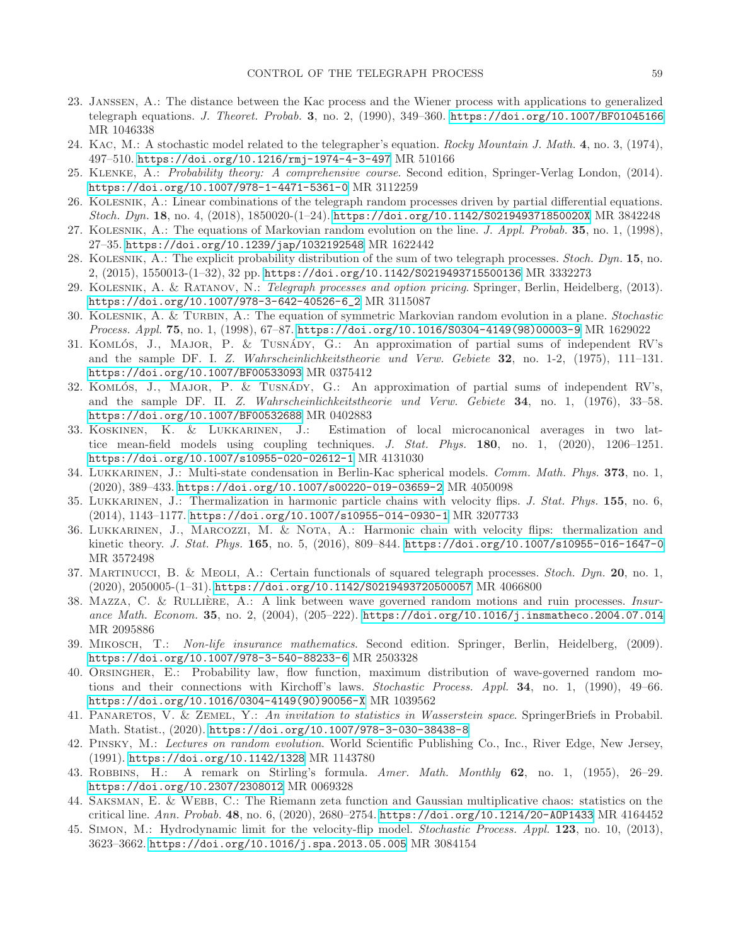- <span id="page-58-2"></span>23. Janssen, A.: The distance between the Kac process and the Wiener process with applications to generalized telegraph equations. *J. Theoret. Probab.* 3, no. 2, (1990), 349–360. <https://doi.org/10.1007/BF01045166> MR 1046338
- <span id="page-58-21"></span><span id="page-58-0"></span>24. Kac, M.: A stochastic model related to the telegrapher's equation. *Rocky Mountain J. Math.* 4, no. 3, (1974), 497–510. <https://doi.org/10.1216/rmj-1974-4-3-497> MR 510166
- <span id="page-58-3"></span>25. Klenke, A.: *Probability theory: A comprehensive course*. Second edition, Springer-Verlag London, (2014). <https://doi.org/10.1007/978-1-4471-5361-0> MR 3112259
- <span id="page-58-4"></span>26. Kolesnik, A.: Linear combinations of the telegraph random processes driven by partial differential equations. *Stoch. Dyn.* 18, no. 4, (2018), 1850020-(1–24). <https://doi.org/10.1142/S021949371850020X> MR 3842248
- 27. Kolesnik, A.: The equations of Markovian random evolution on the line. *J. Appl. Probab.* 35, no. 1, (1998), 27–35. <https://doi.org/10.1239/jap/1032192548> MR 1622442
- <span id="page-58-5"></span>28. Kolesnik, A.: The explicit probability distribution of the sum of two telegraph processes. *Stoch. Dyn.* 15, no. 2, (2015), 1550013-(1–32), 32 pp. <https://doi.org/10.1142/S0219493715500136> MR 3332273
- <span id="page-58-1"></span>29. Kolesnik, A. & Ratanov, N.: *Telegraph processes and option pricing*. Springer, Berlin, Heidelberg, (2013). [https://doi.org/10.1007/978-3-642-40526-6\\_2](https://doi.org/10.1007/978-3-642-40526-6_2) MR 3115087
- <span id="page-58-6"></span>30. Kolesnik, A. & Turbin, A.: The equation of symmetric Markovian random evolution in a plane. *Stochastic Process. Appl.* 75, no. 1, (1998), 67–87. [https://doi.org/10.1016/S0304-4149\(98\)00003-9](https://doi.org/10.1016/S0304-4149(98)00003-9) MR 1629022
- <span id="page-58-16"></span>31. KOMLÓS, J., MAJOR, P. & TUSNÁDY, G.: An approximation of partial sums of independent RV's and the sample DF. I. *Z. Wahrscheinlichkeitstheorie und Verw. Gebiete* 32, no. 1-2, (1975), 111–131. <https://doi.org/10.1007/BF00533093> MR 0375412
- <span id="page-58-17"></span>32. KOMLÓS, J., MAJOR, P. & TUSNÁDY, G.: An approximation of partial sums of independent RV's, and the sample DF. II. *Z. Wahrscheinlichkeitstheorie und Verw. Gebiete* 34, no. 1, (1976), 33–58. <https://doi.org/10.1007/BF00532688> MR 0402883
- <span id="page-58-14"></span>33. Koskinen, K. & Lukkarinen, J.: Estimation of local microcanonical averages in two lattice mean-field models using coupling techniques. *J. Stat. Phys.* 180, no. 1, (2020), 1206–1251. <https://doi.org/10.1007/s10955-020-02612-1> MR 4131030
- <span id="page-58-20"></span>34. Lukkarinen, J.: Multi-state condensation in Berlin-Kac spherical models. *Comm. Math. Phys.* 373, no. 1, (2020), 389–433. <https://doi.org/10.1007/s00220-019-03659-2> MR 4050098
- <span id="page-58-10"></span>35. Lukkarinen, J.: Thermalization in harmonic particle chains with velocity flips. *J. Stat. Phys.* 155, no. 6, (2014), 1143–1177. <https://doi.org/10.1007/s10955-014-0930-1> MR 3207733
- <span id="page-58-11"></span>36. Lukkarinen, J., Marcozzi, M. & Nota, A.: Harmonic chain with velocity flips: thermalization and kinetic theory. *J. Stat. Phys.* 165, no. 5, (2016), 809–844. <https://doi.org/10.1007/s10955-016-1647-0> MR 3572498
- <span id="page-58-7"></span>37. Martinucci, B. & Meoli, A.: Certain functionals of squared telegraph processes. *Stoch. Dyn.* 20, no. 1, (2020), 2050005-(1–31). <https://doi.org/10.1142/S0219493720500057> MR 4066800
- <span id="page-58-9"></span>38. MAZZA, C. & RULLIÈRE, A.: A link between wave governed random motions and ruin processes. *Insurance Math. Econom.* 35, no. 2, (2004), (205–222). <https://doi.org/10.1016/j.insmatheco.2004.07.014> MR 2095886
- <span id="page-58-18"></span>39. Mikosch, T.: *Non-life insurance mathematics*. Second edition. Springer, Berlin, Heidelberg, (2009). <https://doi.org/10.1007/978-3-540-88233-6> MR 2503328
- <span id="page-58-8"></span>40. Orsingher, E.: Probability law, flow function, maximum distribution of wave-governed random motions and their connections with Kirchoff's laws. *Stochastic Process. Appl.* 34, no. 1, (1990), 49–66. [https://doi.org/10.1016/0304-4149\(90\)90056-X](https://doi.org/10.1016/0304-4149(90)90056-X) MR 1039562
- <span id="page-58-19"></span>41. Panaretos, V. & Zemel, Y.: *An invitation to statistics in Wasserstein space*. SpringerBriefs in Probabil. Math. Statist., (2020). <https://doi.org/10.1007/978-3-030-38438-8>
- <span id="page-58-13"></span>42. Pinsky, M.: *Lectures on random evolution*. World Scientific Publishing Co., Inc., River Edge, New Jersey, (1991). <https://doi.org/10.1142/1328> MR 1143780
- <span id="page-58-22"></span>43. Robbins, H.: A remark on Stirling's formula. *Amer. Math. Monthly* 62, no. 1, (1955), 26–29. <https://doi.org/10.2307/2308012> MR 0069328
- <span id="page-58-15"></span>44. Saksman, E. & Webb, C.: The Riemann zeta function and Gaussian multiplicative chaos: statistics on the critical line. *Ann. Probab.* 48, no. 6, (2020), 2680–2754. <https://doi.org/10.1214/20-AOP1433> MR 4164452
- <span id="page-58-12"></span>45. Simon, M.: Hydrodynamic limit for the velocity-flip model. *Stochastic Process. Appl.* 123, no. 10, (2013), 3623–3662. <https://doi.org/10.1016/j.spa.2013.05.005> MR 3084154